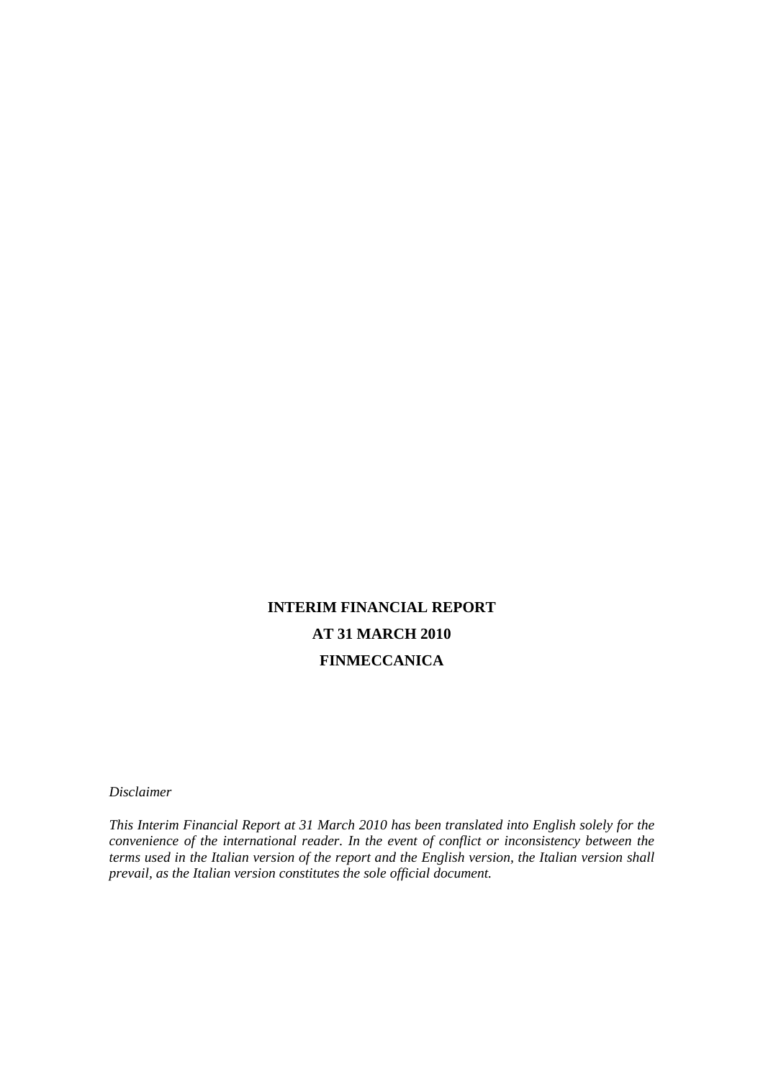# **INTERIM FINANCIAL REPORT AT 31 MARCH 2010 FINMECCANICA**

*Disclaimer* 

*This Interim Financial Report at 31 March 2010 has been translated into English solely for the convenience of the international reader. In the event of conflict or inconsistency between the terms used in the Italian version of the report and the English version, the Italian version shall prevail, as the Italian version constitutes the sole official document.*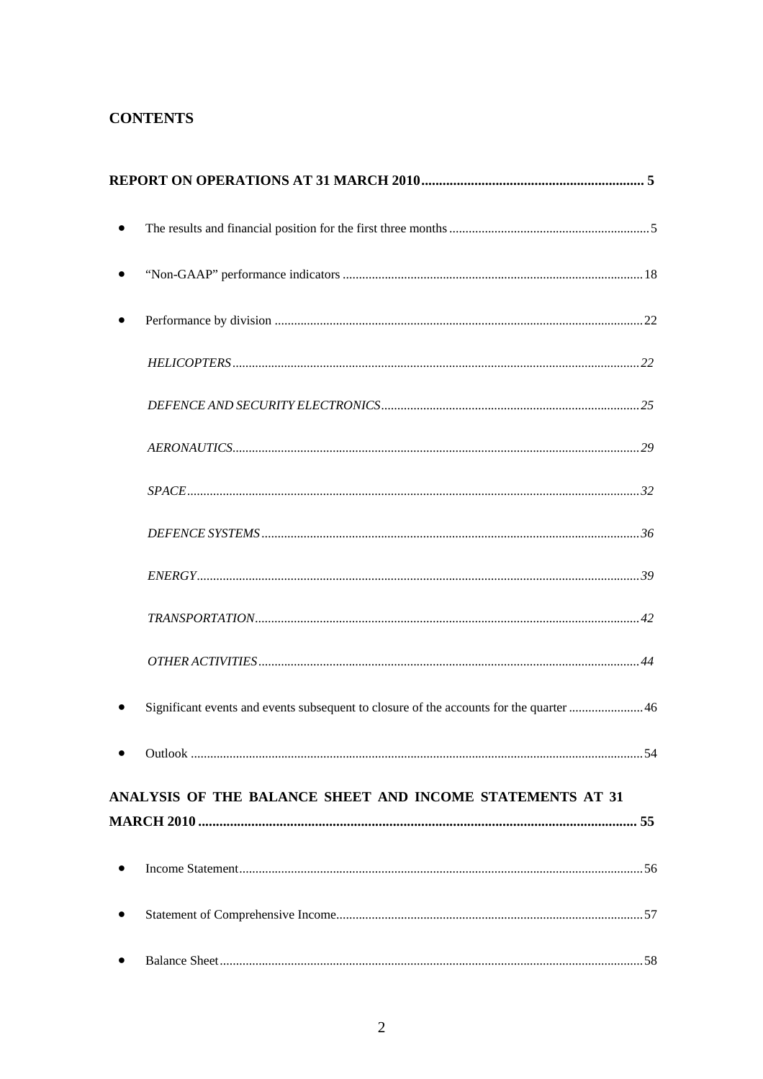## **CONTENTS**

|           | Significant events and events subsequent to closure of the accounts for the quarter  46 |  |
|-----------|-----------------------------------------------------------------------------------------|--|
|           |                                                                                         |  |
|           | ANALYSIS OF THE BALANCE SHEET AND INCOME STATEMENTS AT 31                               |  |
|           |                                                                                         |  |
| $\bullet$ |                                                                                         |  |
|           |                                                                                         |  |
|           |                                                                                         |  |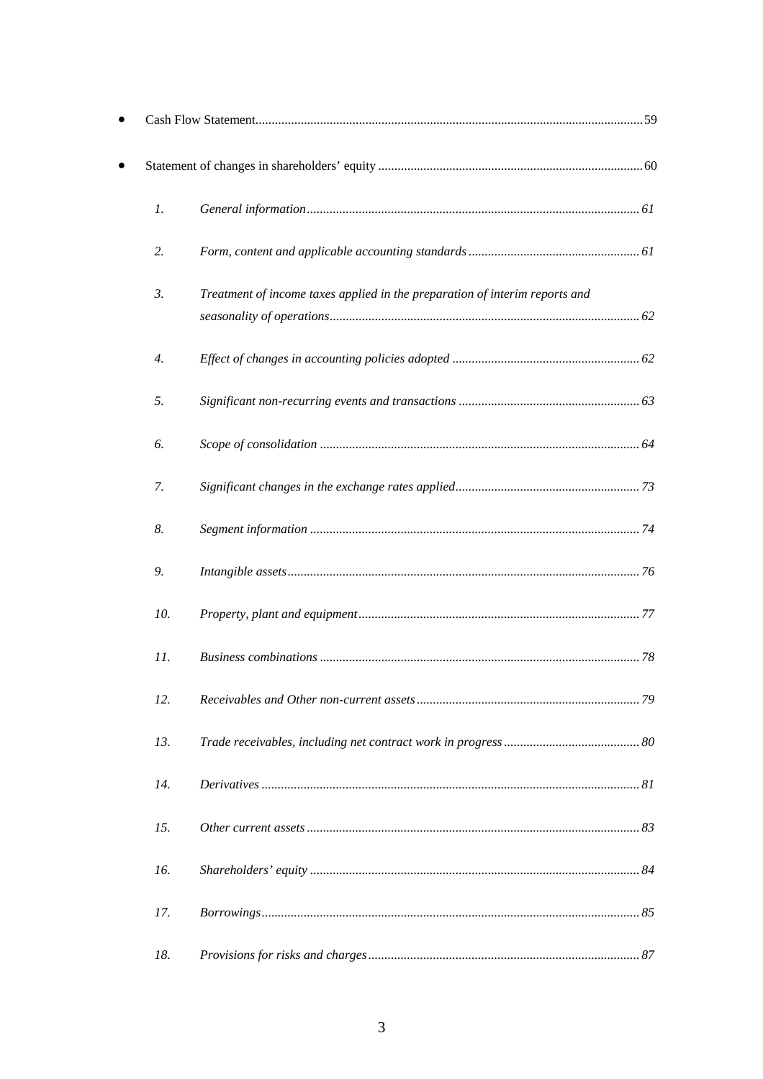| $\mathfrak{1}.$ |                                                                             |  |
|-----------------|-----------------------------------------------------------------------------|--|
| 2.              |                                                                             |  |
| 3.              | Treatment of income taxes applied in the preparation of interim reports and |  |
| 4.              |                                                                             |  |
| 5.              |                                                                             |  |
| 6.              |                                                                             |  |
| 7.              |                                                                             |  |
| 8.              |                                                                             |  |
| 9.              |                                                                             |  |
| 10.             |                                                                             |  |
| 11.             |                                                                             |  |
| 12.             |                                                                             |  |
| 13.             |                                                                             |  |
| 14.             |                                                                             |  |
| 15.             |                                                                             |  |
| 16.             |                                                                             |  |
| 17.             |                                                                             |  |
| 18.             |                                                                             |  |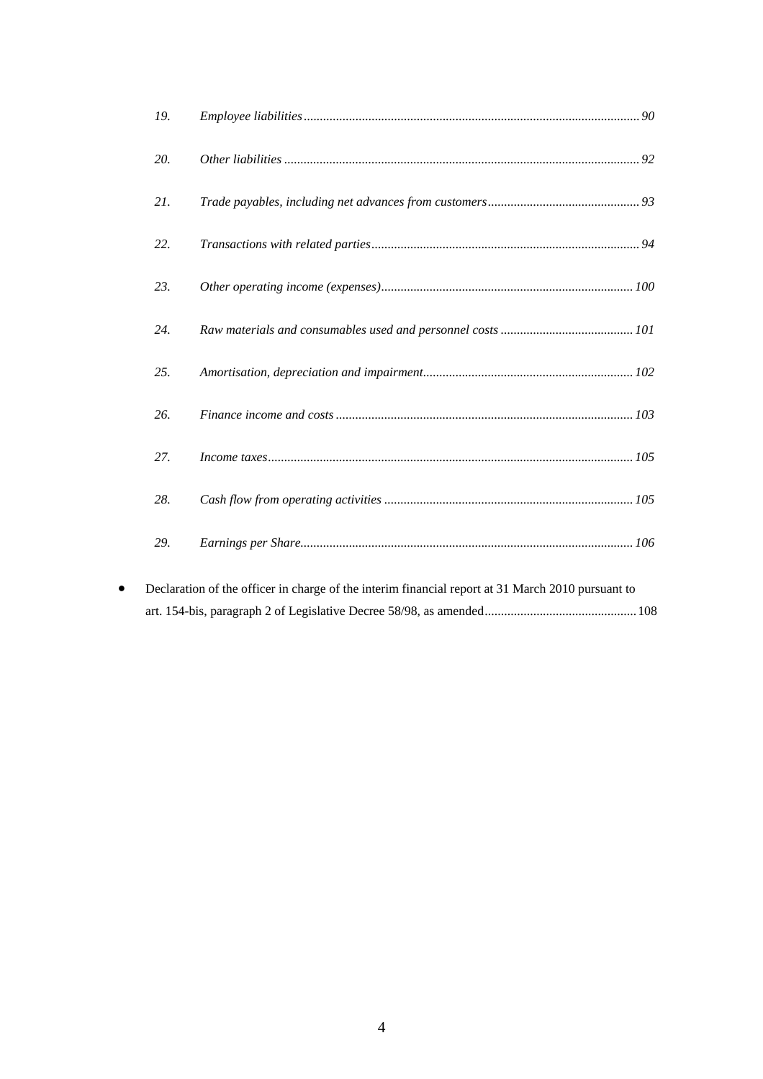| 19. |  |
|-----|--|
| 20. |  |
| 21. |  |
| 22. |  |
| 23. |  |
| 24. |  |
| 25. |  |
| 26. |  |
| 27. |  |
| 28. |  |
| 29. |  |
|     |  |

• Declaration of the officer in charge of the interim financial report at 31 March 2010 pursuant to art. 154-bis, paragraph 2 of Legislative Decree 58/98, as amended ............................................... 108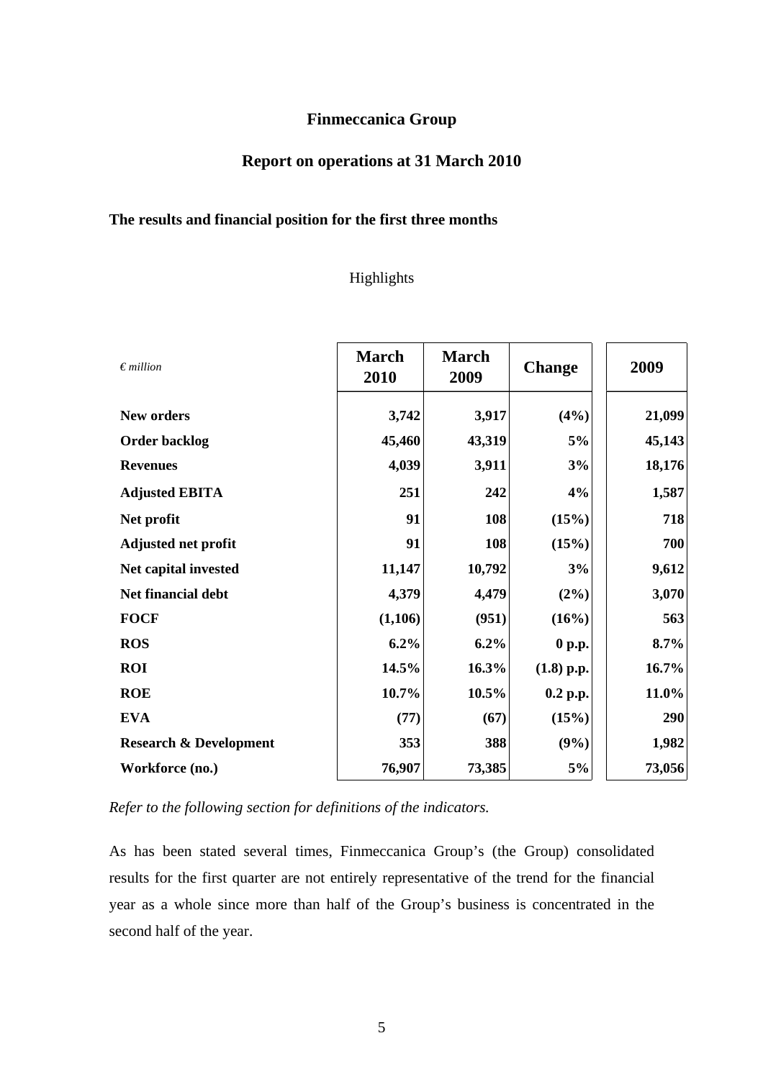### **Finmeccanica Group**

# **Report on operations at 31 March 2010**

## **The results and financial position for the first three months**

## Highlights

| $\epsilon$ million                | <b>March</b><br>2010 | <b>March</b><br>2009 | <b>Change</b> | 2009    |
|-----------------------------------|----------------------|----------------------|---------------|---------|
| <b>New orders</b>                 | 3,742                | 3,917                | (4%)          | 21,099  |
| <b>Order backlog</b>              | 45,460               | 43,319               | 5%            | 45,143  |
| <b>Revenues</b>                   | 4,039                | 3,911                | 3%            | 18,176  |
| <b>Adjusted EBITA</b>             | 251                  | 242                  | 4%            | 1,587   |
| Net profit                        | 91                   | 108                  | (15%)         | 718     |
| <b>Adjusted net profit</b>        | 91                   | 108                  | (15%)         | 700     |
| Net capital invested              | 11,147               | 10,792               | 3%            | 9,612   |
| Net financial debt                | 4,379                | 4,479                | (2%)          | 3,070   |
| <b>FOCF</b>                       | (1,106)              | (951)                | (16%)         | 563     |
| <b>ROS</b>                        | $6.2\%$              | 6.2%                 | 0 p.p.        | $8.7\%$ |
| <b>ROI</b>                        | 14.5%                | 16.3%                | $(1.8)$ p.p.  | 16.7%   |
| <b>ROE</b>                        | 10.7%                | 10.5%                | $0.2$ p.p.    | 11.0%   |
| <b>EVA</b>                        | (77)                 | (67)                 | (15%)         | 290     |
| <b>Research &amp; Development</b> | 353                  | 388                  | (9%)          | 1,982   |
| Workforce (no.)                   | 76,907               | 73,385               | 5%            | 73,056  |

*Refer to the following section for definitions of the indicators.* 

As has been stated several times, Finmeccanica Group's (the Group) consolidated results for the first quarter are not entirely representative of the trend for the financial year as a whole since more than half of the Group's business is concentrated in the second half of the year.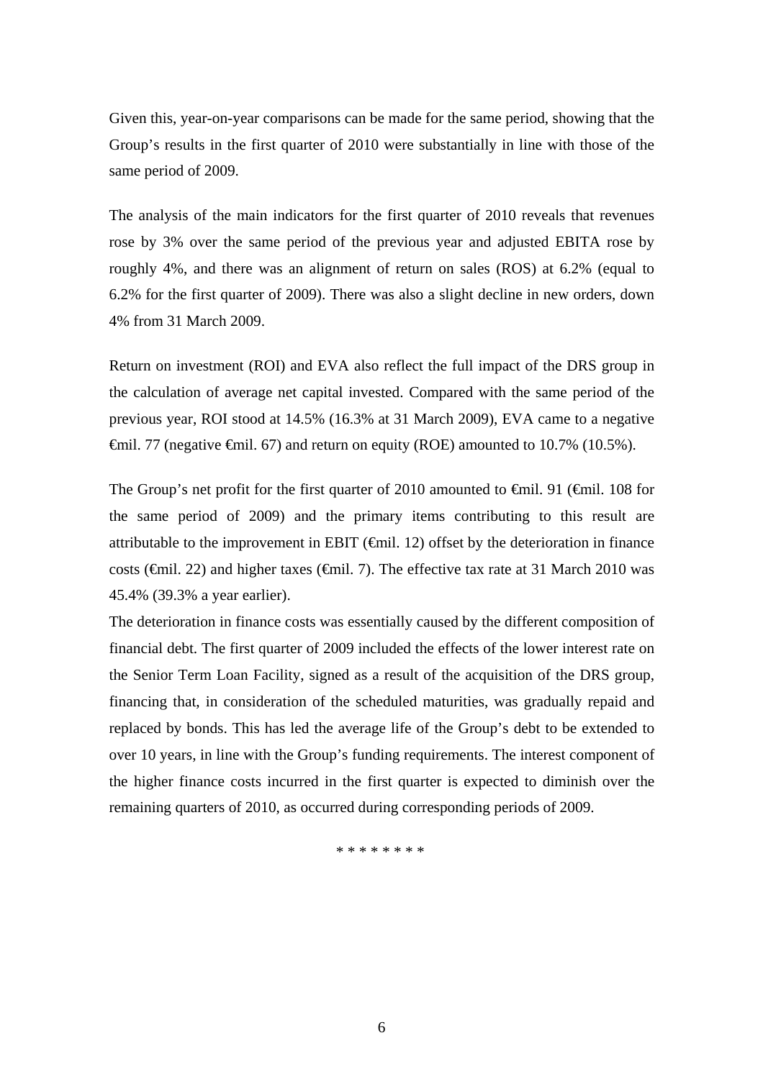Given this, year-on-year comparisons can be made for the same period, showing that the Group's results in the first quarter of 2010 were substantially in line with those of the same period of 2009.

The analysis of the main indicators for the first quarter of 2010 reveals that revenues rose by 3% over the same period of the previous year and adjusted EBITA rose by roughly 4%, and there was an alignment of return on sales (ROS) at 6.2% (equal to 6.2% for the first quarter of 2009). There was also a slight decline in new orders, down 4% from 31 March 2009.

Return on investment (ROI) and EVA also reflect the full impact of the DRS group in the calculation of average net capital invested. Compared with the same period of the previous year, ROI stood at 14.5% (16.3% at 31 March 2009), EVA came to a negative  $\hat{\mathbf{F}}$ mil. 77 (negative  $\hat{\mathbf{F}}$ mil. 67) and return on equity (ROE) amounted to 10.7% (10.5%).

The Group's net profit for the first quarter of 2010 amounted to  $\epsilon$ mil. 91 ( $\epsilon$ mil. 108 for the same period of 2009) and the primary items contributing to this result are attributable to the improvement in EBIT  $(\oplus$ mil. 12) offset by the deterioration in finance costs ( $\epsilon$ mil. 22) and higher taxes ( $\epsilon$ mil. 7). The effective tax rate at 31 March 2010 was 45.4% (39.3% a year earlier).

The deterioration in finance costs was essentially caused by the different composition of financial debt. The first quarter of 2009 included the effects of the lower interest rate on the Senior Term Loan Facility, signed as a result of the acquisition of the DRS group, financing that, in consideration of the scheduled maturities, was gradually repaid and replaced by bonds. This has led the average life of the Group's debt to be extended to over 10 years, in line with the Group's funding requirements. The interest component of the higher finance costs incurred in the first quarter is expected to diminish over the remaining quarters of 2010, as occurred during corresponding periods of 2009.

\* \* \* \* \* \* \* \*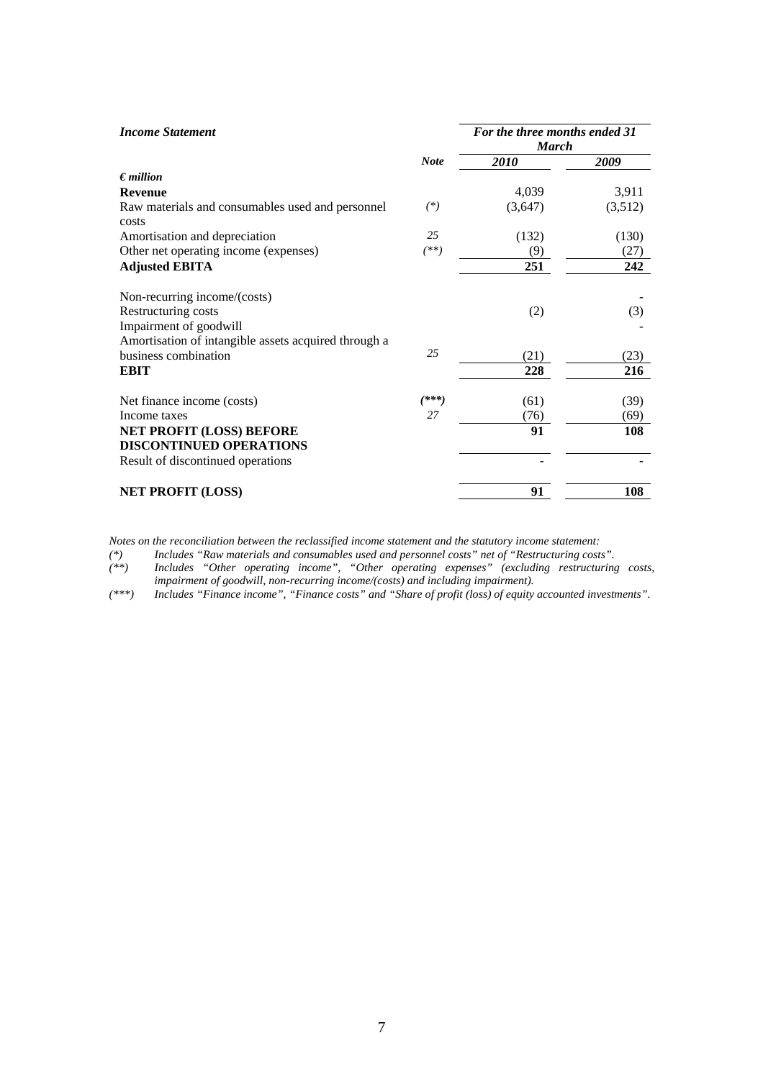| <b>Income Statement</b>                              |             | For the three months ended 31<br><b>March</b> |         |  |
|------------------------------------------------------|-------------|-----------------------------------------------|---------|--|
|                                                      | <b>Note</b> | 2010                                          | 2009    |  |
| $\epsilon$ <i>million</i>                            |             |                                               |         |  |
| <b>Revenue</b>                                       |             | 4,039                                         | 3,911   |  |
| Raw materials and consumables used and personnel     | $(*)$       | (3,647)                                       | (3,512) |  |
| costs                                                |             |                                               |         |  |
| Amortisation and depreciation                        | 25          | (132)                                         | (130)   |  |
| Other net operating income (expenses)                | $^{(**)}$   | (9)                                           | (27)    |  |
| <b>Adjusted EBITA</b>                                |             | 251                                           | 242     |  |
| Non-recurring income/(costs)                         |             |                                               |         |  |
| Restructuring costs                                  |             | (2)                                           | (3)     |  |
| Impairment of goodwill                               |             |                                               |         |  |
| Amortisation of intangible assets acquired through a |             |                                               |         |  |
| business combination                                 | 25          | (21)                                          | (23)    |  |
| <b>EBIT</b>                                          |             | 228                                           | 216     |  |
| Net finance income (costs)                           | $(***)$     | (61)                                          | (39)    |  |
| Income taxes                                         | 27          | (76)                                          | (69)    |  |
| <b>NET PROFIT (LOSS) BEFORE</b>                      |             | 91                                            | 108     |  |
| <b>DISCONTINUED OPERATIONS</b>                       |             |                                               |         |  |
| Result of discontinued operations                    |             |                                               |         |  |
| <b>NET PROFIT (LOSS)</b>                             |             | 91                                            | 108     |  |

*Notes on the reconciliation between the reclassified income statement and the statutory income statement:* 

*(\*) Includes "Raw materials and consumables used and personnel costs" net of "Restructuring costs".* 

*(\*\*) Includes "Other operating income", "Other operating expenses" (excluding restructuring costs, impairment of goodwill, non-recurring income/(costs) and including impairment).* 

*(\*\*\*) Includes "Finance income", "Finance costs" and "Share of profit (loss) of equity accounted investments".*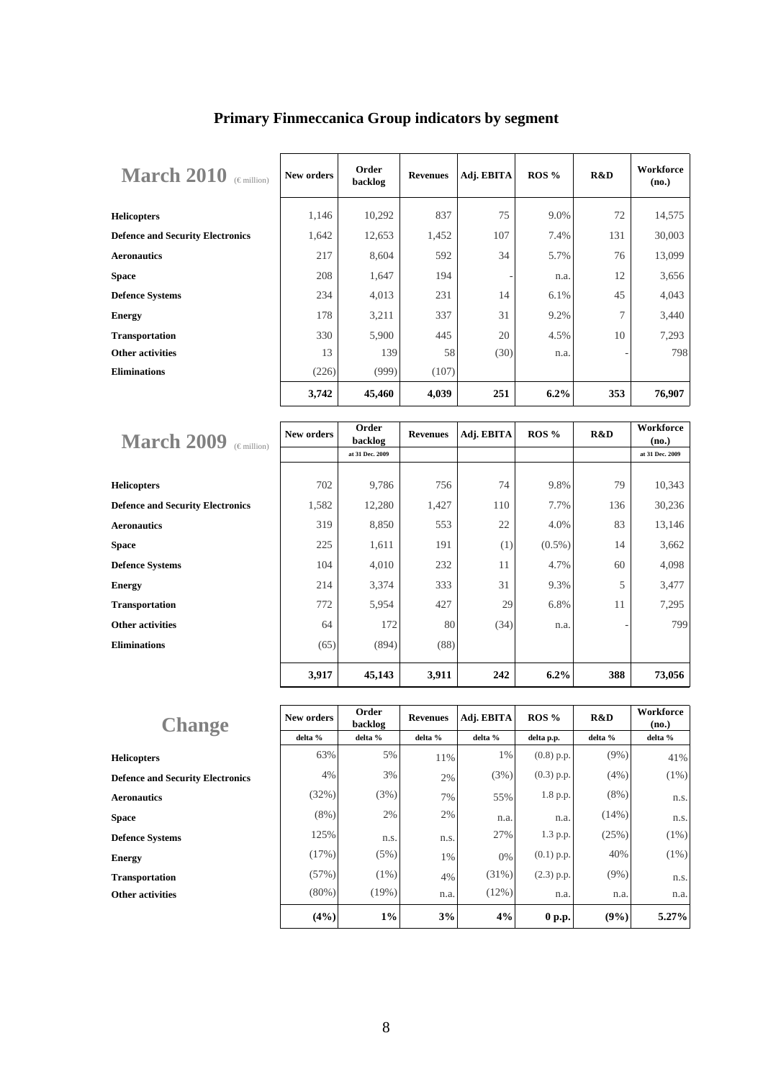| <b>March 2010</b><br>$(\epsilon$ million) | New orders | Order<br>backlog | <b>Revenues</b> | Adj. EBITA | ROS %   | R&D | Workforce<br>(no.) |
|-------------------------------------------|------------|------------------|-----------------|------------|---------|-----|--------------------|
| <b>Helicopters</b>                        | 1,146      | 10,292           | 837             | 75         | 9.0%    | 72  | 14,575             |
| <b>Defence and Security Electronics</b>   | 1,642      | 12,653           | 1,452           | 107        | 7.4%    | 131 | 30,003             |
| <b>Aeronautics</b>                        | 217        | 8,604            | 592             | 34         | 5.7%    | 76  | 13,099             |
| <b>Space</b>                              | 208        | 1,647            | 194             |            | n.a.    | 12  | 3,656              |
| <b>Defence Systems</b>                    | 234        | 4,013            | 231             | 14         | 6.1%    | 45  | 4,043              |
| <b>Energy</b>                             | 178        | 3,211            | 337             | 31         | 9.2%    | 7   | 3,440              |
| <b>Transportation</b>                     | 330        | 5,900            | 445             | 20         | 4.5%    | 10  | 7,293              |
| <b>Other activities</b>                   | 13         | 139              | 58              | (30)       | n.a.    |     | 798                |
| <b>Eliminations</b>                       | (226)      | (999)            | (107)           |            |         |     |                    |
|                                           | 3,742      | 45,460           | 4,039           | 251        | $6.2\%$ | 353 | 76,907             |

## **Primary Finmeccanica Group indicators by segment**

| <b>March 2009</b><br>$(\in$ million)    | New orders | Order<br>backlog | <b>Revenues</b> | Adj. EBITA | $ROS\%$   | R&D | Workforce<br>(no.) |
|-----------------------------------------|------------|------------------|-----------------|------------|-----------|-----|--------------------|
|                                         |            | at 31 Dec. 2009  |                 |            |           |     | at 31 Dec. 2009    |
|                                         |            |                  |                 |            |           |     |                    |
| <b>Helicopters</b>                      | 702        | 9,786            | 756             | 74         | 9.8%      | 79  | 10,343             |
| <b>Defence and Security Electronics</b> | 1,582      | 12,280           | 1,427           | 110        | 7.7%      | 136 | 30,236             |
| <b>Aeronautics</b>                      | 319        | 8,850            | 553             | 22         | 4.0%      | 83  | 13,146             |
| <b>Space</b>                            | 225        | 1,611            | 191             | (1)        | $(0.5\%)$ | 14  | 3,662              |
| <b>Defence Systems</b>                  | 104        | 4,010            | 232             | 11         | 4.7%      | 60  | 4,098              |
| <b>Energy</b>                           | 214        | 3,374            | 333             | 31         | 9.3%      | 5   | 3,477              |
| <b>Transportation</b>                   | 772        | 5,954            | 427             | 29         | 6.8%      | 11  | 7,295              |
| <b>Other activities</b>                 | 64         | 172              | 80              | (34)       | n.a.      |     | 799                |
| <b>Eliminations</b>                     | (65)       | (894)            | (88)            |            |           |     |                    |
|                                         | 3,917      | 45,143           | 3,911           | 242        | 6.2%      | 388 | 73,056             |

| <b>Change</b>                           | New orders | Order<br>backlog | <b>Revenues</b> | Adj. EBITA | ROS %        | R&D     | Workforce<br>(no.) |
|-----------------------------------------|------------|------------------|-----------------|------------|--------------|---------|--------------------|
|                                         | delta %    | delta %          | delta %         | delta %    | delta p.p.   | delta % | delta %            |
| <b>Helicopters</b>                      | 63%        | 5%               | 11%             | 1%         | $(0.8)$ p.p. | $(9\%)$ | 41%                |
| <b>Defence and Security Electronics</b> | 4%         | 3%               | 2%              | (3%)       | $(0.3)$ p.p. | (4% )   | $(1\%)$            |
| <b>Aeronautics</b>                      | (32%)      | (3%)             | 7%              | 55%        | 1.8 p.p.     | $(8\%)$ | n.s.               |
| <b>Space</b>                            | $(8\%)$    | 2%               | 2%              | n.a.       | n.a.         | (14%)   | n.s.               |
| <b>Defence Systems</b>                  | 125%       | n.s.             | n.s.            | 27%        | 1.3 p.p.     | (25%)   | $(1\%)$            |
| <b>Energy</b>                           | (17%)      | (5%)             | 1%              | 0%         | $(0.1)$ p.p. | 40%     | $(1\%)$            |
| <b>Transportation</b>                   | (57%)      | $(1\%)$          | 4%              | (31%)      | $(2.3)$ p.p. | $(9\%)$ | n.s.               |
| <b>Other activities</b>                 | $(80\%)$   | (19%)            | n.a.            | (12%)      | n.a.         | n.a.    | n.a.               |
|                                         | (4%)       | $1\%$            | 3%              | 4%         | 0 p.p.       | (9%)    | 5.27%              |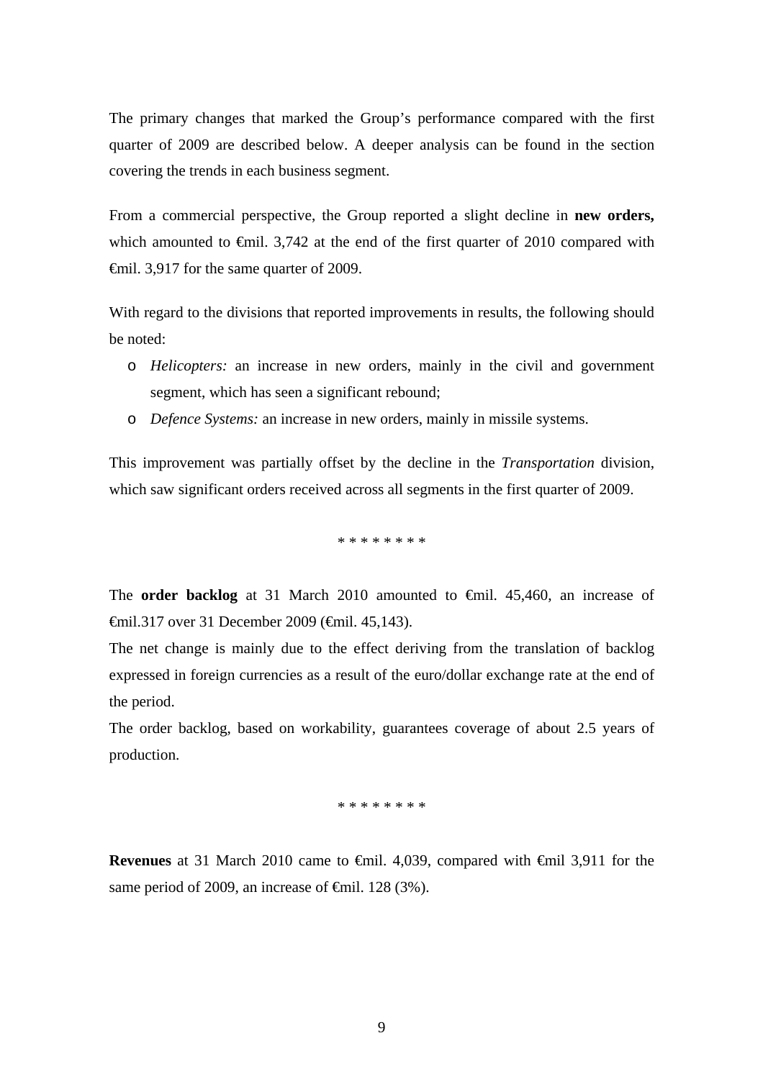The primary changes that marked the Group's performance compared with the first quarter of 2009 are described below. A deeper analysis can be found in the section covering the trends in each business segment.

From a commercial perspective, the Group reported a slight decline in **new orders,** which amounted to  $\epsilon$ mil. 3,742 at the end of the first quarter of 2010 compared with €mil. 3,917 for the same quarter of 2009.

With regard to the divisions that reported improvements in results, the following should be noted:

- o *Helicopters:* an increase in new orders, mainly in the civil and government segment, which has seen a significant rebound;
- o *Defence Systems:* an increase in new orders, mainly in missile systems.

This improvement was partially offset by the decline in the *Transportation* division, which saw significant orders received across all segments in the first quarter of 2009.

\* \* \* \* \* \* \* \*

The **order backlog** at 31 March 2010 amounted to €mil. 45,460, an increase of €mil.317 over 31 December 2009 (€mil. 45,143).

The net change is mainly due to the effect deriving from the translation of backlog expressed in foreign currencies as a result of the euro/dollar exchange rate at the end of the period.

The order backlog, based on workability, guarantees coverage of about 2.5 years of production.

\* \* \* \* \* \* \* \*

**Revenues** at 31 March 2010 came to €mil. 4,039, compared with €mil 3,911 for the same period of 2009, an increase of  $\epsilon$ mil. 128 (3%).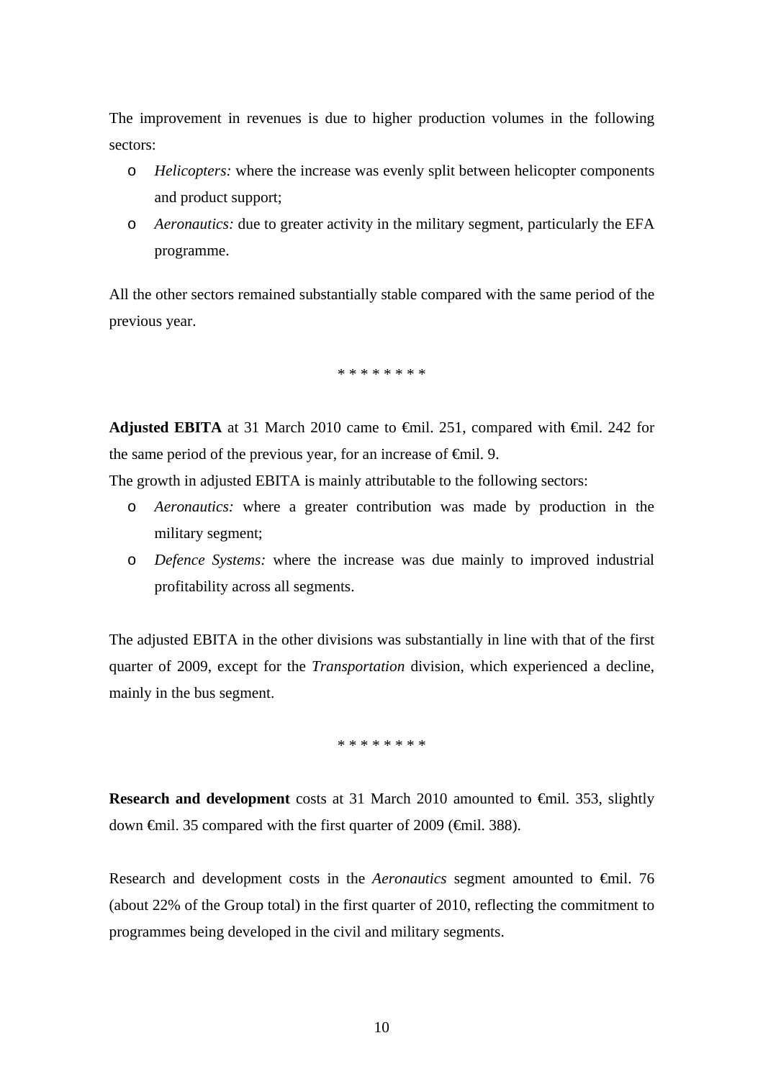The improvement in revenues is due to higher production volumes in the following sectors:

- o *Helicopters:* where the increase was evenly split between helicopter components and product support;
- o *Aeronautics:* due to greater activity in the military segment, particularly the EFA programme.

All the other sectors remained substantially stable compared with the same period of the previous year.

\* \* \* \* \* \* \* \*

**Adjusted EBITA** at 31 March 2010 came to €mil. 251, compared with €mil. 242 for the same period of the previous year, for an increase of  $\epsilon$ mil. 9.

The growth in adjusted EBITA is mainly attributable to the following sectors:

- o *Aeronautics:* where a greater contribution was made by production in the military segment;
- o *Defence Systems:* where the increase was due mainly to improved industrial profitability across all segments.

The adjusted EBITA in the other divisions was substantially in line with that of the first quarter of 2009, except for the *Transportation* division, which experienced a decline, mainly in the bus segment.

\* \* \* \* \* \* \* \*

**Research and development** costs at 31 March 2010 amounted to €mil. 353, slightly down €mil. 35 compared with the first quarter of 2009 (€mil. 388).

Research and development costs in the *Aeronautics* segment amounted to €mil. 76 (about 22% of the Group total) in the first quarter of 2010, reflecting the commitment to programmes being developed in the civil and military segments.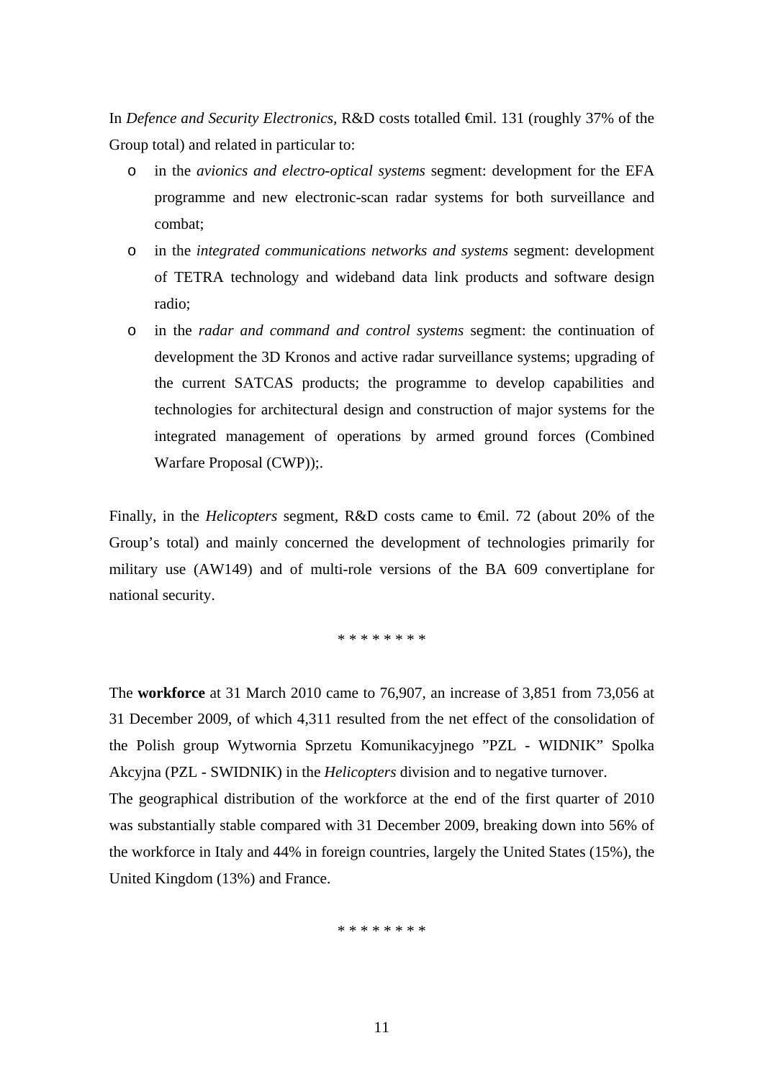In *Defence and Security Electronics,* R&D costs totalled €mil. 131 (roughly 37% of the Group total) and related in particular to:

- o in the *avionics and electro-optical systems* segment: development for the EFA programme and new electronic-scan radar systems for both surveillance and combat;
- o in the *integrated communications networks and systems* segment: development of TETRA technology and wideband data link products and software design radio;
- o in the *radar and command and control systems* segment: the continuation of development the 3D Kronos and active radar surveillance systems; upgrading of the current SATCAS products; the programme to develop capabilities and technologies for architectural design and construction of major systems for the integrated management of operations by armed ground forces (Combined Warfare Proposal (CWP));.

Finally, in the *Helicopters* segment*,* R&D costs came to €mil. 72 (about 20% of the Group's total) and mainly concerned the development of technologies primarily for military use (AW149) and of multi-role versions of the BA 609 convertiplane for national security.

\* \* \* \* \* \* \* \*

The **workforce** at 31 March 2010 came to 76,907, an increase of 3,851 from 73,056 at 31 December 2009, of which 4,311 resulted from the net effect of the consolidation of the Polish group Wytwornia Sprzetu Komunikacyjnego "PZL - WIDNIK" Spolka Akcyjna (PZL - SWIDNIK) in the *Helicopters* division and to negative turnover.

The geographical distribution of the workforce at the end of the first quarter of 2010 was substantially stable compared with 31 December 2009, breaking down into 56% of the workforce in Italy and 44% in foreign countries, largely the United States (15%), the United Kingdom (13%) and France.

\* \* \* \* \* \* \* \*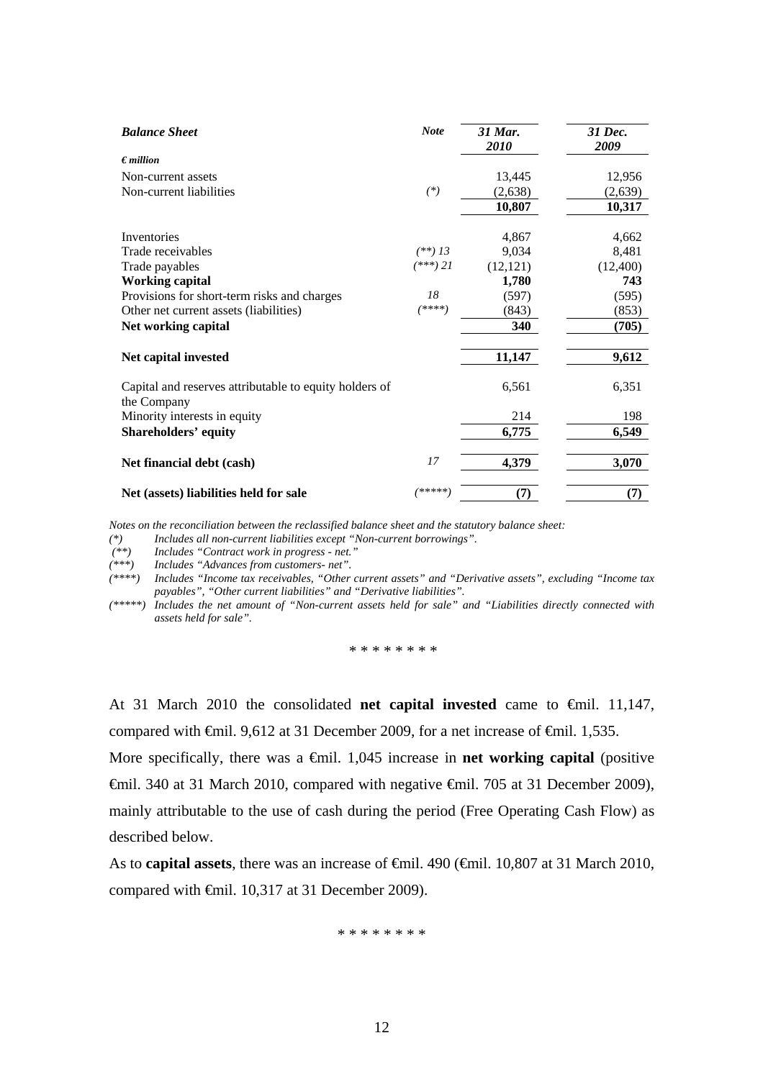| <b>Balance Sheet</b>                                                  | <b>Note</b> | 31 Mar.<br>2010 | 31 Dec.<br>2009 |
|-----------------------------------------------------------------------|-------------|-----------------|-----------------|
| $\epsilon$ <i>million</i>                                             |             |                 |                 |
| Non-current assets                                                    |             | 13,445          | 12,956          |
| Non-current liabilities                                               | $(*)$       | (2, 638)        | (2,639)         |
|                                                                       |             | 10,807          | 10,317          |
| Inventories                                                           |             | 4,867           | 4,662           |
| Trade receivables                                                     | $(**)$ 13   | 9,034           | 8,481           |
| Trade payables                                                        | $(***)$ 21  | (12, 121)       | (12,400)        |
| <b>Working capital</b>                                                |             | 1,780           | 743             |
| Provisions for short-term risks and charges                           | 18          | (597)           | (595)           |
| Other net current assets (liabilities)                                | (****)      | (843)           | (853)           |
| Net working capital                                                   |             | 340             | (705)           |
| Net capital invested                                                  |             | 11,147          | 9,612           |
| Capital and reserves attributable to equity holders of<br>the Company |             | 6,561           | 6,351           |
| Minority interests in equity                                          |             | 214             | 198             |
| <b>Shareholders' equity</b>                                           |             | 6,775           | 6,549           |
| Net financial debt (cash)                                             | 17          | 4,379           | 3,070           |
| Net (assets) liabilities held for sale                                | /*****      | (7)             | (7)             |

*Notes on the reconciliation between the reclassified balance sheet and the statutory balance sheet:* 

*(\*) Includes all non-current liabilities except "Non-current borrowings".* 

 *(\*\*) Includes "Contract work in progress - net."* 

*(\*\*\*) Includes "Advances from customers- net".* 

*(\*\*\*\*) Includes "Income tax receivables, "Other current assets" and "Derivative assets", excluding "Income tax payables", "Other current liabilities" and "Derivative liabilities".* 

*(\*\*\*\*\*) Includes the net amount of "Non-current assets held for sale" and "Liabilities directly connected with assets held for sale".* 

\* \* \* \* \* \* \* \*

At 31 March 2010 the consolidated **net capital invested** came to €mil. 11,147, compared with  $\oplus$ mil. 9,612 at 31 December 2009, for a net increase of  $\oplus$ mil. 1,535.

More specifically, there was a  $\epsilon$ mil. 1,045 increase in **net working capital** (positive €mil. 340 at 31 March 2010, compared with negative €mil. 705 at 31 December 2009), mainly attributable to the use of cash during the period (Free Operating Cash Flow) as described below.

As to **capital assets**, there was an increase of <del>€mil.</del> 490 (€mil. 10,807 at 31 March 2010, compared with €mil. 10,317 at 31 December 2009).

\* \* \* \* \* \* \* \*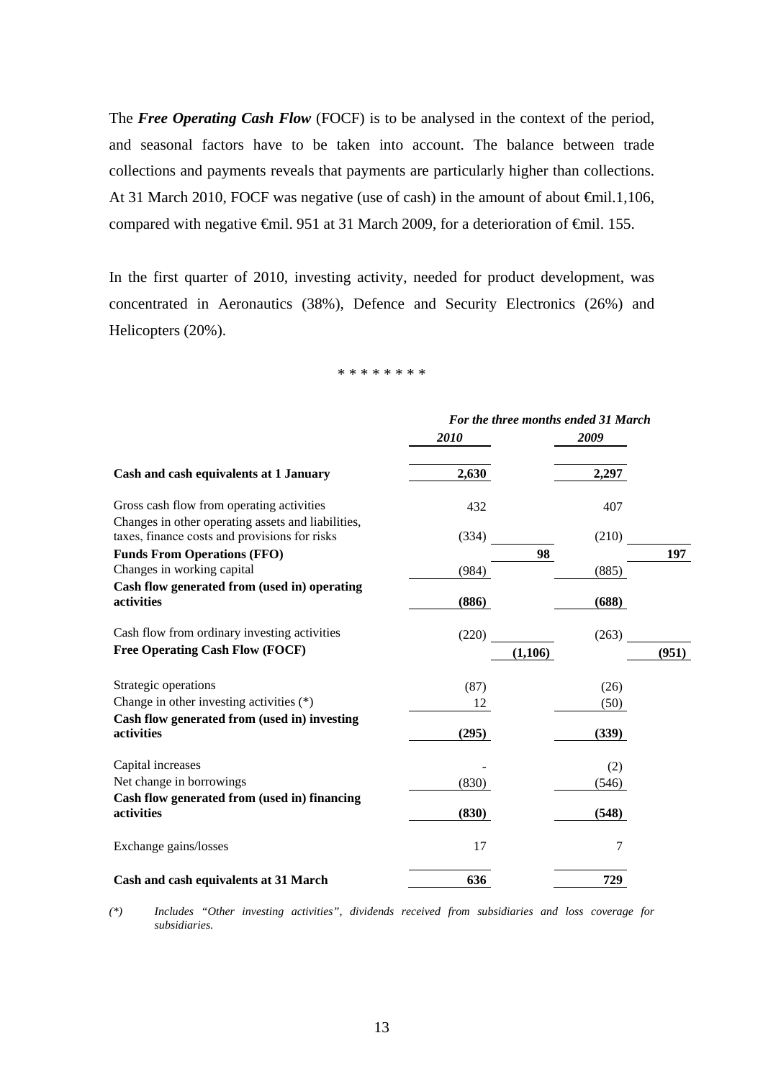The *Free Operating Cash Flow* (FOCF) is to be analysed in the context of the period, and seasonal factors have to be taken into account. The balance between trade collections and payments reveals that payments are particularly higher than collections. At 31 March 2010, FOCF was negative (use of cash) in the amount of about €mil.1,106, compared with negative €mil. 951 at 31 March 2009, for a deterioration of €mil. 155.

In the first quarter of 2010, investing activity, needed for product development, was concentrated in Aeronautics (38%), Defence and Security Electronics (26%) and Helicopters (20%).

\* \* \* \* \* \* \* \*

|                                                                                                     | For the three months ended 31 March |       |       |  |  |
|-----------------------------------------------------------------------------------------------------|-------------------------------------|-------|-------|--|--|
|                                                                                                     | 2010                                | 2009  |       |  |  |
| Cash and cash equivalents at 1 January                                                              | 2,630                               | 2,297 |       |  |  |
| Gross cash flow from operating activities                                                           | 432                                 | 407   |       |  |  |
| Changes in other operating assets and liabilities,<br>taxes, finance costs and provisions for risks | (334)                               | (210) |       |  |  |
| <b>Funds From Operations (FFO)</b>                                                                  |                                     | 98    | 197   |  |  |
| Changes in working capital                                                                          | (984)                               | (885) |       |  |  |
| Cash flow generated from (used in) operating                                                        |                                     |       |       |  |  |
| activities                                                                                          | (886)                               | (688) |       |  |  |
| Cash flow from ordinary investing activities                                                        | (220)                               | (263) |       |  |  |
| <b>Free Operating Cash Flow (FOCF)</b>                                                              | (1,106)                             |       | (951) |  |  |
| Strategic operations                                                                                | (87)                                | (26)  |       |  |  |
| Change in other investing activities $(*)$                                                          | 12                                  | (50)  |       |  |  |
| Cash flow generated from (used in) investing<br>activities                                          | (295)                               | (339) |       |  |  |
| Capital increases                                                                                   |                                     | (2)   |       |  |  |
| Net change in borrowings                                                                            | (830)                               | (546) |       |  |  |
| Cash flow generated from (used in) financing<br>activities                                          | (830)                               | (548) |       |  |  |
| Exchange gains/losses                                                                               | 17                                  | 7     |       |  |  |
| Cash and cash equivalents at 31 March                                                               | 636                                 | 729   |       |  |  |

*(\*) Includes "Other investing activities", dividends received from subsidiaries and loss coverage for subsidiaries.*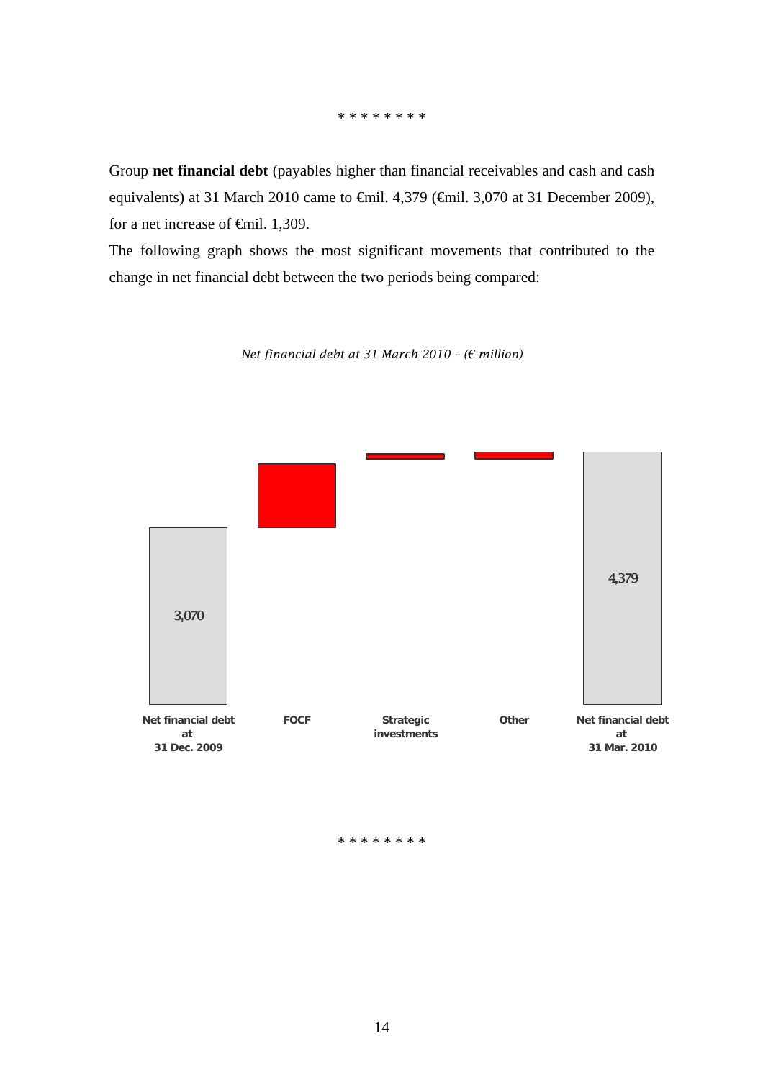#### \* \* \* \* \* \* \* \*

Group **net financial debt** (payables higher than financial receivables and cash and cash equivalents) at 31 March 2010 came to €mil. 4,379 (€mil. 3,070 at 31 December 2009), for a net increase of €mil. 1,309.

The following graph shows the most significant movements that contributed to the change in net financial debt between the two periods being compared:

3,070 4,379 **Net financial debt at 31 Dec. 2009 FOCF Strategic investments Other Net financial debt at 31 Mar. 2010**

*Net financial debt at 31 March 2010 – (€ million)* 

#### \* \* \* \* \* \* \* \*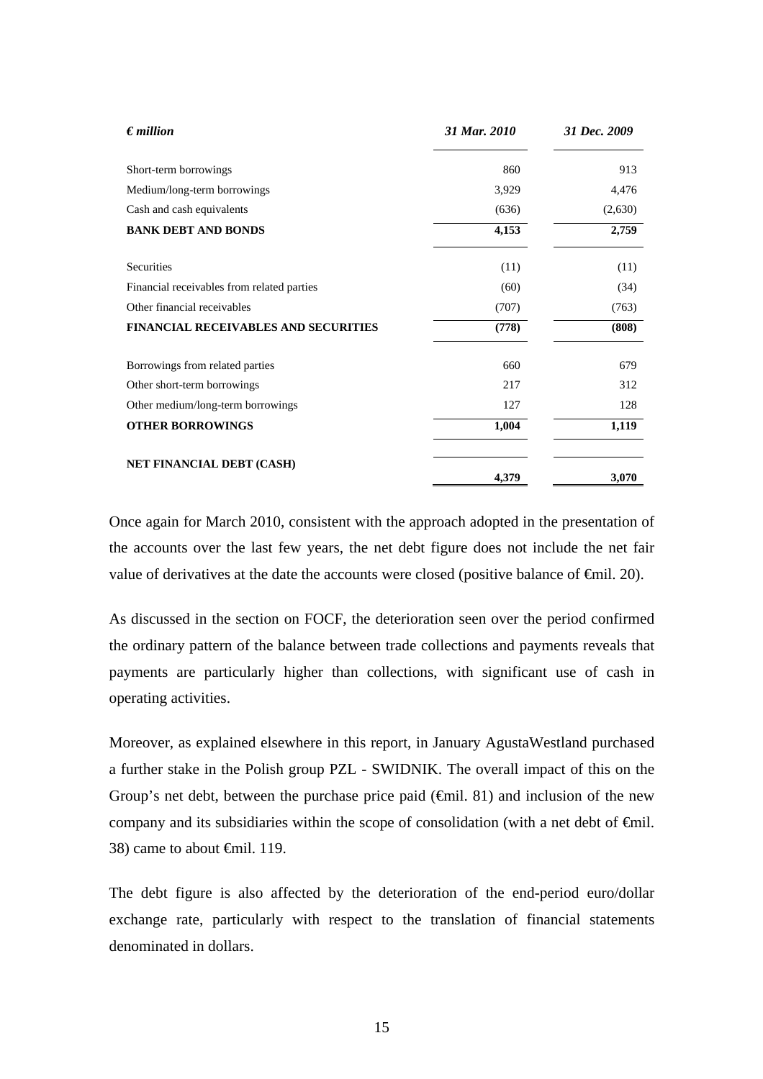| $\epsilon$ <i>million</i>                   | 31 Mar. 2010 | 31 Dec. 2009 |
|---------------------------------------------|--------------|--------------|
| Short-term borrowings                       | 860          | 913          |
| Medium/long-term borrowings                 | 3,929        | 4,476        |
| Cash and cash equivalents                   | (636)        | (2,630)      |
| <b>BANK DEBT AND BONDS</b>                  | 4,153        | 2,759        |
| Securities                                  | (11)         | (11)         |
| Financial receivables from related parties  | (60)         | (34)         |
| Other financial receivables                 | (707)        | (763)        |
| <b>FINANCIAL RECEIVABLES AND SECURITIES</b> | (778)        | (808)        |
| Borrowings from related parties             | 660          | 679          |
| Other short-term borrowings                 | 217          | 312          |
| Other medium/long-term borrowings           | 127          | 128          |
| <b>OTHER BORROWINGS</b>                     | 1,004        | 1,119        |
| NET FINANCIAL DEBT (CASH)                   | 4,379        | 3,070        |

Once again for March 2010, consistent with the approach adopted in the presentation of the accounts over the last few years, the net debt figure does not include the net fair value of derivatives at the date the accounts were closed (positive balance of  $\epsilon$ mil. 20).

As discussed in the section on FOCF, the deterioration seen over the period confirmed the ordinary pattern of the balance between trade collections and payments reveals that payments are particularly higher than collections, with significant use of cash in operating activities.

Moreover, as explained elsewhere in this report, in January AgustaWestland purchased a further stake in the Polish group PZL - SWIDNIK. The overall impact of this on the Group's net debt, between the purchase price paid ( $\oplus$ mil. 81) and inclusion of the new company and its subsidiaries within the scope of consolidation (with a net debt of  $\epsilon$ mil. 38) came to about €mil. 119.

The debt figure is also affected by the deterioration of the end-period euro/dollar exchange rate, particularly with respect to the translation of financial statements denominated in dollars.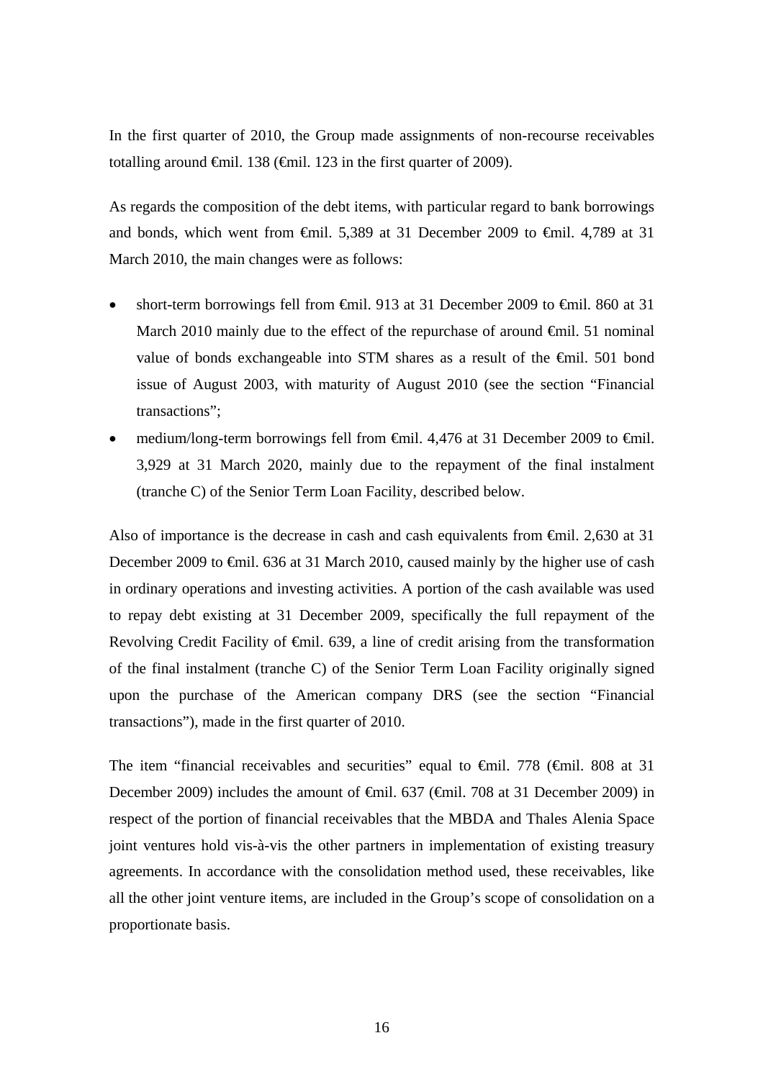In the first quarter of 2010, the Group made assignments of non-recourse receivables totalling around €mil. 138 (€mil. 123 in the first quarter of 2009).

As regards the composition of the debt items, with particular regard to bank borrowings and bonds, which went from  $\oplus$  mil. 5,389 at 31 December 2009 to  $\oplus$  mil. 4,789 at 31 March 2010, the main changes were as follows:

- short-term borrowings fell from €mil. 913 at 31 December 2009 to €mil. 860 at 31 March 2010 mainly due to the effect of the repurchase of around €mil. 51 nominal value of bonds exchangeable into STM shares as a result of the €mil. 501 bond issue of August 2003, with maturity of August 2010 (see the section "Financial transactions";
- medium/long-term borrowings fell from  $\theta$ mil. 4,476 at 31 December 2009 to  $\theta$ mil. 3,929 at 31 March 2020, mainly due to the repayment of the final instalment (tranche C) of the Senior Term Loan Facility, described below.

Also of importance is the decrease in cash and cash equivalents from €mil. 2,630 at 31 December 2009 to €mil. 636 at 31 March 2010, caused mainly by the higher use of cash in ordinary operations and investing activities. A portion of the cash available was used to repay debt existing at 31 December 2009, specifically the full repayment of the Revolving Credit Facility of <del>€m</del>il. 639, a line of credit arising from the transformation of the final instalment (tranche C) of the Senior Term Loan Facility originally signed upon the purchase of the American company DRS (see the section "Financial transactions"), made in the first quarter of 2010.

The item "financial receivables and securities" equal to  $\theta$ mil. 778 ( $\theta$ mil. 808 at 31 December 2009) includes the amount of <del>€</del>mil. 637 (€mil. 708 at 31 December 2009) in respect of the portion of financial receivables that the MBDA and Thales Alenia Space joint ventures hold vis-à-vis the other partners in implementation of existing treasury agreements. In accordance with the consolidation method used, these receivables, like all the other joint venture items, are included in the Group's scope of consolidation on a proportionate basis.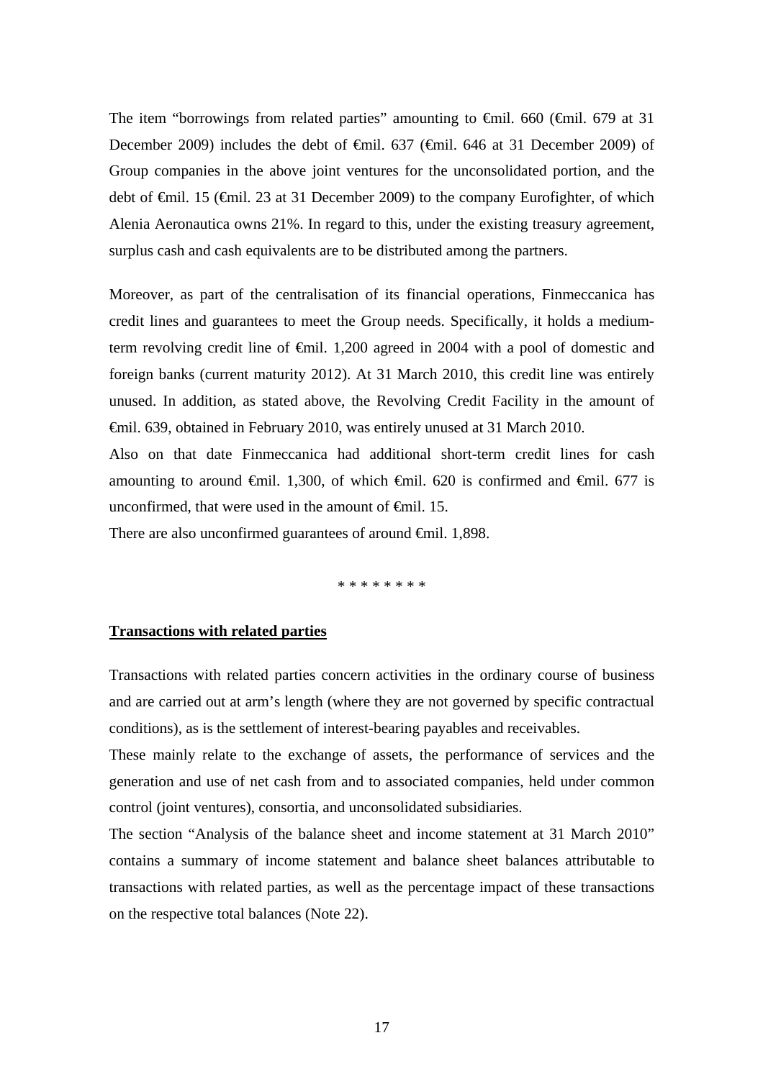The item "borrowings from related parties" amounting to  $\theta$ mil. 660 ( $\theta$ mil. 679 at 31 December 2009) includes the debt of €mil. 637 (€mil. 646 at 31 December 2009) of Group companies in the above joint ventures for the unconsolidated portion, and the debt of €mil. 15 (€mil. 23 at 31 December 2009) to the company Eurofighter, of which Alenia Aeronautica owns 21%. In regard to this, under the existing treasury agreement, surplus cash and cash equivalents are to be distributed among the partners.

Moreover, as part of the centralisation of its financial operations, Finmeccanica has credit lines and guarantees to meet the Group needs. Specifically, it holds a mediumterm revolving credit line of €mil. 1,200 agreed in 2004 with a pool of domestic and foreign banks (current maturity 2012). At 31 March 2010, this credit line was entirely unused. In addition, as stated above, the Revolving Credit Facility in the amount of €mil. 639, obtained in February 2010, was entirely unused at 31 March 2010.

Also on that date Finmeccanica had additional short-term credit lines for cash amounting to around  $\oplus$ mil. 1,300, of which  $\oplus$ mil. 620 is confirmed and  $\oplus$ mil. 677 is unconfirmed, that were used in the amount of  $\epsilon$ mil. 15.

There are also unconfirmed guarantees of around €mil. 1,898.

\* \* \* \* \* \* \* \*

#### **Transactions with related parties**

Transactions with related parties concern activities in the ordinary course of business and are carried out at arm's length (where they are not governed by specific contractual conditions), as is the settlement of interest-bearing payables and receivables.

These mainly relate to the exchange of assets, the performance of services and the generation and use of net cash from and to associated companies, held under common control (joint ventures), consortia, and unconsolidated subsidiaries.

The section "Analysis of the balance sheet and income statement at 31 March 2010" contains a summary of income statement and balance sheet balances attributable to transactions with related parties, as well as the percentage impact of these transactions on the respective total balances (Note 22).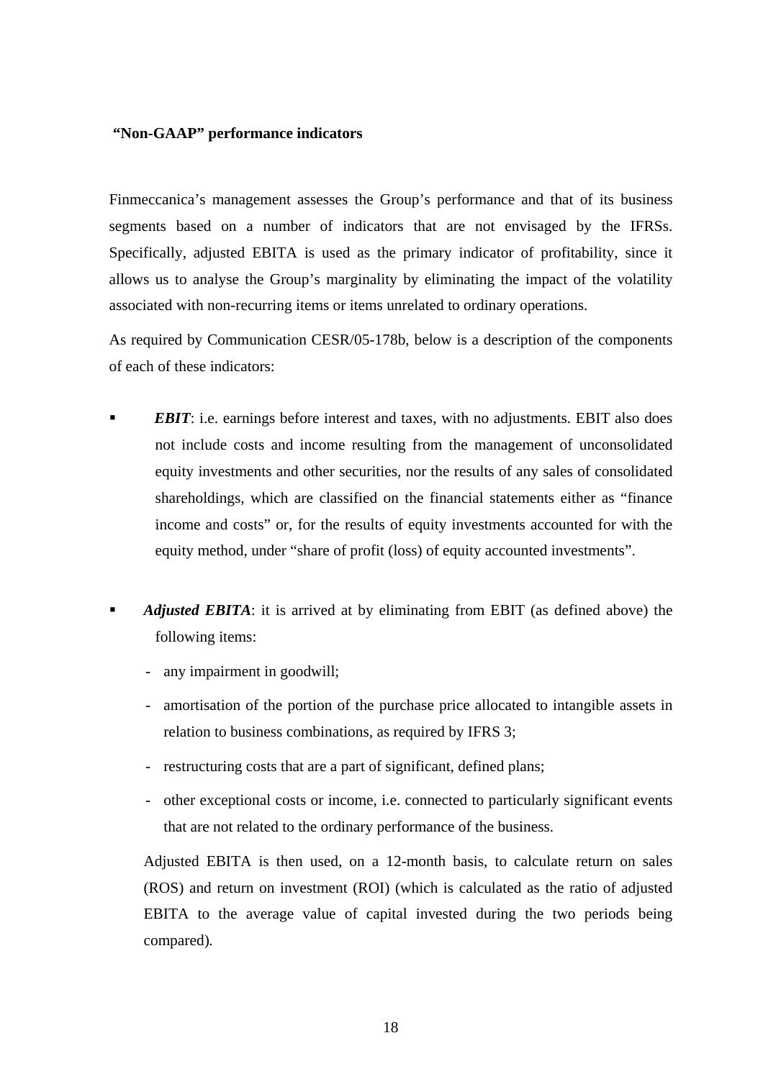### **"Non-GAAP" performance indicators**

Finmeccanica's management assesses the Group's performance and that of its business segments based on a number of indicators that are not envisaged by the IFRSs. Specifically, adjusted EBITA is used as the primary indicator of profitability, since it allows us to analyse the Group's marginality by eliminating the impact of the volatility associated with non-recurring items or items unrelated to ordinary operations.

As required by Communication CESR/05-178b, below is a description of the components of each of these indicators:

- *EBIT*: i.e. earnings before interest and taxes, with no adjustments. EBIT also does not include costs and income resulting from the management of unconsolidated equity investments and other securities, nor the results of any sales of consolidated shareholdings, which are classified on the financial statements either as "finance income and costs" or, for the results of equity investments accounted for with the equity method, under "share of profit (loss) of equity accounted investments".
- *Adjusted EBITA*: it is arrived at by eliminating from EBIT (as defined above) the following items:
	- any impairment in goodwill;
	- amortisation of the portion of the purchase price allocated to intangible assets in relation to business combinations, as required by IFRS 3;
	- restructuring costs that are a part of significant, defined plans;
	- other exceptional costs or income, i.e. connected to particularly significant events that are not related to the ordinary performance of the business.

Adjusted EBITA is then used, on a 12-month basis, to calculate return on sales (ROS) and return on investment (ROI) (which is calculated as the ratio of adjusted EBITA to the average value of capital invested during the two periods being compared)*.*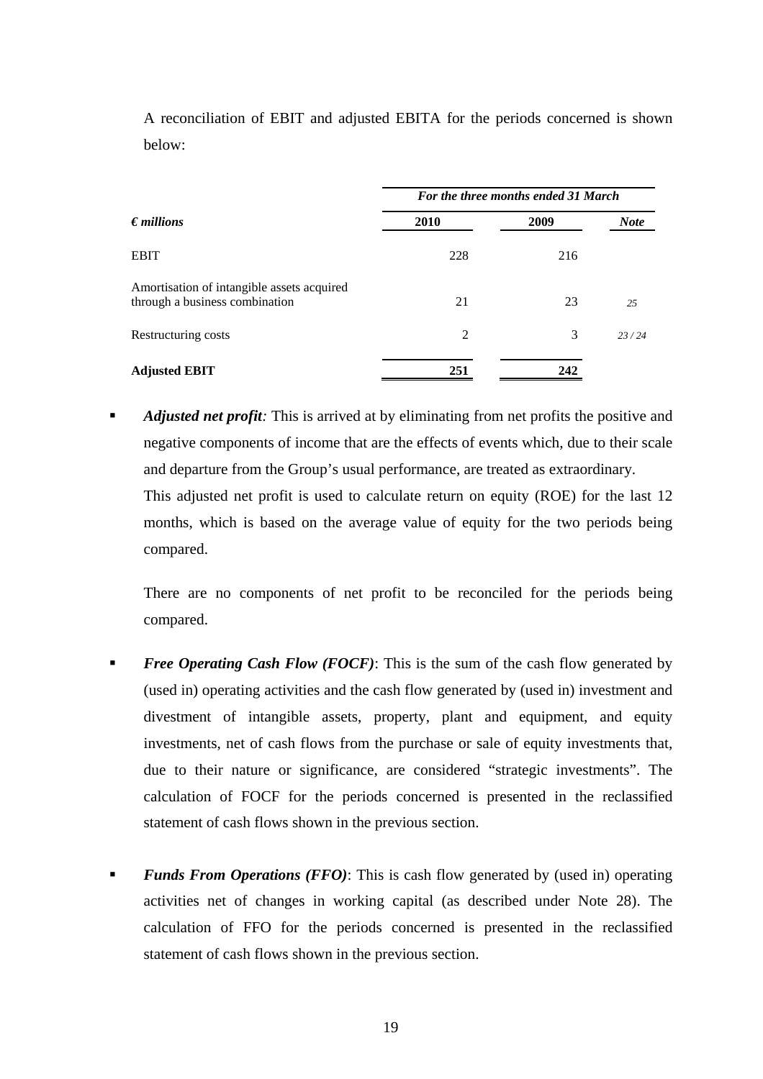|                                                                              | For the three months ended 31 March |      |             |  |  |
|------------------------------------------------------------------------------|-------------------------------------|------|-------------|--|--|
| $\epsilon$ <i>millions</i>                                                   | 2010                                | 2009 | <b>Note</b> |  |  |
| <b>EBIT</b>                                                                  | 228                                 | 216  |             |  |  |
| Amortisation of intangible assets acquired<br>through a business combination | 21                                  | 23   | 25          |  |  |
| Restructuring costs                                                          | $\overline{2}$                      | 3    | 23/24       |  |  |
| <b>Adjusted EBIT</b>                                                         | 251                                 | 242  |             |  |  |

A reconciliation of EBIT and adjusted EBITA for the periods concerned is shown below:

 *Adjusted net profit:* This is arrived at by eliminating from net profits the positive and negative components of income that are the effects of events which, due to their scale and departure from the Group's usual performance, are treated as extraordinary.

This adjusted net profit is used to calculate return on equity (ROE) for the last 12 months, which is based on the average value of equity for the two periods being compared.

There are no components of net profit to be reconciled for the periods being compared.

- *Free Operating Cash Flow (FOCF)*: This is the sum of the cash flow generated by (used in) operating activities and the cash flow generated by (used in) investment and divestment of intangible assets, property, plant and equipment, and equity investments, net of cash flows from the purchase or sale of equity investments that, due to their nature or significance, are considered "strategic investments". The calculation of FOCF for the periods concerned is presented in the reclassified statement of cash flows shown in the previous section.
- **Funds From Operations (FFO):** This is cash flow generated by (used in) operating activities net of changes in working capital (as described under Note 28). The calculation of FFO for the periods concerned is presented in the reclassified statement of cash flows shown in the previous section.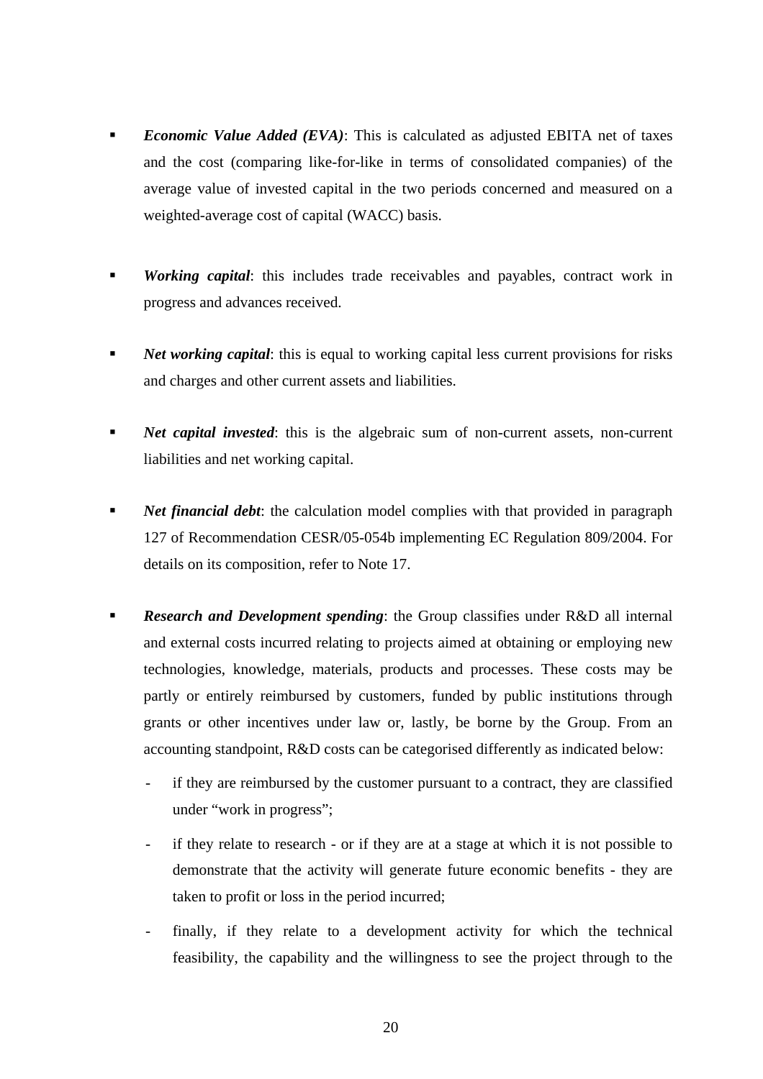- *Economic Value Added (EVA)*: This is calculated as adjusted EBITA net of taxes and the cost (comparing like-for-like in terms of consolidated companies) of the average value of invested capital in the two periods concerned and measured on a weighted-average cost of capital (WACC) basis.
- *Working capital*: this includes trade receivables and payables, contract work in progress and advances received.
- **Net working capital:** this is equal to working capital less current provisions for risks and charges and other current assets and liabilities.
- **Net capital invested:** this is the algebraic sum of non-current assets, non-current liabilities and net working capital.
- **Net financial debt:** the calculation model complies with that provided in paragraph 127 of Recommendation CESR/05-054b implementing EC Regulation 809/2004. For details on its composition, refer to Note 17.
- **Research and Development spending:** the Group classifies under R&D all internal and external costs incurred relating to projects aimed at obtaining or employing new technologies, knowledge, materials, products and processes. These costs may be partly or entirely reimbursed by customers, funded by public institutions through grants or other incentives under law or, lastly, be borne by the Group. From an accounting standpoint, R&D costs can be categorised differently as indicated below:
	- if they are reimbursed by the customer pursuant to a contract, they are classified under "work in progress";
	- if they relate to research or if they are at a stage at which it is not possible to demonstrate that the activity will generate future economic benefits - they are taken to profit or loss in the period incurred;
	- finally, if they relate to a development activity for which the technical feasibility, the capability and the willingness to see the project through to the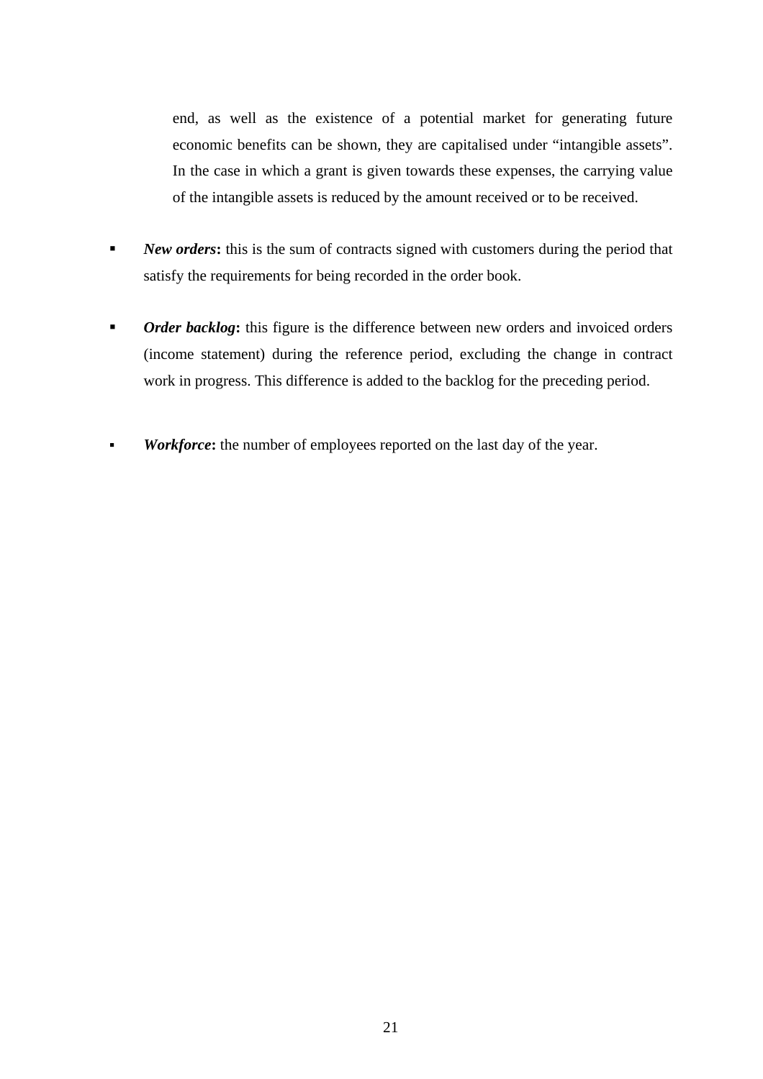end, as well as the existence of a potential market for generating future economic benefits can be shown, they are capitalised under "intangible assets". In the case in which a grant is given towards these expenses, the carrying value of the intangible assets is reduced by the amount received or to be received.

- **New orders:** this is the sum of contracts signed with customers during the period that satisfy the requirements for being recorded in the order book.
- *Order backlog*: this figure is the difference between new orders and invoiced orders (income statement) during the reference period, excluding the change in contract work in progress. This difference is added to the backlog for the preceding period.
- **Workforce:** the number of employees reported on the last day of the year.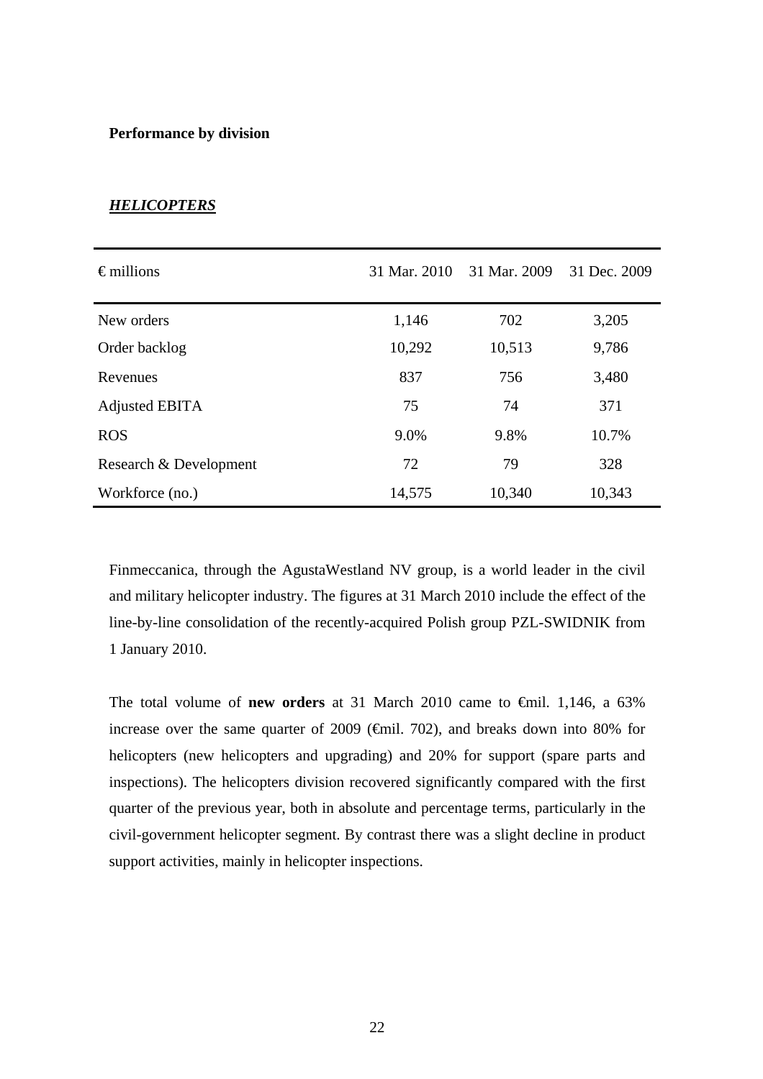#### **Performance by division**

| $\epsilon$ millions    | 31 Mar. 2010 | 31 Mar. 2009 | 31 Dec. 2009 |
|------------------------|--------------|--------------|--------------|
| New orders             | 1,146        | 702          | 3,205        |
| Order backlog          | 10,292       | 10,513       | 9,786        |
| Revenues               | 837          | 756          | 3,480        |
| Adjusted EBITA         | 75           | 74           | 371          |
| <b>ROS</b>             | 9.0%         | 9.8%         | 10.7%        |
| Research & Development | 72           | 79           | 328          |
| Workforce (no.)        | 14,575       | 10,340       | 10,343       |

#### *HELICOPTERS*

Finmeccanica, through the AgustaWestland NV group, is a world leader in the civil and military helicopter industry. The figures at 31 March 2010 include the effect of the line-by-line consolidation of the recently-acquired Polish group PZL-SWIDNIK from 1 January 2010.

The total volume of **new orders** at 31 March 2010 came to €mil. 1,146, a 63% increase over the same quarter of 2009 ( $\epsilon$ mil. 702), and breaks down into 80% for helicopters (new helicopters and upgrading) and 20% for support (spare parts and inspections). The helicopters division recovered significantly compared with the first quarter of the previous year, both in absolute and percentage terms, particularly in the civil-government helicopter segment. By contrast there was a slight decline in product support activities, mainly in helicopter inspections.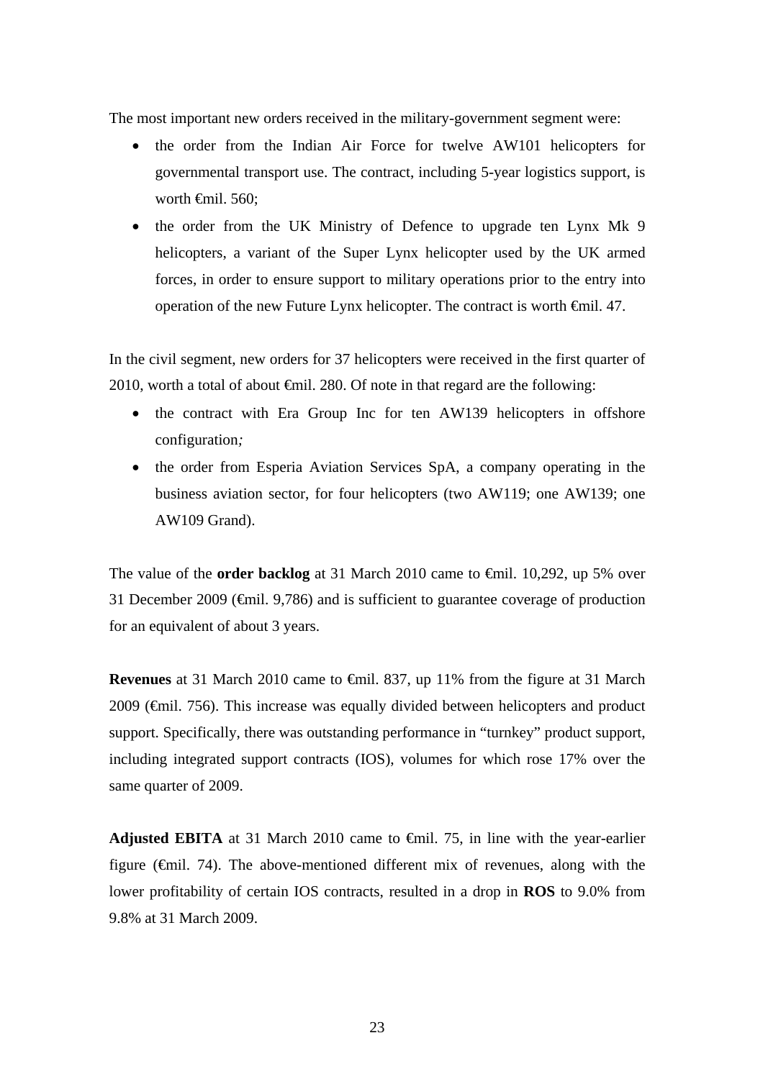The most important new orders received in the military-government segment were:

- the order from the Indian Air Force for twelve AW101 helicopters for governmental transport use. The contract, including 5-year logistics support, is worth  $\theta$ mil. 560:
- the order from the UK Ministry of Defence to upgrade ten Lynx Mk 9 helicopters, a variant of the Super Lynx helicopter used by the UK armed forces, in order to ensure support to military operations prior to the entry into operation of the new Future Lynx helicopter. The contract is worth €mil. 47.

In the civil segment, new orders for 37 helicopters were received in the first quarter of 2010, worth a total of about  $\bigoplus$  and  $\bigoplus$  as  $\bigoplus$  as  $\bigoplus$  following:

- the contract with Era Group Inc for ten AW139 helicopters in offshore configuration*;*
- the order from Esperia Aviation Services SpA, a company operating in the business aviation sector, for four helicopters (two AW119; one AW139; one AW109 Grand).

The value of the **order backlog** at 31 March 2010 came to €mil. 10,292, up 5% over 31 December 2009 (€mil. 9,786) and is sufficient to guarantee coverage of production for an equivalent of about 3 years.

**Revenues** at 31 March 2010 came to <del>€mil.</del> 837, up 11% from the figure at 31 March 2009 (€mil. 756). This increase was equally divided between helicopters and product support. Specifically, there was outstanding performance in "turnkey" product support, including integrated support contracts (IOS), volumes for which rose 17% over the same quarter of 2009.

**Adjusted EBITA** at 31 March 2010 came to  $\theta$ mil. 75, in line with the year-earlier figure ( $\theta$ mil. 74). The above-mentioned different mix of revenues, along with the lower profitability of certain IOS contracts, resulted in a drop in **ROS** to 9.0% from 9.8% at 31 March 2009.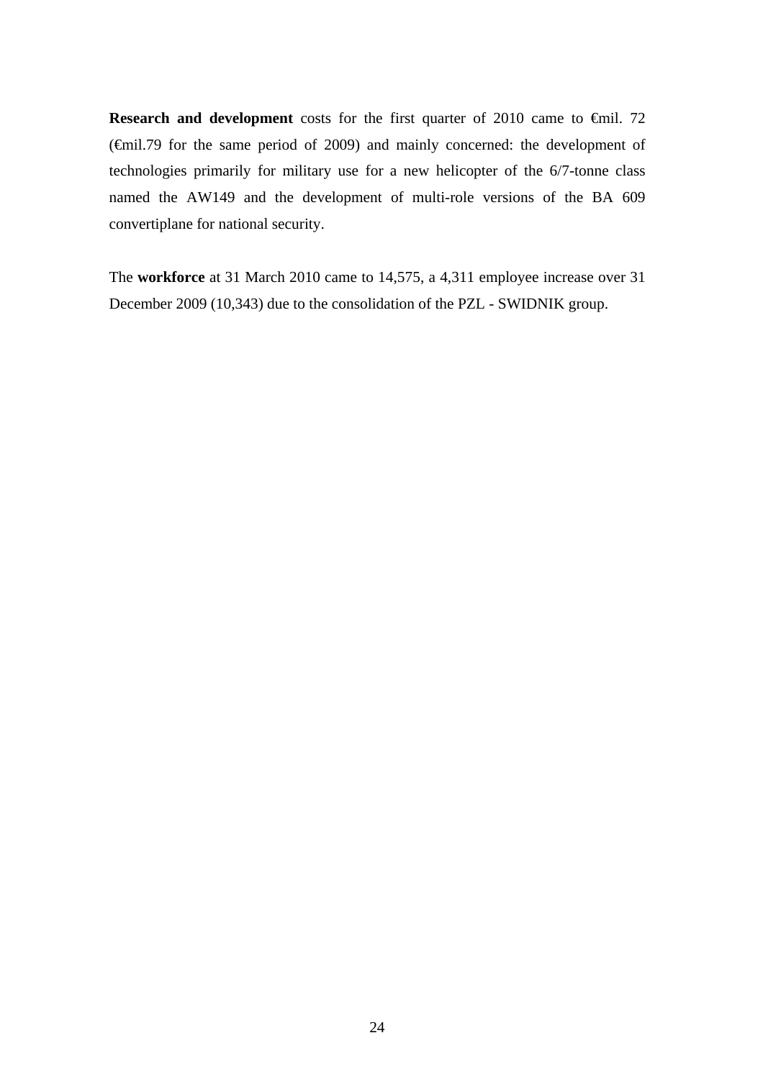**Research and development** costs for the first quarter of 2010 came to €mil. 72 (€mil.79 for the same period of 2009) and mainly concerned: the development of technologies primarily for military use for a new helicopter of the 6/7-tonne class named the AW149 and the development of multi-role versions of the BA 609 convertiplane for national security.

The **workforce** at 31 March 2010 came to 14,575, a 4,311 employee increase over 31 December 2009 (10,343) due to the consolidation of the PZL - SWIDNIK group.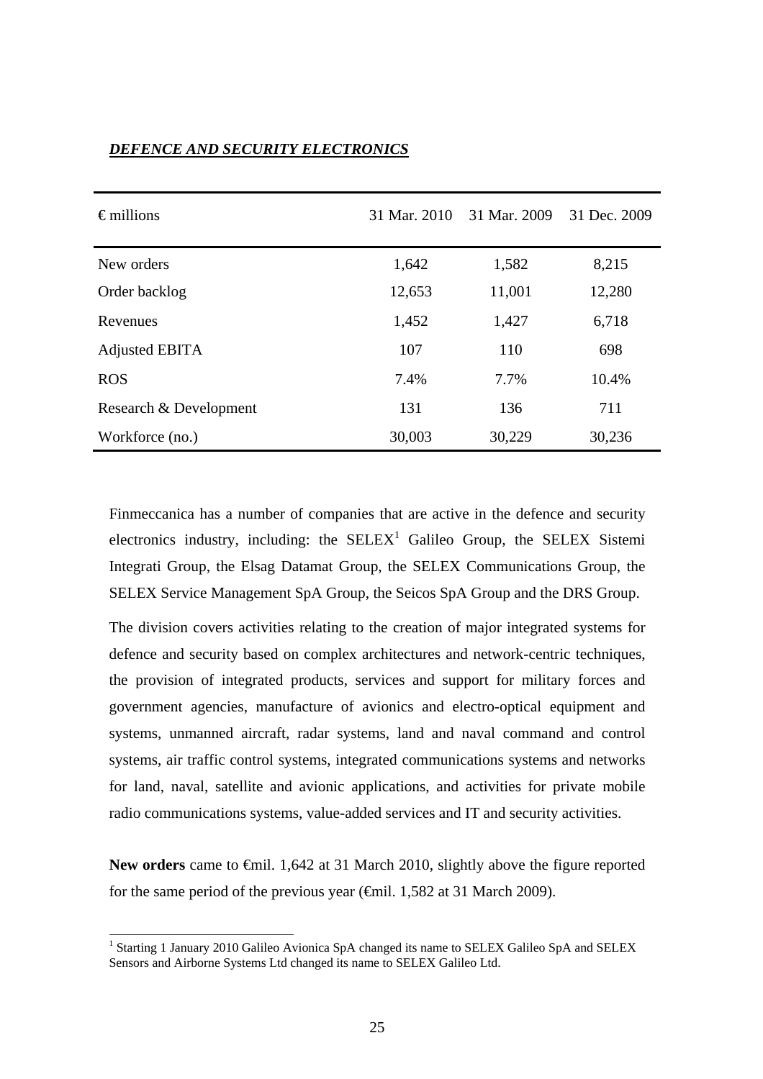| $\epsilon$ millions    | 31 Mar. 2010 | 31 Mar. 2009 | 31 Dec. 2009 |
|------------------------|--------------|--------------|--------------|
| New orders             | 1,642        | 1,582        | 8,215        |
| Order backlog          | 12,653       | 11,001       | 12,280       |
| Revenues               | 1,452        | 1,427        | 6,718        |
| Adjusted EBITA         | 107          | 110          | 698          |
| <b>ROS</b>             | 7.4%         | 7.7%         | 10.4%        |
| Research & Development | 131          | 136          | 711          |
| Workforce (no.)        | 30,003       | 30,229       | 30,236       |

### *DEFENCE AND SECURITY ELECTRONICS*

Finmeccanica has a number of companies that are active in the defence and security electronics industry, including: the  $SELEX^1$  Galileo Group, the SELEX Sistemi Integrati Group, the Elsag Datamat Group, the SELEX Communications Group, the SELEX Service Management SpA Group, the Seicos SpA Group and the DRS Group.

The division covers activities relating to the creation of major integrated systems for defence and security based on complex architectures and network-centric techniques, the provision of integrated products, services and support for military forces and government agencies, manufacture of avionics and electro-optical equipment and systems, unmanned aircraft, radar systems, land and naval command and control systems, air traffic control systems, integrated communications systems and networks for land, naval, satellite and avionic applications, and activities for private mobile radio communications systems, value-added services and IT and security activities.

New orders came to <del>€</del>mil. 1,642 at 31 March 2010, slightly above the figure reported for the same period of the previous year  $(\text{f})$ . 1,582 at 31 March 2009).

l

<sup>&</sup>lt;sup>1</sup> Starting 1 January 2010 Galileo Avionica SpA changed its name to SELEX Galileo SpA and SELEX Sensors and Airborne Systems Ltd changed its name to SELEX Galileo Ltd.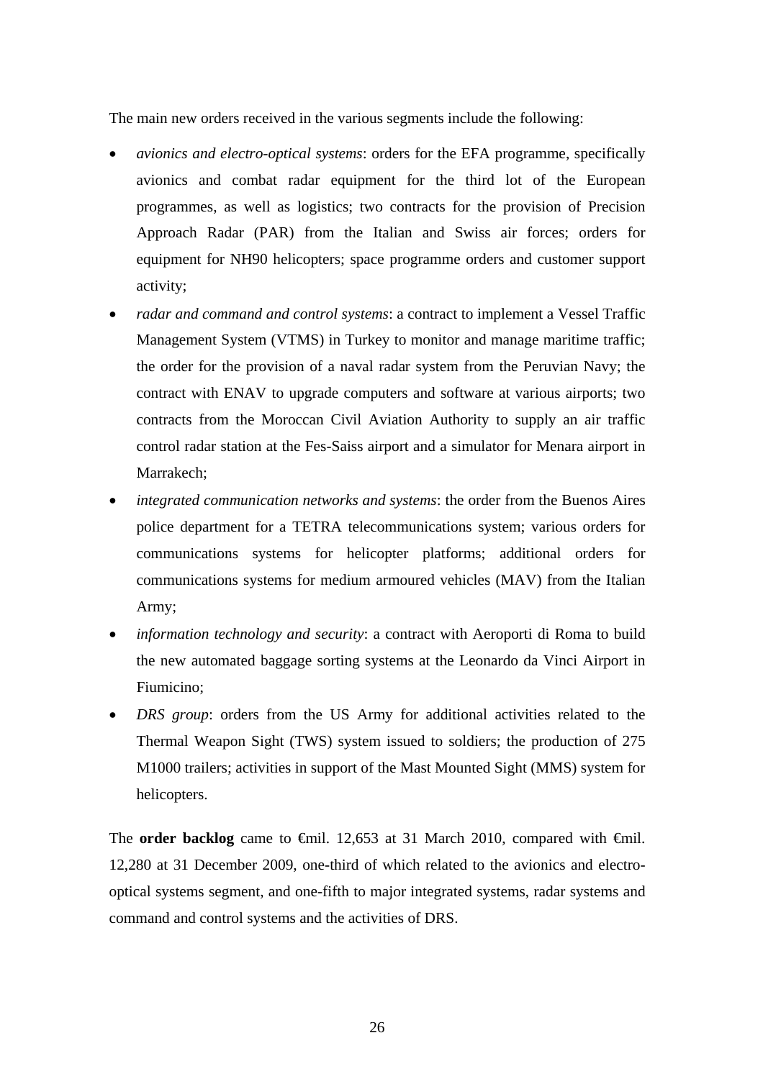The main new orders received in the various segments include the following:

- *avionics and electro-optical systems*: orders for the EFA programme, specifically avionics and combat radar equipment for the third lot of the European programmes, as well as logistics; two contracts for the provision of Precision Approach Radar (PAR) from the Italian and Swiss air forces; orders for equipment for NH90 helicopters; space programme orders and customer support activity;
- *radar and command and control systems*: a contract to implement a Vessel Traffic Management System (VTMS) in Turkey to monitor and manage maritime traffic; the order for the provision of a naval radar system from the Peruvian Navy; the contract with ENAV to upgrade computers and software at various airports; two contracts from the Moroccan Civil Aviation Authority to supply an air traffic control radar station at the Fes-Saiss airport and a simulator for Menara airport in Marrakech;
- *integrated communication networks and systems*: the order from the Buenos Aires police department for a TETRA telecommunications system; various orders for communications systems for helicopter platforms; additional orders for communications systems for medium armoured vehicles (MAV) from the Italian Army;
- *information technology and security*: a contract with Aeroporti di Roma to build the new automated baggage sorting systems at the Leonardo da Vinci Airport in Fiumicino;
- *DRS group*: orders from the US Army for additional activities related to the Thermal Weapon Sight (TWS) system issued to soldiers; the production of 275 M1000 trailers; activities in support of the Mast Mounted Sight (MMS) system for helicopters.

The **order backlog** came to  $\theta$ mil. 12,653 at 31 March 2010, compared with  $\theta$ mil. 12,280 at 31 December 2009, one-third of which related to the avionics and electrooptical systems segment, and one-fifth to major integrated systems, radar systems and command and control systems and the activities of DRS.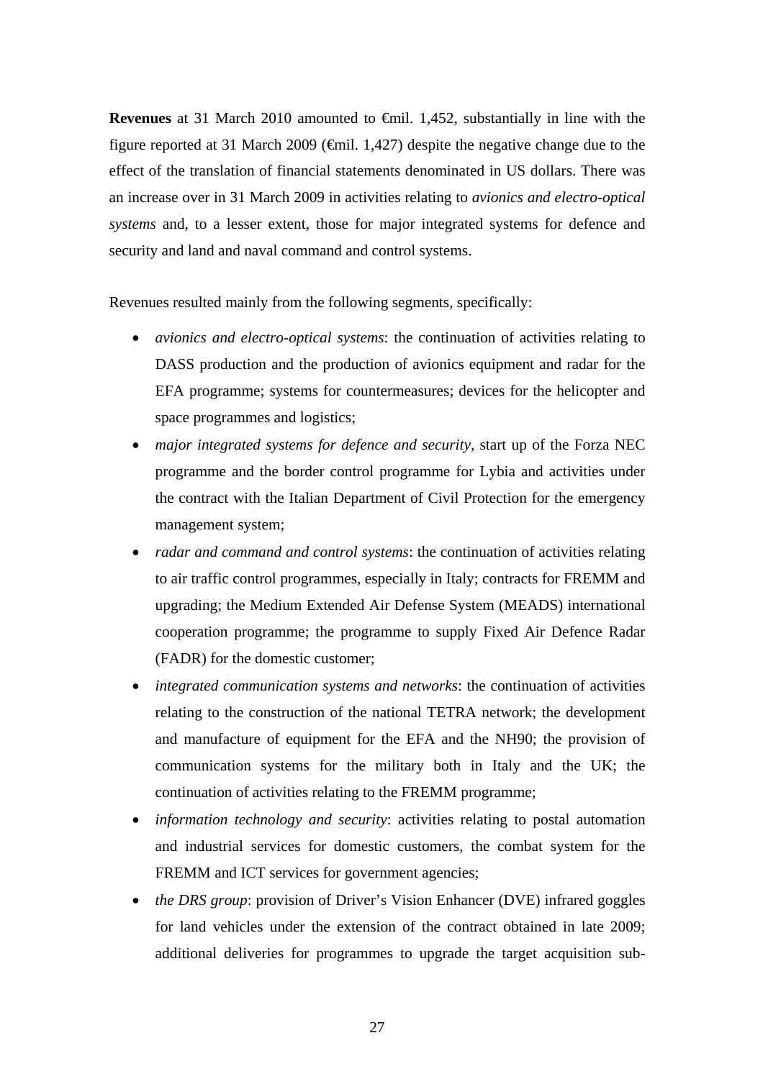**Revenues** at 31 March 2010 amounted to €mil. 1,452, substantially in line with the figure reported at 31 March 2009 ( $\epsilon$ mil. 1,427) despite the negative change due to the effect of the translation of financial statements denominated in US dollars. There was an increase over in 31 March 2009 in activities relating to *avionics and electro-optical systems* and, to a lesser extent, those for major integrated systems for defence and security and land and naval command and control systems.

Revenues resulted mainly from the following segments, specifically:

- *avionics and electro-optical systems*: the continuation of activities relating to DASS production and the production of avionics equipment and radar for the EFA programme; systems for countermeasures; devices for the helicopter and space programmes and logistics;
- *major integrated systems for defence and security*, start up of the Forza NEC programme and the border control programme for Lybia and activities under the contract with the Italian Department of Civil Protection for the emergency management system;
- *radar and command and control systems*: the continuation of activities relating to air traffic control programmes, especially in Italy; contracts for FREMM and upgrading; the Medium Extended Air Defense System (MEADS) international cooperation programme; the programme to supply Fixed Air Defence Radar (FADR) for the domestic customer;
- *integrated communication systems and networks*: the continuation of activities relating to the construction of the national TETRA network; the development and manufacture of equipment for the EFA and the NH90; the provision of communication systems for the military both in Italy and the UK; the continuation of activities relating to the FREMM programme;
- *information technology and security*: activities relating to postal automation and industrial services for domestic customers, the combat system for the FREMM and ICT services for government agencies;
- *the DRS group*: provision of Driver's Vision Enhancer (DVE) infrared goggles for land vehicles under the extension of the contract obtained in late 2009; additional deliveries for programmes to upgrade the target acquisition sub-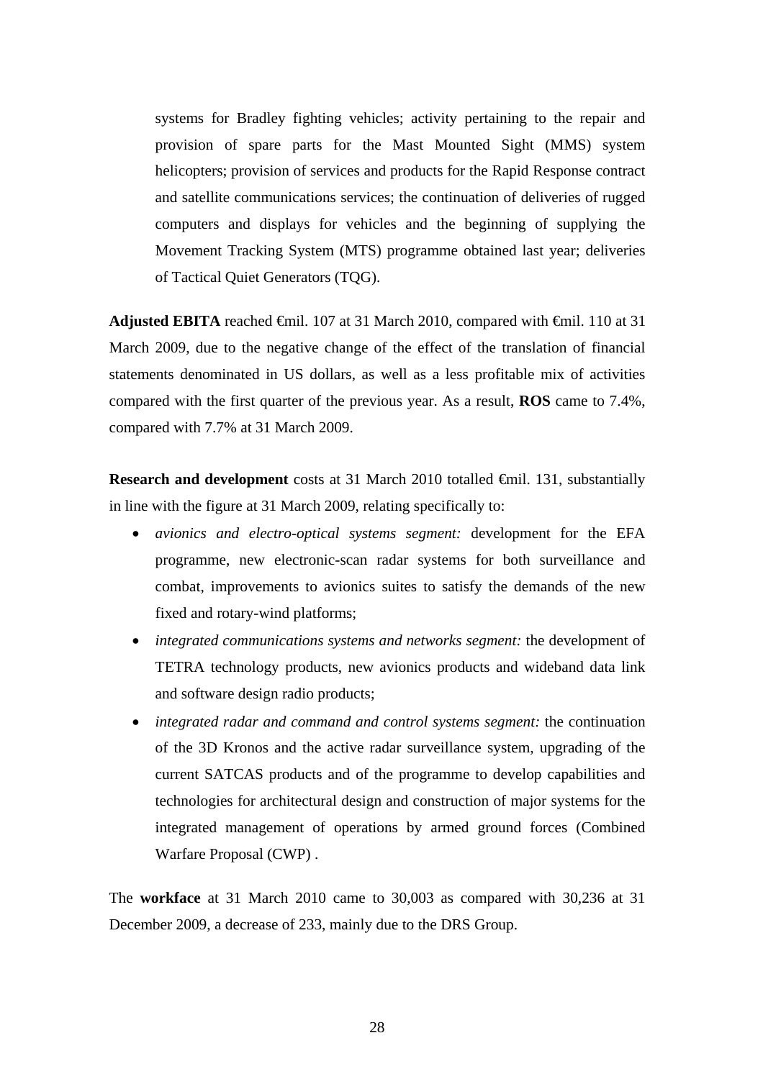systems for Bradley fighting vehicles; activity pertaining to the repair and provision of spare parts for the Mast Mounted Sight (MMS) system helicopters; provision of services and products for the Rapid Response contract and satellite communications services; the continuation of deliveries of rugged computers and displays for vehicles and the beginning of supplying the Movement Tracking System (MTS) programme obtained last year; deliveries of Tactical Quiet Generators (TQG).

Adjusted EBITA reached <del>€</del>mil. 107 at 31 March 2010, compared with <del>€</del>mil. 110 at 31 March 2009, due to the negative change of the effect of the translation of financial statements denominated in US dollars, as well as a less profitable mix of activities compared with the first quarter of the previous year. As a result, **ROS** came to 7.4%, compared with 7.7% at 31 March 2009.

**Research and development** costs at 31 March 2010 totalled €mil. 131, substantially in line with the figure at 31 March 2009, relating specifically to:

- *avionics and electro-optical systems segment:* development for the EFA programme, new electronic-scan radar systems for both surveillance and combat, improvements to avionics suites to satisfy the demands of the new fixed and rotary-wind platforms;
- *integrated communications systems and networks segment:* the development of TETRA technology products, new avionics products and wideband data link and software design radio products;
- *integrated radar and command and control systems segment:* the continuation of the 3D Kronos and the active radar surveillance system, upgrading of the current SATCAS products and of the programme to develop capabilities and technologies for architectural design and construction of major systems for the integrated management of operations by armed ground forces (Combined Warfare Proposal (CWP) .

The **workface** at 31 March 2010 came to 30,003 as compared with 30,236 at 31 December 2009, a decrease of 233, mainly due to the DRS Group.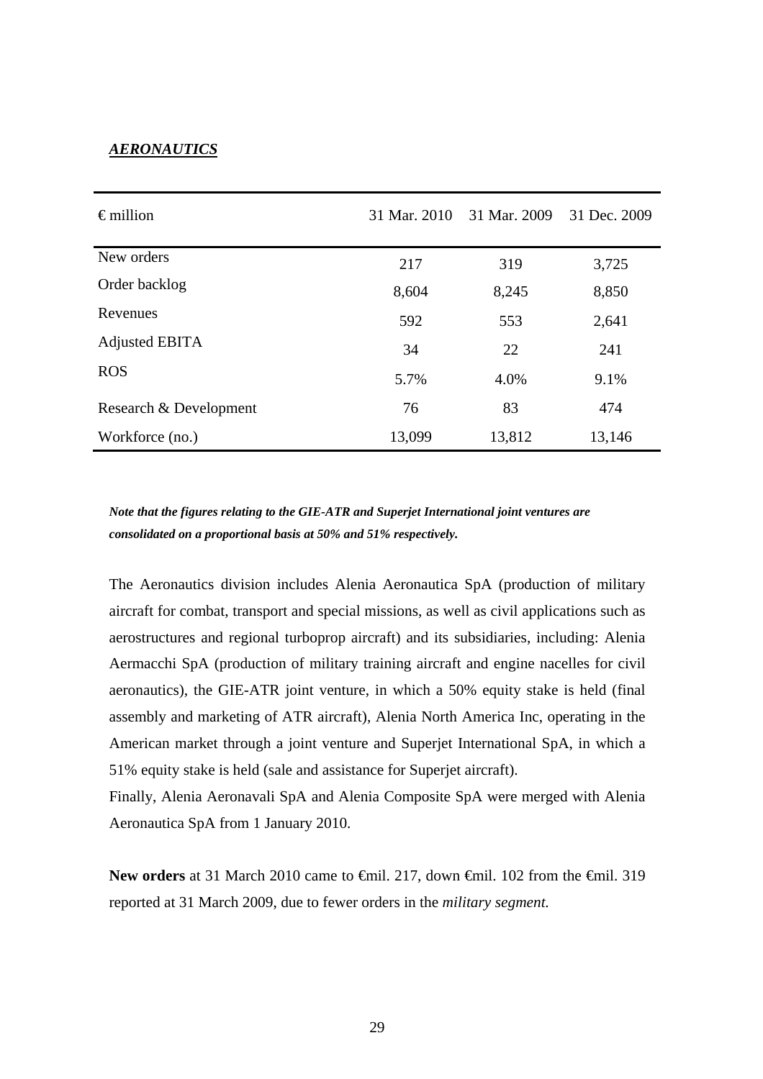#### *AERONAUTICS*

| $\epsilon$ million     | 31 Mar. 2010 | 31 Mar. 2009 | 31 Dec. 2009 |
|------------------------|--------------|--------------|--------------|
| New orders             | 217          | 319          | 3,725        |
| Order backlog          | 8,604        | 8,245        | 8,850        |
| Revenues               | 592          | 553          | 2,641        |
| Adjusted EBITA         | 34           | 22           | 241          |
| <b>ROS</b>             | 5.7%         | 4.0%         | 9.1%         |
| Research & Development | 76           | 83           | 474          |
| Workforce (no.)        | 13,099       | 13,812       | 13,146       |

*Note that the figures relating to the GIE-ATR and Superjet International joint ventures are consolidated on a proportional basis at 50% and 51% respectively.*

The Aeronautics division includes Alenia Aeronautica SpA (production of military aircraft for combat, transport and special missions, as well as civil applications such as aerostructures and regional turboprop aircraft) and its subsidiaries, including: Alenia Aermacchi SpA (production of military training aircraft and engine nacelles for civil aeronautics), the GIE-ATR joint venture, in which a 50% equity stake is held (final assembly and marketing of ATR aircraft), Alenia North America Inc, operating in the American market through a joint venture and Superjet International SpA, in which a 51% equity stake is held (sale and assistance for Superjet aircraft).

Finally, Alenia Aeronavali SpA and Alenia Composite SpA were merged with Alenia Aeronautica SpA from 1 January 2010.

New orders at 31 March 2010 came to <del>€</del>mil. 217, down <del>€</del>mil. 102 from the <del>€</del>mil. 319 reported at 31 March 2009, due to fewer orders in the *military segment.*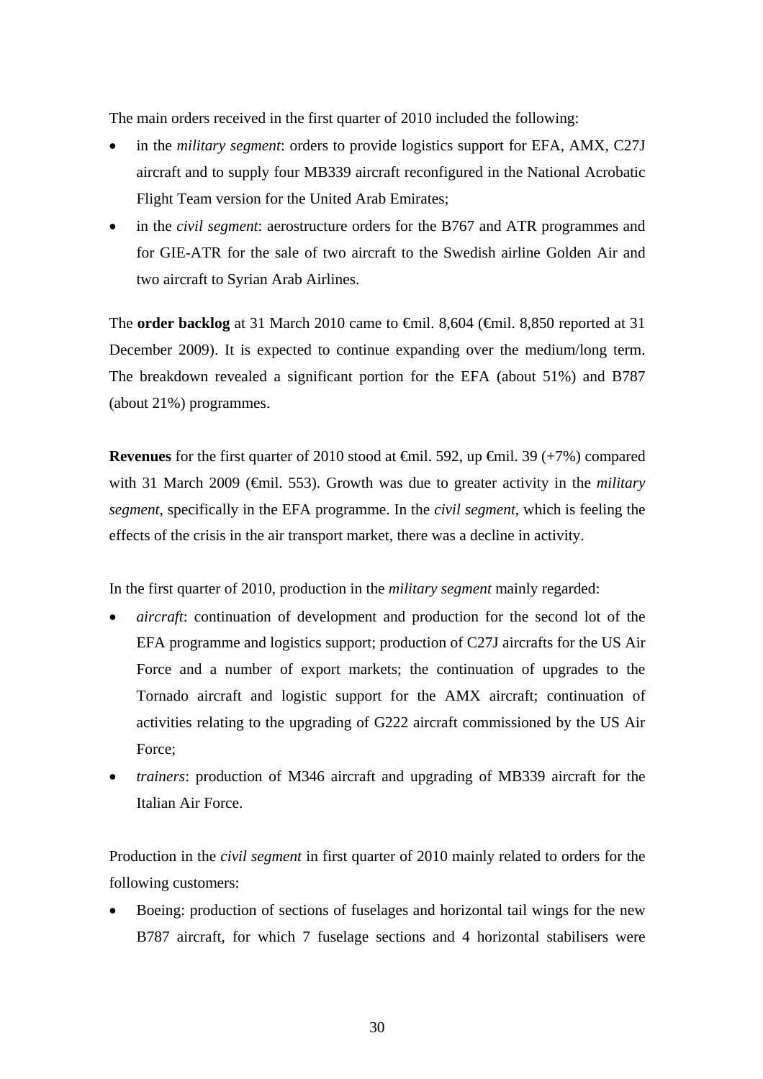The main orders received in the first quarter of 2010 included the following:

- in the *military segment*: orders to provide logistics support for EFA, AMX, C27J aircraft and to supply four MB339 aircraft reconfigured in the National Acrobatic Flight Team version for the United Arab Emirates;
- in the *civil segment*: aerostructure orders for the B767 and ATR programmes and for GIE-ATR for the sale of two aircraft to the Swedish airline Golden Air and two aircraft to Syrian Arab Airlines.

The **order backlog** at 31 March 2010 came to €mil. 8,604 (€mil. 8,850 reported at 31 December 2009). It is expected to continue expanding over the medium/long term. The breakdown revealed a significant portion for the EFA (about 51%) and B787 (about 21%) programmes.

**Revenues** for the first quarter of 2010 stood at €mil. 592, up €mil. 39 (+7%) compared with 31 March 2009 (€mil. 553). Growth was due to greater activity in the *military segment*, specifically in the EFA programme. In the *civil segment*, which is feeling the effects of the crisis in the air transport market, there was a decline in activity.

In the first quarter of 2010, production in the *military segment* mainly regarded:

- *aircraft*: continuation of development and production for the second lot of the EFA programme and logistics support; production of C27J aircrafts for the US Air Force and a number of export markets; the continuation of upgrades to the Tornado aircraft and logistic support for the AMX aircraft; continuation of activities relating to the upgrading of G222 aircraft commissioned by the US Air Force;
- *trainers*: production of M346 aircraft and upgrading of MB339 aircraft for the Italian Air Force.

Production in the *civil segment* in first quarter of 2010 mainly related to orders for the following customers:

Boeing: production of sections of fuselages and horizontal tail wings for the new B787 aircraft, for which 7 fuselage sections and 4 horizontal stabilisers were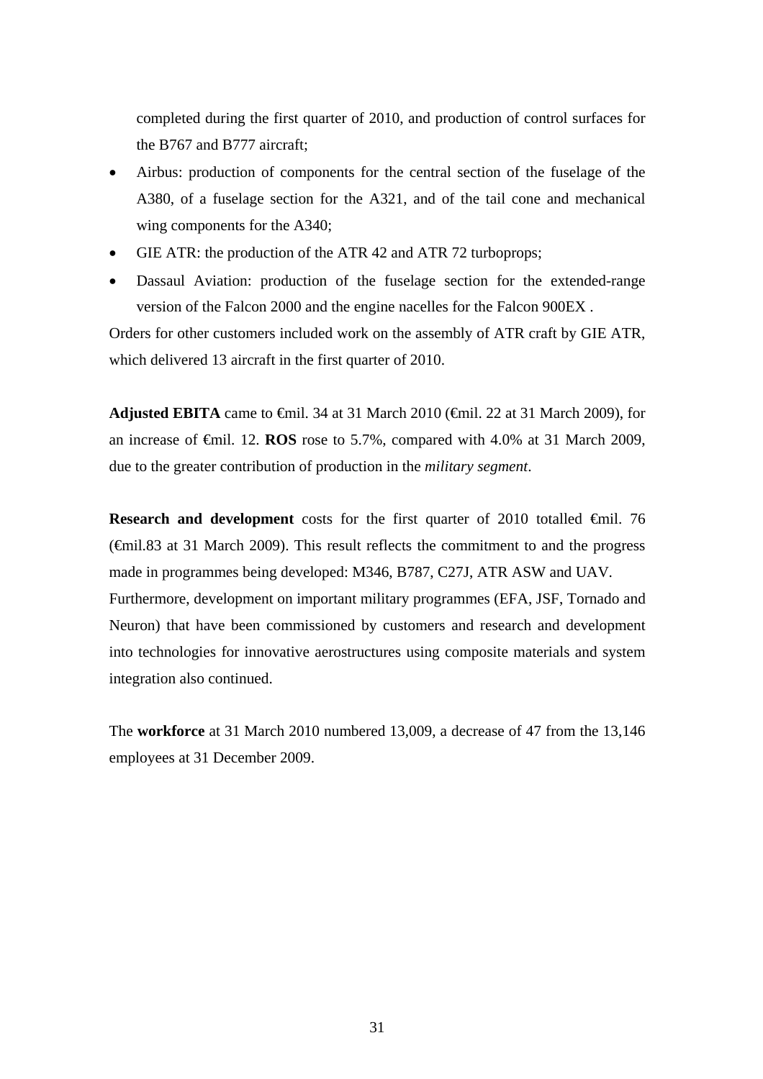completed during the first quarter of 2010, and production of control surfaces for the B767 and B777 aircraft;

- Airbus: production of components for the central section of the fuselage of the A380, of a fuselage section for the A321, and of the tail cone and mechanical wing components for the A340;
- GIE ATR: the production of the ATR 42 and ATR 72 turboprops;
- Dassaul Aviation: production of the fuselage section for the extended-range version of the Falcon 2000 and the engine nacelles for the Falcon 900EX .

Orders for other customers included work on the assembly of ATR craft by GIE ATR, which delivered 13 aircraft in the first quarter of 2010.

Adjusted EBITA came to  $\epsilon$ mil. 34 at 31 March 2010 ( $\epsilon$ mil. 22 at 31 March 2009), for an increase of €mil. 12. **ROS** rose to 5.7%, compared with 4.0% at 31 March 2009, due to the greater contribution of production in the *military segment*.

**Research and development** costs for the first quarter of 2010 totalled €mil. 76 (€mil.83 at 31 March 2009). This result reflects the commitment to and the progress made in programmes being developed: M346, B787, C27J, ATR ASW and UAV*.*  Furthermore, development on important military programmes (EFA, JSF, Tornado and Neuron) that have been commissioned by customers and research and development into technologies for innovative aerostructures using composite materials and system integration also continued.

The **workforce** at 31 March 2010 numbered 13,009, a decrease of 47 from the 13,146 employees at 31 December 2009.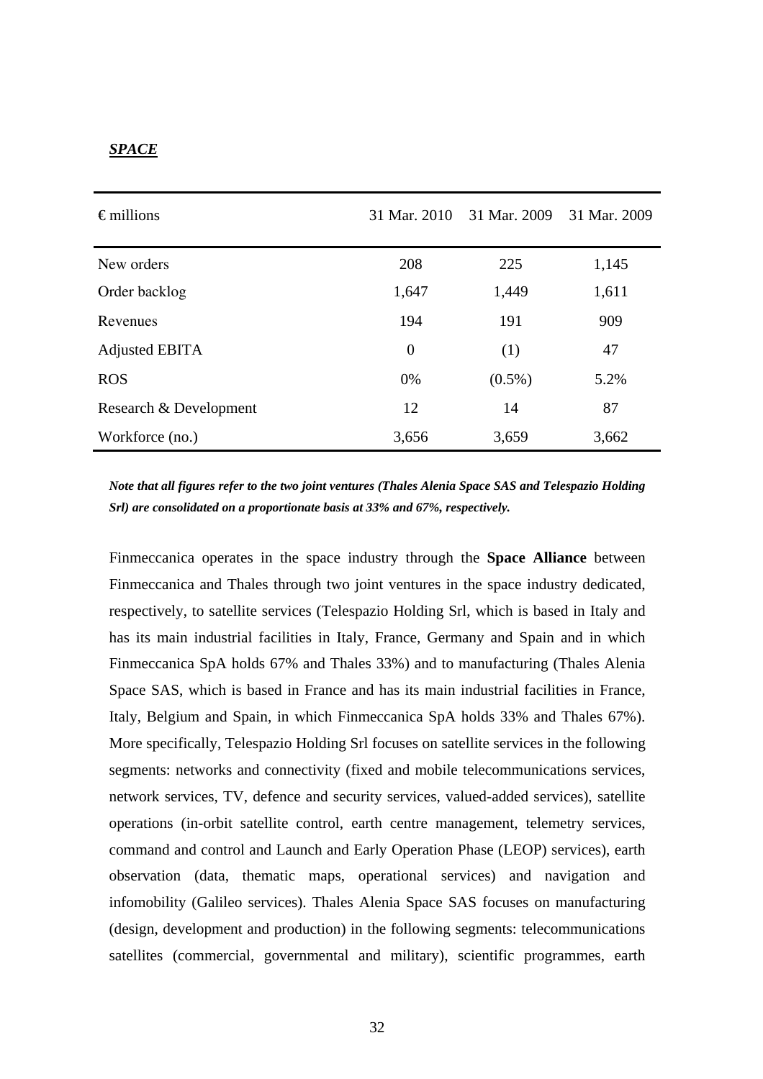#### *SPACE*

| $\epsilon$ millions    | 31 Mar. 2010 | 31 Mar. 2009 | 31 Mar. 2009 |
|------------------------|--------------|--------------|--------------|
| New orders             | 208          | 225          | 1,145        |
| Order backlog          | 1,647        | 1,449        | 1,611        |
| Revenues               | 194          | 191          | 909          |
| Adjusted EBITA         | $\theta$     | (1)          | 47           |
| <b>ROS</b>             | 0%           | $(0.5\%)$    | 5.2%         |
| Research & Development | 12           | 14           | 87           |
| Workforce (no.)        | 3,656        | 3,659        | 3,662        |

*Note that all figures refer to the two joint ventures (Thales Alenia Space SAS and Telespazio Holding Srl) are consolidated on a proportionate basis at 33% and 67%, respectively.* 

Finmeccanica operates in the space industry through the **Space Alliance** between Finmeccanica and Thales through two joint ventures in the space industry dedicated, respectively, to satellite services (Telespazio Holding Srl, which is based in Italy and has its main industrial facilities in Italy, France, Germany and Spain and in which Finmeccanica SpA holds 67% and Thales 33%) and to manufacturing (Thales Alenia Space SAS, which is based in France and has its main industrial facilities in France, Italy, Belgium and Spain, in which Finmeccanica SpA holds 33% and Thales 67%). More specifically, Telespazio Holding Srl focuses on satellite services in the following segments: networks and connectivity (fixed and mobile telecommunications services, network services, TV, defence and security services, valued-added services), satellite operations (in-orbit satellite control, earth centre management, telemetry services, command and control and Launch and Early Operation Phase (LEOP) services), earth observation (data, thematic maps, operational services) and navigation and infomobility (Galileo services). Thales Alenia Space SAS focuses on manufacturing (design, development and production) in the following segments: telecommunications satellites (commercial, governmental and military), scientific programmes, earth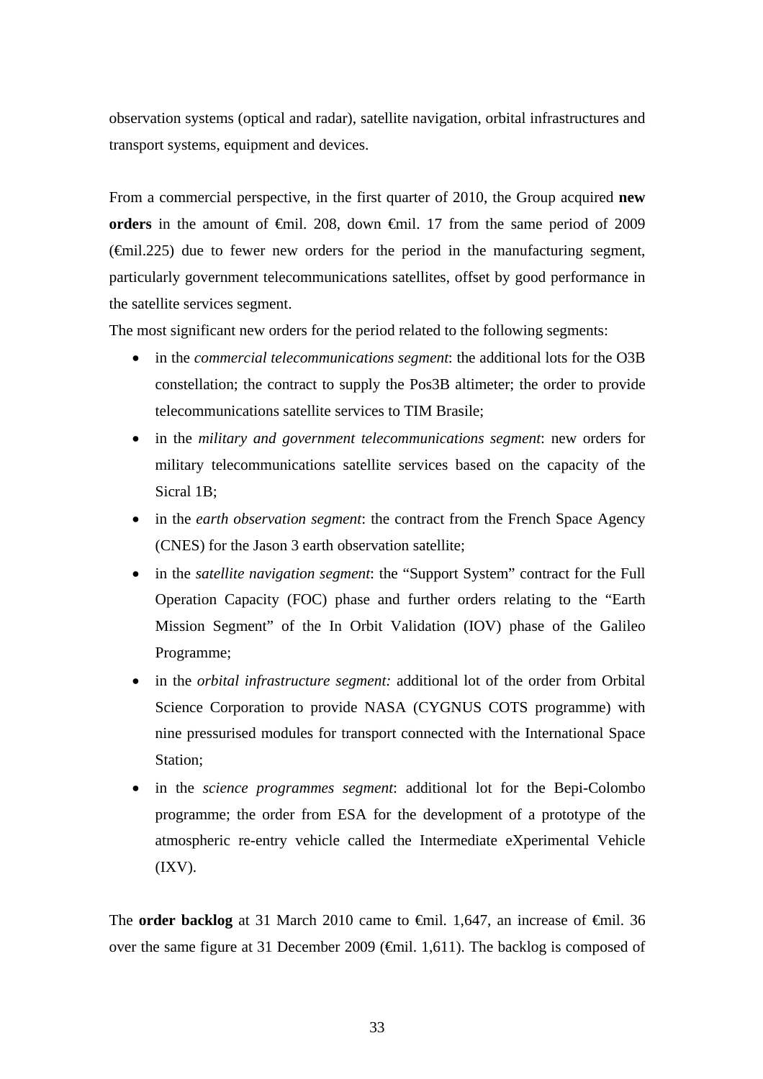observation systems (optical and radar), satellite navigation, orbital infrastructures and transport systems, equipment and devices.

From a commercial perspective, in the first quarter of 2010, the Group acquired **new orders** in the amount of €mil. 208, down €mil. 17 from the same period of 2009  $(\text{Gmil}.225)$  due to fewer new orders for the period in the manufacturing segment, particularly government telecommunications satellites, offset by good performance in the satellite services segment.

The most significant new orders for the period related to the following segments:

- in the *commercial telecommunications segment*: the additional lots for the O3B constellation; the contract to supply the Pos3B altimeter; the order to provide telecommunications satellite services to TIM Brasile;
- in the *military and government telecommunications segment*: new orders for military telecommunications satellite services based on the capacity of the Sicral 1B;
- in the *earth observation segment*: the contract from the French Space Agency (CNES) for the Jason 3 earth observation satellite;
- in the *satellite navigation segment*: the "Support System" contract for the Full Operation Capacity (FOC) phase and further orders relating to the "Earth Mission Segment" of the In Orbit Validation (IOV) phase of the Galileo Programme;
- in the *orbital infrastructure segment:* additional lot of the order from Orbital Science Corporation to provide NASA (CYGNUS COTS programme) with nine pressurised modules for transport connected with the International Space Station;
- in the *science programmes segment*: additional lot for the Bepi-Colombo programme; the order from ESA for the development of a prototype of the atmospheric re-entry vehicle called the Intermediate eXperimental Vehicle  $(IXV).$

The **order backlog** at 31 March 2010 came to <del>€mil.</del> 1,647, an increase of €mil. 36 over the same figure at 31 December 2009 (€mil. 1,611). The backlog is composed of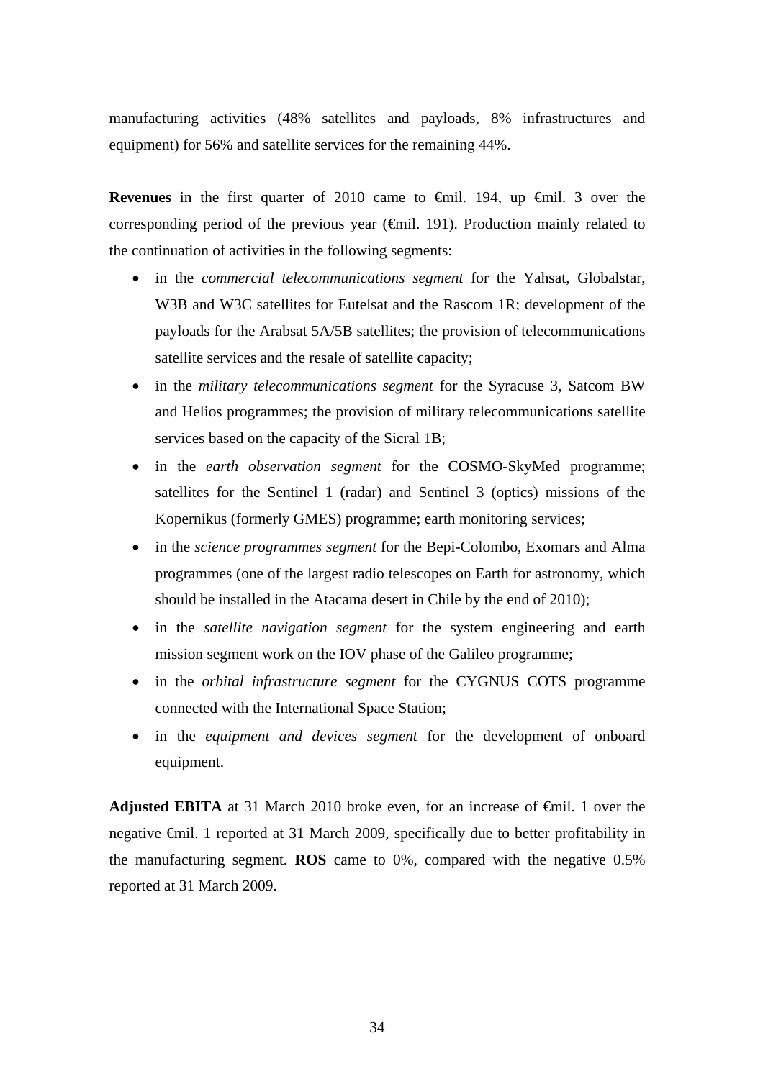manufacturing activities (48% satellites and payloads, 8% infrastructures and equipment) for 56% and satellite services for the remaining 44%.

**Revenues** in the first quarter of 2010 came to €mil. 194, up €mil. 3 over the corresponding period of the previous year  $(\text{Gmil. 191})$ . Production mainly related to the continuation of activities in the following segments:

- in the *commercial telecommunications segment* for the Yahsat, Globalstar, W<sub>3</sub>B and W<sub>3</sub>C satellites for Eutelsat and the Rascom 1R; development of the payloads for the Arabsat 5A/5B satellites; the provision of telecommunications satellite services and the resale of satellite capacity;
- in the *military telecommunications segment* for the Syracuse 3, Satcom BW and Helios programmes; the provision of military telecommunications satellite services based on the capacity of the Sicral 1B;
- in the *earth observation segment* for the COSMO-SkyMed programme; satellites for the Sentinel 1 (radar) and Sentinel 3 (optics) missions of the Kopernikus (formerly GMES) programme; earth monitoring services;
- in the *science programmes segment* for the Bepi-Colombo, Exomars and Alma programmes (one of the largest radio telescopes on Earth for astronomy, which should be installed in the Atacama desert in Chile by the end of 2010);
- in the *satellite navigation segment* for the system engineering and earth mission segment work on the IOV phase of the Galileo programme;
- in the *orbital infrastructure segment* for the CYGNUS COTS programme connected with the International Space Station;
- in the *equipment and devices segment* for the development of onboard equipment.

**Adjusted EBITA** at 31 March 2010 broke even, for an increase of  $\theta$ mil. 1 over the negative €mil. 1 reported at 31 March 2009, specifically due to better profitability in the manufacturing segment. **ROS** came to 0%, compared with the negative 0.5% reported at 31 March 2009.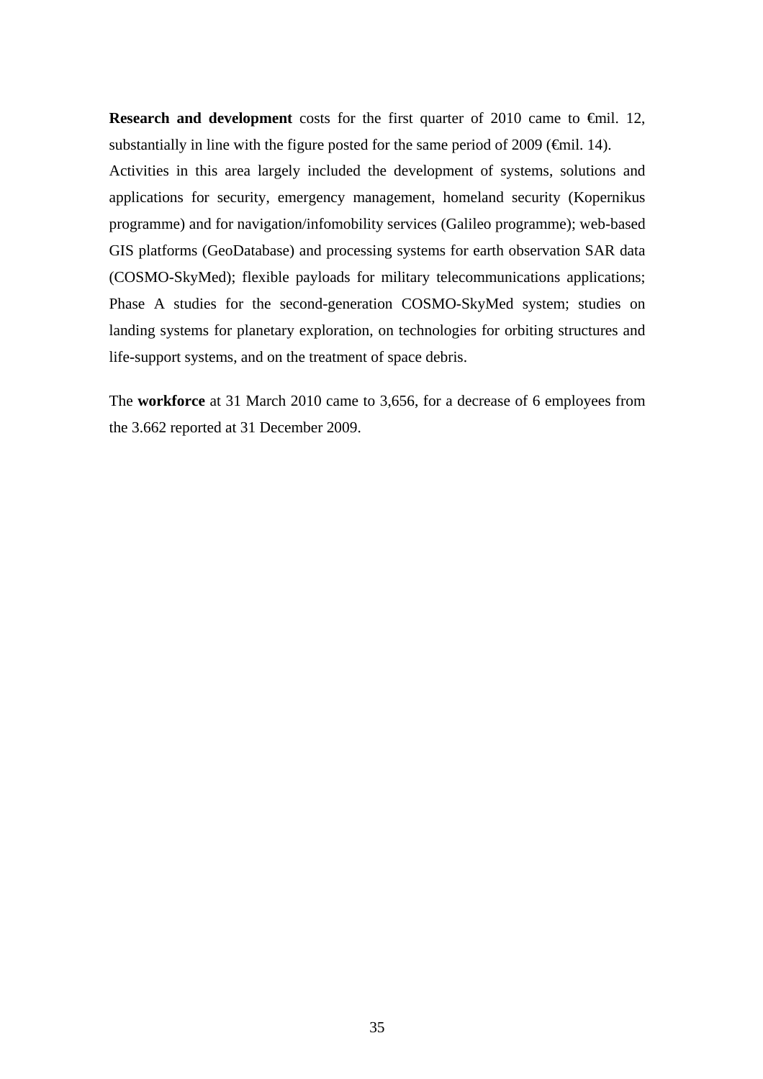Research and development costs for the first quarter of 2010 came to €mil. 12, substantially in line with the figure posted for the same period of  $2009$  ( $\epsilon$ mil. 14). Activities in this area largely included the development of systems, solutions and applications for security, emergency management, homeland security (Kopernikus programme) and for navigation/infomobility services (Galileo programme); web-based GIS platforms (GeoDatabase) and processing systems for earth observation SAR data (COSMO-SkyMed); flexible payloads for military telecommunications applications; Phase A studies for the second-generation COSMO-SkyMed system; studies on landing systems for planetary exploration, on technologies for orbiting structures and life-support systems, and on the treatment of space debris.

The **workforce** at 31 March 2010 came to 3,656, for a decrease of 6 employees from the 3.662 reported at 31 December 2009.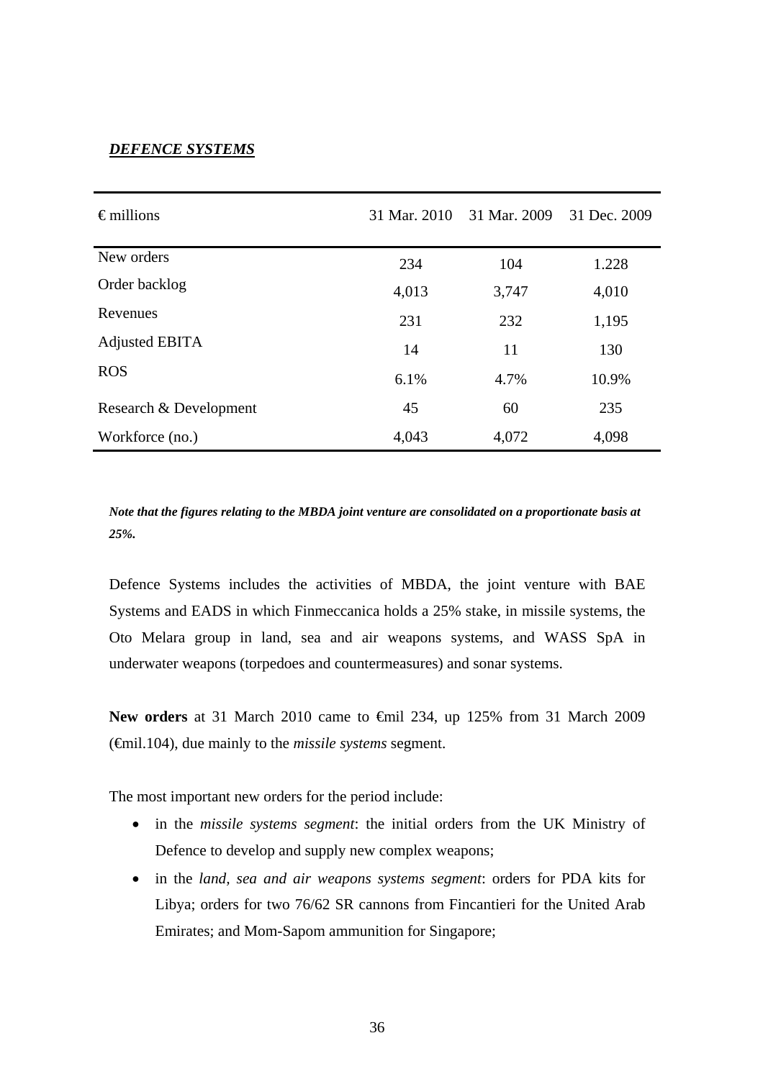### *DEFENCE SYSTEMS*

| $\epsilon$ millions    | 31 Mar. 2010 | 31 Mar. 2009 | 31 Dec. 2009 |
|------------------------|--------------|--------------|--------------|
| New orders             | 234          | 104          | 1.228        |
| Order backlog          | 4,013        | 3,747        | 4,010        |
| Revenues               | 231          | 232          | 1,195        |
| <b>Adjusted EBITA</b>  | 14           | 11           | 130          |
| <b>ROS</b>             | 6.1%         | 4.7%         | 10.9%        |
| Research & Development | 45           | 60           | 235          |
| Workforce (no.)        | 4,043        | 4,072        | 4,098        |

*Note that the figures relating to the MBDA joint venture are consolidated on a proportionate basis at 25%.*

Defence Systems includes the activities of MBDA, the joint venture with BAE Systems and EADS in which Finmeccanica holds a 25% stake, in missile systems, the Oto Melara group in land, sea and air weapons systems, and WASS SpA in underwater weapons (torpedoes and countermeasures) and sonar systems.

New orders at 31 March 2010 came to <del>€</del>mil 234, up 125% from 31 March 2009 (€mil.104), due mainly to the *missile systems* segment.

The most important new orders for the period include:

- in the *missile systems segment*: the initial orders from the UK Ministry of Defence to develop and supply new complex weapons;
- in the *land, sea and air weapons systems segment*: orders for PDA kits for Libya; orders for two 76/62 SR cannons from Fincantieri for the United Arab Emirates; and Mom-Sapom ammunition for Singapore;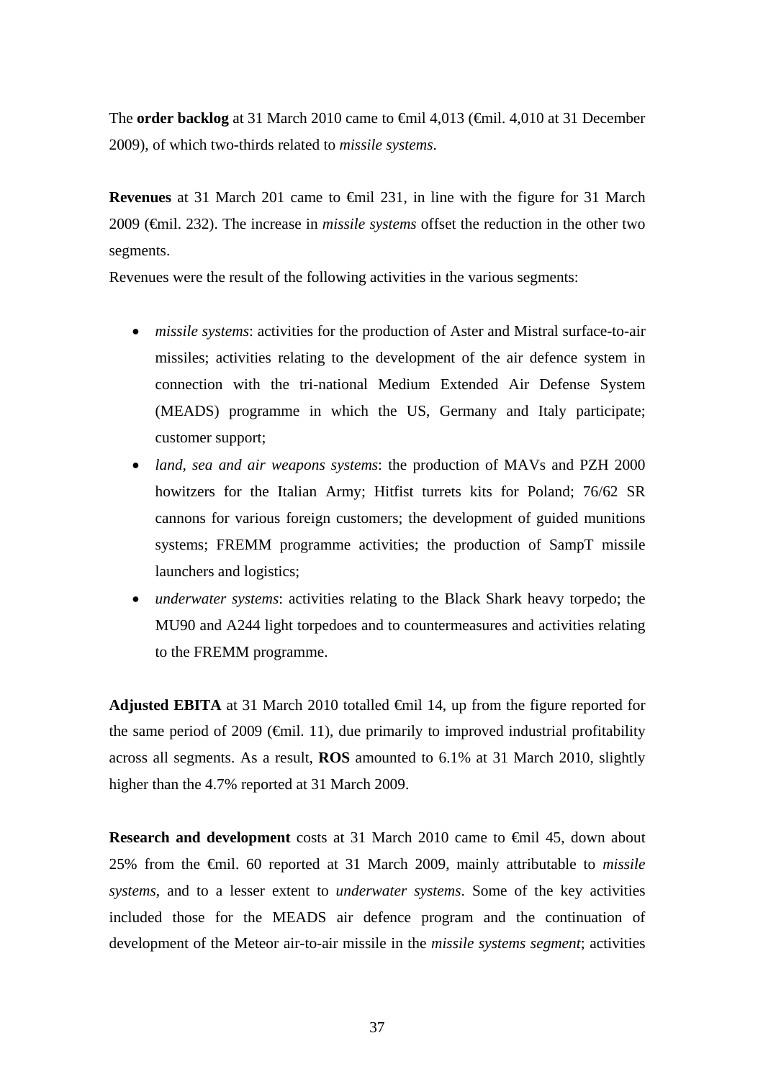The **order backlog** at 31 March 2010 came to €mil 4,013 (€mil. 4,010 at 31 December 2009), of which two-thirds related to *missile systems*.

**Revenues** at 31 March 201 came to **€mil** 231, in line with the figure for 31 March 2009 (€mil. 232). The increase in *missile systems* offset the reduction in the other two segments.

Revenues were the result of the following activities in the various segments:

- *missile systems*: activities for the production of Aster and Mistral surface-to-air missiles; activities relating to the development of the air defence system in connection with the tri-national Medium Extended Air Defense System (MEADS) programme in which the US, Germany and Italy participate; customer support;
- *land, sea and air weapons systems*: the production of MAVs and PZH 2000 howitzers for the Italian Army; Hitfist turrets kits for Poland; 76/62 SR cannons for various foreign customers; the development of guided munitions systems; FREMM programme activities; the production of SampT missile launchers and logistics;
- *underwater systems*: activities relating to the Black Shark heavy torpedo; the MU90 and A244 light torpedoes and to countermeasures and activities relating to the FREMM programme.

**Adjusted EBITA** at 31 March 2010 totalled €mil 14, up from the figure reported for the same period of 2009 ( $\epsilon$ mil. 11), due primarily to improved industrial profitability across all segments. As a result, **ROS** amounted to 6.1% at 31 March 2010, slightly higher than the 4.7% reported at 31 March 2009.

**Research and development** costs at 31 March 2010 came to <del>€mil 45, down about</del> 25% from the €mil. 60 reported at 31 March 2009, mainly attributable to *missile systems*, and to a lesser extent to *underwater systems*. Some of the key activities included those for the MEADS air defence program and the continuation of development of the Meteor air-to-air missile in the *missile systems segment*; activities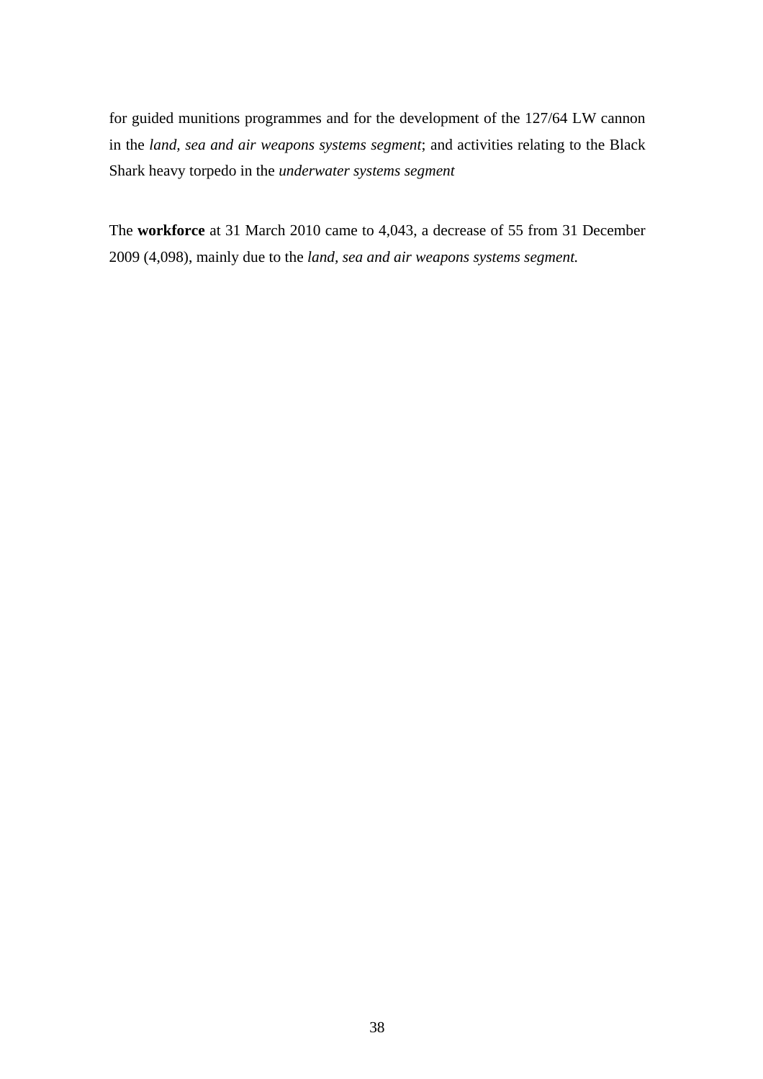for guided munitions programmes and for the development of the 127/64 LW cannon in the *land, sea and air weapons systems segment*; and activities relating to the Black Shark heavy torpedo in the *underwater systems segment* 

The **workforce** at 31 March 2010 came to 4,043, a decrease of 55 from 31 December 2009 (4,098), mainly due to the *land, sea and air weapons systems segment.*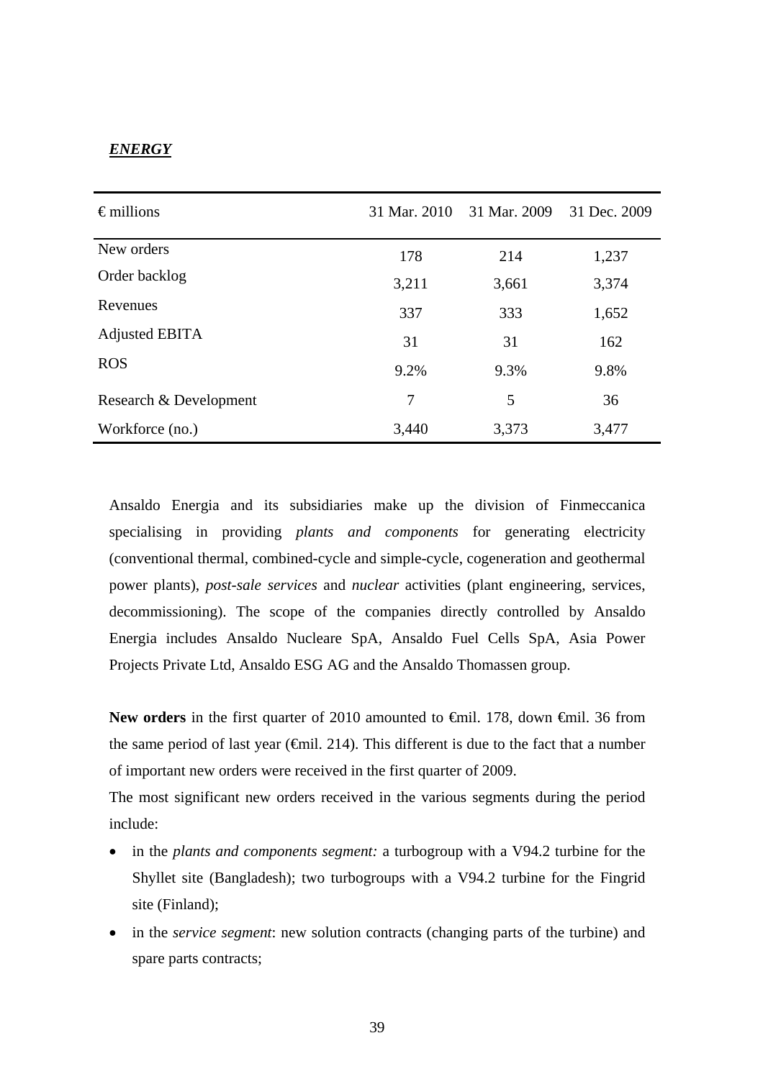## *ENERGY*

| $\epsilon$ millions    | 31 Mar. 2010   | 31 Mar. 2009 | 31 Dec. 2009 |
|------------------------|----------------|--------------|--------------|
| New orders             | 178            | 214          | 1,237        |
| Order backlog          | 3,211          | 3,661        | 3,374        |
| Revenues               | 337            | 333          | 1,652        |
| Adjusted EBITA         | 31             | 31           | 162          |
| <b>ROS</b>             | 9.2%           | 9.3%         | 9.8%         |
| Research & Development | $\overline{7}$ | 5            | 36           |
| Workforce (no.)        | 3,440          | 3,373        | 3,477        |

Ansaldo Energia and its subsidiaries make up the division of Finmeccanica specialising in providing *plants and components* for generating electricity (conventional thermal, combined-cycle and simple-cycle, cogeneration and geothermal power plants), *post-sale services* and *nuclear* activities (plant engineering, services, decommissioning). The scope of the companies directly controlled by Ansaldo Energia includes Ansaldo Nucleare SpA, Ansaldo Fuel Cells SpA, Asia Power Projects Private Ltd, Ansaldo ESG AG and the Ansaldo Thomassen group.

New orders in the first quarter of 2010 amounted to €mil. 178, down €mil. 36 from the same period of last year ( $\epsilon$ mil. 214). This different is due to the fact that a number of important new orders were received in the first quarter of 2009.

The most significant new orders received in the various segments during the period include:

- in the *plants and components segment:* a turbogroup with a V94.2 turbine for the Shyllet site (Bangladesh); two turbogroups with a V94.2 turbine for the Fingrid site (Finland);
- in the *service segment*: new solution contracts (changing parts of the turbine) and spare parts contracts;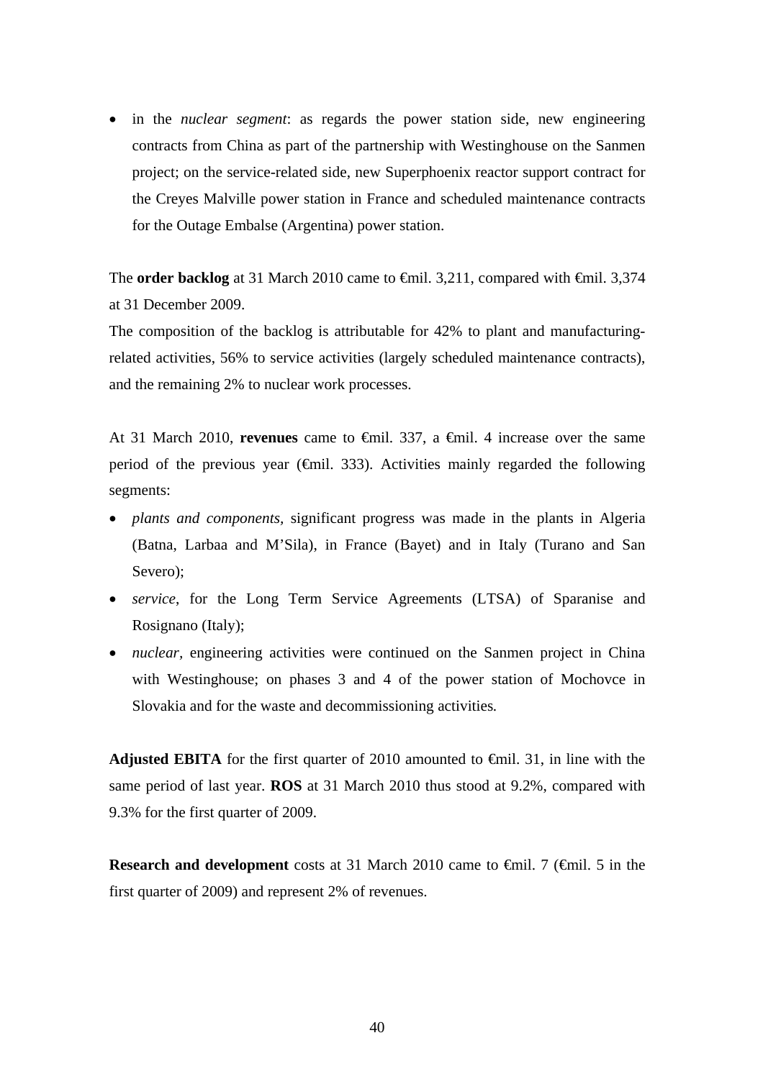• in the *nuclear segment*: as regards the power station side, new engineering contracts from China as part of the partnership with Westinghouse on the Sanmen project; on the service-related side, new Superphoenix reactor support contract for the Creyes Malville power station in France and scheduled maintenance contracts for the Outage Embalse (Argentina) power station.

The **order backlog** at 31 March 2010 came to <del>€mil.</del> 3,211, compared with €mil. 3,374 at 31 December 2009.

The composition of the backlog is attributable for 42% to plant and manufacturingrelated activities, 56% to service activities (largely scheduled maintenance contracts), and the remaining 2% to nuclear work processes.

At 31 March 2010, **revenues** came to €mil. 337, a €mil. 4 increase over the same period of the previous year ( $\epsilon$ mil. 333). Activities mainly regarded the following segments:

- *plants and components,* significant progress was made in the plants in Algeria (Batna, Larbaa and M'Sila), in France (Bayet) and in Italy (Turano and San Severo):
- *service*, for the Long Term Service Agreements (LTSA) of Sparanise and Rosignano (Italy);
- *nuclear*, engineering activities were continued on the Sanmen project in China with Westinghouse; on phases 3 and 4 of the power station of Mochovce in Slovakia and for the waste and decommissioning activities*.*

**Adjusted EBITA** for the first quarter of 2010 amounted to  $\epsilon$ mil. 31, in line with the same period of last year. **ROS** at 31 March 2010 thus stood at 9.2%, compared with 9.3% for the first quarter of 2009.

**Research and development** costs at 31 March 2010 came to €mil. 7 (€mil. 5 in the first quarter of 2009) and represent 2% of revenues.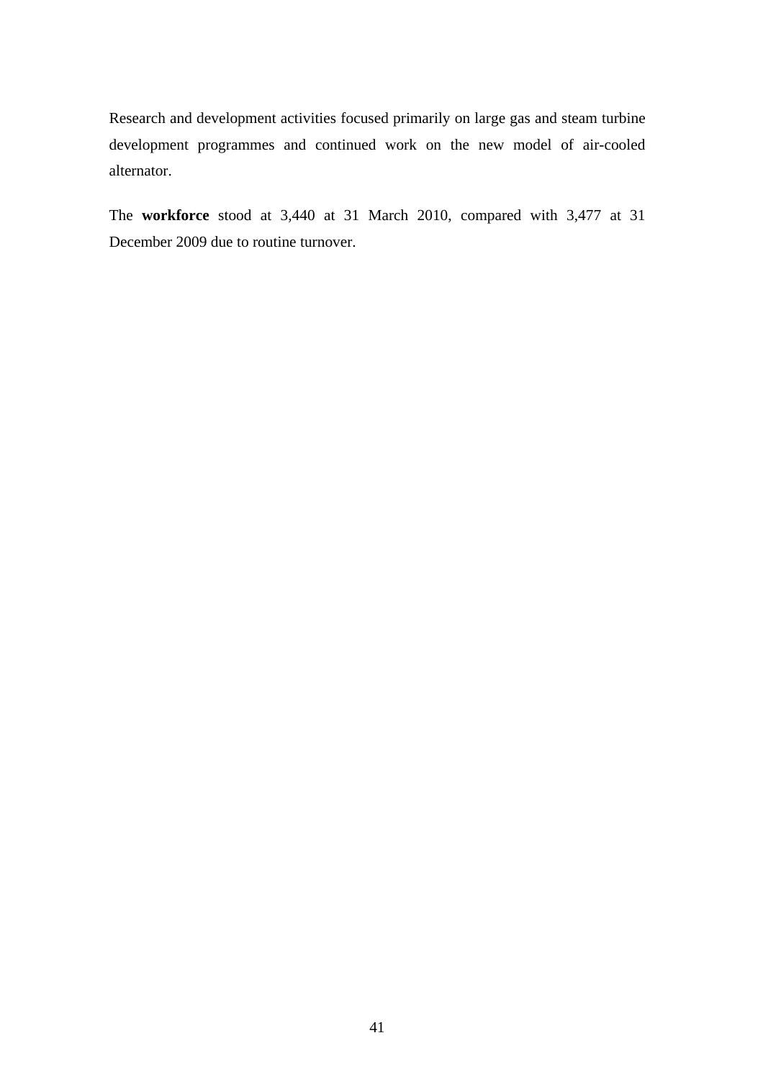Research and development activities focused primarily on large gas and steam turbine development programmes and continued work on the new model of air-cooled alternator.

The **workforce** stood at 3,440 at 31 March 2010, compared with 3,477 at 31 December 2009 due to routine turnover.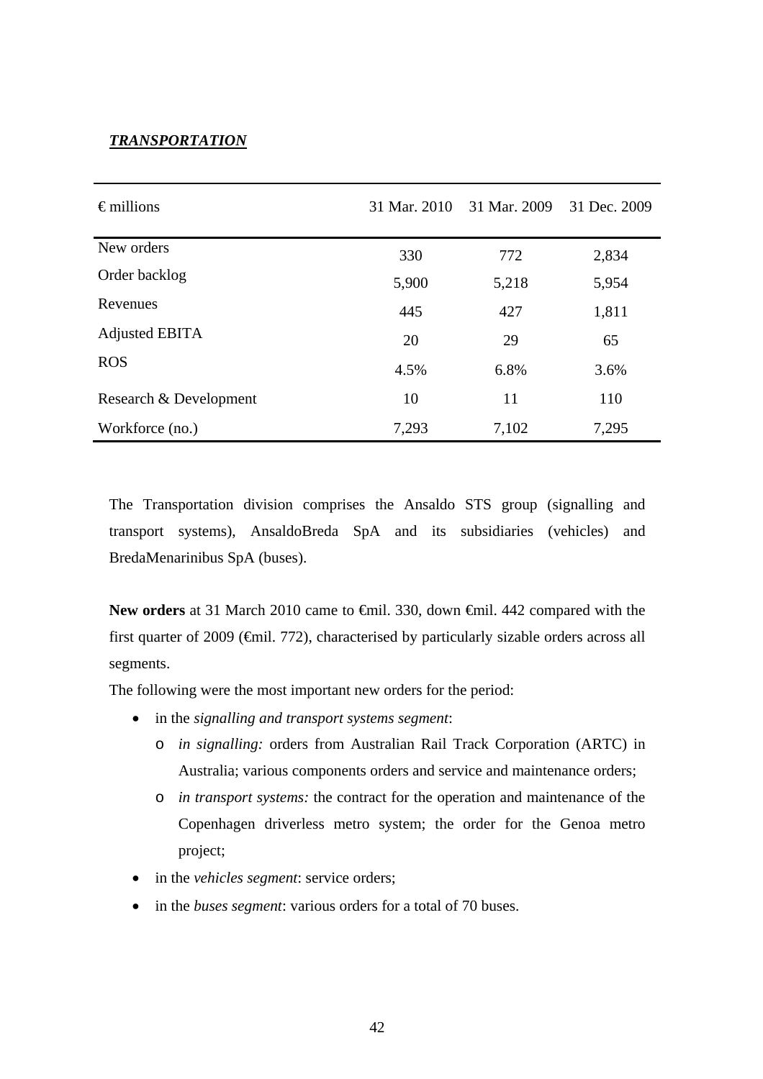### *TRANSPORTATION*

| $\epsilon$ millions    | 31 Mar. 2010 | 31 Mar. 2009 | 31 Dec. 2009 |
|------------------------|--------------|--------------|--------------|
| New orders             | 330          | 772          | 2,834        |
| Order backlog          | 5,900        | 5,218        | 5,954        |
| Revenues               | 445          | 427          | 1,811        |
| Adjusted EBITA         | 20           | 29           | 65           |
| <b>ROS</b>             | 4.5%         | 6.8%         | 3.6%         |
| Research & Development | 10           | 11           | 110          |
| Workforce (no.)        | 7,293        | 7,102        | 7,295        |

The Transportation division comprises the Ansaldo STS group (signalling and transport systems), AnsaldoBreda SpA and its subsidiaries (vehicles) and BredaMenarinibus SpA (buses).

New orders at 31 March 2010 came to <del>€</del>mil. 330, down <del>€</del>mil. 442 compared with the first quarter of 2009 ( $\epsilon$ mil. 772), characterised by particularly sizable orders across all segments.

The following were the most important new orders for the period:

- in the *signalling and transport systems segment*:
	- o *in signalling:* orders from Australian Rail Track Corporation (ARTC) in Australia; various components orders and service and maintenance orders;
	- o *in transport systems:* the contract for the operation and maintenance of the Copenhagen driverless metro system; the order for the Genoa metro project;
- in the *vehicles segment*: service orders;
- in the *buses segment*: various orders for a total of 70 buses.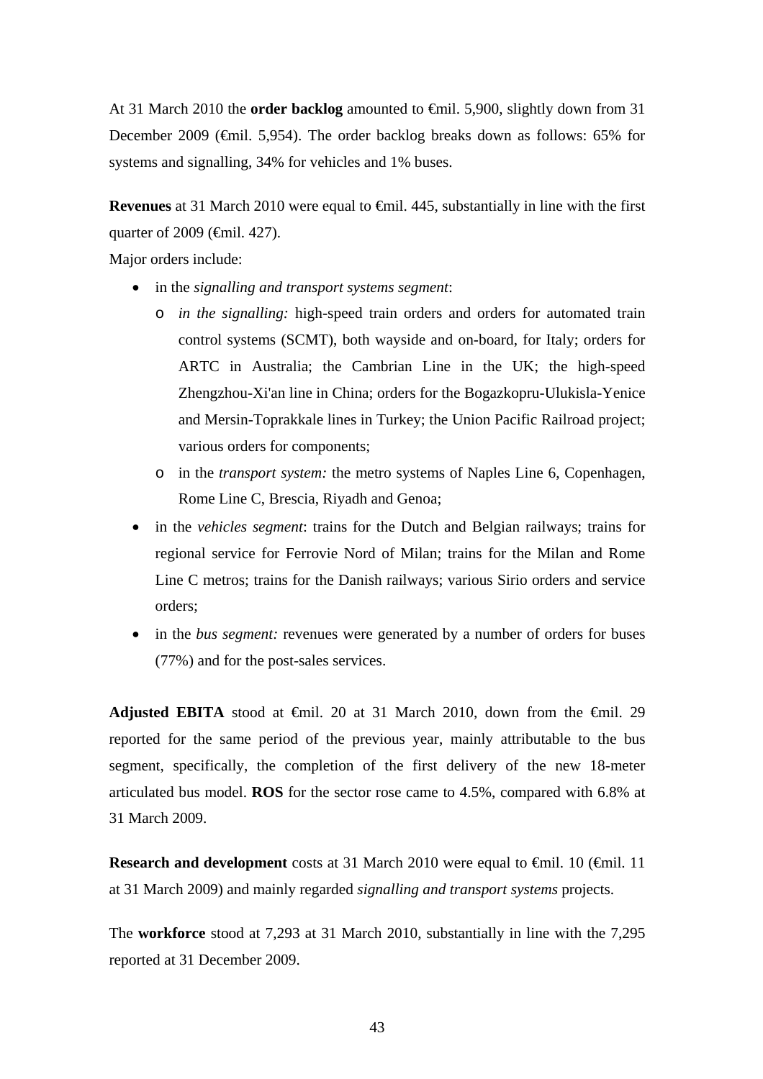At 31 March 2010 the **order backlog** amounted to €mil. 5,900, slightly down from 31 December 2009 (€mil. 5,954). The order backlog breaks down as follows: 65% for systems and signalling, 34% for vehicles and 1% buses.

**Revenues** at 31 March 2010 were equal to €mil. 445, substantially in line with the first quarter of 2009 (€mil. 427).

Major orders include:

- in the *signalling and transport systems segment*:
	- o *in the signalling:* high-speed train orders and orders for automated train control systems (SCMT), both wayside and on-board, for Italy; orders for ARTC in Australia; the Cambrian Line in the UK; the high-speed Zhengzhou-Xi'an line in China; orders for the Bogazkopru-Ulukisla-Yenice and Mersin-Toprakkale lines in Turkey; the Union Pacific Railroad project; various orders for components;
	- o in the *transport system:* the metro systems of Naples Line 6, Copenhagen, Rome Line C, Brescia, Riyadh and Genoa;
- in the *vehicles segment*: trains for the Dutch and Belgian railways; trains for regional service for Ferrovie Nord of Milan; trains for the Milan and Rome Line C metros; trains for the Danish railways; various Sirio orders and service orders;
- in the *bus segment:* revenues were generated by a number of orders for buses (77%) and for the post-sales services.

**Adjusted EBITA** stood at €mil. 20 at 31 March 2010, down from the €mil. 29 reported for the same period of the previous year, mainly attributable to the bus segment, specifically, the completion of the first delivery of the new 18-meter articulated bus model. **ROS** for the sector rose came to 4.5%, compared with 6.8% at 31 March 2009.

**Research and development** costs at 31 March 2010 were equal to €mil. 10 (€mil. 11 at 31 March 2009) and mainly regarded *signalling and transport systems* projects.

The **workforce** stood at 7,293 at 31 March 2010, substantially in line with the 7,295 reported at 31 December 2009.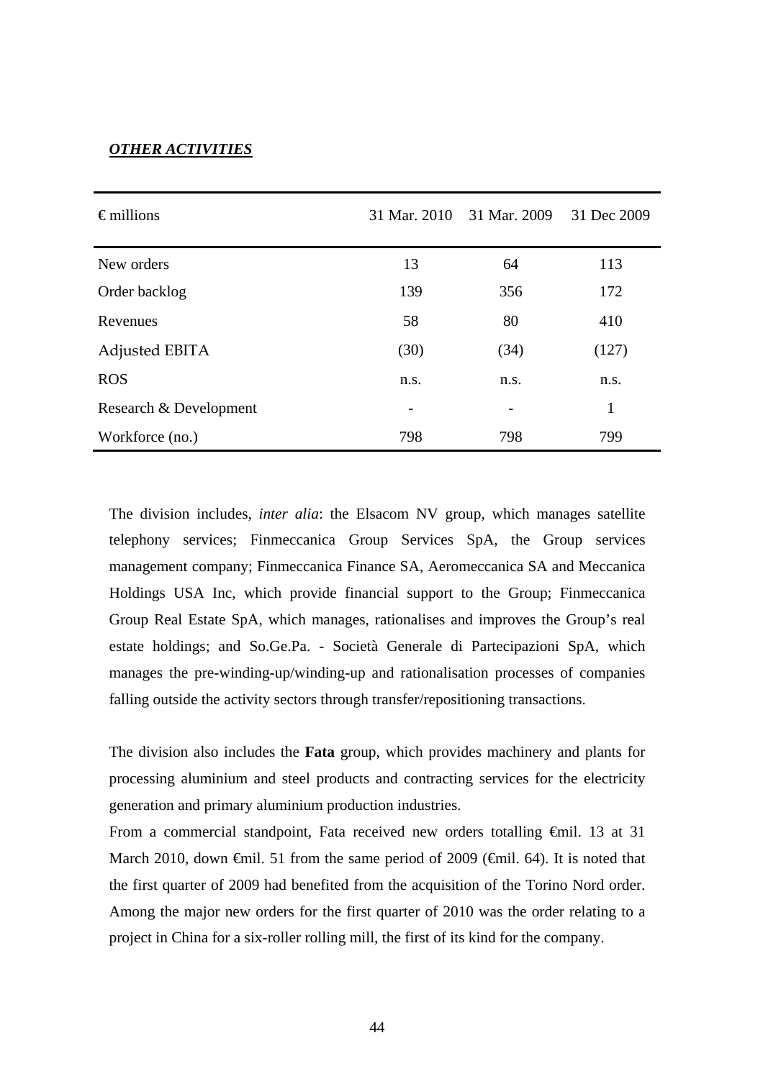## *OTHER ACTIVITIES*

| $\epsilon$ millions    | 31 Mar. 2010 | 31 Mar. 2009 | 31 Dec 2009 |
|------------------------|--------------|--------------|-------------|
| New orders             | 13           | 64           | 113         |
| Order backlog          | 139          | 356          | 172         |
| Revenues               | 58           | 80           | 410         |
| Adjusted EBITA         | (30)         | (34)         | (127)       |
| <b>ROS</b>             | n.s.         | n.s.         | n.s.        |
| Research & Development |              |              | 1           |
| Workforce (no.)        | 798          | 798          | 799         |

The division includes, *inter alia*: the Elsacom NV group, which manages satellite telephony services; Finmeccanica Group Services SpA, the Group services management company; Finmeccanica Finance SA, Aeromeccanica SA and Meccanica Holdings USA Inc, which provide financial support to the Group; Finmeccanica Group Real Estate SpA, which manages, rationalises and improves the Group's real estate holdings; and So.Ge.Pa. - Società Generale di Partecipazioni SpA, which manages the pre-winding-up/winding-up and rationalisation processes of companies falling outside the activity sectors through transfer/repositioning transactions.

The division also includes the **Fata** group, which provides machinery and plants for processing aluminium and steel products and contracting services for the electricity generation and primary aluminium production industries.

From a commercial standpoint, Fata received new orders totalling €mil. 13 at 31 March 2010, down  $\epsilon$ mil. 51 from the same period of 2009 ( $\epsilon$ mil. 64). It is noted that the first quarter of 2009 had benefited from the acquisition of the Torino Nord order. Among the major new orders for the first quarter of 2010 was the order relating to a project in China for a six-roller rolling mill, the first of its kind for the company.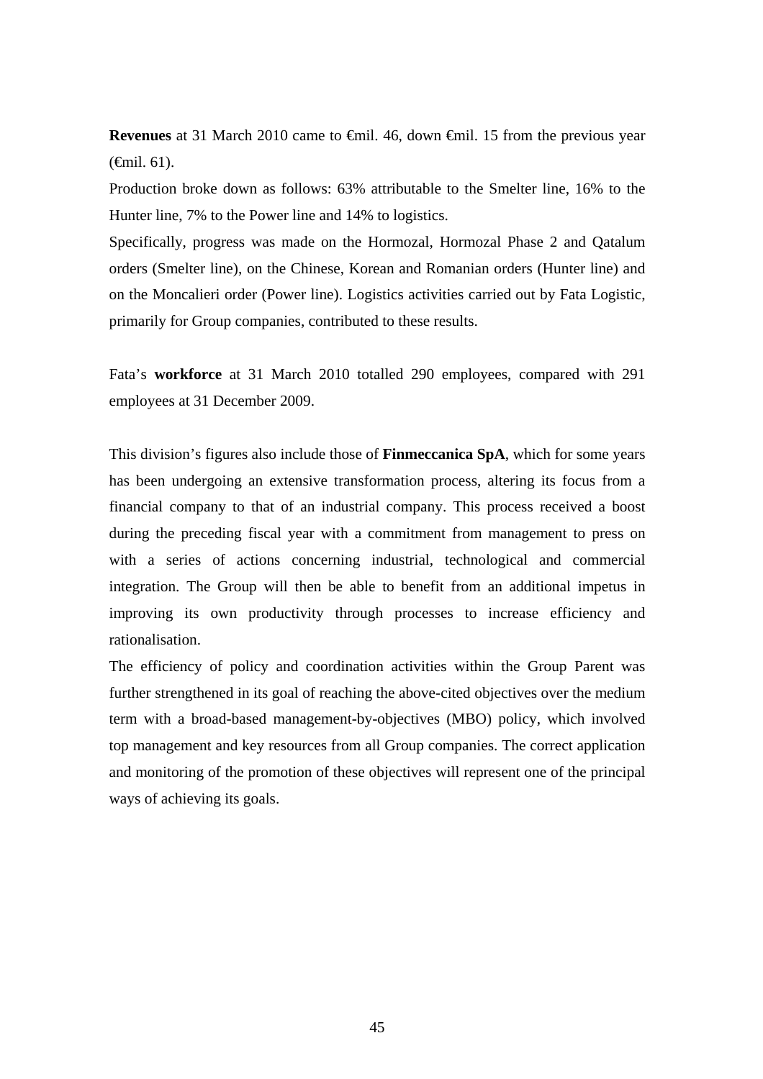**Revenues** at 31 March 2010 came to **€mil.** 46, down €mil. 15 from the previous year (€mil. 61).

Production broke down as follows: 63% attributable to the Smelter line, 16% to the Hunter line, 7% to the Power line and 14% to logistics.

Specifically, progress was made on the Hormozal, Hormozal Phase 2 and Qatalum orders (Smelter line), on the Chinese, Korean and Romanian orders (Hunter line) and on the Moncalieri order (Power line). Logistics activities carried out by Fata Logistic, primarily for Group companies, contributed to these results.

Fata's **workforce** at 31 March 2010 totalled 290 employees, compared with 291 employees at 31 December 2009.

This division's figures also include those of **Finmeccanica SpA**, which for some years has been undergoing an extensive transformation process, altering its focus from a financial company to that of an industrial company. This process received a boost during the preceding fiscal year with a commitment from management to press on with a series of actions concerning industrial, technological and commercial integration. The Group will then be able to benefit from an additional impetus in improving its own productivity through processes to increase efficiency and rationalisation.

The efficiency of policy and coordination activities within the Group Parent was further strengthened in its goal of reaching the above-cited objectives over the medium term with a broad-based management-by-objectives (MBO) policy, which involved top management and key resources from all Group companies. The correct application and monitoring of the promotion of these objectives will represent one of the principal ways of achieving its goals.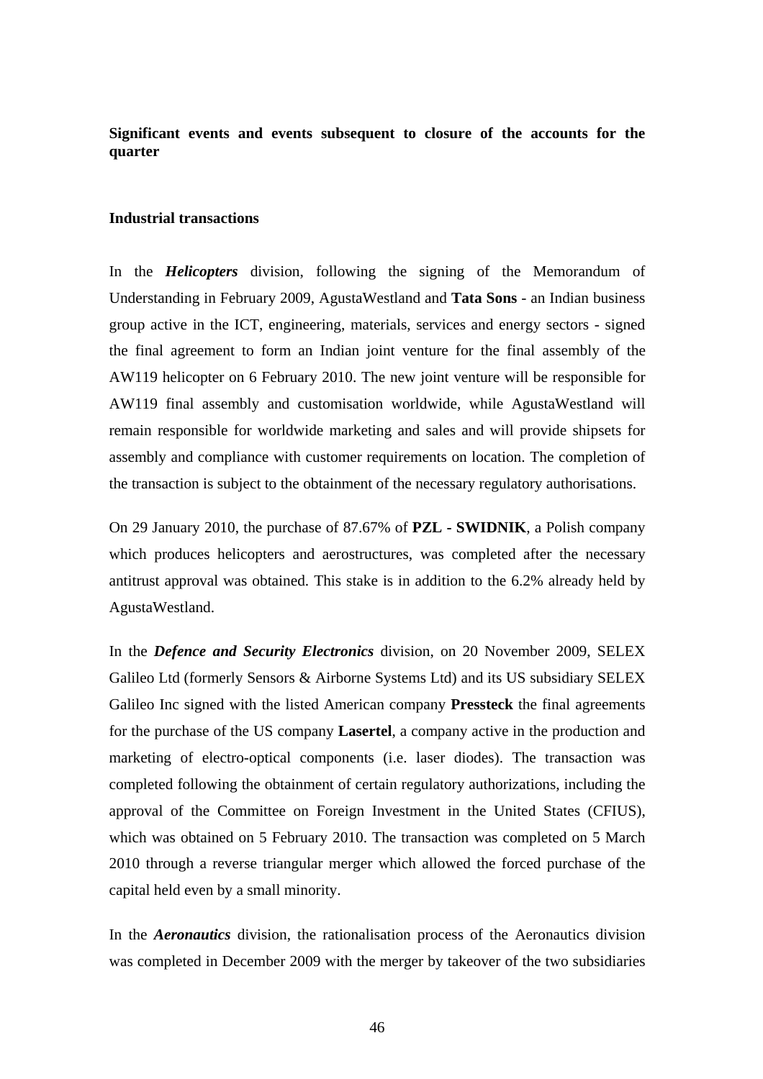**Significant events and events subsequent to closure of the accounts for the quarter** 

## **Industrial transactions**

In the *Helicopters* division, following the signing of the Memorandum of Understanding in February 2009, AgustaWestland and **Tata Sons** - an Indian business group active in the ICT, engineering, materials, services and energy sectors - signed the final agreement to form an Indian joint venture for the final assembly of the AW119 helicopter on 6 February 2010. The new joint venture will be responsible for AW119 final assembly and customisation worldwide, while AgustaWestland will remain responsible for worldwide marketing and sales and will provide shipsets for assembly and compliance with customer requirements on location. The completion of the transaction is subject to the obtainment of the necessary regulatory authorisations.

On 29 January 2010, the purchase of 87.67% of **PZL - SWIDNIK**, a Polish company which produces helicopters and aerostructures, was completed after the necessary antitrust approval was obtained. This stake is in addition to the 6.2% already held by AgustaWestland.

In the *Defence and Security Electronics* division, on 20 November 2009, SELEX Galileo Ltd (formerly Sensors & Airborne Systems Ltd) and its US subsidiary SELEX Galileo Inc signed with the listed American company **Pressteck** the final agreements for the purchase of the US company **Lasertel**, a company active in the production and marketing of electro-optical components (i.e. laser diodes). The transaction was completed following the obtainment of certain regulatory authorizations, including the approval of the Committee on Foreign Investment in the United States (CFIUS), which was obtained on 5 February 2010. The transaction was completed on 5 March 2010 through a reverse triangular merger which allowed the forced purchase of the capital held even by a small minority.

In the *Aeronautics* division, the rationalisation process of the Aeronautics division was completed in December 2009 with the merger by takeover of the two subsidiaries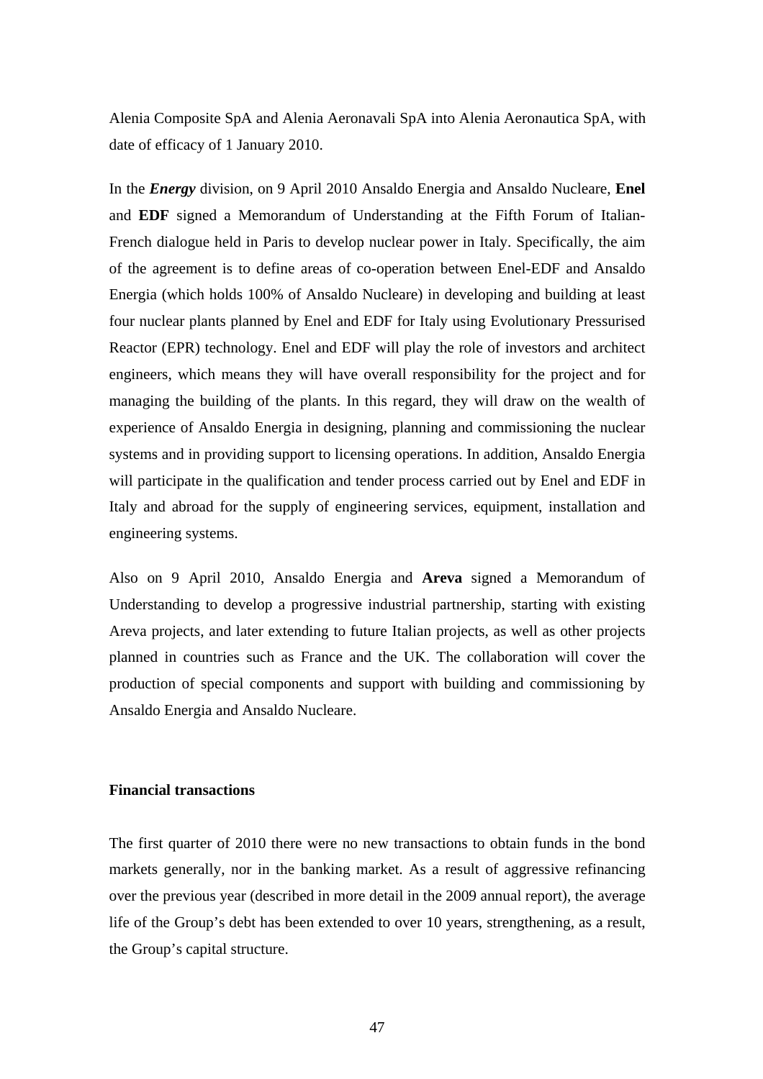Alenia Composite SpA and Alenia Aeronavali SpA into Alenia Aeronautica SpA, with date of efficacy of 1 January 2010.

In the *Energy* division, on 9 April 2010 Ansaldo Energia and Ansaldo Nucleare, **Enel** and **EDF** signed a Memorandum of Understanding at the Fifth Forum of Italian-French dialogue held in Paris to develop nuclear power in Italy. Specifically, the aim of the agreement is to define areas of co-operation between Enel-EDF and Ansaldo Energia (which holds 100% of Ansaldo Nucleare) in developing and building at least four nuclear plants planned by Enel and EDF for Italy using Evolutionary Pressurised Reactor (EPR) technology. Enel and EDF will play the role of investors and architect engineers, which means they will have overall responsibility for the project and for managing the building of the plants. In this regard, they will draw on the wealth of experience of Ansaldo Energia in designing, planning and commissioning the nuclear systems and in providing support to licensing operations. In addition, Ansaldo Energia will participate in the qualification and tender process carried out by Enel and EDF in Italy and abroad for the supply of engineering services, equipment, installation and engineering systems.

Also on 9 April 2010, Ansaldo Energia and **Areva** signed a Memorandum of Understanding to develop a progressive industrial partnership, starting with existing Areva projects, and later extending to future Italian projects, as well as other projects planned in countries such as France and the UK. The collaboration will cover the production of special components and support with building and commissioning by Ansaldo Energia and Ansaldo Nucleare.

#### **Financial transactions**

The first quarter of 2010 there were no new transactions to obtain funds in the bond markets generally, nor in the banking market. As a result of aggressive refinancing over the previous year (described in more detail in the 2009 annual report), the average life of the Group's debt has been extended to over 10 years, strengthening, as a result, the Group's capital structure.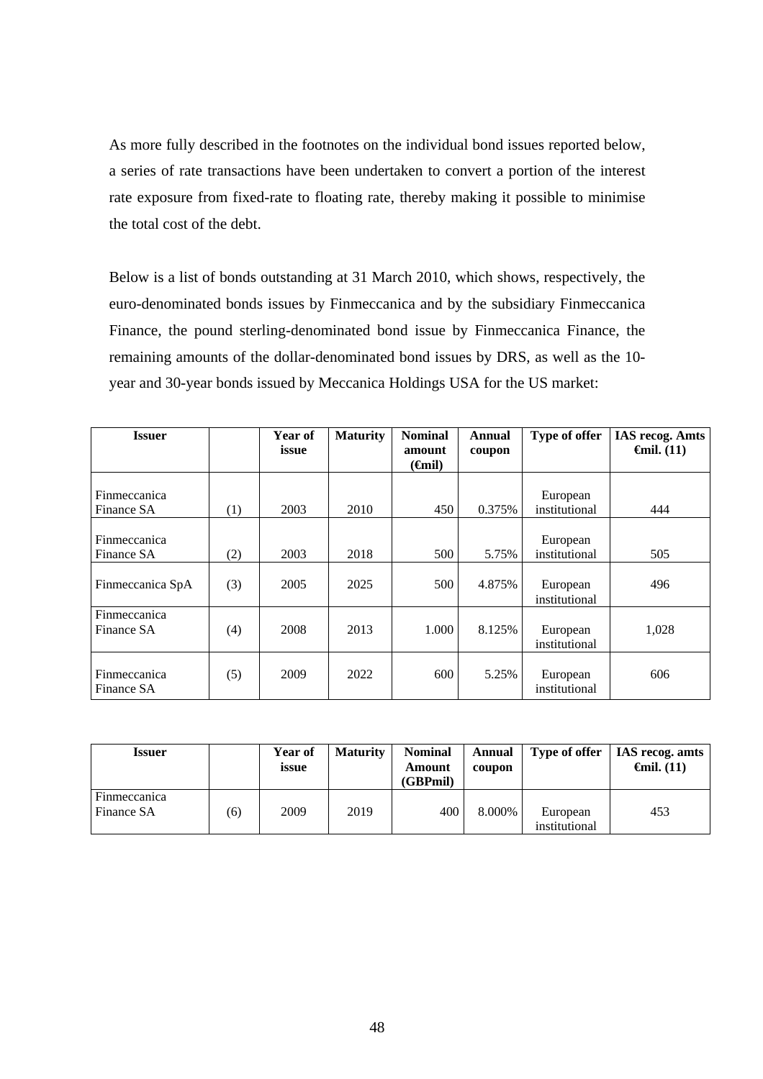As more fully described in the footnotes on the individual bond issues reported below, a series of rate transactions have been undertaken to convert a portion of the interest rate exposure from fixed-rate to floating rate, thereby making it possible to minimise the total cost of the debt.

Below is a list of bonds outstanding at 31 March 2010, which shows, respectively, the euro-denominated bonds issues by Finmeccanica and by the subsidiary Finmeccanica Finance, the pound sterling-denominated bond issue by Finmeccanica Finance, the remaining amounts of the dollar-denominated bond issues by DRS, as well as the 10 year and 30-year bonds issued by Meccanica Holdings USA for the US market:

| <b>Issuer</b>                     |     | Year of | <b>Maturity</b> | <b>Nominal</b>                         | Annual | Type of offer             | <b>IAS recog. Amts</b> |
|-----------------------------------|-----|---------|-----------------|----------------------------------------|--------|---------------------------|------------------------|
|                                   |     | issue   |                 | amount<br>$(\boldsymbol{\text{Gmil}})$ | coupon |                           | $\epsilon$ mil. (11)   |
| <b>Finmeccanica</b><br>Finance SA | (1) | 2003    | 2010            | 450                                    | 0.375% | European<br>institutional | 444                    |
| Finmeccanica<br>Finance SA        | (2) | 2003    | 2018            | 500                                    | 5.75%  | European<br>institutional | 505                    |
| Finmeccanica SpA                  | (3) | 2005    | 2025            | 500                                    | 4.875% | European<br>institutional | 496                    |
| Finmeccanica<br>Finance SA        | (4) | 2008    | 2013            | 1.000                                  | 8.125% | European<br>institutional | 1,028                  |
| Finmeccanica<br>Finance SA        | (5) | 2009    | 2022            | 600                                    | 5.25%  | European<br>institutional | 606                    |

| Issuer                     |     | Year of<br>issue | <b>Maturity</b> | <b>Nominal</b><br>Amount<br>(GBPmil) | <b>Annual</b><br>coupon | Type of offer             | <b>IAS</b> recog. amts<br>$\mathbf{f}$ mil. (11) |
|----------------------------|-----|------------------|-----------------|--------------------------------------|-------------------------|---------------------------|--------------------------------------------------|
| Finmeccanica<br>Finance SA | (6) | 2009             | 2019            | 400                                  | 8.000%                  | European<br>institutional | 453                                              |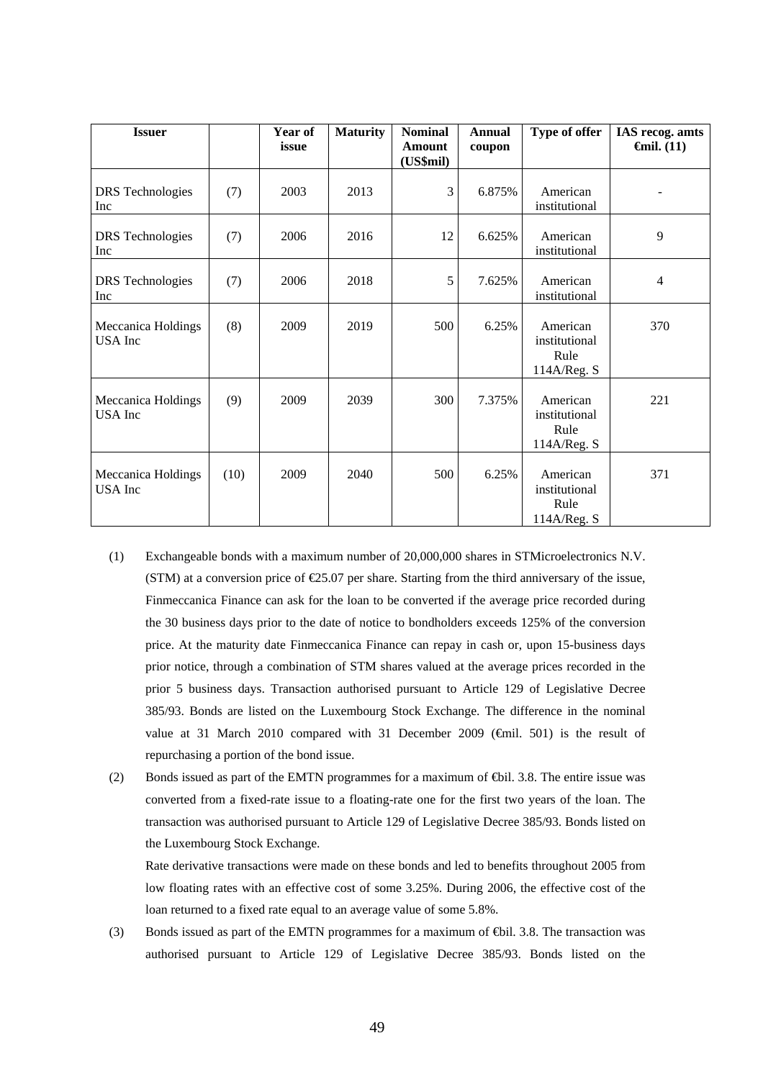| <b>Issuer</b>                  |      | Year of<br>issue | <b>Maturity</b> | <b>Nominal</b><br>Amount<br>(US\$mil) | <b>Annual</b><br>coupon | Type of offer                                    | IAS recog. amts<br>$\boldsymbol{\Theta}$ mil. (11) |
|--------------------------------|------|------------------|-----------------|---------------------------------------|-------------------------|--------------------------------------------------|----------------------------------------------------|
| <b>DRS</b> Technologies<br>Inc | (7)  | 2003             | 2013            | 3                                     | 6.875%                  | American<br>institutional                        |                                                    |
| <b>DRS</b> Technologies<br>Inc | (7)  | 2006             | 2016            | 12                                    | 6.625%                  | American<br>institutional                        | 9                                                  |
| <b>DRS</b> Technologies<br>Inc | (7)  | 2006             | 2018            | 5                                     | 7.625%                  | American<br>institutional                        | $\overline{4}$                                     |
| Meccanica Holdings<br>USA Inc  | (8)  | 2009             | 2019            | 500                                   | 6.25%                   | American<br>institutional<br>Rule<br>114A/Reg. S | 370                                                |
| Meccanica Holdings<br>USA Inc  | (9)  | 2009             | 2039            | 300                                   | 7.375%                  | American<br>institutional<br>Rule<br>114A/Reg. S | 221                                                |
| Meccanica Holdings<br>USA Inc  | (10) | 2009             | 2040            | 500                                   | 6.25%                   | American<br>institutional<br>Rule<br>114A/Reg. S | 371                                                |

- (1) Exchangeable bonds with a maximum number of 20,000,000 shares in STMicroelectronics N.V. (STM) at a conversion price of  $\epsilon$ 25.07 per share. Starting from the third anniversary of the issue, Finmeccanica Finance can ask for the loan to be converted if the average price recorded during the 30 business days prior to the date of notice to bondholders exceeds 125% of the conversion price. At the maturity date Finmeccanica Finance can repay in cash or, upon 15-business days prior notice, through a combination of STM shares valued at the average prices recorded in the prior 5 business days. Transaction authorised pursuant to Article 129 of Legislative Decree 385/93. Bonds are listed on the Luxembourg Stock Exchange. The difference in the nominal value at 31 March 2010 compared with 31 December 2009 ( $\widehat{\text{f}}$ mil. 501) is the result of repurchasing a portion of the bond issue.
- (2) Bonds issued as part of the EMTN programmes for a maximum of €bil. 3.8. The entire issue was converted from a fixed-rate issue to a floating-rate one for the first two years of the loan. The transaction was authorised pursuant to Article 129 of Legislative Decree 385/93. Bonds listed on the Luxembourg Stock Exchange.

Rate derivative transactions were made on these bonds and led to benefits throughout 2005 from low floating rates with an effective cost of some 3.25%. During 2006, the effective cost of the loan returned to a fixed rate equal to an average value of some 5.8%.

(3) Bonds issued as part of the EMTN programmes for a maximum of €bil. 3.8. The transaction was authorised pursuant to Article 129 of Legislative Decree 385/93. Bonds listed on the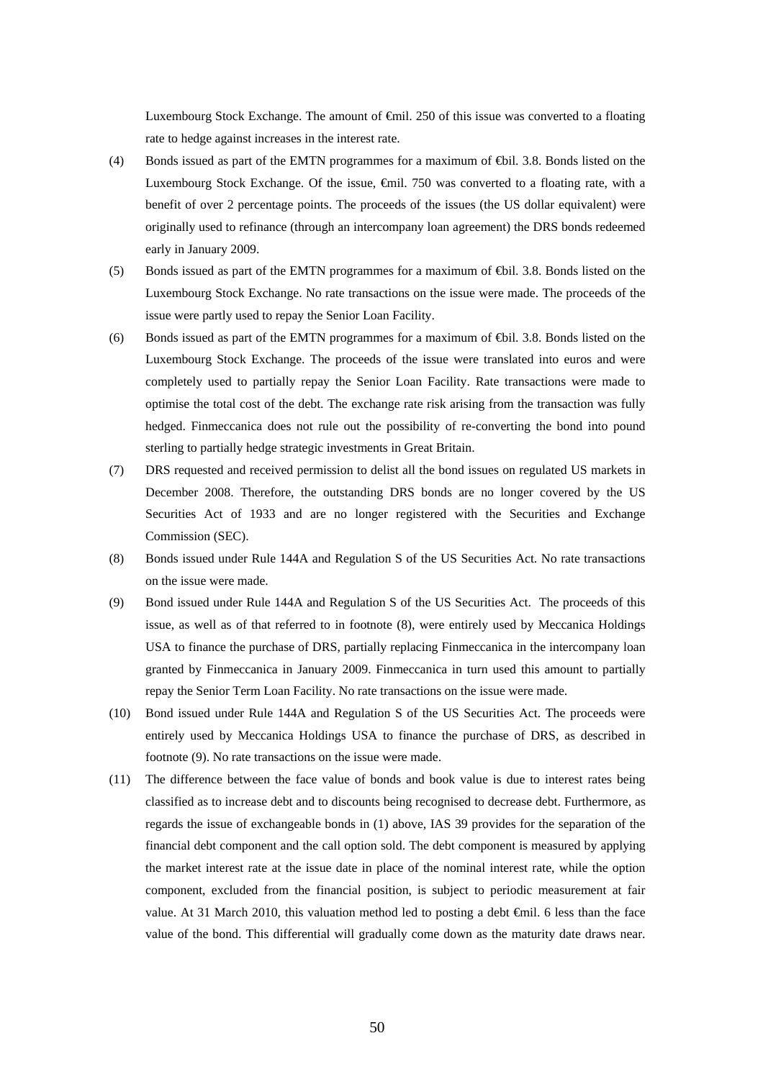Luxembourg Stock Exchange. The amount of €mil. 250 of this issue was converted to a floating rate to hedge against increases in the interest rate.

- (4) Bonds issued as part of the EMTN programmes for a maximum of €bil. 3.8. Bonds listed on the Luxembourg Stock Exchange. Of the issue, €mil. 750 was converted to a floating rate, with a benefit of over 2 percentage points. The proceeds of the issues (the US dollar equivalent) were originally used to refinance (through an intercompany loan agreement) the DRS bonds redeemed early in January 2009.
- (5) Bonds issued as part of the EMTN programmes for a maximum of €bil. 3.8. Bonds listed on the Luxembourg Stock Exchange. No rate transactions on the issue were made. The proceeds of the issue were partly used to repay the Senior Loan Facility.
- (6) Bonds issued as part of the EMTN programmes for a maximum of €bil. 3.8. Bonds listed on the Luxembourg Stock Exchange. The proceeds of the issue were translated into euros and were completely used to partially repay the Senior Loan Facility. Rate transactions were made to optimise the total cost of the debt. The exchange rate risk arising from the transaction was fully hedged. Finmeccanica does not rule out the possibility of re-converting the bond into pound sterling to partially hedge strategic investments in Great Britain.
- (7) DRS requested and received permission to delist all the bond issues on regulated US markets in December 2008. Therefore, the outstanding DRS bonds are no longer covered by the US Securities Act of 1933 and are no longer registered with the Securities and Exchange Commission (SEC).
- (8) Bonds issued under Rule 144A and Regulation S of the US Securities Act. No rate transactions on the issue were made.
- (9) Bond issued under Rule 144A and Regulation S of the US Securities Act. The proceeds of this issue, as well as of that referred to in footnote (8), were entirely used by Meccanica Holdings USA to finance the purchase of DRS, partially replacing Finmeccanica in the intercompany loan granted by Finmeccanica in January 2009. Finmeccanica in turn used this amount to partially repay the Senior Term Loan Facility. No rate transactions on the issue were made.
- (10) Bond issued under Rule 144A and Regulation S of the US Securities Act. The proceeds were entirely used by Meccanica Holdings USA to finance the purchase of DRS, as described in footnote (9). No rate transactions on the issue were made.
- (11) The difference between the face value of bonds and book value is due to interest rates being classified as to increase debt and to discounts being recognised to decrease debt. Furthermore, as regards the issue of exchangeable bonds in (1) above, IAS 39 provides for the separation of the financial debt component and the call option sold. The debt component is measured by applying the market interest rate at the issue date in place of the nominal interest rate, while the option component, excluded from the financial position, is subject to periodic measurement at fair value. At 31 March 2010, this valuation method led to posting a debt  $\oplus$  il. 6 less than the face value of the bond. This differential will gradually come down as the maturity date draws near.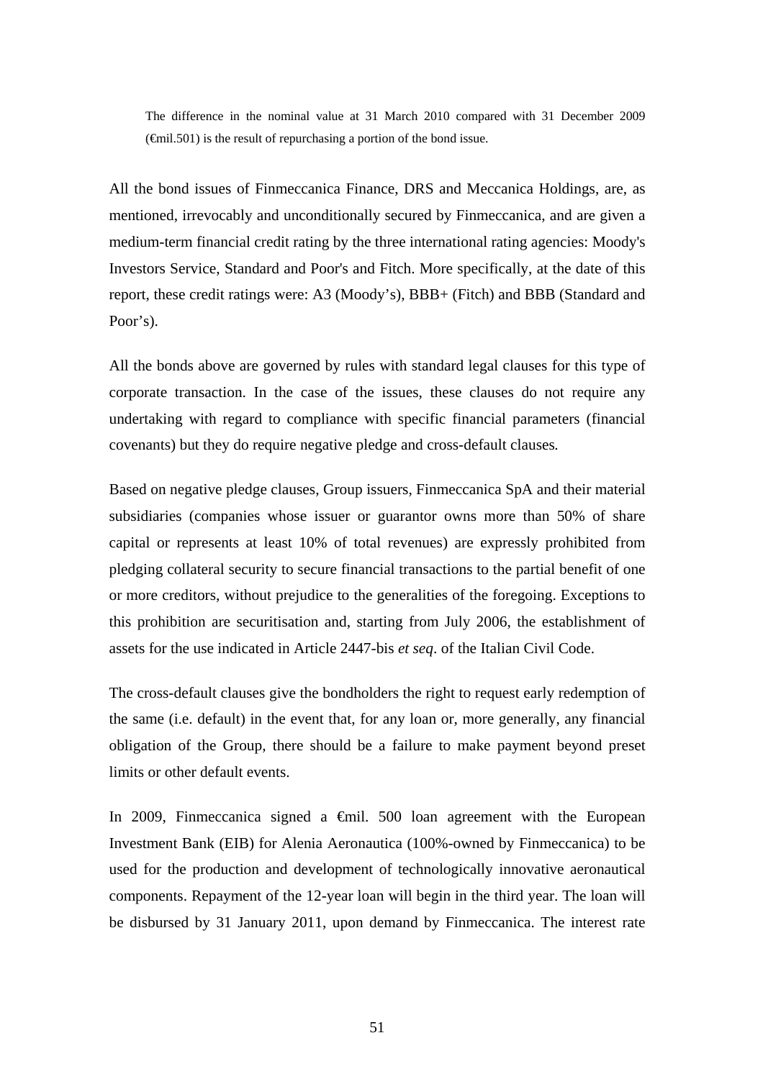The difference in the nominal value at 31 March 2010 compared with 31 December 2009  $(\text{f}-\text{f}-\text{f})$  is the result of repurchasing a portion of the bond issue.

All the bond issues of Finmeccanica Finance, DRS and Meccanica Holdings, are, as mentioned, irrevocably and unconditionally secured by Finmeccanica, and are given a medium-term financial credit rating by the three international rating agencies: Moody's Investors Service, Standard and Poor's and Fitch. More specifically, at the date of this report, these credit ratings were: A3 (Moody's), BBB+ (Fitch) and BBB (Standard and Poor's).

All the bonds above are governed by rules with standard legal clauses for this type of corporate transaction. In the case of the issues, these clauses do not require any undertaking with regard to compliance with specific financial parameters (financial covenants) but they do require negative pledge and cross-default clauses*.*

Based on negative pledge clauses, Group issuers, Finmeccanica SpA and their material subsidiaries (companies whose issuer or guarantor owns more than 50% of share capital or represents at least 10% of total revenues) are expressly prohibited from pledging collateral security to secure financial transactions to the partial benefit of one or more creditors, without prejudice to the generalities of the foregoing. Exceptions to this prohibition are securitisation and, starting from July 2006, the establishment of assets for the use indicated in Article 2447-bis *et seq*. of the Italian Civil Code.

The cross-default clauses give the bondholders the right to request early redemption of the same (i.e. default) in the event that, for any loan or, more generally, any financial obligation of the Group, there should be a failure to make payment beyond preset limits or other default events.

In 2009, Finmeccanica signed a €mil. 500 loan agreement with the European Investment Bank (EIB) for Alenia Aeronautica (100%-owned by Finmeccanica) to be used for the production and development of technologically innovative aeronautical components. Repayment of the 12-year loan will begin in the third year. The loan will be disbursed by 31 January 2011, upon demand by Finmeccanica. The interest rate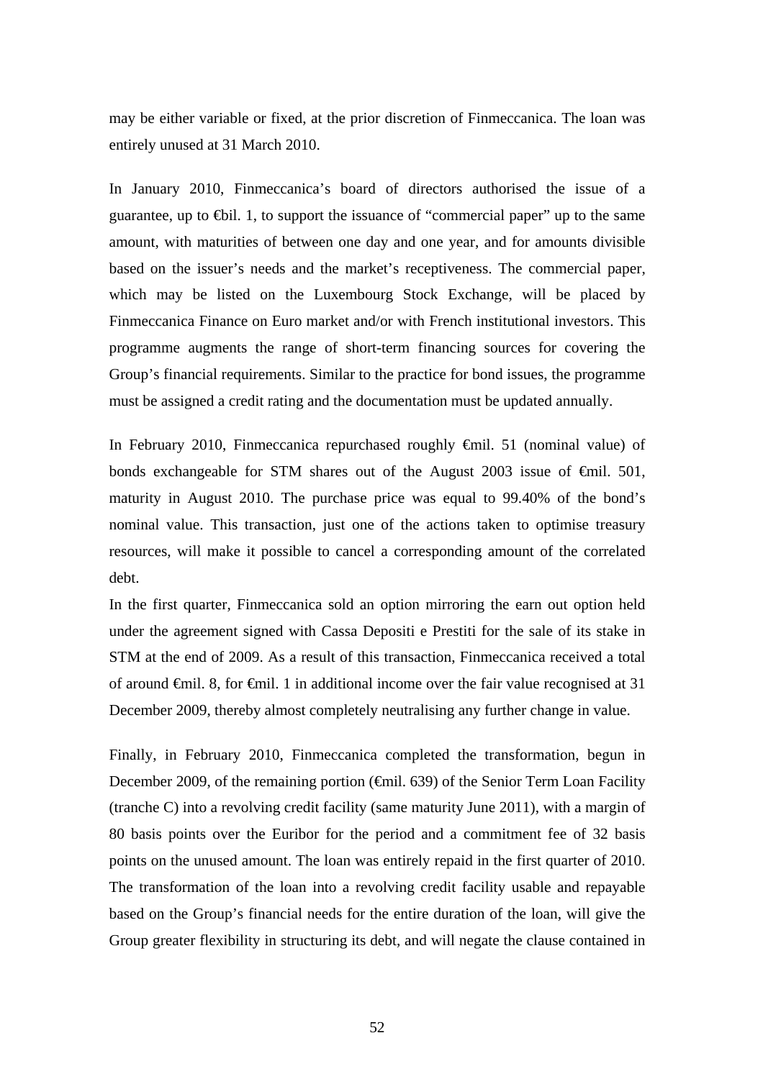may be either variable or fixed, at the prior discretion of Finmeccanica. The loan was entirely unused at 31 March 2010.

In January 2010, Finmeccanica's board of directors authorised the issue of a guarantee, up to  $\bigoplus$ il. 1, to support the issuance of "commercial paper" up to the same amount, with maturities of between one day and one year, and for amounts divisible based on the issuer's needs and the market's receptiveness. The commercial paper, which may be listed on the Luxembourg Stock Exchange, will be placed by Finmeccanica Finance on Euro market and/or with French institutional investors. This programme augments the range of short-term financing sources for covering the Group's financial requirements. Similar to the practice for bond issues, the programme must be assigned a credit rating and the documentation must be updated annually.

In February 2010, Finmeccanica repurchased roughly €mil. 51 (nominal value) of bonds exchangeable for STM shares out of the August 2003 issue of €mil. 501, maturity in August 2010. The purchase price was equal to 99.40% of the bond's nominal value. This transaction, just one of the actions taken to optimise treasury resources, will make it possible to cancel a corresponding amount of the correlated debt.

In the first quarter, Finmeccanica sold an option mirroring the earn out option held under the agreement signed with Cassa Depositi e Prestiti for the sale of its stake in STM at the end of 2009. As a result of this transaction, Finmeccanica received a total of around €mil. 8, for €mil. 1 in additional income over the fair value recognised at 31 December 2009, thereby almost completely neutralising any further change in value.

Finally, in February 2010, Finmeccanica completed the transformation, begun in December 2009, of the remaining portion (€mil. 639) of the Senior Term Loan Facility (tranche C) into a revolving credit facility (same maturity June 2011), with a margin of 80 basis points over the Euribor for the period and a commitment fee of 32 basis points on the unused amount. The loan was entirely repaid in the first quarter of 2010. The transformation of the loan into a revolving credit facility usable and repayable based on the Group's financial needs for the entire duration of the loan, will give the Group greater flexibility in structuring its debt, and will negate the clause contained in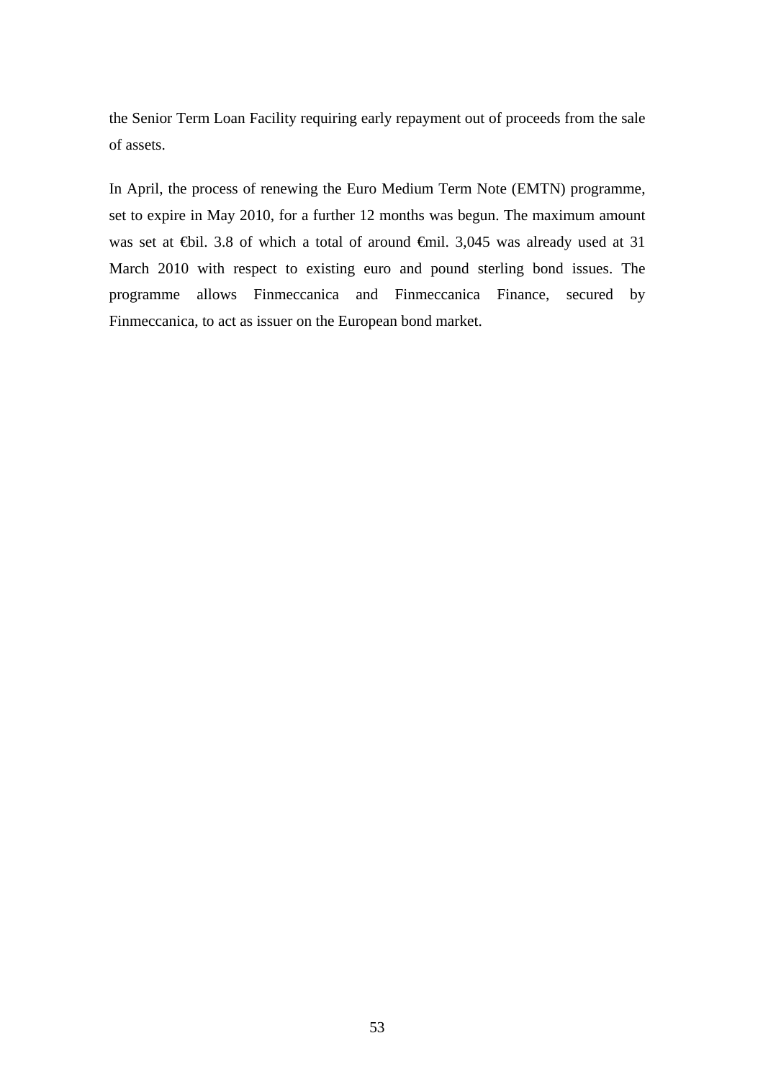the Senior Term Loan Facility requiring early repayment out of proceeds from the sale of assets.

In April, the process of renewing the Euro Medium Term Note (EMTN) programme, set to expire in May 2010, for a further 12 months was begun. The maximum amount was set at ⊕il. 3.8 of which a total of around €mil. 3,045 was already used at 31 March 2010 with respect to existing euro and pound sterling bond issues. The programme allows Finmeccanica and Finmeccanica Finance, secured by Finmeccanica, to act as issuer on the European bond market.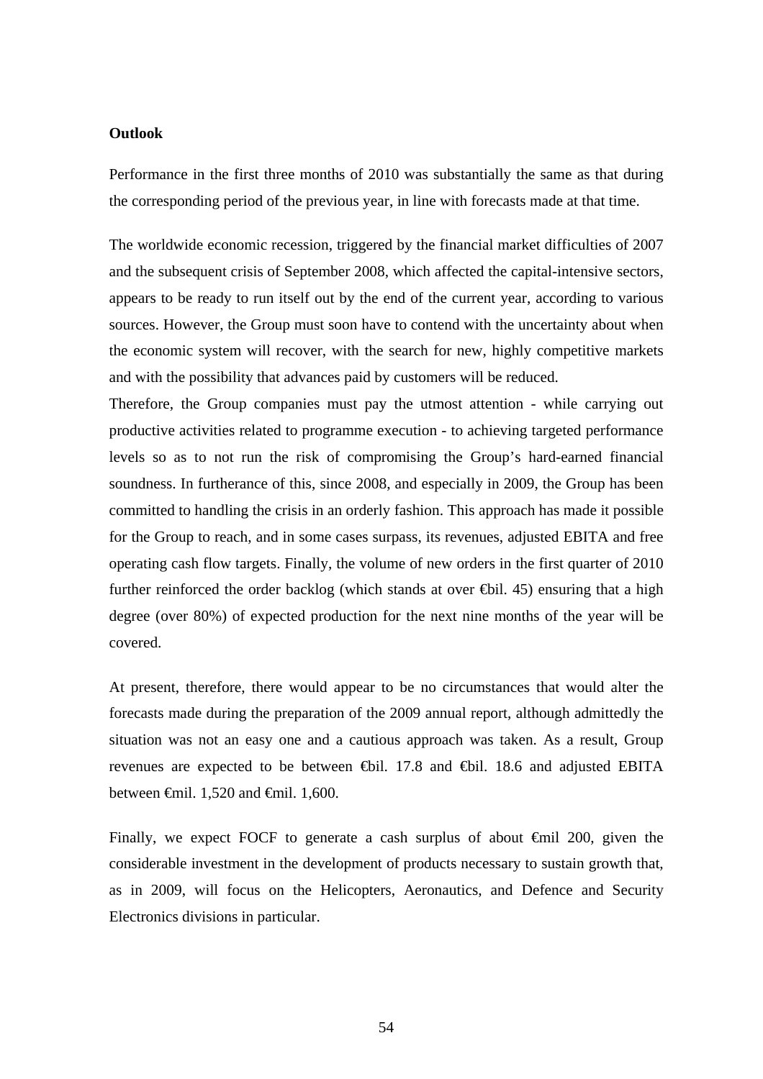#### **Outlook**

Performance in the first three months of 2010 was substantially the same as that during the corresponding period of the previous year, in line with forecasts made at that time.

The worldwide economic recession, triggered by the financial market difficulties of 2007 and the subsequent crisis of September 2008, which affected the capital-intensive sectors, appears to be ready to run itself out by the end of the current year, according to various sources. However, the Group must soon have to contend with the uncertainty about when the economic system will recover, with the search for new, highly competitive markets and with the possibility that advances paid by customers will be reduced.

Therefore, the Group companies must pay the utmost attention - while carrying out productive activities related to programme execution - to achieving targeted performance levels so as to not run the risk of compromising the Group's hard-earned financial soundness. In furtherance of this, since 2008, and especially in 2009, the Group has been committed to handling the crisis in an orderly fashion. This approach has made it possible for the Group to reach, and in some cases surpass, its revenues, adjusted EBITA and free operating cash flow targets. Finally, the volume of new orders in the first quarter of 2010 further reinforced the order backlog (which stands at over  $\bigoplus$  il. 45) ensuring that a high degree (over 80%) of expected production for the next nine months of the year will be covered.

At present, therefore, there would appear to be no circumstances that would alter the forecasts made during the preparation of the 2009 annual report, although admittedly the situation was not an easy one and a cautious approach was taken. As a result, Group revenues are expected to be between €bil. 17.8 and €bil. 18.6 and adjusted EBITA between €mil. 1,520 and €mil. 1,600.

Finally, we expect FOCF to generate a cash surplus of about €mil 200, given the considerable investment in the development of products necessary to sustain growth that, as in 2009, will focus on the Helicopters, Aeronautics, and Defence and Security Electronics divisions in particular.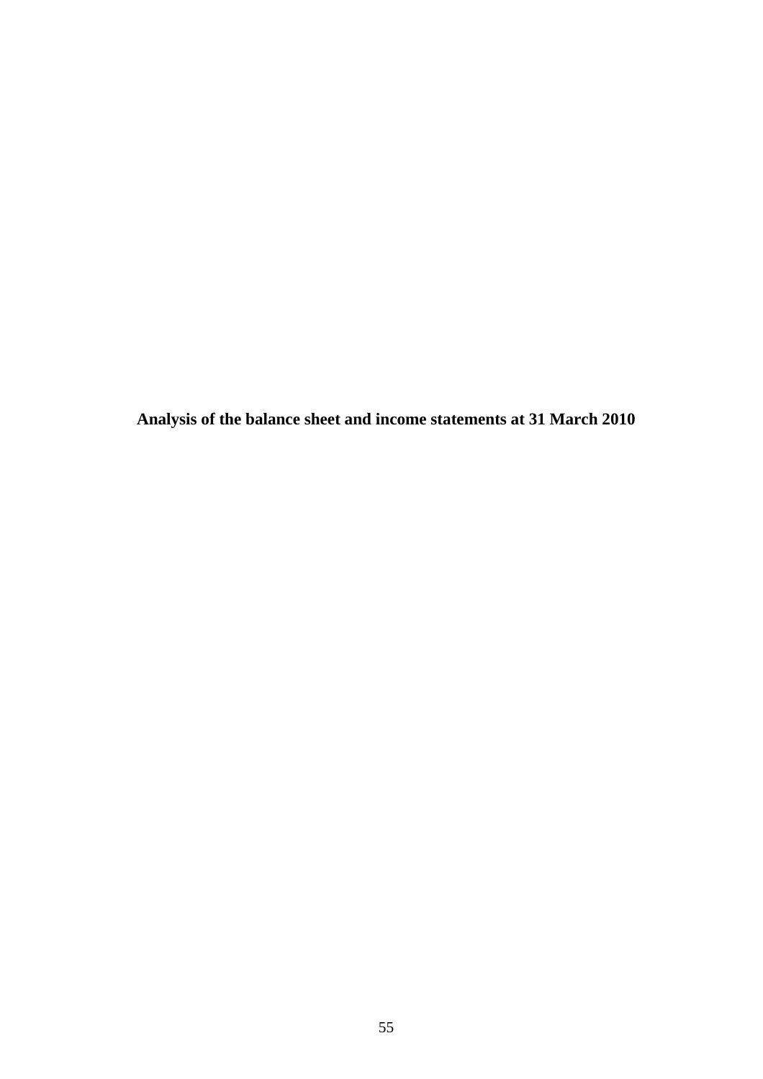**Analysis of the balance sheet and income statements at 31 March 2010**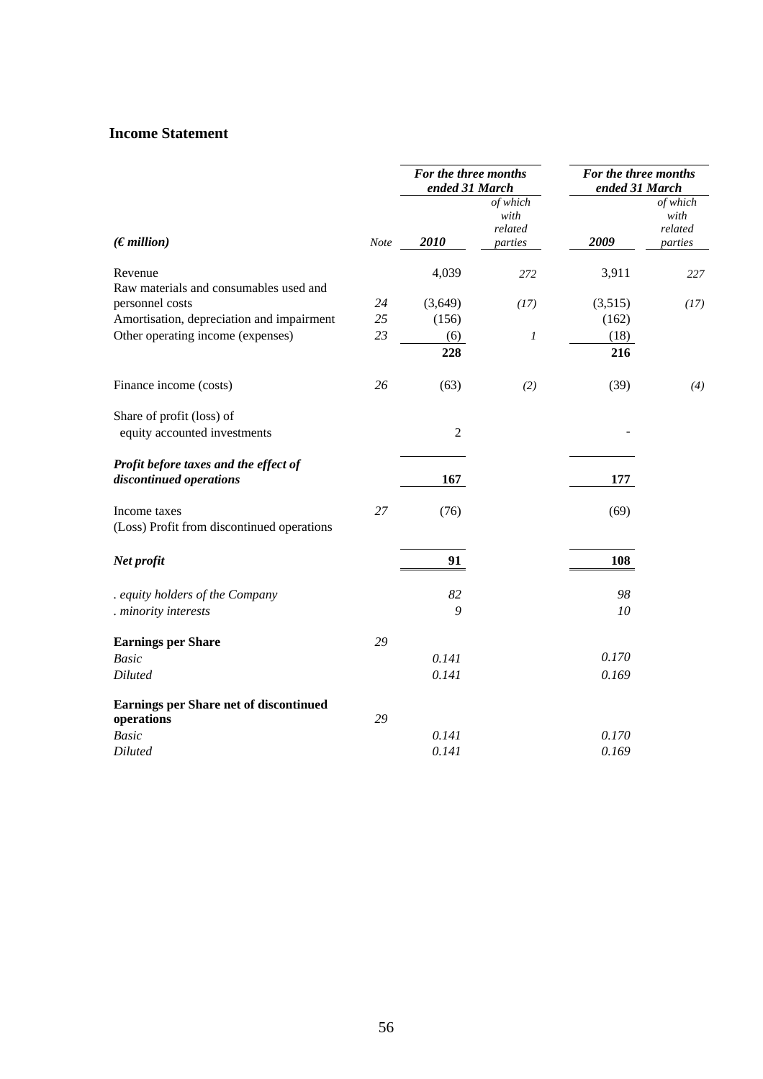## **Income Statement**

|                                                                  |             | For the three months<br>ended 31 March |                                        | For the three months<br>ended 31 March |                                        |
|------------------------------------------------------------------|-------------|----------------------------------------|----------------------------------------|----------------------------------------|----------------------------------------|
| (Emillion)                                                       | <b>Note</b> | 2010                                   | of which<br>with<br>related<br>parties | 2009                                   | of which<br>with<br>related<br>parties |
| Revenue<br>Raw materials and consumables used and                |             | 4,039                                  | 272                                    | 3,911                                  | 227                                    |
| personnel costs                                                  | 24          | (3,649)                                | (17)                                   | (3,515)                                | (17)                                   |
| Amortisation, depreciation and impairment                        | 25          | (156)                                  |                                        | (162)                                  |                                        |
| Other operating income (expenses)                                | 23          | (6)                                    | $\boldsymbol{l}$                       | (18)                                   |                                        |
|                                                                  |             | 228                                    |                                        | 216                                    |                                        |
| Finance income (costs)                                           | 26          | (63)                                   | (2)                                    | (39)                                   | (4)                                    |
| Share of profit (loss) of<br>equity accounted investments        |             | $\overline{2}$                         |                                        |                                        |                                        |
|                                                                  |             |                                        |                                        |                                        |                                        |
| Profit before taxes and the effect of<br>discontinued operations |             | 167                                    |                                        | 177                                    |                                        |
| Income taxes<br>(Loss) Profit from discontinued operations       | 27          | (76)                                   |                                        | (69)                                   |                                        |
| Net profit                                                       |             | 91                                     |                                        | 108                                    |                                        |
| . equity holders of the Company                                  |             | 82                                     |                                        | 98                                     |                                        |
| . minority interests                                             |             | 9                                      |                                        | 10                                     |                                        |
| <b>Earnings per Share</b>                                        | 29          |                                        |                                        |                                        |                                        |
| <b>Basic</b>                                                     |             | 0.141                                  |                                        | 0.170                                  |                                        |
| <b>Diluted</b>                                                   |             | 0.141                                  |                                        | 0.169                                  |                                        |
| Earnings per Share net of discontinued<br>operations             | 29          |                                        |                                        |                                        |                                        |
| <b>Basic</b>                                                     |             | 0.141                                  |                                        | 0.170                                  |                                        |
| <b>Diluted</b>                                                   |             | 0.141                                  |                                        | 0.169                                  |                                        |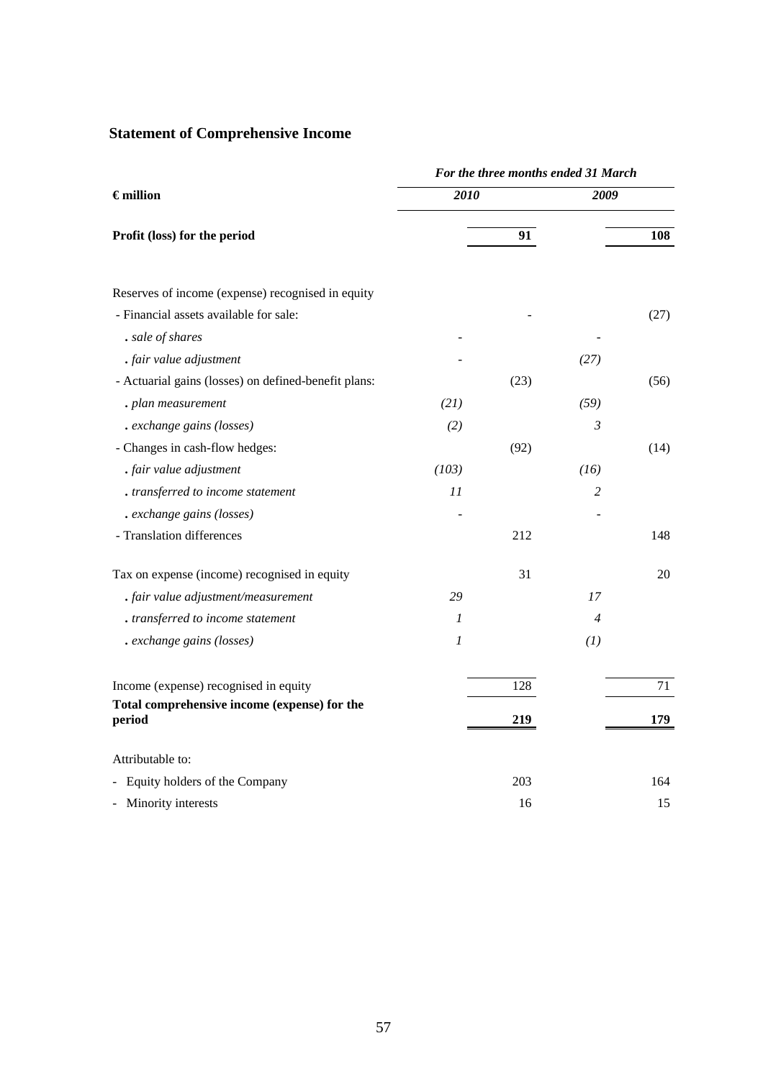# **Statement of Comprehensive Income**

|                                                        | For the three months ended 31 March |      |                |      |  |  |  |
|--------------------------------------------------------|-------------------------------------|------|----------------|------|--|--|--|
| $\epsilon$ million                                     | $201\overline{0}$                   |      | 2009           |      |  |  |  |
| Profit (loss) for the period                           |                                     | 91   |                | 108  |  |  |  |
| Reserves of income (expense) recognised in equity      |                                     |      |                |      |  |  |  |
| - Financial assets available for sale:                 |                                     |      |                | (27) |  |  |  |
| . sale of shares                                       |                                     |      |                |      |  |  |  |
| . fair value adjustment                                |                                     |      | (27)           |      |  |  |  |
| - Actuarial gains (losses) on defined-benefit plans:   |                                     | (23) |                | (56) |  |  |  |
| . plan measurement                                     | (21)                                |      | (59)           |      |  |  |  |
| . exchange gains (losses)                              | (2)                                 |      | $\mathfrak{Z}$ |      |  |  |  |
| - Changes in cash-flow hedges:                         |                                     | (92) |                | (14) |  |  |  |
| . fair value adjustment                                | (103)                               |      | (16)           |      |  |  |  |
| . transferred to income statement                      | 11                                  |      | 2              |      |  |  |  |
| . exchange gains (losses)                              |                                     |      |                |      |  |  |  |
| - Translation differences                              |                                     | 212  |                | 148  |  |  |  |
| Tax on expense (income) recognised in equity           |                                     | 31   |                | 20   |  |  |  |
| . fair value adjustment/measurement                    | 29                                  |      | 17             |      |  |  |  |
| . transferred to income statement                      | 1                                   |      | $\overline{4}$ |      |  |  |  |
| . exchange gains (losses)                              | $\boldsymbol{l}$                    |      | (1)            |      |  |  |  |
| Income (expense) recognised in equity                  |                                     | 128  |                | 71   |  |  |  |
| Total comprehensive income (expense) for the<br>period |                                     | 219  |                | 179  |  |  |  |
| Attributable to:                                       |                                     |      |                |      |  |  |  |
| - Equity holders of the Company                        |                                     | 203  |                | 164  |  |  |  |
| - Minority interests                                   |                                     | 16   |                | 15   |  |  |  |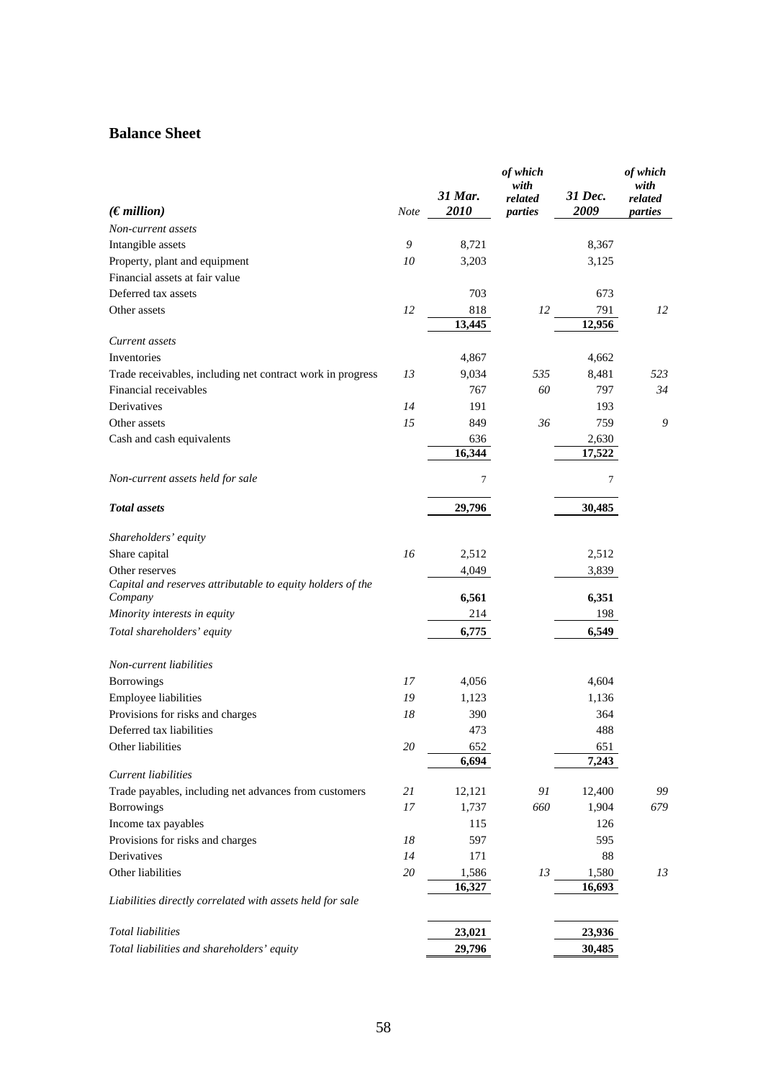## **Balance Sheet**

|                                                                                     |               | 31 Mar.         | of which<br>with<br>related | 31 Dec.         | of which<br>with<br>related |
|-------------------------------------------------------------------------------------|---------------|-----------------|-----------------------------|-----------------|-----------------------------|
| (Emillion)                                                                          | <b>Note</b>   | 2010            | parties                     | 2009            | parties                     |
| Non-current assets                                                                  |               |                 |                             |                 |                             |
| Intangible assets                                                                   | $\mathfrak g$ | 8,721           |                             | 8,367           |                             |
| Property, plant and equipment                                                       | 10            | 3,203           |                             | 3,125           |                             |
| Financial assets at fair value                                                      |               |                 |                             |                 |                             |
| Deferred tax assets                                                                 |               | 703             |                             | 673             |                             |
| Other assets                                                                        | 12            | 818             | 12                          | 791             | 12                          |
|                                                                                     |               | 13,445          |                             | 12,956          |                             |
| Current assets<br>Inventories                                                       |               | 4,867           |                             | 4,662           |                             |
|                                                                                     | 13            | 9,034           | 535                         | 8,481           | 523                         |
| Trade receivables, including net contract work in progress<br>Financial receivables |               |                 | 60                          | 797             | 34                          |
| Derivatives                                                                         |               | 767             |                             |                 |                             |
|                                                                                     | 14            | 191             | 36                          | 193             | 9                           |
| Other assets                                                                        | 15            | 849             |                             | 759             |                             |
| Cash and cash equivalents                                                           |               | 636<br>16,344   |                             | 2,630<br>17,522 |                             |
| Non-current assets held for sale                                                    |               | 7               |                             | 7               |                             |
| <b>Total</b> assets                                                                 |               | 29,796          |                             | 30,485          |                             |
| Shareholders' equity                                                                |               |                 |                             |                 |                             |
| Share capital                                                                       | 16            | 2,512           |                             | 2,512           |                             |
| Other reserves                                                                      |               | 4,049           |                             | 3,839           |                             |
| Capital and reserves attributable to equity holders of the<br>Company               |               | 6,561           |                             | 6,351           |                             |
| Minority interests in equity                                                        |               | 214             |                             | 198             |                             |
| Total shareholders' equity                                                          |               | 6,775           |                             | 6,549           |                             |
| Non-current liabilities                                                             |               |                 |                             |                 |                             |
| Borrowings                                                                          | 17            | 4,056           |                             | 4,604           |                             |
| Employee liabilities                                                                | 19            | 1,123           |                             | 1,136           |                             |
| Provisions for risks and charges                                                    | 18            | 390             |                             | 364             |                             |
| Deferred tax liabilities                                                            |               | 473             |                             | 488             |                             |
| Other liabilities                                                                   | $20\,$        | 652             |                             | 651             |                             |
|                                                                                     |               | 6,694           |                             | 7,243           |                             |
| <b>Current</b> liabilities                                                          |               |                 |                             |                 |                             |
| Trade payables, including net advances from customers                               | 21            | 12,121          | $\mathfrak{g}_I$            | 12,400          | 99                          |
| Borrowings                                                                          | 17            | 1,737           | 660                         | 1,904           | 679                         |
| Income tax payables                                                                 |               | 115             |                             | 126             |                             |
| Provisions for risks and charges                                                    | 18            | 597             |                             | 595             |                             |
| Derivatives                                                                         | 14            | 171             |                             | 88              |                             |
| Other liabilities                                                                   | $20\,$        | 1,586<br>16,327 | 13                          | 1,580<br>16,693 | 13                          |
| Liabilities directly correlated with assets held for sale                           |               |                 |                             |                 |                             |
| <b>Total liabilities</b>                                                            |               | 23,021          |                             | 23,936          |                             |
| Total liabilities and shareholders' equity                                          |               | 29,796          |                             | 30,485          |                             |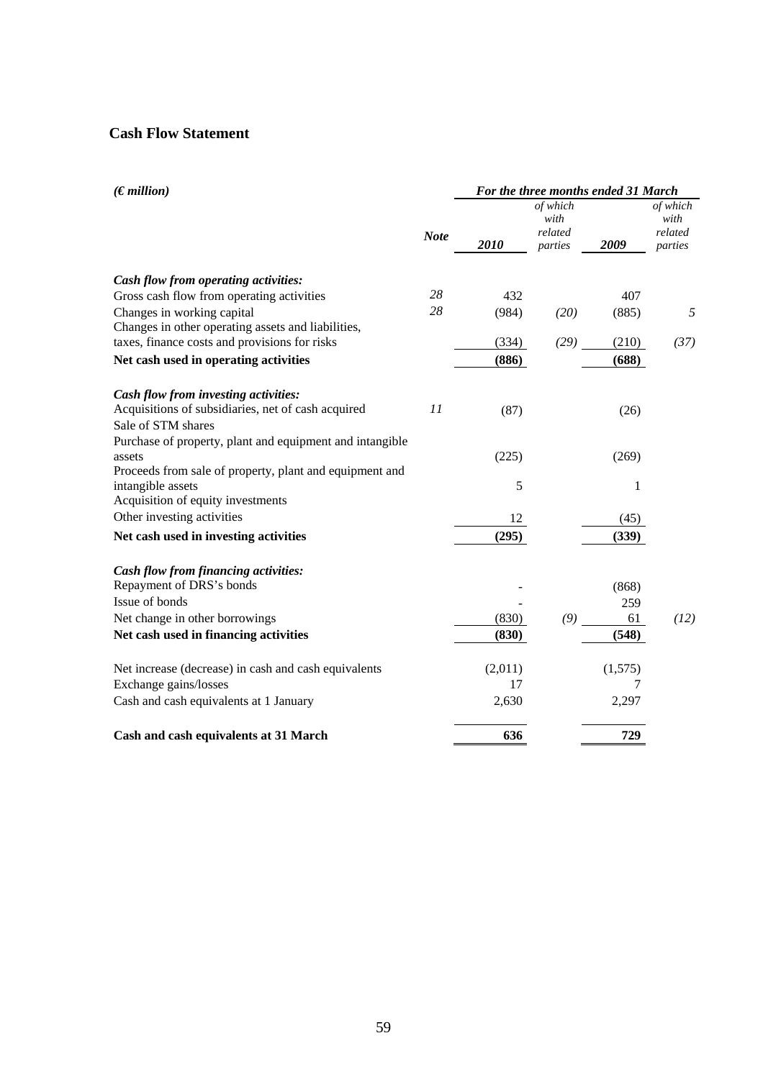## **Cash Flow Statement**

| (Emillion)                                                      |             | For the three months ended 31 March |                                        |         |                                        |  |
|-----------------------------------------------------------------|-------------|-------------------------------------|----------------------------------------|---------|----------------------------------------|--|
|                                                                 | <b>Note</b> | 2010                                | of which<br>with<br>related<br>parties | 2009    | of which<br>with<br>related<br>parties |  |
| Cash flow from operating activities:                            |             |                                     |                                        |         |                                        |  |
| Gross cash flow from operating activities                       | 28          | 432                                 |                                        | 407     |                                        |  |
| Changes in working capital                                      | 28          | (984)                               | (20)                                   | (885)   | 5                                      |  |
| Changes in other operating assets and liabilities,              |             |                                     |                                        |         |                                        |  |
| taxes, finance costs and provisions for risks                   |             | (334)                               | (29)                                   | (210)   | (37)                                   |  |
| Net cash used in operating activities                           |             | (886)                               |                                        | (688)   |                                        |  |
| Cash flow from investing activities:                            |             |                                     |                                        |         |                                        |  |
| Acquisitions of subsidiaries, net of cash acquired              | 11          | (87)                                |                                        | (26)    |                                        |  |
| Sale of STM shares                                              |             |                                     |                                        |         |                                        |  |
| Purchase of property, plant and equipment and intangible        |             |                                     |                                        |         |                                        |  |
| assets                                                          |             | (225)                               |                                        | (269)   |                                        |  |
| Proceeds from sale of property, plant and equipment and         |             |                                     |                                        |         |                                        |  |
| intangible assets                                               |             | 5                                   |                                        | 1       |                                        |  |
| Acquisition of equity investments<br>Other investing activities |             |                                     |                                        |         |                                        |  |
|                                                                 |             | 12                                  |                                        | (45)    |                                        |  |
| Net cash used in investing activities                           |             | (295)                               |                                        | (339)   |                                        |  |
| Cash flow from financing activities:                            |             |                                     |                                        |         |                                        |  |
| Repayment of DRS's bonds                                        |             |                                     |                                        | (868)   |                                        |  |
| Issue of bonds                                                  |             |                                     |                                        | 259     |                                        |  |
| Net change in other borrowings                                  |             | (830)                               | (9)                                    | 61      | (12)                                   |  |
| Net cash used in financing activities                           |             | (830)                               |                                        | (548)   |                                        |  |
| Net increase (decrease) in cash and cash equivalents            |             | (2,011)                             |                                        | (1,575) |                                        |  |
| Exchange gains/losses                                           |             | 17                                  |                                        | 7       |                                        |  |
| Cash and cash equivalents at 1 January                          |             | 2,630                               |                                        | 2,297   |                                        |  |
| Cash and cash equivalents at 31 March                           |             | 636                                 |                                        | 729     |                                        |  |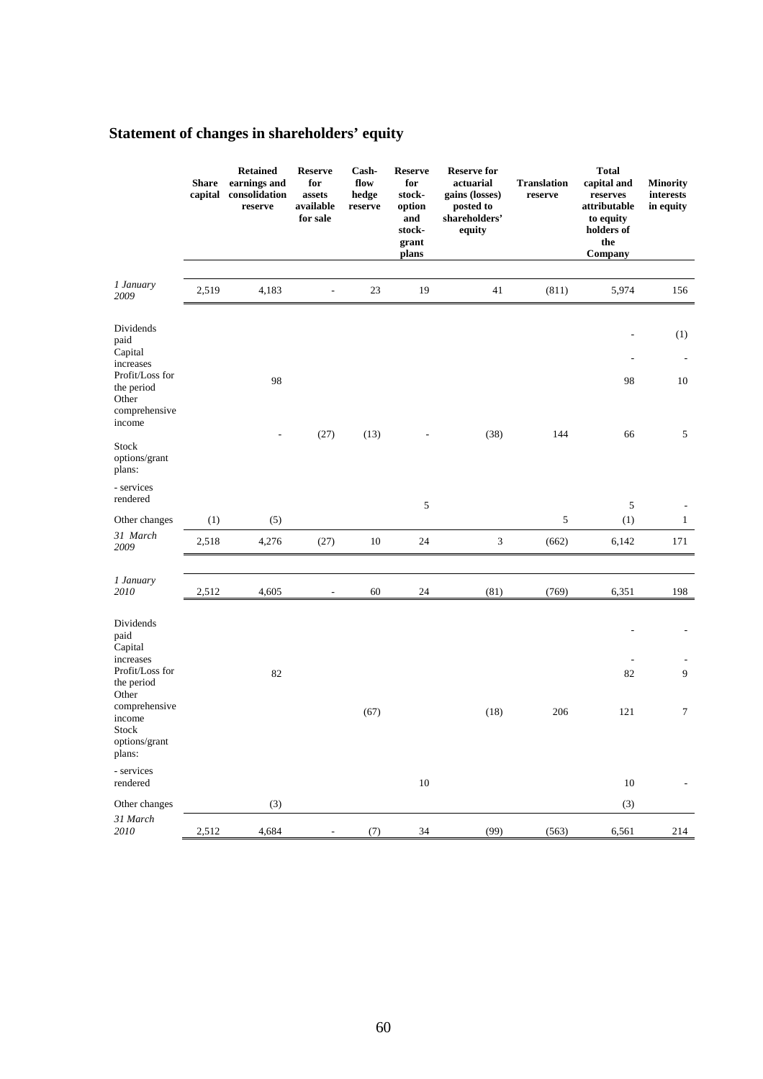# **Statement of changes in shareholders' equity**

|                                                                                       | <b>Share</b><br>capital | <b>Retained</b><br>earnings and<br>consolidation<br>reserve | <b>Reserve</b><br>for<br>assets<br>available<br>for sale | Cash-<br>flow<br>hedge<br>reserve | <b>Reserve</b><br>for<br>stock-<br>option<br>and<br>stock-<br>grant<br>plans | <b>Reserve for</b><br>actuarial<br>gains (losses)<br>posted to<br>shareholders'<br>equity | <b>Translation</b><br>reserve | <b>Total</b><br>capital and<br>reserves<br>attributable<br>to equity<br>holders of<br>the<br>Company | <b>Minority</b><br>interests<br>in equity |
|---------------------------------------------------------------------------------------|-------------------------|-------------------------------------------------------------|----------------------------------------------------------|-----------------------------------|------------------------------------------------------------------------------|-------------------------------------------------------------------------------------------|-------------------------------|------------------------------------------------------------------------------------------------------|-------------------------------------------|
| 1 January<br>2009                                                                     | 2,519                   | 4,183                                                       |                                                          | 23                                | 19                                                                           | 41                                                                                        | (811)                         | 5,974                                                                                                | 156                                       |
| Dividends<br>paid<br>Capital<br>increases<br>Profit/Loss for<br>the period            |                         | 98                                                          |                                                          |                                   |                                                                              |                                                                                           |                               | 98                                                                                                   | (1)<br>10                                 |
| Other<br>comprehensive<br>income<br>Stock<br>options/grant<br>plans:                  |                         |                                                             | (27)                                                     | (13)                              |                                                                              | (38)                                                                                      | 144                           | 66                                                                                                   | 5                                         |
| - services<br>rendered                                                                |                         |                                                             |                                                          |                                   | 5                                                                            |                                                                                           |                               | 5                                                                                                    |                                           |
| Other changes                                                                         | (1)                     | (5)                                                         |                                                          |                                   |                                                                              |                                                                                           | 5                             | (1)                                                                                                  | $\mathbf{1}$                              |
| 31 March<br>2009                                                                      | 2,518                   | 4,276                                                       | (27)                                                     | 10                                | 24                                                                           | $\ensuremath{\mathfrak{Z}}$                                                               | (662)                         | 6,142                                                                                                | 171                                       |
| 1 January<br>2010                                                                     | 2,512                   | 4,605                                                       | $\overline{\phantom{a}}$                                 | 60                                | 24                                                                           | (81)                                                                                      | (769)                         | 6,351                                                                                                | 198                                       |
| Dividends<br>paid<br>Capital<br>increases<br>Profit/Loss for<br>the period<br>Other   |                         | 82                                                          |                                                          |                                   |                                                                              |                                                                                           |                               | 82                                                                                                   | 9                                         |
| comprehensive<br>income<br>Stock<br>options/grant<br>plans:<br>- services<br>rendered |                         |                                                             |                                                          | (67)                              | $10\,$                                                                       | (18)                                                                                      | 206                           | 121<br>$10\,$                                                                                        | 7                                         |
| Other changes                                                                         |                         | (3)                                                         |                                                          |                                   |                                                                              |                                                                                           |                               | (3)                                                                                                  |                                           |
| 31 March<br>2010                                                                      | 2,512                   | 4,684                                                       |                                                          | (7)                               | 34                                                                           | (99)                                                                                      | (563)                         | 6,561                                                                                                | 214                                       |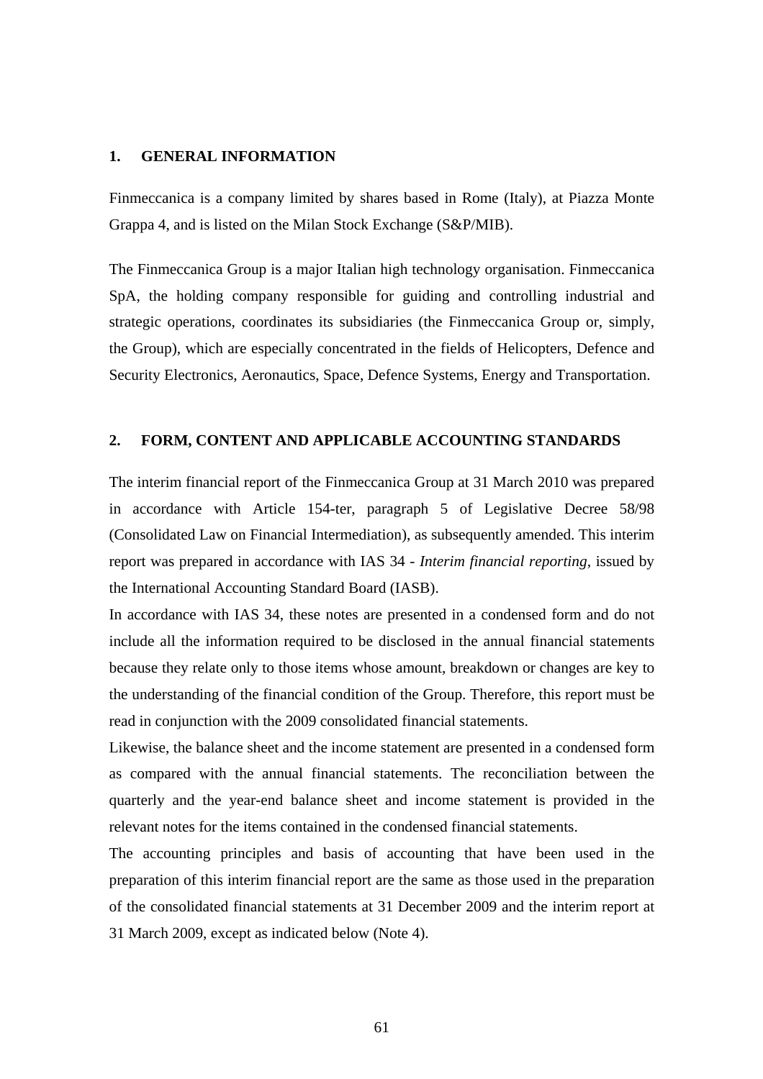#### **1. GENERAL INFORMATION**

Finmeccanica is a company limited by shares based in Rome (Italy), at Piazza Monte Grappa 4, and is listed on the Milan Stock Exchange (S&P/MIB).

The Finmeccanica Group is a major Italian high technology organisation. Finmeccanica SpA, the holding company responsible for guiding and controlling industrial and strategic operations, coordinates its subsidiaries (the Finmeccanica Group or, simply, the Group), which are especially concentrated in the fields of Helicopters, Defence and Security Electronics, Aeronautics, Space, Defence Systems, Energy and Transportation.

#### **2. FORM, CONTENT AND APPLICABLE ACCOUNTING STANDARDS**

The interim financial report of the Finmeccanica Group at 31 March 2010 was prepared in accordance with Article 154-ter, paragraph 5 of Legislative Decree 58/98 (Consolidated Law on Financial Intermediation), as subsequently amended. This interim report was prepared in accordance with IAS 34 - *Interim financial reporting*, issued by the International Accounting Standard Board (IASB).

In accordance with IAS 34, these notes are presented in a condensed form and do not include all the information required to be disclosed in the annual financial statements because they relate only to those items whose amount, breakdown or changes are key to the understanding of the financial condition of the Group. Therefore, this report must be read in conjunction with the 2009 consolidated financial statements.

Likewise, the balance sheet and the income statement are presented in a condensed form as compared with the annual financial statements. The reconciliation between the quarterly and the year-end balance sheet and income statement is provided in the relevant notes for the items contained in the condensed financial statements.

The accounting principles and basis of accounting that have been used in the preparation of this interim financial report are the same as those used in the preparation of the consolidated financial statements at 31 December 2009 and the interim report at 31 March 2009, except as indicated below (Note 4).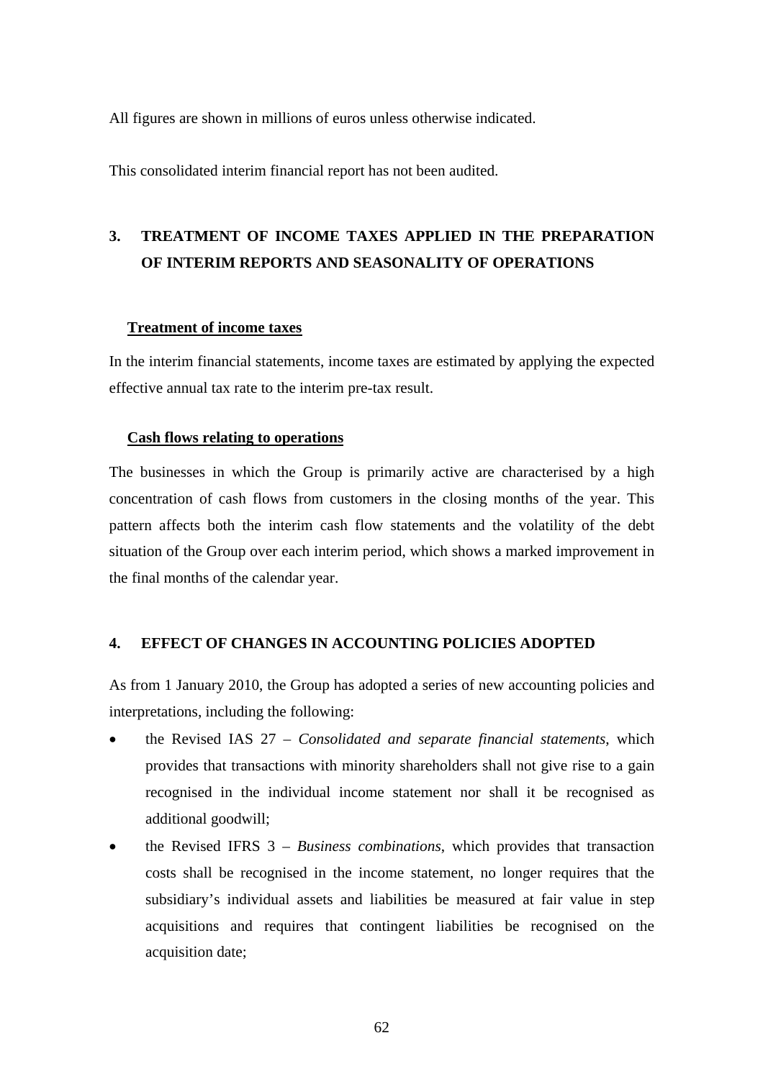All figures are shown in millions of euros unless otherwise indicated.

This consolidated interim financial report has not been audited.

# **3. TREATMENT OF INCOME TAXES APPLIED IN THE PREPARATION OF INTERIM REPORTS AND SEASONALITY OF OPERATIONS**

## **Treatment of income taxes**

In the interim financial statements, income taxes are estimated by applying the expected effective annual tax rate to the interim pre-tax result.

#### **Cash flows relating to operations**

The businesses in which the Group is primarily active are characterised by a high concentration of cash flows from customers in the closing months of the year. This pattern affects both the interim cash flow statements and the volatility of the debt situation of the Group over each interim period, which shows a marked improvement in the final months of the calendar year.

## **4. EFFECT OF CHANGES IN ACCOUNTING POLICIES ADOPTED**

As from 1 January 2010, the Group has adopted a series of new accounting policies and interpretations, including the following:

- the Revised IAS 27 *Consolidated and separate financial statements*, which provides that transactions with minority shareholders shall not give rise to a gain recognised in the individual income statement nor shall it be recognised as additional goodwill;
- the Revised IFRS 3 *Business combinations*, which provides that transaction costs shall be recognised in the income statement, no longer requires that the subsidiary's individual assets and liabilities be measured at fair value in step acquisitions and requires that contingent liabilities be recognised on the acquisition date;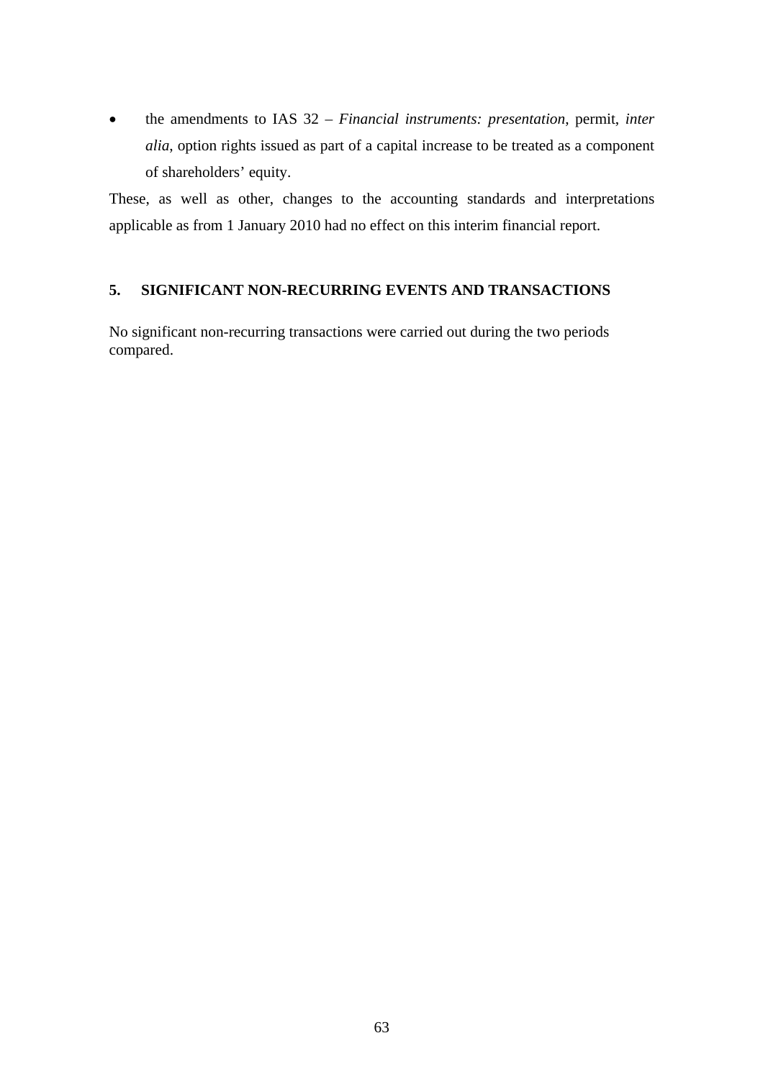• the amendments to IAS 32 – *Financial instruments: presentation*, permit, *inter alia*, option rights issued as part of a capital increase to be treated as a component of shareholders' equity.

These, as well as other, changes to the accounting standards and interpretations applicable as from 1 January 2010 had no effect on this interim financial report.

## **5. SIGNIFICANT NON-RECURRING EVENTS AND TRANSACTIONS**

No significant non-recurring transactions were carried out during the two periods compared.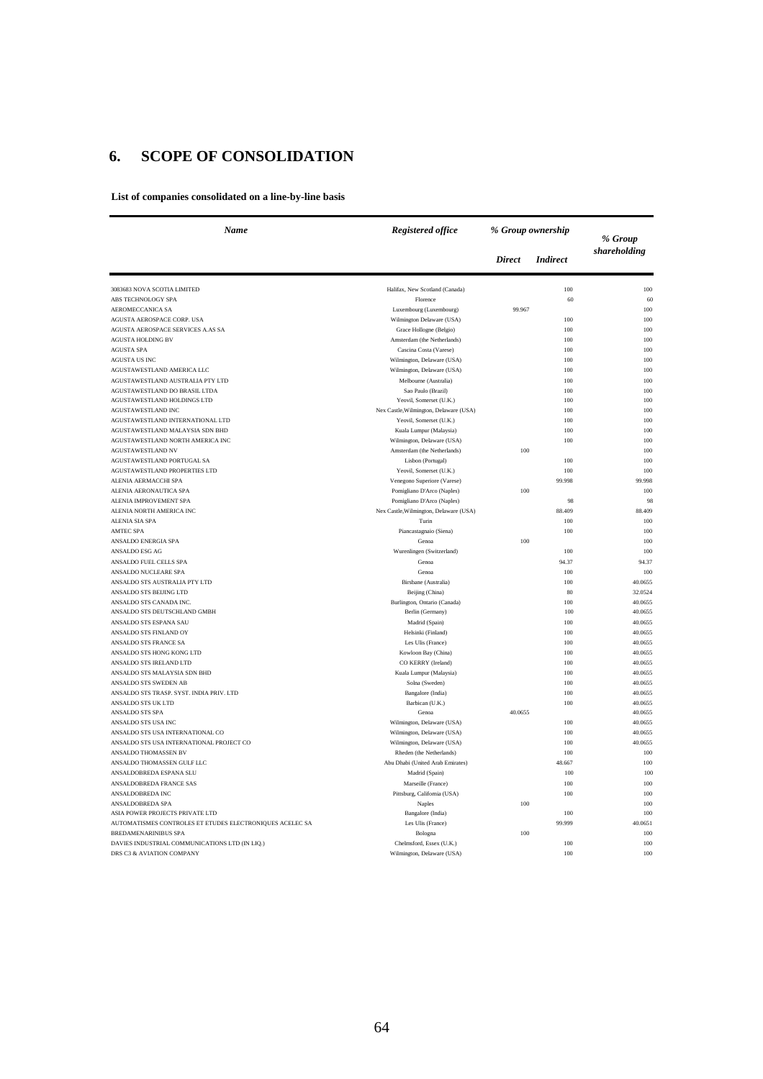## **6. SCOPE OF CONSOLIDATION**

**List of companies consolidated on a line-by-line basis**

| Name                                                      | <b>Registered office</b>                                     | % Group ownership |                 | % Group      |
|-----------------------------------------------------------|--------------------------------------------------------------|-------------------|-----------------|--------------|
|                                                           |                                                              | <b>Direct</b>     | <b>Indirect</b> | shareholding |
| 3083683 NOVA SCOTIA LIMITED                               | Halifax, New Scotland (Canada)                               |                   | 100             | 100          |
| ABS TECHNOLOGY SPA                                        | Florence                                                     |                   | 60              | 60           |
| AEROMECCANICA SA                                          | Luxembourg (Luxembourg)                                      | 99.967            |                 | 100          |
| AGUSTA AEROSPACE CORP. USA                                | Wilmington Delaware (USA)                                    |                   | 100             | 100          |
| AGUSTA AEROSPACE SERVICES A.AS SA                         | Grace Hollogne (Belgio)                                      |                   | 100             | 100          |
| <b>AGUSTA HOLDING BV</b>                                  | Amsterdam (the Netherlands)                                  |                   | 100             | 100          |
| <b>AGUSTA SPA</b>                                         | Cascina Costa (Varese)                                       |                   | 100             | 100          |
| <b>AGUSTA US INC</b>                                      | Wilmington, Delaware (USA)                                   |                   | 100             | 100          |
| AGUSTAWESTLAND AMERICA LLC                                | Wilmington, Delaware (USA)                                   |                   | 100             | 100          |
| AGUSTAWESTLAND AUSTRALIA PTY LTD                          | Melbourne (Australia)                                        |                   | 100             | 100          |
| AGUSTAWESTLAND DO BRASIL LTDA                             | Sao Paulo (Brazil)                                           |                   | 100             | 100          |
| AGUSTAWESTLAND HOLDINGS LTD                               | Yeovil, Somerset (U.K.)                                      |                   | 100             | 100          |
| AGUSTAWESTLAND INC<br>AGUSTAWESTLAND INTERNATIONAL LTD    | Nex Castle, Wilmington, Delaware (USA)                       |                   | 100<br>100      | 100<br>100   |
| AGUSTAWESTLAND MALAYSIA SDN BHD                           | Yeovil, Somerset (U.K.)<br>Kuala Lumpur (Malaysia)           |                   | 100             | 100          |
| AGUSTAWESTLAND NORTH AMERICA INC                          | Wilmington, Delaware (USA)                                   |                   | 100             | 100          |
| <b>AGUSTAWESTLAND NV</b>                                  | Amsterdam (the Netherlands)                                  | 100               |                 | 100          |
| AGUSTAWESTLAND PORTUGAL SA                                | Lisbon (Portugal)                                            |                   | 100             | 100          |
| AGUSTAWESTLAND PROPERTIES LTD                             | Yeovil, Somerset (U.K.)                                      |                   | 100             | 100          |
| ALENIA AERMACCHI SPA                                      | Venegono Superiore (Varese)                                  |                   | 99.998          | 99.998       |
| ALENIA AERONAUTICA SPA                                    | Pomigliano D'Arco (Naples)                                   | 100               |                 | 100          |
| ALENIA IMPROVEMENT SPA                                    | Pomigliano D'Arco (Naples)                                   |                   | 98              | 98           |
| ALENIA NORTH AMERICA INC                                  | Nex Castle, Wilmington, Delaware (USA)                       |                   | 88.409          | 88.409       |
| <b>ALENIA SIA SPA</b>                                     | Turin                                                        |                   | 100             | 100          |
| <b>AMTEC SPA</b>                                          | Piancastagnaio (Siena)                                       |                   | 100             | 100          |
| ANSALDO ENERGIA SPA                                       | Genoa                                                        | 100               |                 | 100          |
| <b>ANSALDO ESG AG</b>                                     | Wurenlingen (Switzerland)                                    |                   | 100             | 100          |
| ANSALDO FUEL CELLS SPA                                    | Genoa                                                        |                   | 94.37           | 94.37        |
| ANSALDO NUCLEARE SPA                                      | Genoa                                                        |                   | 100             | 100          |
| ANSALDO STS AUSTRALIA PTY LTD                             | Birsbane (Australia)                                         |                   | 100             | 40.0655      |
| ANSALDO STS BEIJING LTD                                   | Beijing (China)                                              |                   | 80              | 32.0524      |
| ANSALDO STS CANADA INC.                                   | Burlington, Ontario (Canada)                                 |                   | 100             | 40.0655      |
| ANSALDO STS DEUTSCHLAND GMBH                              | Berlin (Germany)                                             |                   | 100             | 40.0655      |
| ANSALDO STS ESPANA SAU                                    | Madrid (Spain)                                               |                   | 100             | 40.0655      |
| ANSALDO STS FINLAND OY                                    | Helsinki (Finland)                                           |                   | 100             | 40.0655      |
| ANSALDO STS FRANCE SA                                     | Les Ulis (France)                                            |                   | 100             | 40.0655      |
| ANSALDO STS HONG KONG LTD                                 | Kowloon Bay (China)                                          |                   | 100             | 40.0655      |
| ANSALDO STS IRELAND LTD                                   | CO KERRY (Ireland)                                           |                   | 100             | 40.0655      |
| ANSALDO STS MALAYSIA SDN BHD                              | Kuala Lumpur (Malaysia)                                      |                   | 100             | 40.0655      |
| ANSALDO STS SWEDEN AB                                     | Solna (Sweden)                                               |                   | 100             | 40.0655      |
| ANSALDO STS TRASP. SYST. INDIA PRIV. LTD                  | Bangalore (India)                                            |                   | 100             | 40.0655      |
| ANSALDO STS UK LTD                                        | Barbican (U.K.)                                              |                   | 100             | 40.0655      |
| ANSALDO STS SPA                                           | Genoa                                                        | 40.0655           |                 | 40.0655      |
| ANSALDO STS USA INC                                       | Wilmington, Delaware (USA)                                   |                   | 100             | 40.0655      |
| ANSALDO STS USA INTERNATIONAL CO                          | Wilmington, Delaware (USA)                                   |                   | 100             | 40.0655      |
| ANSALDO STS USA INTERNATIONAL PROJECT CO                  | Wilmington, Delaware (USA)                                   |                   | 100             | 40.0655      |
| <b>ANSALDO THOMASSEN BV</b><br>ANSALDO THOMASSEN GULF LLC | Rheden (the Netherlands)<br>Abu Dhabi (United Arab Emirates) |                   | 100<br>48.667   | 100<br>100   |
| ANSALDOBREDA ESPANA SLU                                   | Madrid (Spain)                                               |                   | 100             | 100          |
|                                                           |                                                              |                   |                 | 100          |
| ANSALDOBREDA FRANCE SAS<br>ANSALDOBREDA INC               | Marseille (France)<br>Pittsburg, California (USA)            |                   | 100<br>100      | 100          |
| ANSALDOBREDA SPA                                          | <b>Naples</b>                                                | 100               |                 | 100          |
| ASIA POWER PROJECTS PRIVATE LTD                           | Bangalore (India)                                            |                   | 100             | 100          |
| AUTOMATISMES CONTROLES ET ETUDES ELECTRONIQUES ACELEC SA  | Les Ulis (France)                                            |                   | 99.999          | 40.0651      |
| <b>BREDAMENARINIBUS SPA</b>                               | Bologna                                                      | 100               |                 | 100          |
| DAVIES INDUSTRIAL COMMUNICATIONS LTD (IN LIQ.)            | Chelmsford, Essex (U.K.)                                     |                   | 100             | 100          |
| DRS C3 & AVIATION COMPANY                                 | Wilmington, Delaware (USA)                                   |                   | 100             | 100          |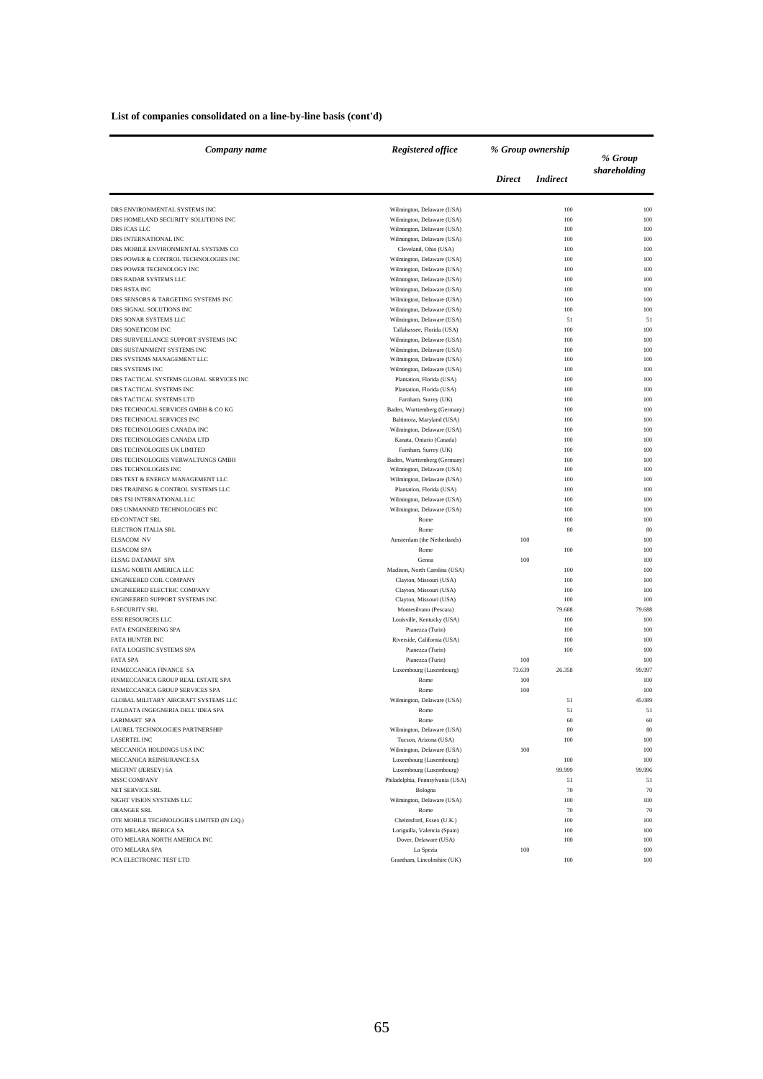| List of companies consolidated on a line-by-line basis (cont'd) |  |  |  |  |  |  |  |
|-----------------------------------------------------------------|--|--|--|--|--|--|--|
|-----------------------------------------------------------------|--|--|--|--|--|--|--|

| Company name                                                     | Registered office                                           | % Group ownership |                 | % Group       |
|------------------------------------------------------------------|-------------------------------------------------------------|-------------------|-----------------|---------------|
|                                                                  |                                                             | <b>Direct</b>     | <i>Indirect</i> | shareholding  |
| DRS ENVIRONMENTAL SYSTEMS INC                                    | Wilmington, Delaware (USA)                                  |                   | 100             | 100           |
| DRS HOMELAND SECURITY SOLUTIONS INC                              | Wilmington, Delaware (USA)                                  |                   | 100             | 100           |
| DRS ICAS LLC                                                     | Wilmington, Delaware (USA)                                  |                   | 100             | 100           |
| DRS INTERNATIONAL INC                                            | Wilmington, Delaware (USA)                                  |                   | 100             | 100           |
| DRS MOBILE ENVIRONMENTAL SYSTEMS CO                              | Cleveland, Ohio (USA)                                       |                   | 100             | 100           |
| DRS POWER & CONTROL TECHNOLOGIES INC<br>DRS POWER TECHNOLOGY INC | Wilmington, Delaware (USA)<br>Wilmington, Delaware (USA)    |                   | 100<br>100      | 100<br>100    |
| DRS RADAR SYSTEMS LLC                                            | Wilmington, Delaware (USA)                                  |                   | 100             | 100           |
| <b>DRS RSTA INC</b>                                              | Wilmington, Delaware (USA)                                  |                   | 100             | 100           |
| DRS SENSORS & TARGETING SYSTEMS INC                              | Wilmington, Delaware (USA)                                  |                   | 100             | 100           |
| DRS SIGNAL SOLUTIONS INC                                         | Wilmington, Delaware (USA)                                  |                   | 100             | 100           |
| DRS SONAR SYSTEMS LLC                                            | Wilmington, Delaware (USA)                                  |                   | 51              | 51            |
| DRS SONETICOM INC                                                | Tallahassee, Florida (USA)                                  |                   | 100             | 100           |
| DRS SURVEILLANCE SUPPORT SYSTEMS INC                             | Wilmington, Delaware (USA)                                  |                   | 100             | 100           |
| DRS SUSTAINMENT SYSTEMS INC                                      | Wilmington, Delaware (USA)                                  |                   | 100             | 100           |
| DRS SYSTEMS MANAGEMENT LLC                                       | Wilmington, Delaware (USA)                                  |                   | 100             | 100           |
| DRS SYSTEMS INC                                                  | Wilmington, Delaware (USA)                                  |                   | 100             | 100           |
| DRS TACTICAL SYSTEMS GLOBAL SERVICES INC                         | Plantation, Florida (USA)                                   |                   | 100             | 100           |
| DRS TACTICAL SYSTEMS INC                                         | Plantation, Florida (USA)                                   |                   | 100             | 100           |
| DRS TACTICAL SYSTEMS LTD                                         | Farnham, Surrey (UK)                                        |                   | 100             | 100           |
| DRS TECHNICAL SERVICES GMBH & CO KG                              | Baden, Wurttemberg (Germany)                                |                   | 100             | 100           |
| DRS TECHNICAL SERVICES INC                                       | Baltimora, Maryland (USA)                                   |                   | 100             | 100           |
| DRS TECHNOLOGIES CANADA INC                                      | Wilmington, Delaware (USA)                                  |                   | 100             | 100           |
| DRS TECHNOLOGIES CANADA LTD<br>DRS TECHNOLOGIES UK LIMITED       | Kanata, Ontario (Canada)                                    |                   | 100<br>100      | 100<br>100    |
| DRS TECHNOLOGIES VERWALTUNGS GMBH                                | Farnham, Surrey (UK)<br>Baden, Wurttemberg (Germany)        |                   | 100             | 100           |
| DRS TECHNOLOGIES INC                                             | Wilmington, Delaware (USA)                                  |                   | 100             | 100           |
| DRS TEST & ENERGY MANAGEMENT LLC                                 | Wilmington, Delaware (USA)                                  |                   | 100             | 100           |
| DRS TRAINING & CONTROL SYSTEMS LLC                               | Plantation, Florida (USA)                                   |                   | 100             | 100           |
| DRS TSI INTERNATIONAL LLC                                        | Wilmington, Delaware (USA)                                  |                   | 100             | 100           |
| DRS UNMANNED TECHNOLOGIES INC                                    | Wilmington, Delaware (USA)                                  |                   | 100             | 100           |
| ED CONTACT SRL                                                   | Rome                                                        |                   | 100             | 100           |
| ELECTRON ITALIA SRL                                              | Rome                                                        |                   | 80              | 80            |
| <b>ELSACOM NV</b>                                                | Amsterdam (the Netherlands)                                 | 100               |                 | 100           |
| <b>ELSACOM SPA</b>                                               | Rome                                                        |                   | 100             | 100           |
| ELSAG DATAMAT SPA                                                | Genoa                                                       | 100               |                 | 100           |
| ELSAG NORTH AMERICA LLC                                          | Madison, North Carolina (USA)                               |                   | 100             | 100           |
| ENGINEERED COIL COMPANY                                          | Clayton, Missouri (USA)                                     |                   | 100             | 100           |
| ENGINEERED ELECTRIC COMPANY                                      | Clayton, Missouri (USA)                                     |                   | 100             | 100           |
| ENGINEERED SUPPORT SYSTEMS INC                                   | Clayton, Missouri (USA)                                     |                   | 100             | 100           |
| <b>E-SECURITY SRL</b>                                            | Montesilvano (Pescara)                                      |                   | 79.688          | 79.688<br>100 |
| <b>ESSI RESOURCES LLC</b><br><b>FATA ENGINEERING SPA</b>         | Louisville, Kentucky (USA)<br>Pianezza (Turin)              |                   | 100<br>100      | 100           |
| <b>FATA HUNTER INC</b>                                           | Riverside, California (USA)                                 |                   | 100             | 100           |
| FATA LOGISTIC SYSTEMS SPA                                        | Pianezza (Turin)                                            |                   | 100             | 100           |
| <b>FATA SPA</b>                                                  | Pianezza (Turin)                                            | 100               |                 | 100           |
| FINMECCANICA FINANCE SA                                          | Luxembourg (Luxembourg)                                     | 73.639            | 26.358          | 99.997        |
| FINMECCANICA GROUP REAL ESTATE SPA                               | Rome                                                        | 100               |                 | 100           |
| FINMECCANICA GROUP SERVICES SPA                                  | Rome                                                        | 100               |                 | 100           |
| GLOBAL MILITARY AIRCRAFT SYSTEMS LLC                             | Wilmington, Delaware (USA)                                  |                   | 51              | 45.089        |
| ITALDATA INGEGNERIA DELL'IDEA SPA                                |                                                             |                   | 51              |               |
| <b>LARIMART SPA</b>                                              | Rome                                                        |                   | 60              | 60            |
| LAUREL TECHNOLOGIES PARTNERSHIP                                  | Wilmington, Delaware (USA)                                  |                   | 80              | 80            |
| <b>LASERTEL INC</b>                                              | Tucson, Arizona (USA)                                       |                   | 100             | 100           |
| MECCANICA HOLDINGS USA INC                                       | Wilmington, Delaware (USA)                                  | 100               |                 | 100           |
| MECCANICA REINSURANCE SA                                         | Luxembourg (Luxembourg)                                     |                   | 100             | 100           |
| MECFINT (JERSEY) SA<br>MSSC COMPANY                              | Luxembourg (Luxembourg)<br>Philadelphia, Pennsylvania (USA) |                   | 99.999<br>51    | 99.996<br>51  |
| NET SERVICE SRL                                                  | Bologna                                                     |                   | 70              | $70\,$        |
| NIGHT VISION SYSTEMS LLC                                         | Wilmington, Delaware (USA)                                  |                   | 100             | 100           |
| ORANGEE SRL                                                      | Rome                                                        |                   | 70              | 70            |
| OTE MOBILE TECHNOLOGIES LIMITED (IN LIQ.)                        | Chelmsford, Essex (U.K.)                                    |                   | 100             | 100           |
| OTO MELARA IBERICA SA                                            | Loriguilla, Valencia (Spain)                                |                   | 100             | 100           |
| OTO MELARA NORTH AMERICA INC                                     | Dover, Delaware (USA)                                       |                   | 100             | 100           |
| OTO MELARA SPA                                                   | La Spezia                                                   | 100               |                 | 100           |
| PCA ELECTRONIC TEST LTD                                          | Grantham, Lincolnshire (UK)                                 |                   | 100             | 100           |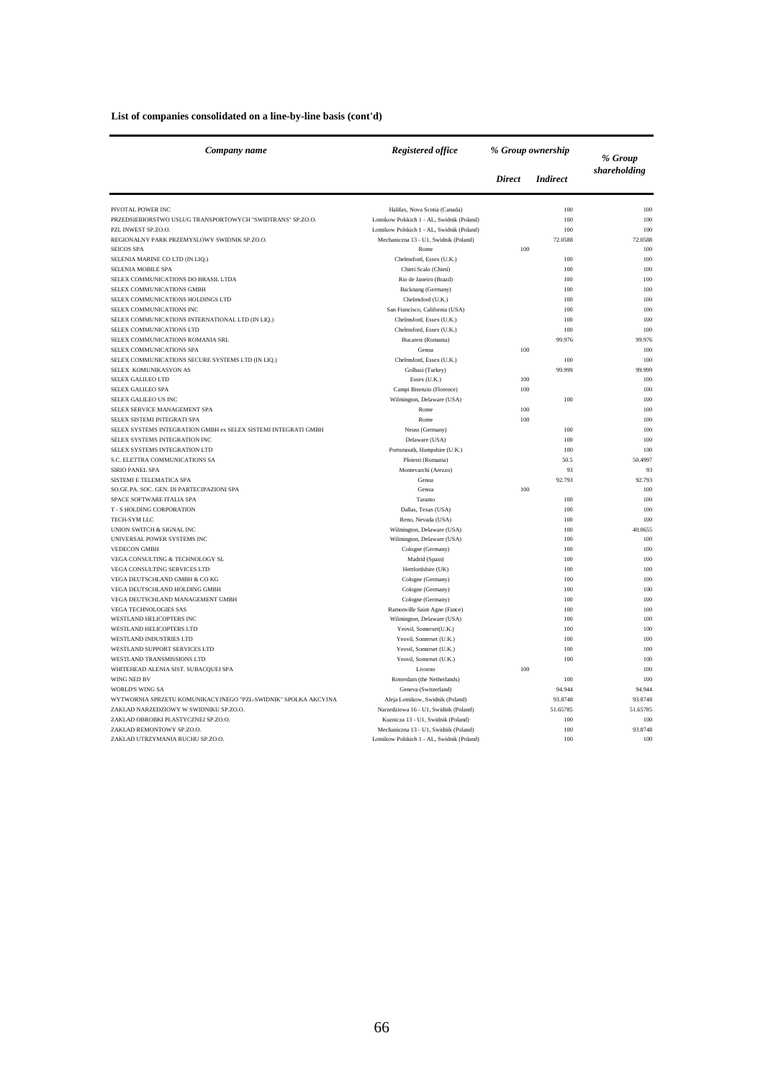| List of companies consolidated on a line-by-line basis (cont'd) |  |  |  |
|-----------------------------------------------------------------|--|--|--|
|-----------------------------------------------------------------|--|--|--|

| Company name                                                   | <b>Registered office</b>                            | % Group ownership |                 | % Group      |
|----------------------------------------------------------------|-----------------------------------------------------|-------------------|-----------------|--------------|
|                                                                |                                                     | <b>Direct</b>     | <i>Indirect</i> | shareholding |
| PIVOTAL POWER INC                                              | Halifax, Nova Scotia (Canada)                       |                   | 100             | 100          |
| PRZEDSIEBIORSTWO USLUG TRANSPORTOWYCH "SWIDTRANS" SP.ZO.O.     | Lotnikow Polskich 1 - AL, Swidnik (Poland)          |                   | 100             | 100          |
| PZL INWEST SP.ZO.O.                                            | Lotnikow Polskich 1 - AL, Swidnik (Poland)          |                   | 100             | 100          |
| REGIONALNY PARK PRZEMYSLOWY SWIDNIK SP.ZO.O.                   | Mechaniczna 13 - U1, Swidnik (Poland)               |                   | 72.0588         | 72.0588      |
| <b>SEICOS SPA</b>                                              | Rome                                                | 100               |                 | 100          |
| SELENIA MARINE CO LTD (IN LIQ.)                                | Chelmsford, Essex (U.K.)                            |                   | 100             | 100          |
| SELENIA MOBILE SPA                                             | Chieti Scalo (Chieti)                               |                   | 100             | 100          |
| SELEX COMMUNICATIONS DO BRASIL LTDA                            | Rio de Janeiro (Brazil)                             |                   | 100             | 100          |
| SELEX COMMUNICATIONS GMBH                                      | Backnang (Germany)                                  |                   | 100             | 100          |
| SELEX COMMUNICATIONS HOLDINGS LTD                              | Chelmsford (U.K.)                                   |                   | 100             | 100          |
| SELEX COMMUNICATIONS INC                                       | San Francisco, California (USA)                     |                   | 100             | 100          |
| SELEX COMMUNICATIONS INTERNATIONAL LTD (IN LIQ.)               | Chelmsford, Essex (U.K.)                            |                   | 100             | 100          |
| SELEX COMMUNICATIONS LTD                                       | Chelmsford, Essex (U.K.)                            |                   | 100             | 100          |
| SELEX COMMUNICATIONS ROMANIA SRL                               | <b>Bucarest</b> (Romania)                           |                   | 99.976          | 99.976       |
| SELEX COMMUNICATIONS SPA                                       | Genoa                                               | 100               |                 | 100          |
| SELEX COMMUNICATIONS SECURE SYSTEMS LTD (IN LIQ.)              | Chelmsford, Essex (U.K.)                            |                   | 100             | 100          |
| SELEX KOMUNIKASYON AS                                          | Golbasi (Turkey)                                    |                   | 99.999          | 99.999       |
| SELEX GALILEO LTD<br>SELEX GALILEO SPA                         | Essex (U.K.)<br>Campi Bisenzio (Florence)           | 100<br>100        |                 | 100<br>100   |
| SELEX GALILEO US INC                                           | Wilmington, Delaware (USA)                          |                   | 100             | 100          |
| SELEX SERVICE MANAGEMENT SPA                                   | Rome                                                | 100               |                 | 100          |
| SELEX SISTEMI INTEGRATI SPA                                    | Rome                                                | 100               |                 | 100          |
| SELEX SYSTEMS INTEGRATION GMBH ex SELEX SISTEMI INTEGRATI GMBH | Neuss (Germany)                                     |                   | 100             | 100          |
| SELEX SYSTEMS INTEGRATION INC                                  | Delaware (USA)                                      |                   | 100             | 100          |
| SELEX SYSTEMS INTEGRATION LTD                                  | Portsmouth, Hampshire (U.K.)                        |                   | 100             | 100          |
| S.C. ELETTRA COMMUNICATIONS SA                                 | Ploiesti (Romania)                                  |                   | 50.5            | 50.4997      |
| <b>SIRIO PANEL SPA</b>                                         | Montevarchi (Arezzo)                                |                   | 93              | 93           |
| SISTEMI E TELEMATICA SPA                                       | Genoa                                               |                   | 92.793          | 92.793       |
| SO.GE.PA. SOC. GEN. DI PARTECIPAZIONI SPA                      | Genoa                                               | 100               |                 | 100          |
| SPACE SOFTWARE ITALIA SPA                                      | Taranto                                             |                   | 100             | 100          |
| T - S HOLDING CORPORATION                                      | Dallas, Texas (USA)                                 |                   | 100             | 100          |
| TECH-SYM LLC                                                   | Reno, Nevada (USA)                                  |                   | 100             | 100          |
| UNION SWITCH & SIGNAL INC                                      | Wilmington, Delaware (USA)                          |                   | 100             | 40.0655      |
| UNIVERSAL POWER SYSTEMS INC                                    | Wilmington, Delaware (USA)                          |                   | 100             | 100          |
| <b>VEDECON GMBH</b>                                            | Cologne (Germany)                                   |                   | 100             | 100          |
| VEGA CONSULTING & TECHNOLOGY SL                                | Madrid (Spain)                                      |                   | 100             | 100          |
| VEGA CONSULTING SERVICES LTD                                   | Hertfordshire (UK)                                  |                   | 100             | 100          |
| VEGA DEUTSCHLAND GMBH & CO KG                                  | Cologne (Germany)                                   |                   | 100             | 100          |
| VEGA DEUTSCHLAND HOLDING GMBH                                  | Cologne (Germany)                                   |                   | 100             | 100          |
| VEGA DEUTSCHLAND MANAGEMENT GMBH                               | Cologne (Germany)                                   |                   | 100             | 100          |
| <b>VEGA TECHNOLOGIES SAS</b>                                   | Ramonville Saint Agne (Fance)                       |                   | 100             | 100          |
| WESTLAND HELICOPTERS INC                                       | Wilmington, Delaware (USA)                          |                   | 100             | 100          |
| WESTLAND HELICOPTERS LTD                                       | Yeovil, Somerset(U.K.)                              |                   | 100             | 100          |
| WESTLAND INDUSTRIES LTD<br>WESTLAND SUPPORT SERVICES LTD       | Yeovil, Somerset (U.K.)                             |                   | 100             | 100<br>100   |
| WESTLAND TRANSMISSIONS LTD                                     | Yeovil, Somerset (U.K.)                             |                   | 100<br>100      | 100          |
| WHITEHEAD ALENIA SIST. SUBACQUEI SPA                           | Yeovil, Somerset (U.K.)<br>Livorno                  | 100               |                 | 100          |
| WING NED BV                                                    |                                                     |                   | 100             | 100          |
| <b>WORLD'S WING SA</b>                                         | Rotterdam (the Netherlands)<br>Geneva (Switzerland) |                   | 94.944          | 94.944       |
| WYTWORNIA SPRZETU KOMUNIKACYJNEGO "PZL-SWIDNIK" SPOLKA AKCYJNA | Aleja Lotnikow, Swidnik (Poland)                    |                   | 93.8748         | 93.8748      |
| ZAKLAD NARZEDZIOWY W SWIDNIKU SP.ZO.O.                         | Narzedziowa 16 - U1, Swidnik (Poland)               |                   | 51.65785        | 51.65785     |
| ZAKLAD OBROBKI PLASTYCZNEJ SP.ZO.O.                            | Kuznicza 13 - U1, Swidnik (Poland)                  |                   | 100             | 100          |
| ZAKLAD REMONTOWY SP.ZO.O.                                      | Mechaniczna 13 - U1, Swidnik (Poland)               |                   | 100             | 93.8748      |
| ZAKLAD UTRZYMANIA RUCHU SP.ZO.O.                               | Lotnikow Polskich 1 - AL, Swidnik (Poland)          |                   | 100             | 100          |
|                                                                |                                                     |                   |                 |              |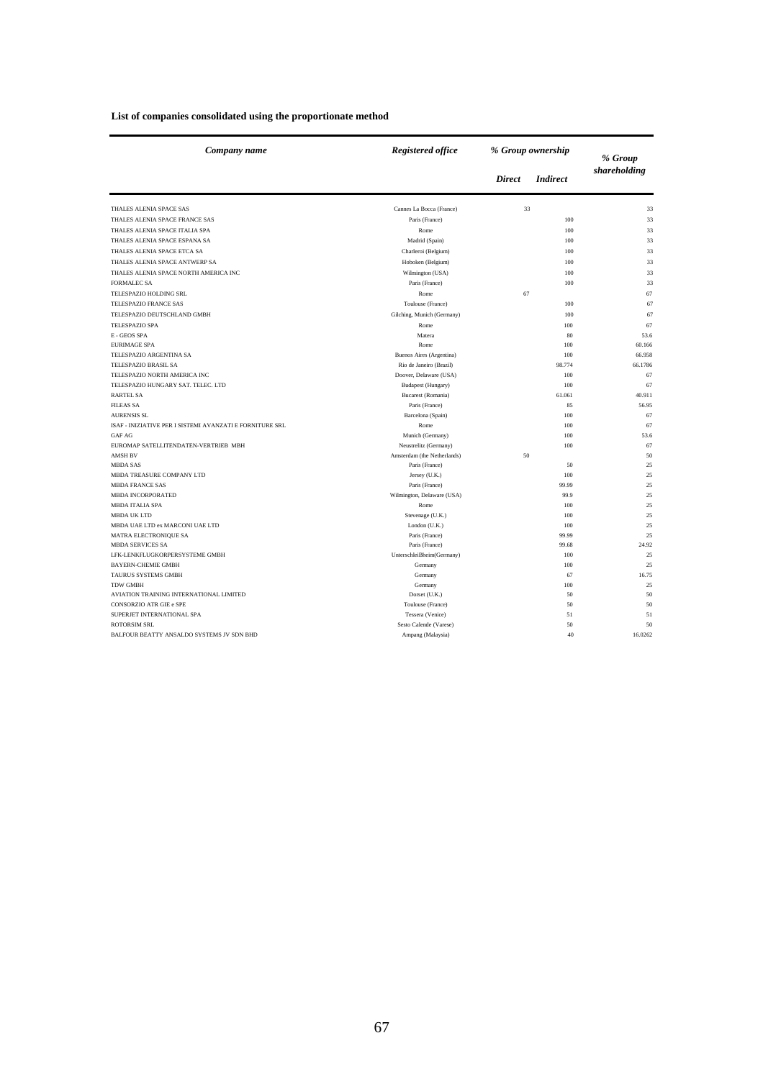| Company name                                             | <b>Registered office</b>                            | % Group ownership |                 | % Group      |
|----------------------------------------------------------|-----------------------------------------------------|-------------------|-----------------|--------------|
|                                                          |                                                     | <b>Direct</b>     | <b>Indirect</b> | shareholding |
| THALES ALENIA SPACE SAS                                  | Cannes La Bocca (France)                            | 33                |                 | 33           |
| THALES ALENIA SPACE FRANCE SAS                           | Paris (France)                                      |                   | 100             | 33           |
| THALES ALENIA SPACE ITALIA SPA                           | Rome                                                |                   | 100             | 33           |
| THALES ALENIA SPACE ESPANA SA                            | Madrid (Spain)                                      |                   | 100             | 33           |
| THALES ALENIA SPACE ETCA SA                              | Charleroi (Belgium)                                 |                   | 100             | 33           |
| THALES ALENIA SPACE ANTWERP SA                           | Hoboken (Belgium)                                   |                   | 100             | 33           |
| THALES ALENIA SPACE NORTH AMERICA INC                    | Wilmington (USA)                                    |                   | 100             | 33           |
| <b>FORMALEC SA</b>                                       | Paris (France)                                      |                   | 100             | 33           |
| TELESPAZIO HOLDING SRL                                   | Rome                                                | 67                |                 | 67           |
| TELESPAZIO FRANCE SAS                                    | Toulouse (France)                                   |                   | 100             | 67           |
| TELESPAZIO DEUTSCHLAND GMBH                              | Gilching, Munich (Germany)                          |                   | 100             | 67           |
| <b>TELESPAZIO SPA</b>                                    | Rome                                                |                   |                 | 67           |
| E - GEOS SPA                                             | Matera                                              |                   | 100<br>80       | 53.6         |
| <b>EURIMAGE SPA</b>                                      | Rome                                                |                   | 100             | 60.166       |
| TELESPAZIO ARGENTINA SA                                  |                                                     |                   | 100             | 66.958       |
| TELESPAZIO BRASIL SA                                     | Buenos Aires (Argentina)<br>Rio de Janeiro (Brazil) |                   | 98.774          | 66.1786      |
| TELESPAZIO NORTH AMERICA INC                             | Doover, Delaware (USA)                              |                   | 100             | 67           |
| TELESPAZIO HUNGARY SAT. TELEC. LTD                       | Budapest (Hungary)                                  |                   | 100             | 67           |
| <b>RARTEL SA</b>                                         | Bucarest (Romania)                                  |                   | 61.061          | 40.911       |
| <b>FILEAS SA</b>                                         | Paris (France)                                      |                   | 85              | 56.95        |
| <b>AURENSIS SL</b>                                       |                                                     |                   | 100             | 67           |
| ISAF - INIZIATIVE PER I SISTEMI AVANZATI E FORNITURE SRL | Barcelona (Spain)<br>Rome                           |                   | 100             | 67           |
| <b>GAF AG</b>                                            |                                                     |                   | 100             | 53.6         |
| EUROMAP SATELLITENDATEN-VERTRIEB MBH                     | Munich (Germany)<br>Neustrelitz (Germany)           |                   | 100             | 67           |
| <b>AMSH BV</b>                                           | Amsterdam (the Netherlands)                         | 50                |                 | 50           |
| <b>MBDA SAS</b>                                          | Paris (France)                                      |                   | 50              | 25           |
| MBDA TREASURE COMPANY LTD                                |                                                     |                   | 100             | 25           |
| <b>MBDA FRANCE SAS</b>                                   | Jersey (U.K.)                                       |                   |                 | 25           |
|                                                          | Paris (France)                                      |                   | 99.99           |              |
| <b>MBDA INCORPORATED</b><br><b>MBDA ITALIA SPA</b>       | Wilmington, Delaware (USA)<br>Rome                  |                   | 99.9<br>100     | 25<br>25     |
| <b>MBDA UK LTD</b>                                       | Stevenage (U.K.)                                    |                   | 100             | 25           |
| MBDA UAE LTD ex MARCONI UAE LTD                          | London (U.K.)                                       |                   | 100             | 25           |
| MATRA ELECTRONIQUE SA                                    | Paris (France)                                      |                   | 99.99           | 25           |
| <b>MBDA SERVICES SA</b>                                  | Paris (France)                                      |                   | 99.68           | 24.92        |
| LFK-LENKFLUGKORPERSYSTEME GMBH                           | UnterschleiBheim(Germany)                           |                   | 100             | 25           |
| <b>BAYERN-CHEMIE GMBH</b>                                | Germany                                             |                   | 100             | 25           |
| <b>TAURUS SYSTEMS GMBH</b>                               | Germany                                             |                   | 67              | 16.75        |
| <b>TDW GMBH</b>                                          | Germany                                             |                   | 100             | 25           |
| AVIATION TRAINING INTERNATIONAL LIMITED                  | Dorset (U.K.)                                       |                   | 50              | 50           |
| CONSORZIO ATR GIE e SPE                                  | Toulouse (France)                                   |                   | 50              | 50           |
| SUPERJET INTERNATIONAL SPA                               | Tessera (Venice)                                    |                   | 51              | 51           |
| <b>ROTORSIM SRL</b>                                      | Sesto Calende (Varese)                              |                   | 50              | 50           |
| BALFOUR BEATTY ANSALDO SYSTEMS JV SDN BHD                | Ampang (Malaysia)                                   |                   | 40              | 16.0262      |
|                                                          |                                                     |                   |                 |              |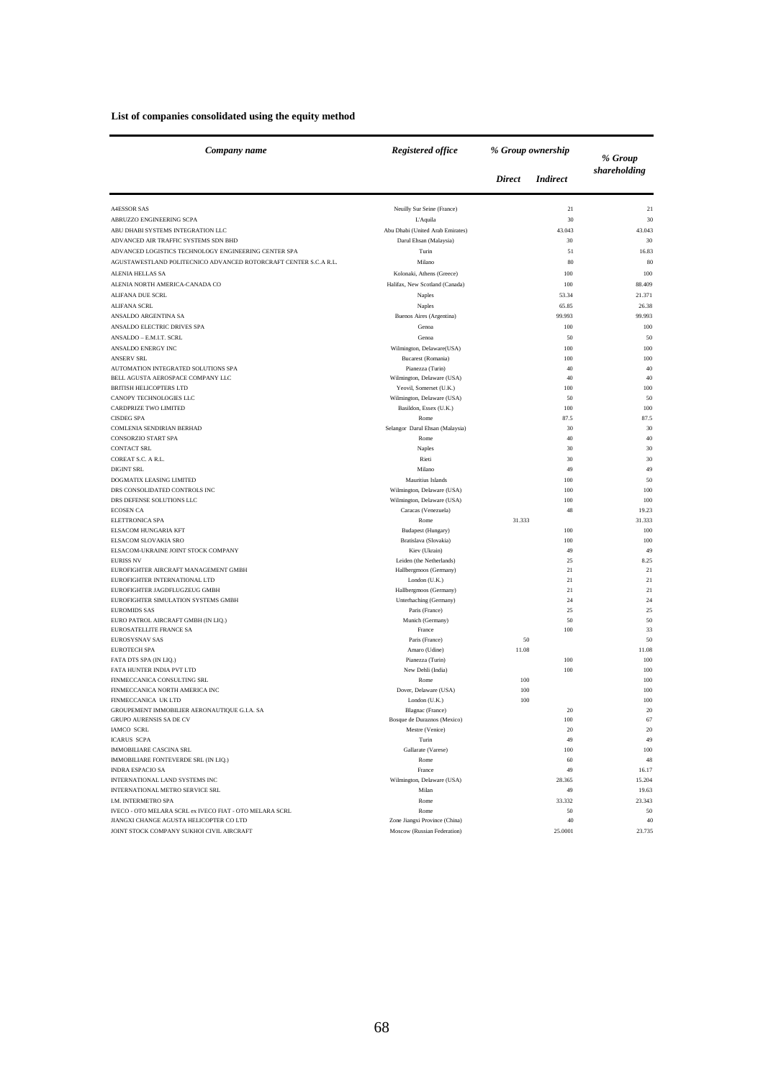#### **List of companies consolidated using the equity method**

| Company name                                                     | Registered office                |               | % Group ownership | % Group       |
|------------------------------------------------------------------|----------------------------------|---------------|-------------------|---------------|
|                                                                  |                                  | <b>Direct</b> | <i>Indirect</i>   | shareholding  |
| <b>A4ESSOR SAS</b>                                               | Neuilly Sur Seine (France)       |               | 21                | 21            |
| ABRUZZO ENGINEERING SCPA                                         | L'Aquila                         |               | 30                | 30            |
| ABU DHABI SYSTEMS INTEGRATION LLC                                | Abu Dhabi (United Arab Emirates) |               | 43.043            | 43.043        |
| ADVANCED AIR TRAFFIC SYSTEMS SDN BHD                             | Darul Ehsan (Malaysia)           |               | 30                | 30            |
| ADVANCED LOGISTICS TECHNOLOGY ENGINEERING CENTER SPA             | Turin                            |               | 51                | 16.83         |
| AGUSTAWESTLAND POLITECNICO ADVANCED ROTORCRAFT CENTER S.C.A R.L. | Milano                           |               | 80                | 80            |
| ALENIA HELLAS SA                                                 | Kolonaki, Athens (Greece)        |               | 100               | 100           |
| ALENIA NORTH AMERICA-CANADA CO                                   | Halifax, New Scotland (Canada)   |               | 100               | 88.409        |
| ALIFANA DUE SCRL                                                 | Naples                           |               | 53.34             | 21.371        |
| <b>ALIFANA SCRL</b>                                              | Naples                           |               | 65.85             | 26.38         |
| ANSALDO ARGENTINA SA                                             | Buenos Aires (Argentina)         |               | 99.993            | 99.993        |
| ANSALDO ELECTRIC DRIVES SPA                                      | Genoa                            |               | 100               | 100           |
| ANSALDO - E.M.I.T. SCRL                                          | Genoa                            |               | 50                | 50            |
| ANSALDO ENERGY INC                                               | Wilmington, Delaware(USA)        |               | 100               | 100           |
| <b>ANSERV SRL</b>                                                | Bucarest (Romania)               |               | 100               | 100           |
| AUTOMATION INTEGRATED SOLUTIONS SPA                              | Pianezza (Turin)                 |               | 40                | 40            |
| BELL AGUSTA AEROSPACE COMPANY LLC                                | Wilmington, Delaware (USA)       |               | 40                | 40            |
| <b>BRITISH HELICOPTERS LTD</b>                                   | Yeovil, Somerset (U.K.)          |               | 100               | 100           |
| CANOPY TECHNOLOGIES LLC                                          | Wilmington, Delaware (USA)       |               | 50                | 50            |
| CARDPRIZE TWO LIMITED                                            | Basildon, Essex (U.K.)           |               | 100               | 100           |
| <b>CISDEG SPA</b>                                                | Rome                             |               | 87.5              | 87.5          |
| COMLENIA SENDIRIAN BERHAD                                        | Selangor Darul Ehsan (Malaysia)  |               | 30                | 30            |
| CONSORZIO START SPA                                              | Rome                             |               | 40                | 40            |
| <b>CONTACT SRL</b>                                               | Naples                           |               | 30                | 30            |
| COREAT S.C. A R.L.                                               | Rieti                            |               | 30                | 30            |
| <b>DIGINT SRL</b>                                                | Milano                           |               | 49                | 49            |
| DOGMATIX LEASING LIMITED                                         | Mauritius Islands                |               | 100               | 50            |
| DRS CONSOLIDATED CONTROLS INC                                    | Wilmington, Delaware (USA)       |               | 100               | 100           |
| DRS DEFENSE SOLUTIONS LLC                                        | Wilmington, Delaware (USA)       |               | 100               | 100           |
| <b>ECOSEN CA</b>                                                 | Caracas (Venezuela)              |               | 48                | 19.23         |
| ELETTRONICA SPA<br>ELSACOM HUNGARIA KFT                          | Rome<br>Budapest (Hungary)       | 31.333        | 100               | 31.333<br>100 |
| ELSACOM SLOVAKIA SRO                                             | Bratislava (Slovakia)            |               | 100               | 100           |
| ELSACOM-UKRAINE JOINT STOCK COMPANY                              | Kiev (Ukrain)                    |               | 49                | 49            |
| <b>EURISS NV</b>                                                 | Leiden (the Netherlands)         |               | 25                | 8.25          |
| EUROFIGHTER AIRCRAFT MANAGEMENT GMBH                             | Hallbergmoos (Germany)           |               | 21                | 21            |
| EUROFIGHTER INTERNATIONAL LTD                                    | London (U.K.)                    |               | 21                | 21            |
| EUROFIGHTER JAGDFLUGZEUG GMBH                                    | Hallbergmoos (Germany)           |               | 21                | 21            |
| EUROFIGHTER SIMULATION SYSTEMS GMBH                              | Unterhaching (Germany)           |               | 24                | 24            |
| <b>EUROMIDS SAS</b>                                              | Paris (France)                   |               | 25                | 25            |
| EURO PATROL AIRCRAFT GMBH (IN LIQ.)                              | Munich (Germany)                 |               | 50                | 50            |
| EUROSATELLITE FRANCE SA                                          | France                           |               | 100               | 33            |
| <b>EUROSYSNAV SAS</b>                                            | Paris (France)                   | 50            |                   | 50            |
| <b>EUROTECH SPA</b>                                              | Amaro (Udine)                    | 11.08         |                   | 11.08         |
| FATA DTS SPA (IN LIQ.)                                           | Pianezza (Turin)                 |               | 100               | 100           |
| FATA HUNTER INDIA PVT LTD                                        | New Dehli (India)                |               | 100               | 100           |
| FINMECCANICA CONSULTING SRL<br>FINMECCANICA NORTH AMERICA INC    | Rome<br>Dover, Delaware (USA)    | 100<br>100    |                   | 100<br>100    |
| FINMECCANICA UK LTD                                              | London (U.K.)                    | 100           |                   | 100           |
| GROUPEMENT IMMOBILIER AERONAUTIQUE G.I.A. SA                     | Blagnac (France)                 |               | 20                |               |
| <b>GRUPO AURENSIS SA DE CV</b>                                   | Bosque de Duraznos (Mexico)      |               | 100               | 67            |
| IAMCO SCRL                                                       | Mestre (Venice)                  |               | 20                | $20\,$        |
| <b>ICARUS SCPA</b>                                               | Turin                            |               | 49                | 49            |
| <b>IMMOBILIARE CASCINA SRL</b>                                   | Gallarate (Varese)               |               | 100               | 100           |
| IMMOBILIARE FONTEVERDE SRL (IN LIQ.)                             | Rome                             |               | 60                | 48            |
| <b>INDRA ESPACIO SA</b>                                          | France                           |               | 49                | 16.17         |
| INTERNATIONAL LAND SYSTEMS INC                                   | Wilmington, Delaware (USA)       |               | 28.365            | 15.204        |
| INTERNATIONAL METRO SERVICE SRL                                  | Milan                            |               | 49                | 19.63         |
| I.M. INTERMETRO SPA                                              | Rome                             |               | 33.332            | 23.343        |
| IVECO - OTO MELARA SCRL ex IVECO FIAT - OTO MELARA SCRL          | Rome                             |               | 50                | 50            |
| JIANGXI CHANGE AGUSTA HELICOPTER CO LTD                          | Zone Jiangxi Province (China)    |               | 40                | 40            |
| JOINT STOCK COMPANY SUKHOI CIVIL AIRCRAFT                        | Moscow (Russian Federation)      |               | 25.0001           | 23.735        |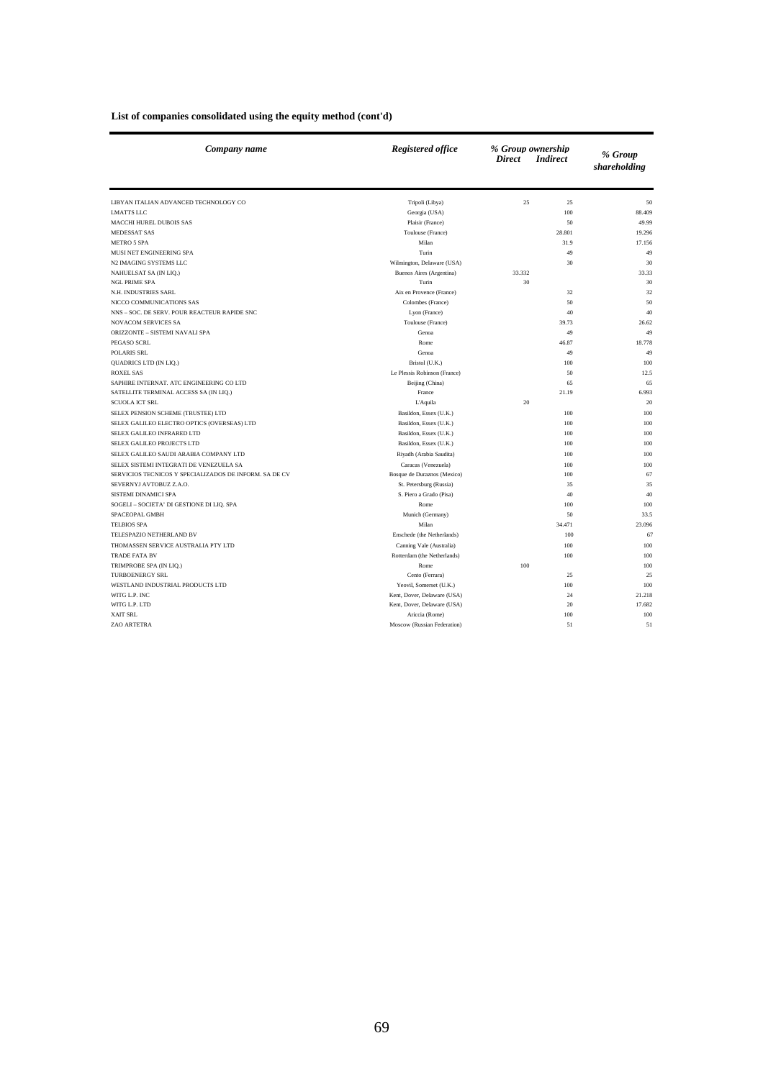| Company name                                           | <b>Registered office</b>     | % Group ownership<br><b>Direct</b><br><b>Indirect</b> | % Group<br>shareholding |
|--------------------------------------------------------|------------------------------|-------------------------------------------------------|-------------------------|
| LIBYAN ITALIAN ADVANCED TECHNOLOGY CO                  | Tripoli (Libya)              | 25<br>25                                              | 50                      |
| <b>LMATTS LLC</b>                                      | Georgia (USA)                | 100                                                   | 88.409                  |
| <b>MACCHI HUREL DUBOIS SAS</b>                         | Plaisir (France)             | 50                                                    | 49.99                   |
| <b>MEDESSAT SAS</b>                                    | Toulouse (France)            | 28.801                                                | 19.296                  |
| <b>METRO 5 SPA</b>                                     | Milan                        | 31.9                                                  | 17.156                  |
| MUSI NET ENGINEERING SPA                               | Turin                        | 49                                                    | 49                      |
| N2 IMAGING SYSTEMS LLC                                 | Wilmington, Delaware (USA)   | 30                                                    | 30                      |
| NAHUELSAT SA (IN LIQ.)                                 | Buenos Aires (Argentina)     | 33.332                                                | 33.33                   |
| <b>NGL PRIME SPA</b>                                   | Turin                        | 30                                                    | 30                      |
| N.H. INDUSTRIES SARL                                   | Aix en Provence (France)     | 32                                                    | 32                      |
| NICCO COMMUNICATIONS SAS                               | Colombes (France)            | 50                                                    | 50                      |
| NNS - SOC. DE SERV. POUR REACTEUR RAPIDE SNC           | Lyon (France)                | 40                                                    | 40                      |
| <b>NOVACOM SERVICES SA</b>                             | Toulouse (France)            | 39.73                                                 | 26.62                   |
| ORIZZONTE - SISTEMI NAVALI SPA                         | Genoa                        | 49                                                    | 49                      |
| PEGASO SCRL                                            | Rome                         | 46.87                                                 | 18.778                  |
| POLARIS SRL                                            | Genoa                        | 49                                                    | 49                      |
| QUADRICS LTD (IN LIQ.)                                 | Bristol (U.K.)               | 100                                                   | 100                     |
| <b>ROXEL SAS</b>                                       | Le Plessis Robinson (France) | 50                                                    | 12.5                    |
| SAPHIRE INTERNAT. ATC ENGINEERING CO LTD               | Beijing (China)              | 65                                                    | 65                      |
| SATELLITE TERMINAL ACCESS SA (IN LIQ.)                 | France                       | 21.19                                                 | 6.993                   |
| <b>SCUOLA ICT SRL</b>                                  | L'Aquila                     | 20                                                    | 20                      |
| SELEX PENSION SCHEME (TRUSTEE) LTD                     | Basildon, Essex (U.K.)       | 100                                                   | 100                     |
| SELEX GALILEO ELECTRO OPTICS (OVERSEAS) LTD            | Basildon, Essex (U.K.)       | 100                                                   | 100                     |
| SELEX GALILEO INFRARED LTD                             | Basildon, Essex (U.K.)       | 100                                                   | 100                     |
| SELEX GALILEO PROJECTS LTD                             | Basildon, Essex (U.K.)       | 100                                                   | 100                     |
| SELEX GALILEO SAUDI ARABIA COMPANY LTD                 | Riyadh (Arabia Saudita)      | 100                                                   | 100                     |
| SELEX SISTEMI INTEGRATI DE VENEZUELA SA                | Caracas (Venezuela)          | 100                                                   | 100                     |
| SERVICIOS TECNICOS Y SPECIALIZADOS DE INFORM. SA DE CV | Bosque de Duraznos (Mexico)  | 100                                                   | 67                      |
| SEVERNYJ AVTOBUZ Z.A.O.                                | St. Petersburg (Russia)      | 35                                                    | 35                      |
| SISTEMI DINAMICI SPA                                   | S. Piero a Grado (Pisa)      | 40                                                    | 40                      |
| SOGELI - SOCIETA' DI GESTIONE DI LIQ. SPA              | Rome                         | 100                                                   | 100                     |
| SPACEOPAL GMBH                                         | Munich (Germany)             | 50                                                    | 33.5                    |
| <b>TELBIOS SPA</b>                                     | Milan                        | 34.471                                                | 23.096                  |
| TELESPAZIO NETHERLAND BV                               | Enschede (the Netherlands)   | 100                                                   | 67                      |
| THOMASSEN SERVICE AUSTRALIA PTY LTD                    | Canning Vale (Australia)     | 100                                                   | 100                     |
| <b>TRADE FATA BV</b>                                   | Rotterdam (the Netherlands)  | 100                                                   | 100                     |
| TRIMPROBE SPA (IN LIQ.)                                | Rome                         | 100                                                   | 100                     |
| <b>TURBOENERGY SRL</b>                                 | Cento (Ferrara)              | 25                                                    | 25                      |
| WESTLAND INDUSTRIAL PRODUCTS LTD                       | Yeovil, Somerset (U.K.)      | 100                                                   | 100                     |
| WITG L.P. INC                                          | Kent, Dover, Delaware (USA)  | 24                                                    | 21.218                  |
| WITG L.P. LTD                                          | Kent, Dover, Delaware (USA)  | 20                                                    | 17.682                  |
| <b>XAIT SRL</b>                                        | Ariccia (Rome)               | 100                                                   | 100                     |
| ZAO ARTETRA                                            | Moscow (Russian Federation)  | 51                                                    | 51                      |

#### **List of companies consolidated using the equity method (cont'd)**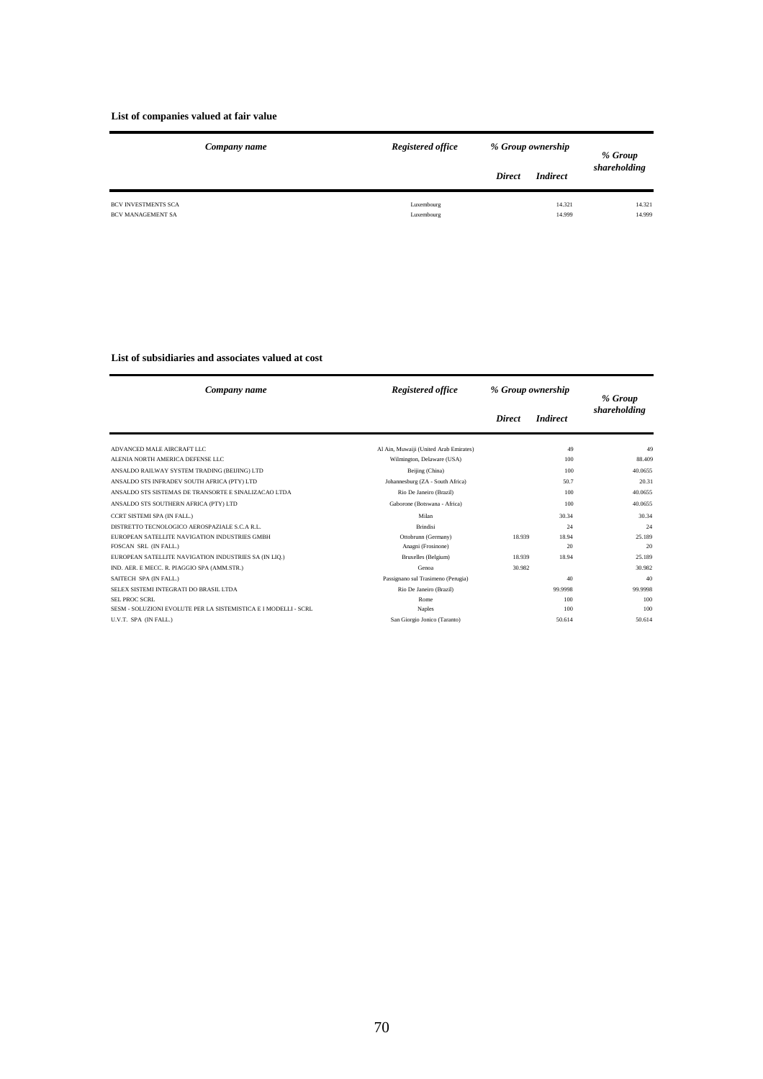#### **List of companies valued at fair value**

|                                                        | Company name | Registered office        | % Group ownership |                  | % Group          |
|--------------------------------------------------------|--------------|--------------------------|-------------------|------------------|------------------|
|                                                        |              |                          | <b>Direct</b>     | <b>Indirect</b>  | shareholding     |
| <b>BCV INVESTMENTS SCA</b><br><b>BCV MANAGEMENT SA</b> |              | Luxembourg<br>Luxembourg |                   | 14.321<br>14.999 | 14.321<br>14.999 |

#### **List of subsidiaries and associates valued at cost**

| Company name                                                    | Registered office                      | % Group ownership |                 | % Group      |
|-----------------------------------------------------------------|----------------------------------------|-------------------|-----------------|--------------|
|                                                                 |                                        | <b>Direct</b>     | <b>Indirect</b> | shareholding |
| ADVANCED MALE AIRCRAFT LLC                                      | Al Ain, Muwaiji (United Arab Emirates) |                   | 49              | 49           |
| ALENIA NORTH AMERICA DEFENSE LLC                                | Wilmington, Delaware (USA)             |                   | 100             | 88.409       |
| ANSALDO RAILWAY SYSTEM TRADING (BEIJING) LTD                    | Beijing (China)                        |                   | 100             | 40.0655      |
| ANSALDO STS INFRADEV SOUTH AFRICA (PTY) LTD                     | Johannesburg (ZA - South Africa)       |                   | 50.7            | 20.31        |
| ANSALDO STS SISTEMAS DE TRANSORTE E SINALIZACAO LTDA            | Rio De Janeiro (Brazil)                |                   | 100             | 40.0655      |
| ANSALDO STS SOUTHERN AFRICA (PTY) LTD                           | Gaborone (Botswana - Africa)           |                   | 100             | 40.0655      |
| CCRT SISTEMI SPA (IN FALL.)                                     | Milan                                  |                   | 30.34           | 30.34        |
| DISTRETTO TECNOLOGICO AEROSPAZIALE S.C.A R.L.                   | <b>Brindisi</b>                        |                   | 24              | 24           |
| EUROPEAN SATELLITE NAVIGATION INDUSTRIES GMBH                   | Ottobrunn (Germany)                    | 18.939            | 18.94           | 25.189       |
| FOSCAN SRL (IN FALL.)                                           | Anagni (Frosinone)                     |                   | 20              | 20           |
| EUROPEAN SATELLITE NAVIGATION INDUSTRIES SA (IN LIQ.)           | Bruxelles (Belgium)                    | 18.939            | 18.94           | 25.189       |
| IND. AER. E MECC. R. PIAGGIO SPA (AMM.STR.)                     | Genoa                                  | 30.982            |                 | 30.982       |
| SAITECH SPA (IN FALL.)                                          | Passignano sul Trasimeno (Perugia)     |                   | 40              | 40           |
| SELEX SISTEMI INTEGRATI DO BRASIL LTDA                          | Rio De Janeiro (Brazil)                |                   | 99.9998         | 99,9998      |
| SEL PROC SCRL                                                   | <b>Rome</b>                            |                   | 100             | 100          |
| SESM - SOLUZIONI EVOLUTE PER LA SISTEMISTICA E I MODELLI - SCRL | Naples                                 |                   | 100             | 100          |
| U.V.T. SPA (IN FALL.)                                           | San Giorgio Jonico (Taranto)           |                   | 50.614          | 50.614       |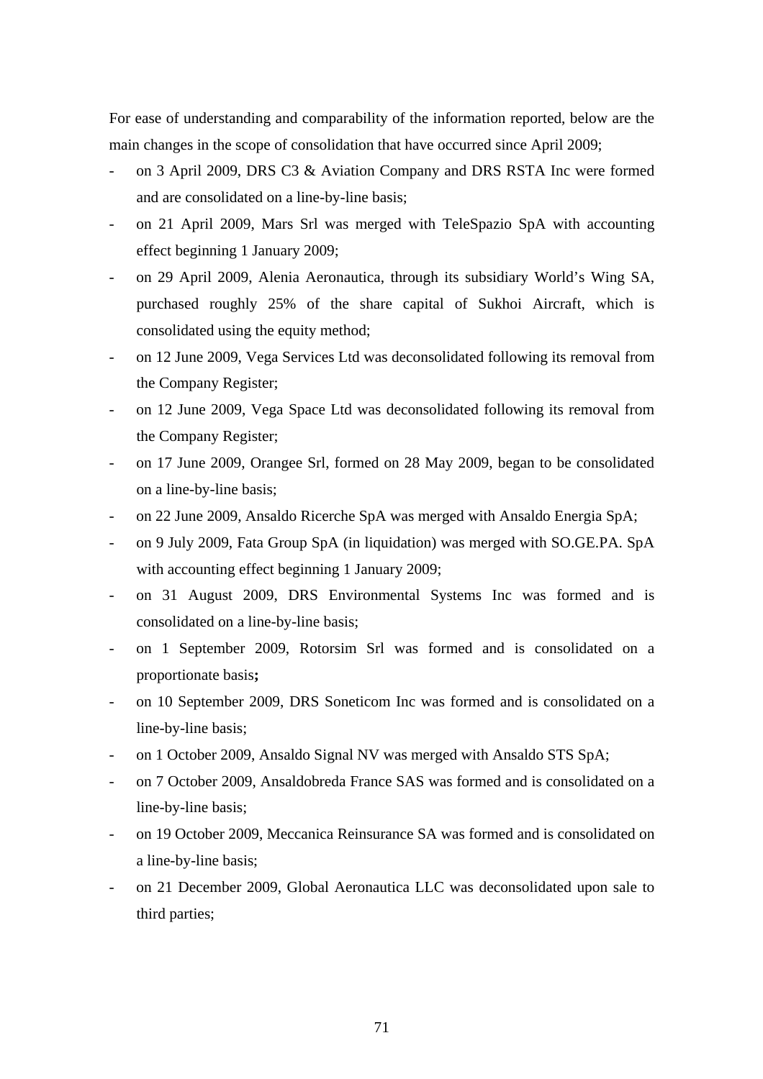For ease of understanding and comparability of the information reported, below are the main changes in the scope of consolidation that have occurred since April 2009;

- on 3 April 2009, DRS C3 & Aviation Company and DRS RSTA Inc were formed and are consolidated on a line-by-line basis;
- on 21 April 2009, Mars Srl was merged with TeleSpazio SpA with accounting effect beginning 1 January 2009;
- on 29 April 2009, Alenia Aeronautica, through its subsidiary World's Wing SA, purchased roughly 25% of the share capital of Sukhoi Aircraft, which is consolidated using the equity method;
- on 12 June 2009, Vega Services Ltd was deconsolidated following its removal from the Company Register;
- on 12 June 2009, Vega Space Ltd was deconsolidated following its removal from the Company Register;
- on 17 June 2009, Orangee Srl, formed on 28 May 2009, began to be consolidated on a line-by-line basis;
- on 22 June 2009, Ansaldo Ricerche SpA was merged with Ansaldo Energia SpA;
- on 9 July 2009, Fata Group SpA (in liquidation) was merged with SO.GE.PA. SpA with accounting effect beginning 1 January 2009;
- on 31 August 2009, DRS Environmental Systems Inc was formed and is consolidated on a line-by-line basis;
- on 1 September 2009, Rotorsim Srl was formed and is consolidated on a proportionate basis**;**
- on 10 September 2009, DRS Soneticom Inc was formed and is consolidated on a line-by-line basis;
- on 1 October 2009, Ansaldo Signal NV was merged with Ansaldo STS SpA;
- on 7 October 2009, Ansaldobreda France SAS was formed and is consolidated on a line-by-line basis;
- on 19 October 2009, Meccanica Reinsurance SA was formed and is consolidated on a line-by-line basis;
- on 21 December 2009, Global Aeronautica LLC was deconsolidated upon sale to third parties;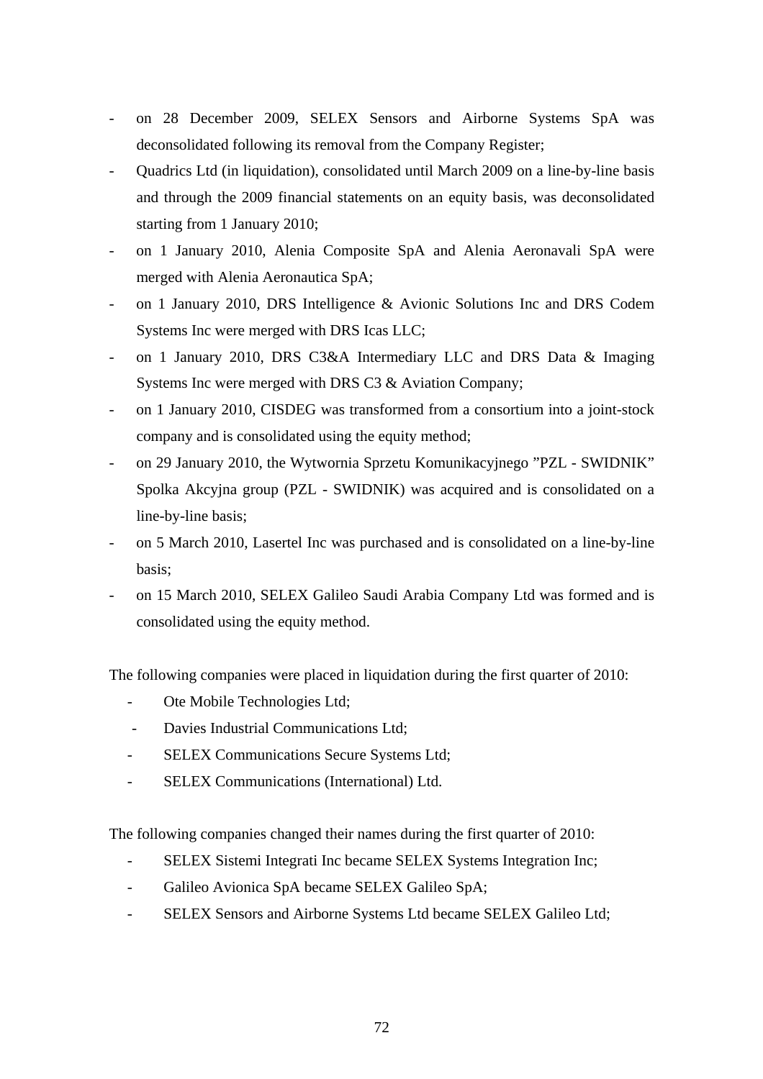- on 28 December 2009, SELEX Sensors and Airborne Systems SpA was deconsolidated following its removal from the Company Register;
- Quadrics Ltd (in liquidation), consolidated until March 2009 on a line-by-line basis and through the 2009 financial statements on an equity basis, was deconsolidated starting from 1 January 2010;
- on 1 January 2010, Alenia Composite SpA and Alenia Aeronavali SpA were merged with Alenia Aeronautica SpA;
- on 1 January 2010, DRS Intelligence & Avionic Solutions Inc and DRS Codem Systems Inc were merged with DRS Icas LLC;
- on 1 January 2010, DRS C3&A Intermediary LLC and DRS Data & Imaging Systems Inc were merged with DRS C3 & Aviation Company;
- on 1 January 2010, CISDEG was transformed from a consortium into a joint-stock company and is consolidated using the equity method;
- on 29 January 2010, the Wytwornia Sprzetu Komunikacyjnego "PZL SWIDNIK" Spolka Akcyjna group (PZL - SWIDNIK) was acquired and is consolidated on a line-by-line basis;
- on 5 March 2010, Lasertel Inc was purchased and is consolidated on a line-by-line basis;
- on 15 March 2010, SELEX Galileo Saudi Arabia Company Ltd was formed and is consolidated using the equity method.

The following companies were placed in liquidation during the first quarter of 2010:

- Ote Mobile Technologies Ltd;
- Davies Industrial Communications Ltd;
- SELEX Communications Secure Systems Ltd;
- SELEX Communications (International) Ltd.

The following companies changed their names during the first quarter of 2010:

- SELEX Sistemi Integrati Inc became SELEX Systems Integration Inc;
- Galileo Avionica SpA became SELEX Galileo SpA;
- SELEX Sensors and Airborne Systems Ltd became SELEX Galileo Ltd;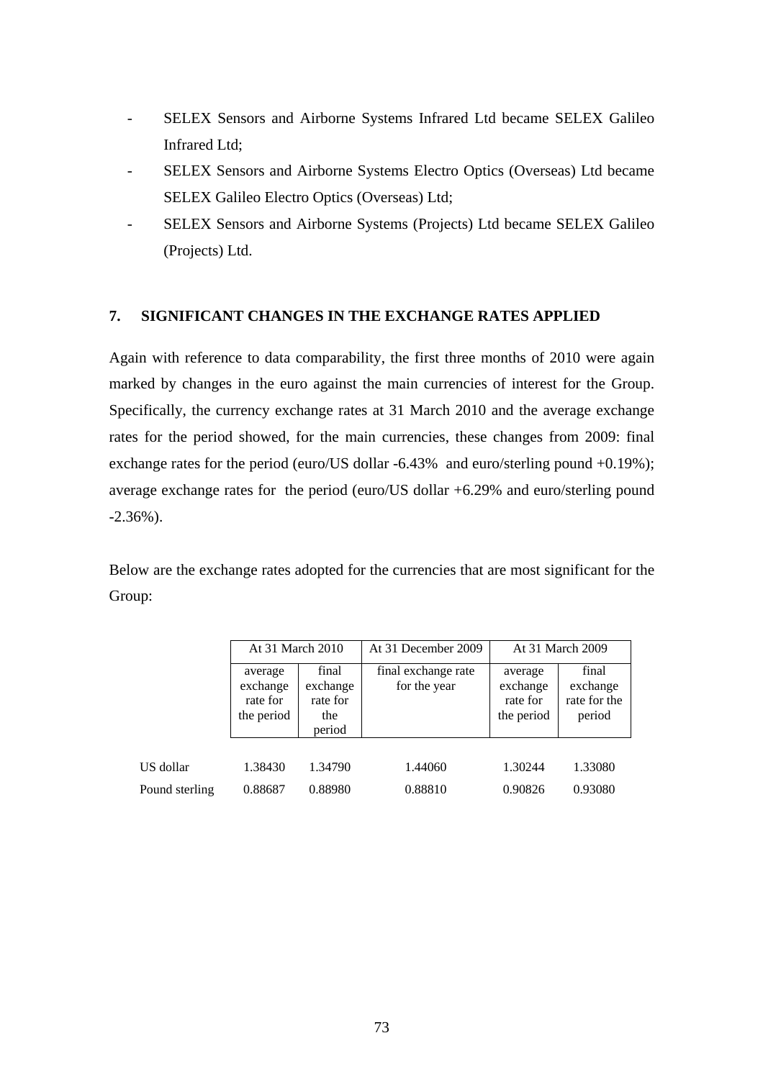- SELEX Sensors and Airborne Systems Infrared Ltd became SELEX Galileo Infrared Ltd;
- SELEX Sensors and Airborne Systems Electro Optics (Overseas) Ltd became SELEX Galileo Electro Optics (Overseas) Ltd;
- SELEX Sensors and Airborne Systems (Projects) Ltd became SELEX Galileo (Projects) Ltd.

## **7. SIGNIFICANT CHANGES IN THE EXCHANGE RATES APPLIED**

Again with reference to data comparability, the first three months of 2010 were again marked by changes in the euro against the main currencies of interest for the Group. Specifically, the currency exchange rates at 31 March 2010 and the average exchange rates for the period showed, for the main currencies, these changes from 2009: final exchange rates for the period (euro/US dollar -6.43% and euro/sterling pound +0.19%); average exchange rates for the period (euro/US dollar +6.29% and euro/sterling pound -2.36%).

Below are the exchange rates adopted for the currencies that are most significant for the Group:

|                | At 31 March 2010                              |                                                | At 31 December 2009                 |                                               | At 31 March 2009                            |
|----------------|-----------------------------------------------|------------------------------------------------|-------------------------------------|-----------------------------------------------|---------------------------------------------|
|                | average<br>exchange<br>rate for<br>the period | final<br>exchange<br>rate for<br>the<br>period | final exchange rate<br>for the year | average<br>exchange<br>rate for<br>the period | final<br>exchange<br>rate for the<br>period |
|                |                                               |                                                |                                     |                                               |                                             |
| US dollar      | 1.38430                                       | 1.34790                                        | 1.44060                             | 1.30244                                       | 1.33080                                     |
| Pound sterling | 0.88687                                       | 0.88980                                        | 0.88810                             | 0.90826                                       | 0.93080                                     |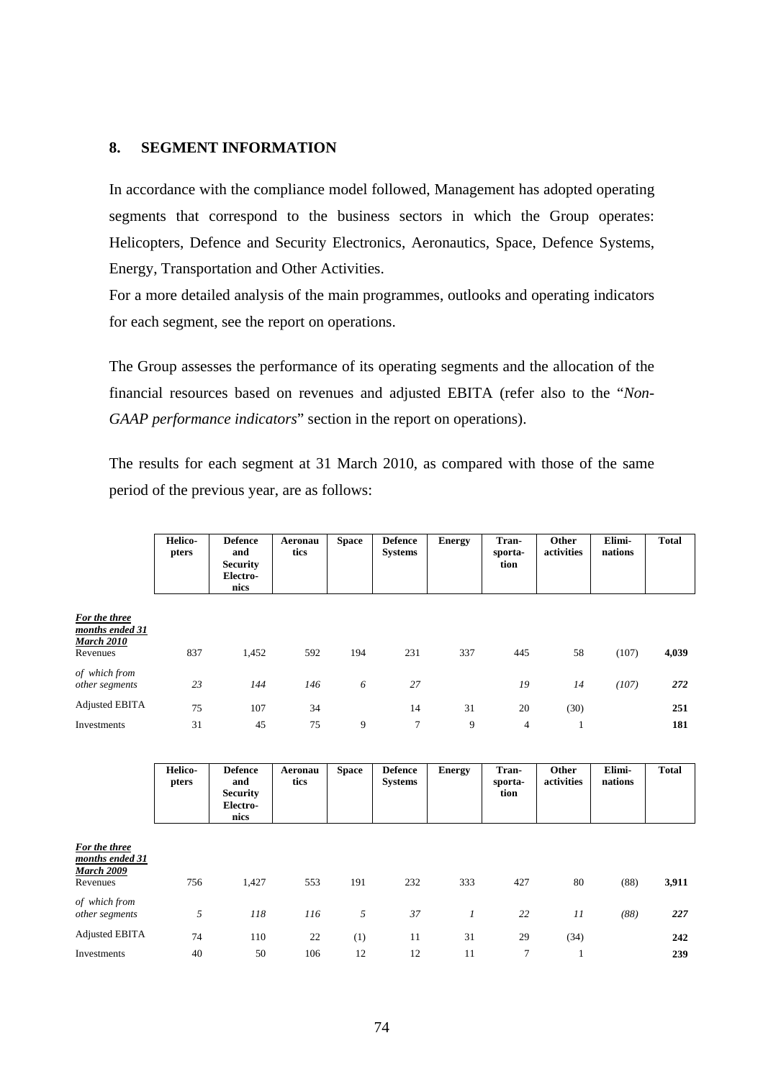## **8. SEGMENT INFORMATION**

In accordance with the compliance model followed, Management has adopted operating segments that correspond to the business sectors in which the Group operates: Helicopters, Defence and Security Electronics, Aeronautics, Space, Defence Systems, Energy, Transportation and Other Activities.

For a more detailed analysis of the main programmes, outlooks and operating indicators for each segment, see the report on operations.

The Group assesses the performance of its operating segments and the allocation of the financial resources based on revenues and adjusted EBITA (refer also to the "*Non-GAAP performance indicators*" section in the report on operations).

The results for each segment at 31 March 2010, as compared with those of the same period of the previous year, are as follows:

|                                                                   | <b>Helico-</b><br>pters | <b>Defence</b><br>and<br><b>Security</b><br>Electro-<br>nics | Aeronau<br>tics | <b>Space</b> | <b>Defence</b><br><b>Systems</b> | <b>Energy</b> | Tran-<br>sporta-<br>tion | Other<br>activities | Elimi-<br>nations | Total |
|-------------------------------------------------------------------|-------------------------|--------------------------------------------------------------|-----------------|--------------|----------------------------------|---------------|--------------------------|---------------------|-------------------|-------|
| <u>For the three</u><br>months ended 31<br>March 2010<br>Revenues | 837                     | 1,452                                                        | 592             | 194          | 231                              | 337           | 445                      | 58                  | (107)             | 4,039 |
| of which from<br>other segments                                   | 23                      | 144                                                          | 146             | 6            | 27                               |               | 19                       | 14                  | (107)             | 272   |
| <b>Adjusted EBITA</b>                                             | 75                      | 107                                                          | 34              |              | 14                               | 31            | 20                       | (30)                |                   | 251   |
| Investments                                                       | 31                      | 45                                                           | 75              | 9            | 7                                | 9             | $\overline{4}$           |                     |                   | 181   |

|                                                                   | Helico-<br>pters | <b>Defence</b><br>and<br><b>Security</b><br>Electro-<br>nics | Aeronau<br>tics | <b>Space</b> | <b>Defence</b><br><b>Systems</b> | <b>Energy</b>  | Tran-<br>sporta-<br>tion | Other<br>activities | Elimi-<br>nations | <b>Total</b> |
|-------------------------------------------------------------------|------------------|--------------------------------------------------------------|-----------------|--------------|----------------------------------|----------------|--------------------------|---------------------|-------------------|--------------|
| For the three<br>months ended 31<br><b>March 2009</b><br>Revenues | 756              | 1,427                                                        | 553             | 191          | 232                              | 333            | 427                      | 80                  | (88)              | 3,911        |
| of which from<br>other segments                                   | 5                | 118                                                          | 116             | 5            | 37                               | $\mathfrak{1}$ | 22                       | 11                  | (88)              | 227          |
| <b>Adjusted EBITA</b><br>Investments                              | 74<br>40         | 110<br>50                                                    | 22<br>106       | (1)<br>12    | 11<br>12                         | 31<br>11       | 29<br>7                  | (34)                |                   | 242<br>239   |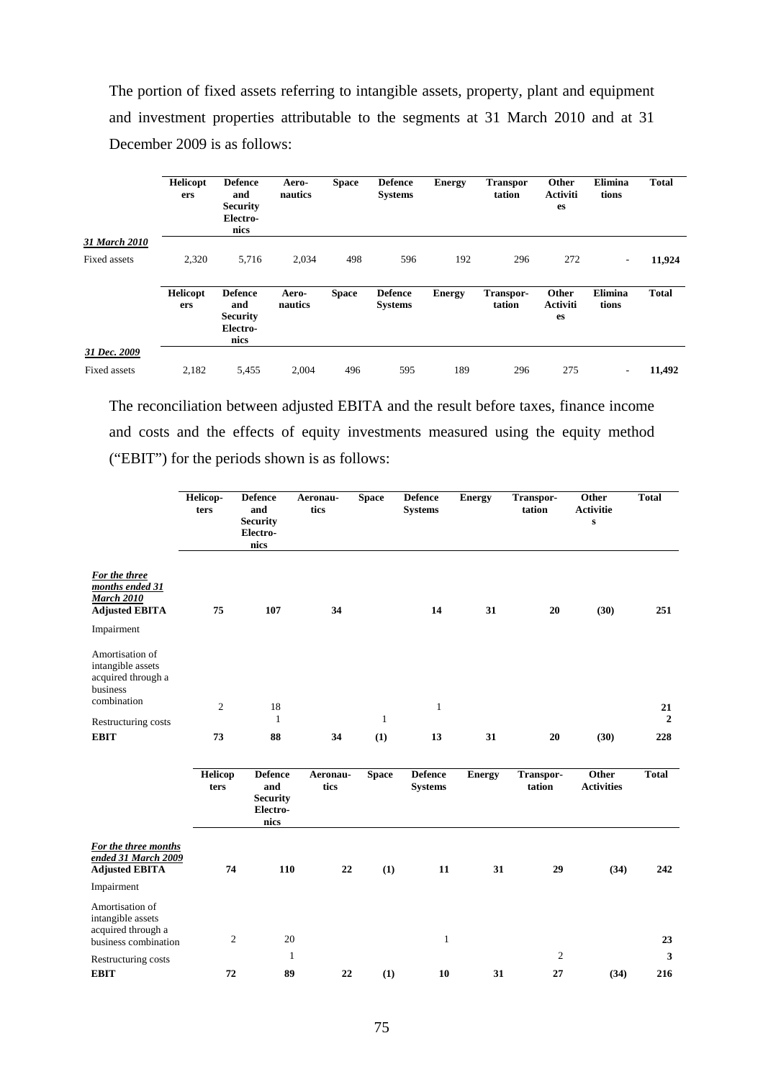The portion of fixed assets referring to intangible assets, property, plant and equipment and investment properties attributable to the segments at 31 March 2010 and at 31 December 2009 is as follows:

|               | <b>Helicopt</b><br>ers | <b>Defence</b><br>and<br><b>Security</b><br>Electro-<br>nics | Aero-<br>nautics | <b>Space</b> | <b>Defence</b><br><b>Systems</b> | <b>Energy</b> | <b>Transpor</b><br>tation | Other<br><b>Activiti</b><br>es | <b>Elimina</b><br>tions  | <b>Total</b> |
|---------------|------------------------|--------------------------------------------------------------|------------------|--------------|----------------------------------|---------------|---------------------------|--------------------------------|--------------------------|--------------|
| 31 March 2010 |                        |                                                              |                  |              |                                  |               |                           |                                |                          |              |
| Fixed assets  | 2,320                  | 5,716                                                        | 2,034            | 498          | 596                              | 192           | 296                       | 272                            | $\overline{\phantom{a}}$ | 11,924       |
|               | <b>Helicopt</b><br>ers | <b>Defence</b><br>and<br><b>Security</b><br>Electro-<br>nics | Aero-<br>nautics | <b>Space</b> | <b>Defence</b><br><b>Systems</b> | <b>Energy</b> | Transpor-<br>tation       | Other<br><b>Activiti</b><br>es | Elimina<br>tions         | <b>Total</b> |
| 31 Dec. 2009  |                        |                                                              |                  |              |                                  |               |                           |                                |                          |              |
| Fixed assets  | 2,182                  | 5,455                                                        | 2,004            | 496          | 595                              | 189           | 296                       | 275                            | $\overline{\phantom{a}}$ | 11,492       |

The reconciliation between adjusted EBITA and the result before taxes, finance income and costs and the effects of equity investments measured using the equity method ("EBIT") for the periods shown is as follows:

|                                                                                                     | Helicop-<br>ters | <b>Defence</b><br>and<br><b>Security</b><br>Electro-<br>nics | Aeronau-<br>tics | <b>Space</b> | <b>Defence</b><br><b>Systems</b> | <b>Energy</b> | Transpor-<br>tation | Other<br><b>Activitie</b><br>${\bf S}$ | <b>Total</b>         |
|-----------------------------------------------------------------------------------------------------|------------------|--------------------------------------------------------------|------------------|--------------|----------------------------------|---------------|---------------------|----------------------------------------|----------------------|
| For the three<br>months ended 31<br><b>March 2010</b><br><b>Adjusted EBITA</b>                      | 75               | 107                                                          | 34               |              | 14                               | 31            | 20                  | (30)                                   | 251                  |
| Impairment<br>Amortisation of<br>intangible assets<br>acquired through a<br>business<br>combination |                  |                                                              |                  |              |                                  |               |                     |                                        |                      |
| Restructuring costs                                                                                 | $\overline{2}$   | 18<br>$\mathbf{1}$                                           |                  | $\mathbf{1}$ | $\mathbf{1}$                     |               |                     |                                        | 21<br>$\overline{2}$ |
| <b>EBIT</b>                                                                                         | 73               | 88                                                           | 34               | (1)          | 13                               | 31            | 20                  | (30)                                   | 228                  |
|                                                                                                     | Helicop<br>ters  | <b>Defence</b><br>and<br><b>Security</b><br>Electro-<br>nics | Aeronau-<br>tics | <b>Space</b> | <b>Defence</b><br><b>Systems</b> | <b>Energy</b> | Transpor-<br>tation | Other<br><b>Activities</b>             | <b>Total</b>         |
| For the three months<br>ended 31 March 2009<br><b>Adjusted EBITA</b>                                | 74               | 110                                                          | 22               | (1)          | 11                               | 31            | 29                  | (34)                                   | 242                  |
| Impairment                                                                                          |                  |                                                              |                  |              |                                  |               |                     |                                        |                      |
| Amortisation of<br>intangible assets<br>acquired through a<br>business combination                  | $\boldsymbol{2}$ | 20                                                           |                  |              | $\mathbf{1}$                     |               |                     |                                        | 23                   |
| Restructuring costs                                                                                 |                  | $\mathbf{1}$                                                 |                  |              |                                  |               | $\mathbf{2}$        |                                        | 3                    |
| <b>EBIT</b>                                                                                         | 72               | 89                                                           | 22               | (1)          | 10                               | 31            | 27                  | (34)                                   | 216                  |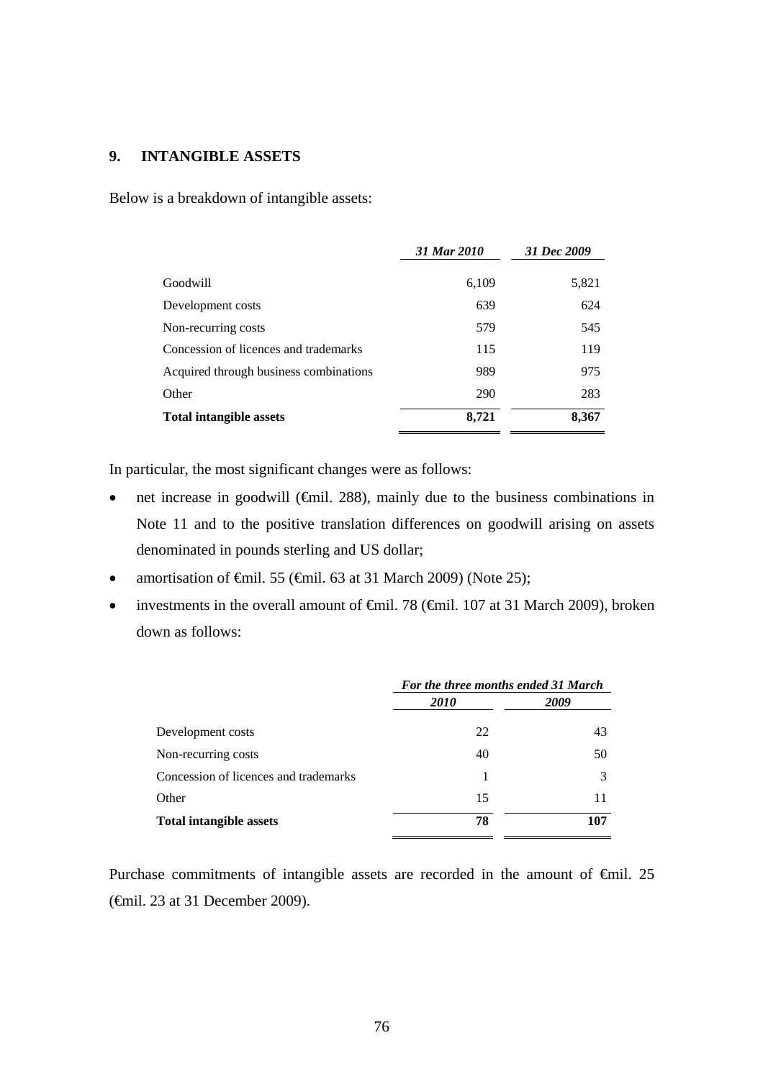## **9. INTANGIBLE ASSETS**

Below is a breakdown of intangible assets:

|                                        | 31 Mar 2010 | 31 Dec 2009 |
|----------------------------------------|-------------|-------------|
| Goodwill                               | 6,109       | 5,821       |
| Development costs                      | 639         | 624         |
| Non-recurring costs                    | 579         | 545         |
| Concession of licences and trademarks  | 115         | 119         |
| Acquired through business combinations | 989         | 975         |
| Other                                  | 290         | 283         |
| <b>Total intangible assets</b>         | 8.721       | 8,367       |

In particular, the most significant changes were as follows:

- net increase in goodwill ( $\epsilon$ mil. 288), mainly due to the business combinations in Note 11 and to the positive translation differences on goodwill arising on assets denominated in pounds sterling and US dollar;
- amortisation of  $\epsilon$ mil. 55 ( $\epsilon$ mil. 63 at 31 March 2009) (Note 25);
- investments in the overall amount of  $\theta$ inil. 78 ( $\theta$ inil. 107 at 31 March 2009), broken down as follows:

|                                       | For the three months ended 31 March |      |  |  |
|---------------------------------------|-------------------------------------|------|--|--|
|                                       | <i>2010</i>                         | 2009 |  |  |
| Development costs                     | 22                                  | 43   |  |  |
| Non-recurring costs                   | 40                                  | 50   |  |  |
| Concession of licences and trademarks |                                     |      |  |  |
| Other                                 | 15                                  | 11   |  |  |
| <b>Total intangible assets</b>        | 78                                  | 107  |  |  |
|                                       |                                     |      |  |  |

Purchase commitments of intangible assets are recorded in the amount of €mil. 25 (€mil. 23 at 31 December 2009).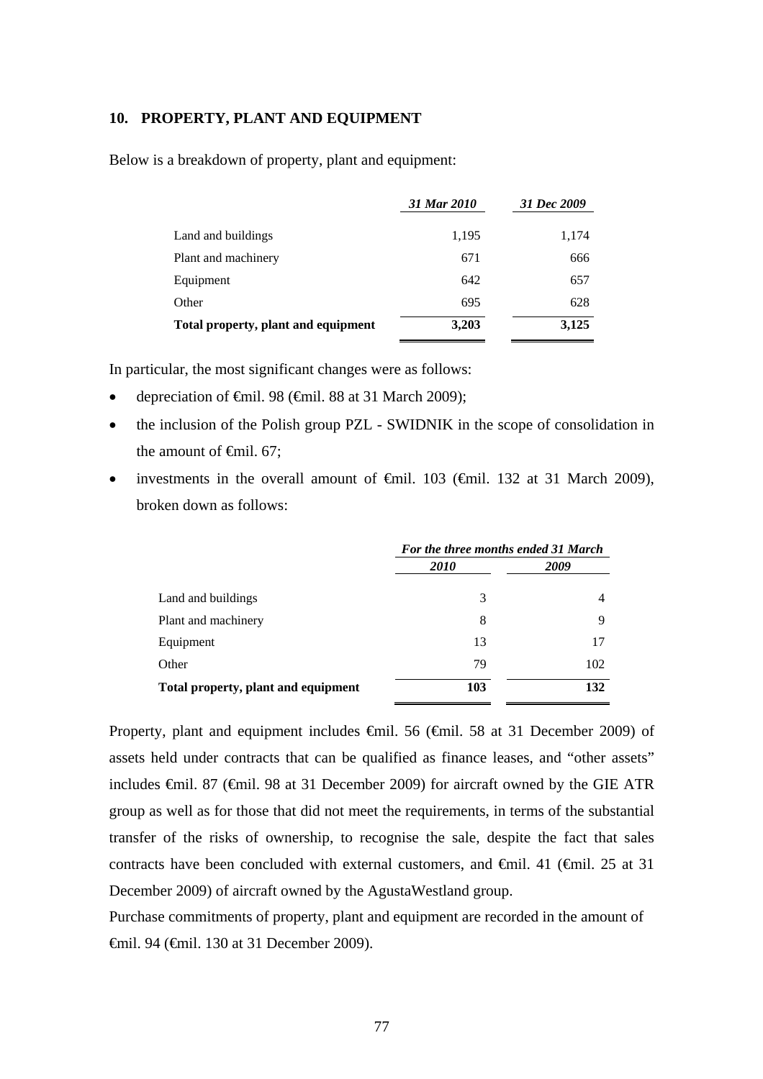#### **10. PROPERTY, PLANT AND EQUIPMENT**

Below is a breakdown of property, plant and equipment:

|                                     | 31 Mar 2010 | 31 Dec 2009 |
|-------------------------------------|-------------|-------------|
|                                     |             |             |
| Land and buildings                  | 1,195       | 1,174       |
| Plant and machinery                 | 671         | 666         |
| Equipment                           | 642         | 657         |
| Other                               | 695         | 628         |
| Total property, plant and equipment | 3,203       | 3,125       |

In particular, the most significant changes were as follows:

- depreciation of €mil. 98 (€mil. 88 at 31 March 2009);
- the inclusion of the Polish group PZL SWIDNIK in the scope of consolidation in the amount of  $\epsilon$ mil. 67;
- investments in the overall amount of €mil. 103 (€mil. 132 at 31 March 2009), broken down as follows:

|                                     | For the three months ended 31 March |      |  |  |
|-------------------------------------|-------------------------------------|------|--|--|
|                                     | <i>2010</i>                         | 2009 |  |  |
| Land and buildings                  | 3                                   |      |  |  |
| Plant and machinery                 | 8                                   | 9    |  |  |
| Equipment                           | 13                                  | 17   |  |  |
| Other                               | 79                                  | 102  |  |  |
| Total property, plant and equipment | 103                                 | 132  |  |  |

Property, plant and equipment includes €mil. 56 (€mil. 58 at 31 December 2009) of assets held under contracts that can be qualified as finance leases, and "other assets" includes €mil. 87 (€mil. 98 at 31 December 2009) for aircraft owned by the GIE ATR group as well as for those that did not meet the requirements, in terms of the substantial transfer of the risks of ownership, to recognise the sale, despite the fact that sales contracts have been concluded with external customers, and  $\oplus$ mil. 41 ( $\oplus$ mil. 25 at 31 December 2009) of aircraft owned by the AgustaWestland group.

Purchase commitments of property, plant and equipment are recorded in the amount of €mil. 94 (€mil. 130 at 31 December 2009).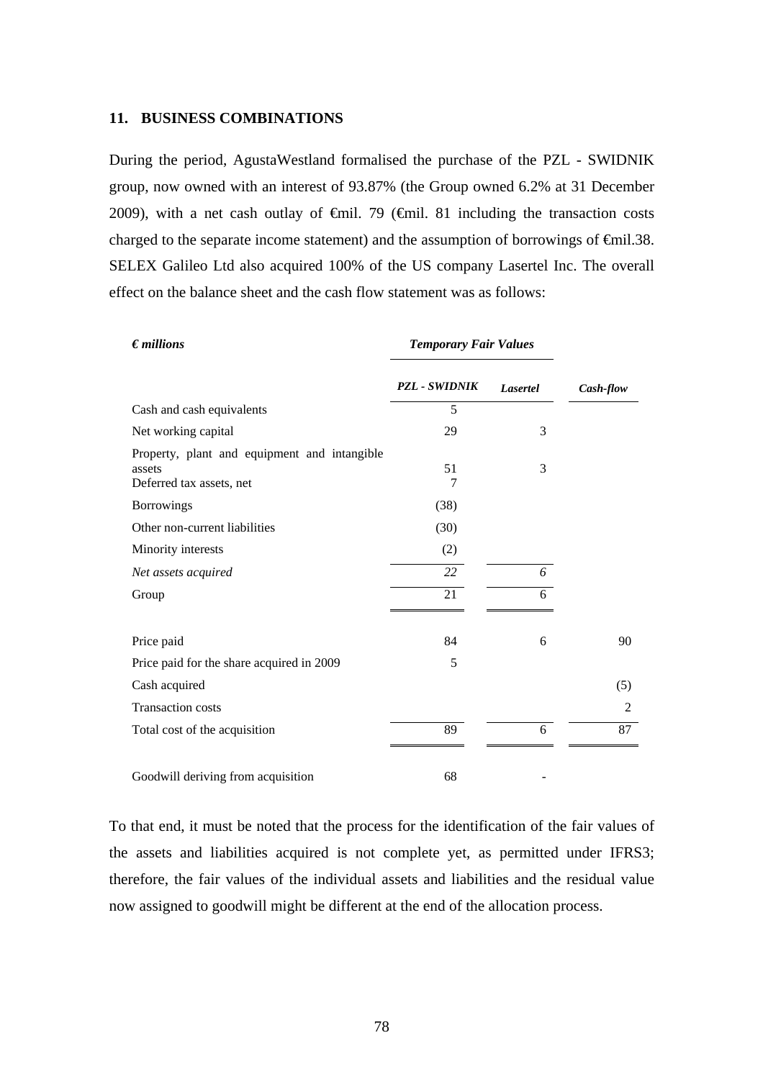#### **11. BUSINESS COMBINATIONS**

During the period, AgustaWestland formalised the purchase of the PZL - SWIDNIK group, now owned with an interest of 93.87% (the Group owned 6.2% at 31 December 2009), with a net cash outlay of  $\theta$ mil. 79 ( $\theta$ mil. 81 including the transaction costs charged to the separate income statement) and the assumption of borrowings of  $\epsilon$ mil.38. SELEX Galileo Ltd also acquired 100% of the US company Lasertel Inc. The overall effect on the balance sheet and the cash flow statement was as follows:

| $\epsilon$ <i>millions</i>                                                         | <b>Temporary Fair Values</b> |                 |           |
|------------------------------------------------------------------------------------|------------------------------|-----------------|-----------|
|                                                                                    | <b>PZL - SWIDNIK</b>         | <b>Lasertel</b> | Cash-flow |
| Cash and cash equivalents                                                          | 5                            |                 |           |
| Net working capital                                                                | 29                           | 3               |           |
| Property, plant and equipment and intangible<br>assets<br>Deferred tax assets, net | 51<br>7                      | 3               |           |
| <b>Borrowings</b>                                                                  | (38)                         |                 |           |
| Other non-current liabilities                                                      | (30)                         |                 |           |
| Minority interests                                                                 | (2)                          |                 |           |
| Net assets acquired                                                                | 22                           | 6               |           |
| Group                                                                              | 21                           | 6               |           |
| Price paid                                                                         | 84                           | 6               | 90        |
| Price paid for the share acquired in 2009                                          | 5                            |                 |           |
| Cash acquired                                                                      |                              |                 | (5)       |
| Transaction costs                                                                  |                              |                 | 2         |
| Total cost of the acquisition                                                      | 89                           | 6               | 87        |
| Goodwill deriving from acquisition                                                 | 68                           |                 |           |

To that end, it must be noted that the process for the identification of the fair values of the assets and liabilities acquired is not complete yet, as permitted under IFRS3; therefore, the fair values of the individual assets and liabilities and the residual value now assigned to goodwill might be different at the end of the allocation process.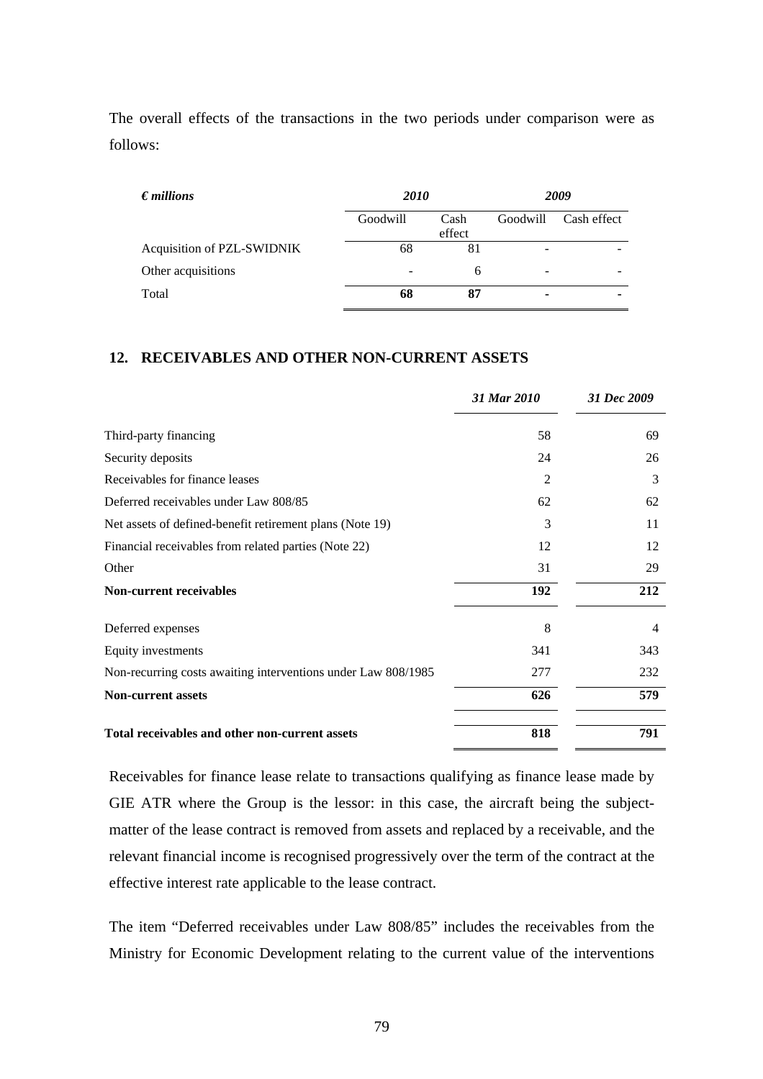The overall effects of the transactions in the two periods under comparison were as follows:

| $\epsilon$ <i>millions</i> | <b>2010</b> |                | 2009     |             |  |
|----------------------------|-------------|----------------|----------|-------------|--|
|                            | Goodwill    | Cash<br>effect | Goodwill | Cash effect |  |
| Acquisition of PZL-SWIDNIK | 68          | 81             | -        |             |  |
| Other acquisitions         |             | 6              | -        |             |  |
| Total                      | 68          | 87             | ۰        |             |  |

# **12. RECEIVABLES AND OTHER NON-CURRENT ASSETS**

|                                                               | 31 Mar 2010    | 31 Dec 2009 |
|---------------------------------------------------------------|----------------|-------------|
| Third-party financing                                         | 58             | 69          |
| Security deposits                                             | 24             | 26          |
| Receivables for finance leases                                | $\mathfrak{D}$ | 3           |
| Deferred receivables under Law 808/85                         | 62             | 62          |
| Net assets of defined-benefit retirement plans (Note 19)      | 3              | 11          |
| Financial receivables from related parties (Note 22)          | 12             | 12          |
| Other                                                         | 31             | 29          |
| <b>Non-current receivables</b>                                | 192            | 212         |
| Deferred expenses                                             | 8              | 4           |
| Equity investments                                            | 341            | 343         |
| Non-recurring costs awaiting interventions under Law 808/1985 | 277            | 232         |
| <b>Non-current assets</b>                                     | 626            | 579         |
| Total receivables and other non-current assets                | 818            | 791         |

Receivables for finance lease relate to transactions qualifying as finance lease made by GIE ATR where the Group is the lessor: in this case, the aircraft being the subjectmatter of the lease contract is removed from assets and replaced by a receivable, and the relevant financial income is recognised progressively over the term of the contract at the effective interest rate applicable to the lease contract.

The item "Deferred receivables under Law 808/85" includes the receivables from the Ministry for Economic Development relating to the current value of the interventions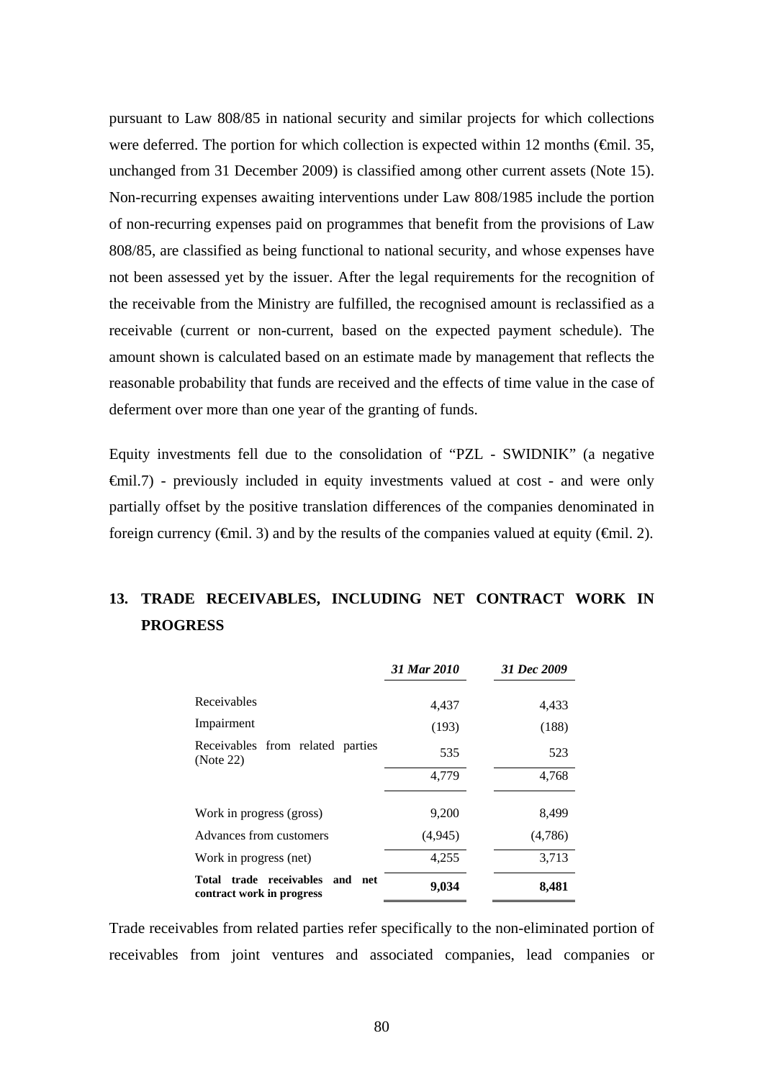pursuant to Law 808/85 in national security and similar projects for which collections were deferred. The portion for which collection is expected within 12 months ( $\epsilon$ mil. 35, unchanged from 31 December 2009) is classified among other current assets (Note 15). Non-recurring expenses awaiting interventions under Law 808/1985 include the portion of non-recurring expenses paid on programmes that benefit from the provisions of Law 808/85, are classified as being functional to national security, and whose expenses have not been assessed yet by the issuer. After the legal requirements for the recognition of the receivable from the Ministry are fulfilled, the recognised amount is reclassified as a receivable (current or non-current, based on the expected payment schedule). The amount shown is calculated based on an estimate made by management that reflects the reasonable probability that funds are received and the effects of time value in the case of deferment over more than one year of the granting of funds.

Equity investments fell due to the consolidation of "PZL - SWIDNIK" (a negative  $\oplus$ mil.7) - previously included in equity investments valued at cost - and were only partially offset by the positive translation differences of the companies denominated in foreign currency ( $\epsilon$ mil. 3) and by the results of the companies valued at equity ( $\epsilon$ mil. 2).

# **13. TRADE RECEIVABLES, INCLUDING NET CONTRACT WORK IN PROGRESS**

|                                                              | 31 Mar 2010 | 31 Dec 2009 |
|--------------------------------------------------------------|-------------|-------------|
| Receivables                                                  | 4,437       | 4,433       |
| Impairment                                                   | (193)       | (188)       |
| Receivables from related parties<br>(Note 22)                | 535         | 523         |
|                                                              | 4,779       | 4,768       |
| Work in progress (gross)                                     | 9,200       | 8,499       |
| Advances from customers                                      | (4, 945)    | (4,786)     |
| Work in progress (net)                                       | 4,255       | 3,713       |
| Total trade receivables and net<br>contract work in progress | 9,034       | 8,481       |

Trade receivables from related parties refer specifically to the non-eliminated portion of receivables from joint ventures and associated companies, lead companies or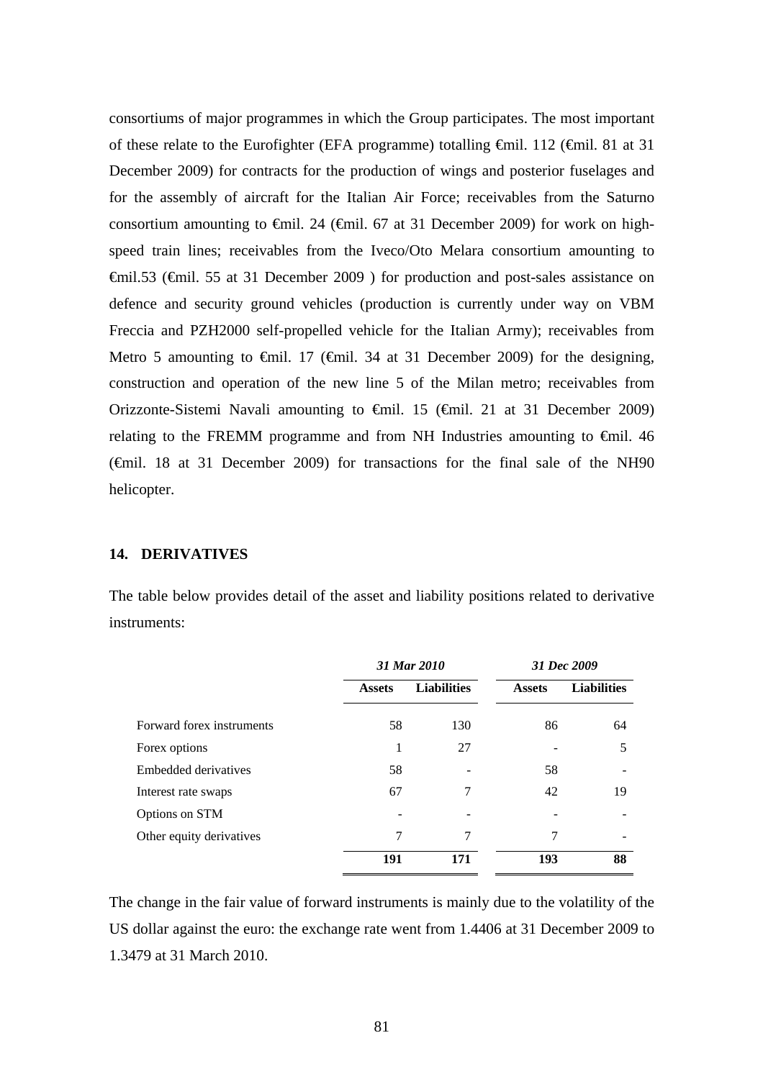consortiums of major programmes in which the Group participates. The most important of these relate to the Eurofighter (EFA programme) totalling €mil. 112 (€mil. 81 at 31 December 2009) for contracts for the production of wings and posterior fuselages and for the assembly of aircraft for the Italian Air Force; receivables from the Saturno consortium amounting to  $\epsilon$ mil. 24 ( $\epsilon$ mil. 67 at 31 December 2009) for work on highspeed train lines; receivables from the Iveco/Oto Melara consortium amounting to €mil.53 (€mil. 55 at 31 December 2009 ) for production and post-sales assistance on defence and security ground vehicles (production is currently under way on VBM Freccia and PZH2000 self-propelled vehicle for the Italian Army); receivables from Metro 5 amounting to  $\theta$ mil. 17 ( $\theta$ mil. 34 at 31 December 2009) for the designing, construction and operation of the new line 5 of the Milan metro; receivables from Orizzonte-Sistemi Navali amounting to €mil. 15 (€mil. 21 at 31 December 2009) relating to the FREMM programme and from NH Industries amounting to  $\epsilon$ mil. 46 (€mil. 18 at 31 December 2009) for transactions for the final sale of the NH90 helicopter.

#### **14. DERIVATIVES**

The table below provides detail of the asset and liability positions related to derivative instruments:

|                           |               | 31 Mar 2010        |               | 31 Dec 2009        |
|---------------------------|---------------|--------------------|---------------|--------------------|
|                           | <b>Assets</b> | <b>Liabilities</b> | <b>Assets</b> | <b>Liabilities</b> |
| Forward forex instruments | 58            | 130                | 86            | 64                 |
| Forex options             |               | 27                 |               | 5                  |
| Embedded derivatives      | 58            |                    | 58            |                    |
| Interest rate swaps       | 67            | 7                  | 42            | 19                 |
| Options on STM            |               |                    |               |                    |
| Other equity derivatives  | 7             | 7                  | 7             |                    |
|                           | 191           | 171                | 193           | 88                 |

The change in the fair value of forward instruments is mainly due to the volatility of the US dollar against the euro: the exchange rate went from 1.4406 at 31 December 2009 to 1.3479 at 31 March 2010.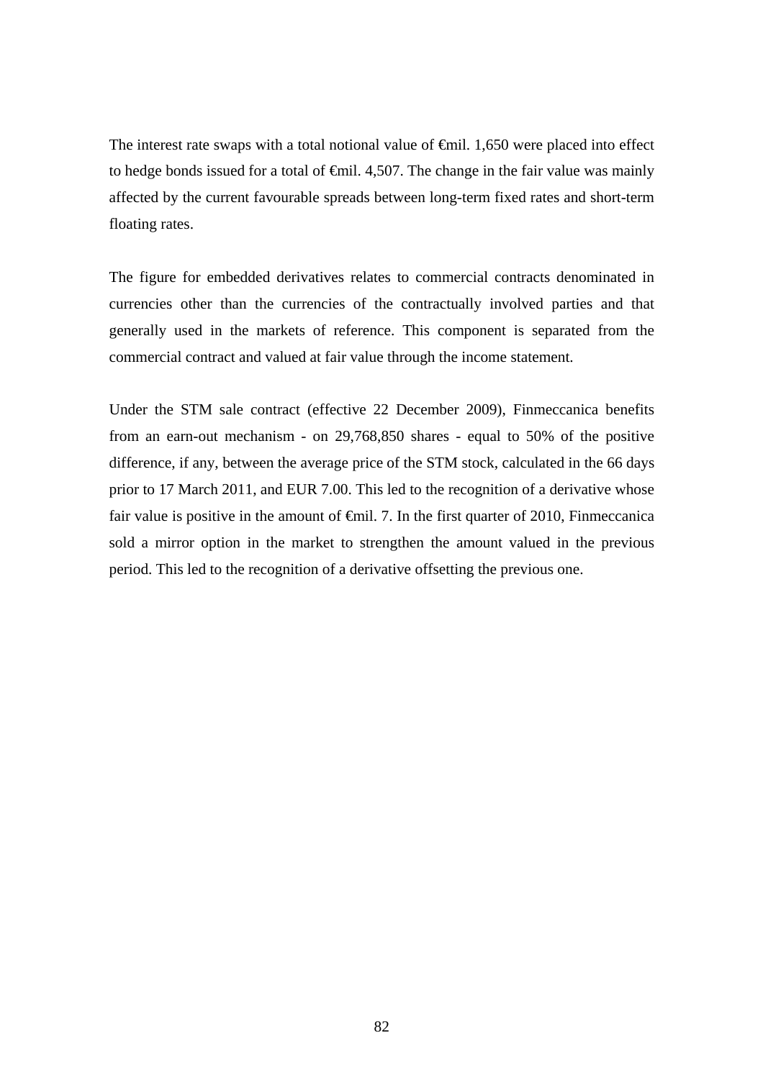The interest rate swaps with a total notional value of  $\oplus$ mil. 1,650 were placed into effect to hedge bonds issued for a total of  $\epsilon$ mil. 4,507. The change in the fair value was mainly affected by the current favourable spreads between long-term fixed rates and short-term floating rates.

The figure for embedded derivatives relates to commercial contracts denominated in currencies other than the currencies of the contractually involved parties and that generally used in the markets of reference. This component is separated from the commercial contract and valued at fair value through the income statement.

Under the STM sale contract (effective 22 December 2009), Finmeccanica benefits from an earn-out mechanism - on 29,768,850 shares - equal to 50% of the positive difference, if any, between the average price of the STM stock, calculated in the 66 days prior to 17 March 2011, and EUR 7.00. This led to the recognition of a derivative whose fair value is positive in the amount of  $\epsilon$ mil. 7. In the first quarter of 2010, Finmeccanica sold a mirror option in the market to strengthen the amount valued in the previous period. This led to the recognition of a derivative offsetting the previous one.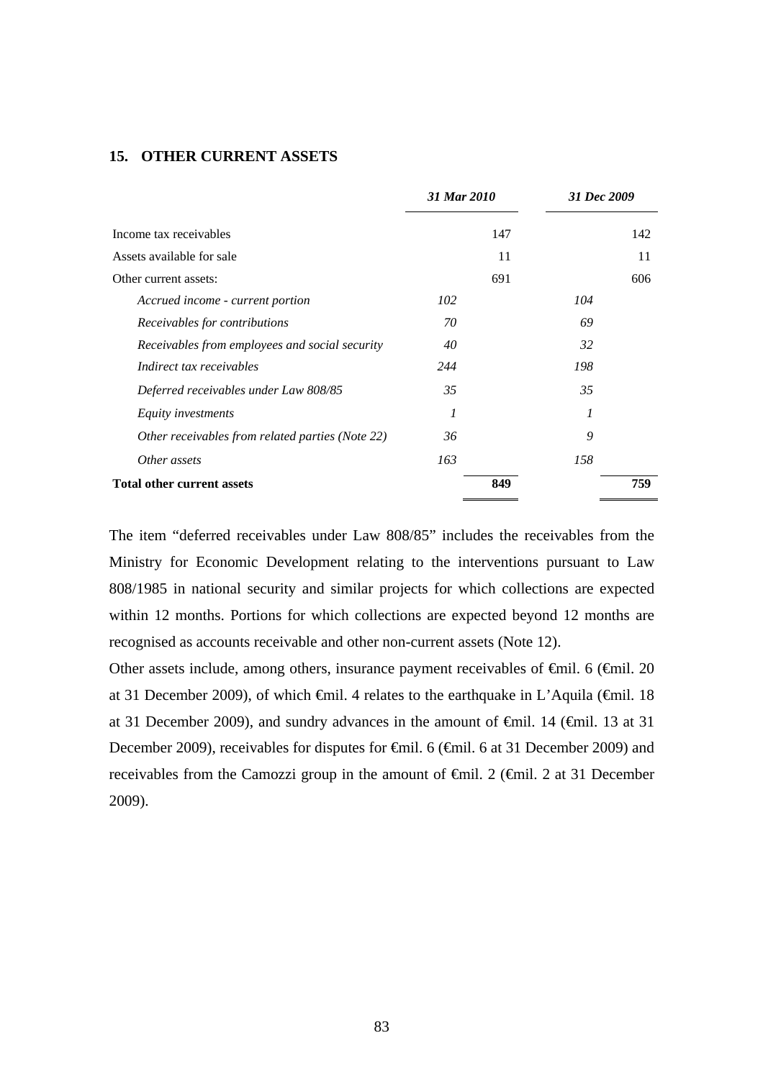# **15. OTHER CURRENT ASSETS**

|                                                  | 31 Mar 2010 |     | 31 Dec 2009 |
|--------------------------------------------------|-------------|-----|-------------|
| Income tax receivables                           |             | 147 | 142         |
| Assets available for sale                        |             | 11  | 11          |
| Other current assets:                            |             | 691 | 606         |
| Accrued income - current portion                 | 102         | 104 |             |
| Receivables for contributions                    | 70          | 69  |             |
| Receivables from employees and social security   | 40          | 32  |             |
| Indirect tax receivables                         | 244         | 198 |             |
| Deferred receivables under Law 808/85            | 35          | 35  |             |
| Equity investments                               | 1           | 1   |             |
| Other receivables from related parties (Note 22) | 36          | 9   |             |
| Other assets                                     | 163         | 158 |             |
| <b>Total other current assets</b>                |             | 849 | 759         |

The item "deferred receivables under Law 808/85" includes the receivables from the Ministry for Economic Development relating to the interventions pursuant to Law 808/1985 in national security and similar projects for which collections are expected within 12 months. Portions for which collections are expected beyond 12 months are recognised as accounts receivable and other non-current assets (Note 12).

Other assets include, among others, insurance payment receivables of  $\epsilon$ mil. 6 ( $\epsilon$ mil. 20 at 31 December 2009), of which €mil. 4 relates to the earthquake in L'Aquila (€mil. 18 at 31 December 2009), and sundry advances in the amount of  $\theta$ mil. 14 ( $\theta$ mil. 13 at 31 December 2009), receivables for disputes for <del>€</del>mil. 6 (€mil. 6 at 31 December 2009) and receivables from the Camozzi group in the amount of €mil. 2 (€mil. 2 at 31 December 2009).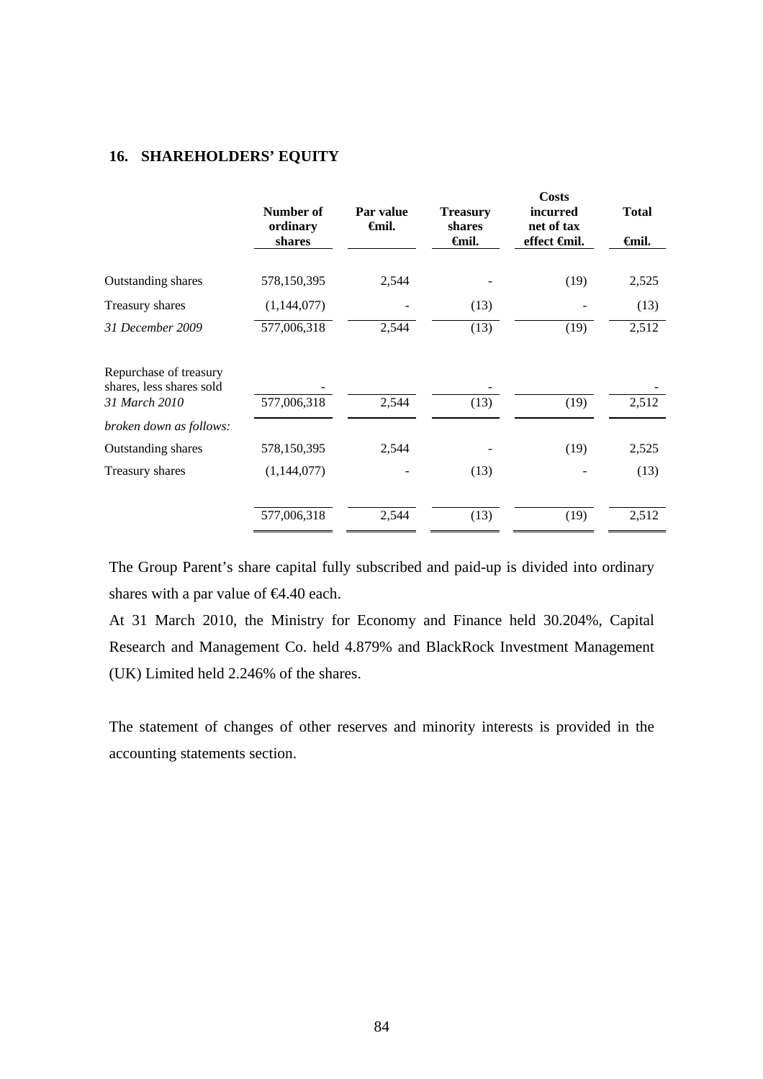# **16. SHAREHOLDERS' EQUITY**

|                                                    | Number of<br>ordinary<br>shares | Par value<br><b>€mil.</b> | <b>Treasury</b><br>shares<br><del>∈</del> mil. | <b>Costs</b><br><i>incurred</i><br>net of tax<br>effect <del>€</del> mil. | <b>Total</b><br><del>∈</del> mil. |
|----------------------------------------------------|---------------------------------|---------------------------|------------------------------------------------|---------------------------------------------------------------------------|-----------------------------------|
|                                                    |                                 |                           |                                                |                                                                           |                                   |
| Outstanding shares                                 | 578,150,395                     | 2,544                     |                                                | (19)                                                                      | 2,525                             |
| Treasury shares                                    | (1,144,077)                     |                           | (13)                                           |                                                                           | (13)                              |
| 31 December 2009                                   | 577,006,318                     | 2,544                     | (13)                                           | (19)                                                                      | 2,512                             |
| Repurchase of treasury<br>shares, less shares sold |                                 |                           |                                                |                                                                           |                                   |
| 31 March 2010                                      | 577,006,318                     | 2,544                     | (13)                                           | (19)                                                                      | 2,512                             |
| broken down as follows:                            |                                 |                           |                                                |                                                                           |                                   |
| <b>Outstanding shares</b>                          | 578,150,395                     | 2,544                     |                                                | (19)                                                                      | 2,525                             |
| Treasury shares                                    | (1,144,077)                     |                           | (13)                                           |                                                                           | (13)                              |
|                                                    | 577,006,318                     | 2,544                     | (13)                                           | (19)                                                                      | 2,512                             |

The Group Parent's share capital fully subscribed and paid-up is divided into ordinary shares with a par value of  $64.40$  each.

At 31 March 2010, the Ministry for Economy and Finance held 30.204%, Capital Research and Management Co. held 4.879% and BlackRock Investment Management (UK) Limited held 2.246% of the shares.

The statement of changes of other reserves and minority interests is provided in the accounting statements section.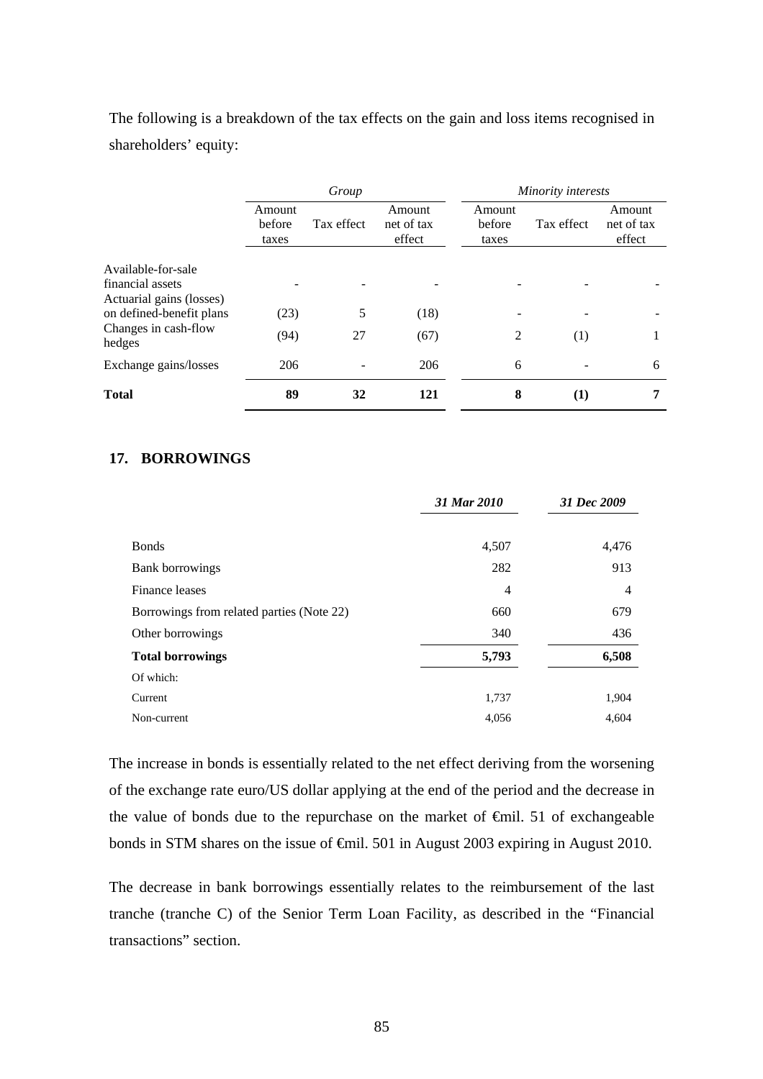The following is a breakdown of the tax effects on the gain and loss items recognised in shareholders' equity:

|                                              | Group                     |            |                                |                           | Minority interests |                                |  |  |
|----------------------------------------------|---------------------------|------------|--------------------------------|---------------------------|--------------------|--------------------------------|--|--|
|                                              | Amount<br>before<br>taxes | Tax effect | Amount<br>net of tax<br>effect | Amount<br>before<br>taxes | Tax effect         | Amount<br>net of tax<br>effect |  |  |
| Available-for-sale                           |                           |            |                                |                           |                    |                                |  |  |
| financial assets<br>Actuarial gains (losses) |                           |            |                                |                           |                    |                                |  |  |
| on defined-benefit plans                     | (23)                      | 5          | (18)                           |                           |                    |                                |  |  |
| Changes in cash-flow<br>hedges               | (94)                      | 27         | (67)                           | 2                         | (1)                |                                |  |  |
| Exchange gains/losses                        | 206                       |            | 206                            | 6                         |                    | 6                              |  |  |
| <b>Total</b>                                 | 89                        | 32         | 121                            | 8                         | $\bf(1)$           | 7                              |  |  |

## **17. BORROWINGS**

|                                           | 31 Mar 2010    | 31 Dec 2009    |
|-------------------------------------------|----------------|----------------|
|                                           |                |                |
| <b>Bonds</b>                              | 4,507          | 4,476          |
| Bank borrowings                           | 282            | 913            |
| Finance leases                            | $\overline{4}$ | $\overline{4}$ |
| Borrowings from related parties (Note 22) | 660            | 679            |
| Other borrowings                          | 340            | 436            |
| <b>Total borrowings</b>                   | 5,793          | 6,508          |
| Of which:                                 |                |                |
| Current                                   | 1,737          | 1,904          |
| Non-current                               | 4,056          | 4,604          |

The increase in bonds is essentially related to the net effect deriving from the worsening of the exchange rate euro/US dollar applying at the end of the period and the decrease in the value of bonds due to the repurchase on the market of €mil. 51 of exchangeable bonds in STM shares on the issue of €mil. 501 in August 2003 expiring in August 2010.

The decrease in bank borrowings essentially relates to the reimbursement of the last tranche (tranche C) of the Senior Term Loan Facility, as described in the "Financial transactions" section.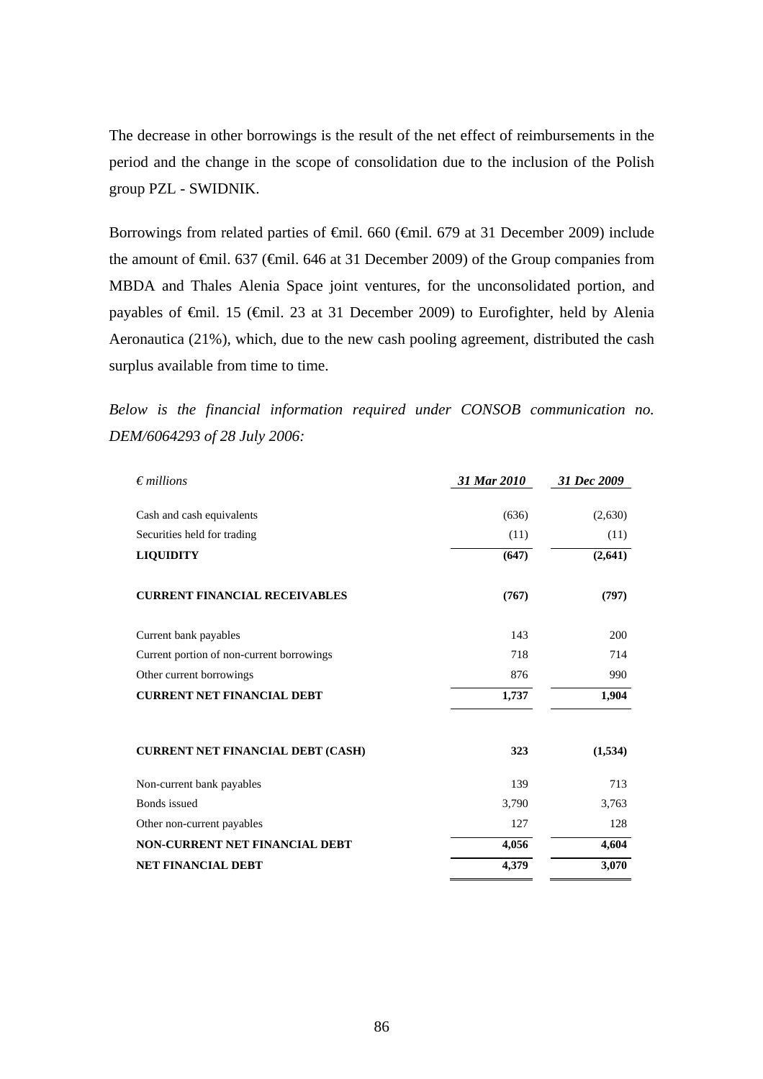The decrease in other borrowings is the result of the net effect of reimbursements in the period and the change in the scope of consolidation due to the inclusion of the Polish group PZL - SWIDNIK.

Borrowings from related parties of <del>€</del>mil. 660 (€mil. 679 at 31 December 2009) include the amount of €mil. 637 (€mil. 646 at 31 December 2009) of the Group companies from MBDA and Thales Alenia Space joint ventures, for the unconsolidated portion, and payables of €mil. 15 (€mil. 23 at 31 December 2009) to Eurofighter, held by Alenia Aeronautica (21%), which, due to the new cash pooling agreement, distributed the cash surplus available from time to time.

*Below is the financial information required under CONSOB communication no. DEM/6064293 of 28 July 2006:* 

| $\epsilon$ millions                       | 31 Mar 2010 | 31 Dec 2009 |
|-------------------------------------------|-------------|-------------|
|                                           |             |             |
| Cash and cash equivalents                 | (636)       | (2,630)     |
| Securities held for trading               | (11)        | (11)        |
| <b>LIQUIDITY</b>                          | (647)       | (2,641)     |
| <b>CURRENT FINANCIAL RECEIVABLES</b>      | (767)       | (797)       |
| Current bank payables                     | 143         | 200         |
| Current portion of non-current borrowings | 718         | 714         |
| Other current borrowings                  | 876         | 990         |
| <b>CURRENT NET FINANCIAL DEBT</b>         | 1,737       | 1,904       |
| <b>CURRENT NET FINANCIAL DEBT (CASH)</b>  | 323         | (1,534)     |
| Non-current bank payables                 | 139         | 713         |
| <b>Bonds</b> issued                       | 3,790       | 3,763       |
| Other non-current payables                | 127         | 128         |
| <b>NON-CURRENT NET FINANCIAL DEBT</b>     | 4,056       | 4,604       |
| <b>NET FINANCIAL DEBT</b>                 | 4,379       | 3,070       |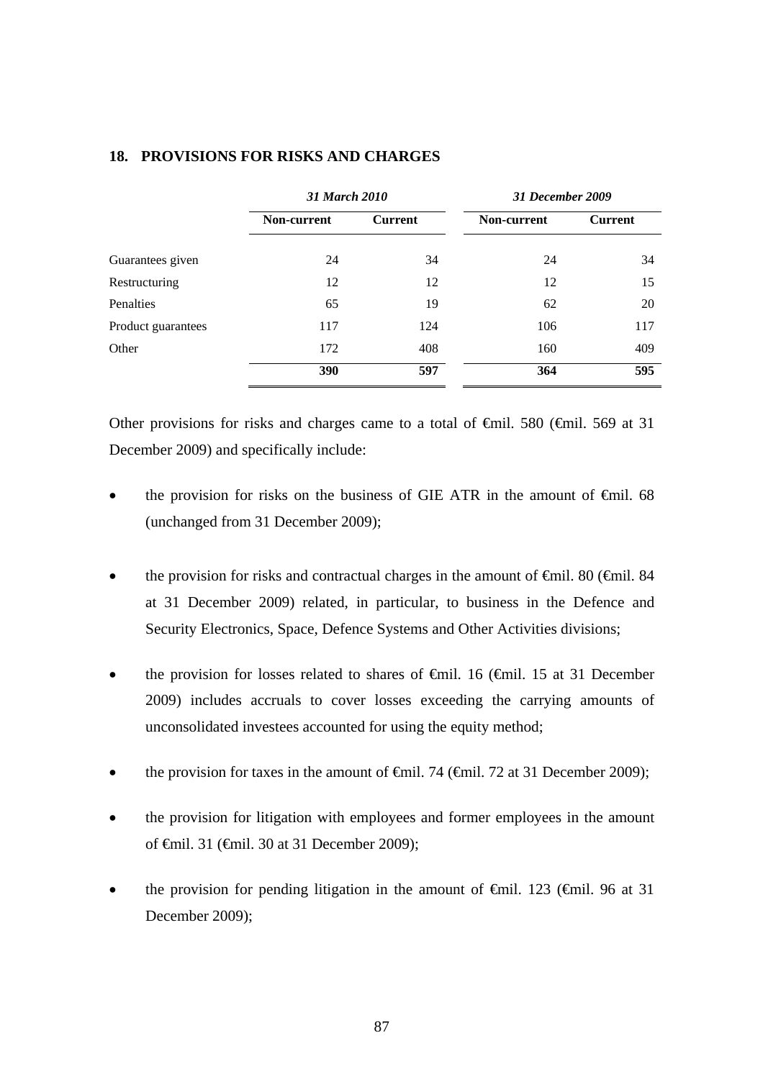|                    |             | 31 March 2010  |             | 31 December 2009 |
|--------------------|-------------|----------------|-------------|------------------|
|                    | Non-current | <b>Current</b> | Non-current | <b>Current</b>   |
| Guarantees given   | 24          | 34             | 24          | 34               |
| Restructuring      | 12          | 12             | 12          | 15               |
| Penalties          | 65          | 19             | 62          | 20               |
| Product guarantees | 117         | 124            | 106         | 117              |
| Other              | 172         | 408            | 160         | 409              |
|                    | 390         | 597            | 364         | 595              |

# **18. PROVISIONS FOR RISKS AND CHARGES**

Other provisions for risks and charges came to a total of  $\epsilon$ mil. 580 ( $\epsilon$ mil. 569 at 31 December 2009) and specifically include:

- the provision for risks on the business of GIE ATR in the amount of €mil. 68 (unchanged from 31 December 2009);
- the provision for risks and contractual charges in the amount of  $\epsilon$ mil. 80 ( $\epsilon$ mil. 84 at 31 December 2009) related, in particular, to business in the Defence and Security Electronics, Space, Defence Systems and Other Activities divisions;
- the provision for losses related to shares of  $\epsilon$ mil. 16 ( $\epsilon$ mil. 15 at 31 December 2009) includes accruals to cover losses exceeding the carrying amounts of unconsolidated investees accounted for using the equity method;
- the provision for taxes in the amount of  $\theta$ mil. 74 ( $\theta$ mil. 72 at 31 December 2009);
- the provision for litigation with employees and former employees in the amount of €mil. 31 (€mil. 30 at 31 December 2009);
- the provision for pending litigation in the amount of  $\theta$ mil. 123 ( $\theta$ mil. 96 at 31 December 2009);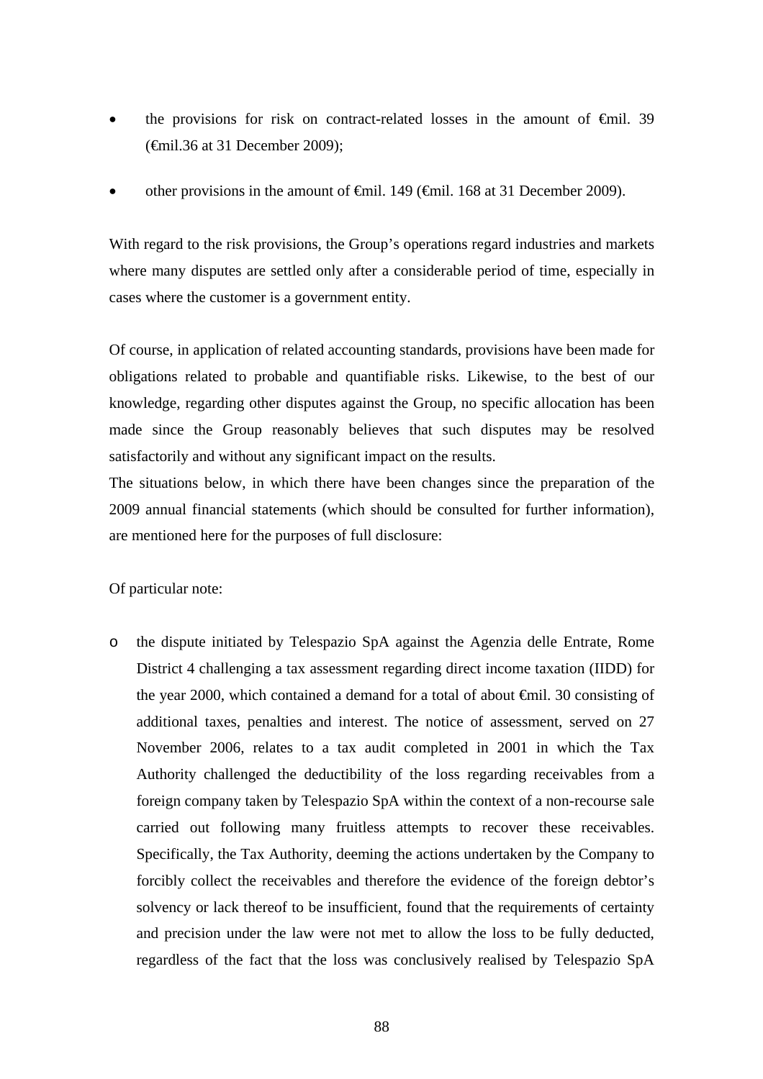- the provisions for risk on contract-related losses in the amount of  $\epsilon$ mil. 39 (€mil.36 at 31 December 2009);
- other provisions in the amount of  $\theta$ mil. 149 ( $\theta$ mil. 168 at 31 December 2009).

With regard to the risk provisions, the Group's operations regard industries and markets where many disputes are settled only after a considerable period of time, especially in cases where the customer is a government entity.

Of course, in application of related accounting standards, provisions have been made for obligations related to probable and quantifiable risks. Likewise, to the best of our knowledge, regarding other disputes against the Group, no specific allocation has been made since the Group reasonably believes that such disputes may be resolved satisfactorily and without any significant impact on the results.

The situations below, in which there have been changes since the preparation of the 2009 annual financial statements (which should be consulted for further information), are mentioned here for the purposes of full disclosure:

Of particular note:

o the dispute initiated by Telespazio SpA against the Agenzia delle Entrate, Rome District 4 challenging a tax assessment regarding direct income taxation (IIDD) for the year 2000, which contained a demand for a total of about €mil. 30 consisting of additional taxes, penalties and interest. The notice of assessment, served on 27 November 2006, relates to a tax audit completed in 2001 in which the Tax Authority challenged the deductibility of the loss regarding receivables from a foreign company taken by Telespazio SpA within the context of a non-recourse sale carried out following many fruitless attempts to recover these receivables. Specifically, the Tax Authority, deeming the actions undertaken by the Company to forcibly collect the receivables and therefore the evidence of the foreign debtor's solvency or lack thereof to be insufficient, found that the requirements of certainty and precision under the law were not met to allow the loss to be fully deducted, regardless of the fact that the loss was conclusively realised by Telespazio SpA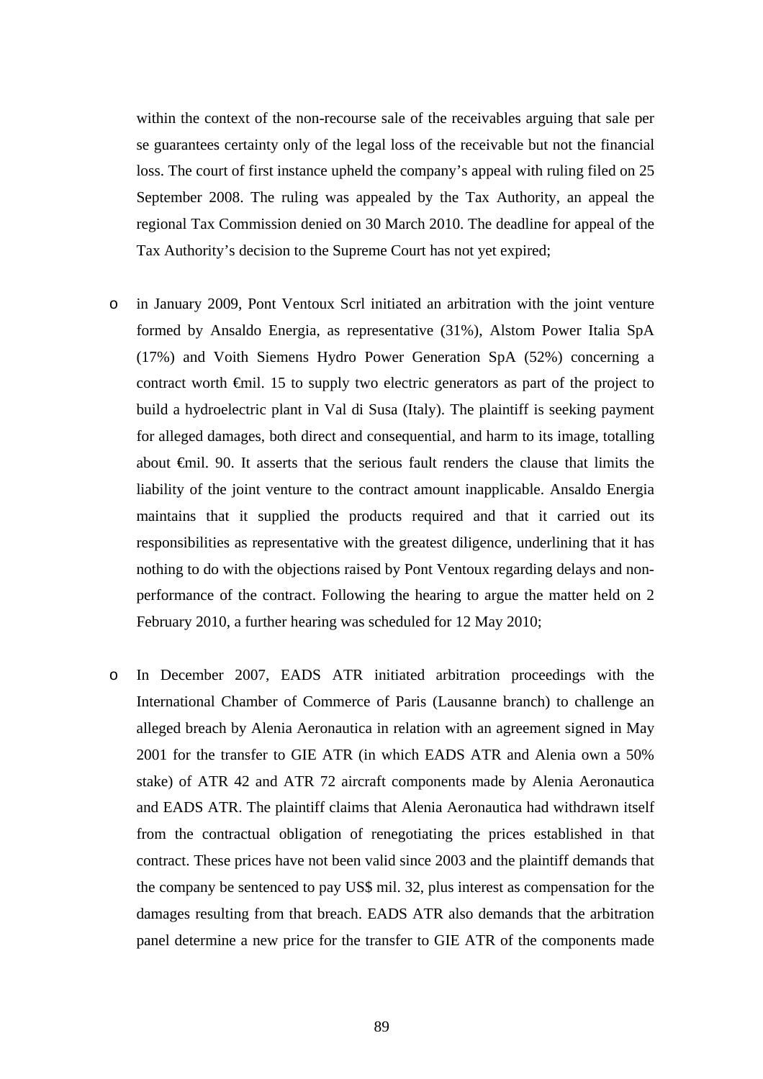within the context of the non-recourse sale of the receivables arguing that sale per se guarantees certainty only of the legal loss of the receivable but not the financial loss. The court of first instance upheld the company's appeal with ruling filed on 25 September 2008. The ruling was appealed by the Tax Authority, an appeal the regional Tax Commission denied on 30 March 2010. The deadline for appeal of the Tax Authority's decision to the Supreme Court has not yet expired;

- o in January 2009, Pont Ventoux Scrl initiated an arbitration with the joint venture formed by Ansaldo Energia, as representative (31%), Alstom Power Italia SpA (17%) and Voith Siemens Hydro Power Generation SpA (52%) concerning a contract worth €mil. 15 to supply two electric generators as part of the project to build a hydroelectric plant in Val di Susa (Italy). The plaintiff is seeking payment for alleged damages, both direct and consequential, and harm to its image, totalling about €mil. 90. It asserts that the serious fault renders the clause that limits the liability of the joint venture to the contract amount inapplicable. Ansaldo Energia maintains that it supplied the products required and that it carried out its responsibilities as representative with the greatest diligence, underlining that it has nothing to do with the objections raised by Pont Ventoux regarding delays and nonperformance of the contract. Following the hearing to argue the matter held on 2 February 2010, a further hearing was scheduled for 12 May 2010;
- o In December 2007, EADS ATR initiated arbitration proceedings with the International Chamber of Commerce of Paris (Lausanne branch) to challenge an alleged breach by Alenia Aeronautica in relation with an agreement signed in May 2001 for the transfer to GIE ATR (in which EADS ATR and Alenia own a 50% stake) of ATR 42 and ATR 72 aircraft components made by Alenia Aeronautica and EADS ATR. The plaintiff claims that Alenia Aeronautica had withdrawn itself from the contractual obligation of renegotiating the prices established in that contract. These prices have not been valid since 2003 and the plaintiff demands that the company be sentenced to pay US\$ mil. 32, plus interest as compensation for the damages resulting from that breach. EADS ATR also demands that the arbitration panel determine a new price for the transfer to GIE ATR of the components made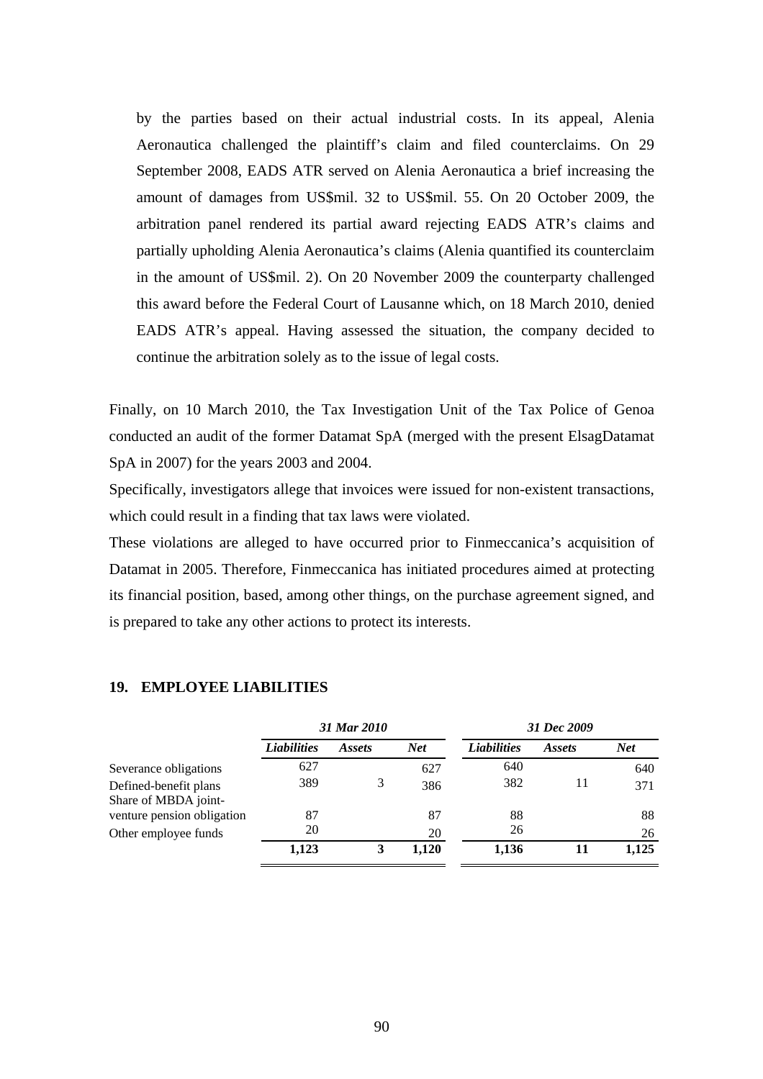by the parties based on their actual industrial costs. In its appeal, Alenia Aeronautica challenged the plaintiff's claim and filed counterclaims. On 29 September 2008, EADS ATR served on Alenia Aeronautica a brief increasing the amount of damages from US\$mil. 32 to US\$mil. 55. On 20 October 2009, the arbitration panel rendered its partial award rejecting EADS ATR's claims and partially upholding Alenia Aeronautica's claims (Alenia quantified its counterclaim in the amount of US\$mil. 2). On 20 November 2009 the counterparty challenged this award before the Federal Court of Lausanne which, on 18 March 2010, denied EADS ATR's appeal. Having assessed the situation, the company decided to continue the arbitration solely as to the issue of legal costs.

Finally, on 10 March 2010, the Tax Investigation Unit of the Tax Police of Genoa conducted an audit of the former Datamat SpA (merged with the present ElsagDatamat SpA in 2007) for the years 2003 and 2004.

Specifically, investigators allege that invoices were issued for non-existent transactions, which could result in a finding that tax laws were violated.

These violations are alleged to have occurred prior to Finmeccanica's acquisition of Datamat in 2005. Therefore, Finmeccanica has initiated procedures aimed at protecting its financial position, based, among other things, on the purchase agreement signed, and is prepared to take any other actions to protect its interests.

|                            | 31 Mar 2010        |               |            | 31 Dec 2009        |               |       |
|----------------------------|--------------------|---------------|------------|--------------------|---------------|-------|
|                            | <b>Liabilities</b> | <i>Assets</i> | <b>Net</b> | <b>Liabilities</b> | <i>Assets</i> | Net   |
| Severance obligations      | 627                |               | 627        | 640                |               | 640   |
| Defined-benefit plans      | 389                |               | 386        | 382                | 11            | 371   |
| Share of MBDA joint-       |                    |               |            |                    |               |       |
| venture pension obligation | 87                 |               | 87         | 88                 |               | 88    |
| Other employee funds       | 20                 |               | 20         | 26                 |               | 26    |
|                            | 1,123              |               | 1,120      | 1,136              | 11            | 1,125 |

## **19. EMPLOYEE LIABILITIES**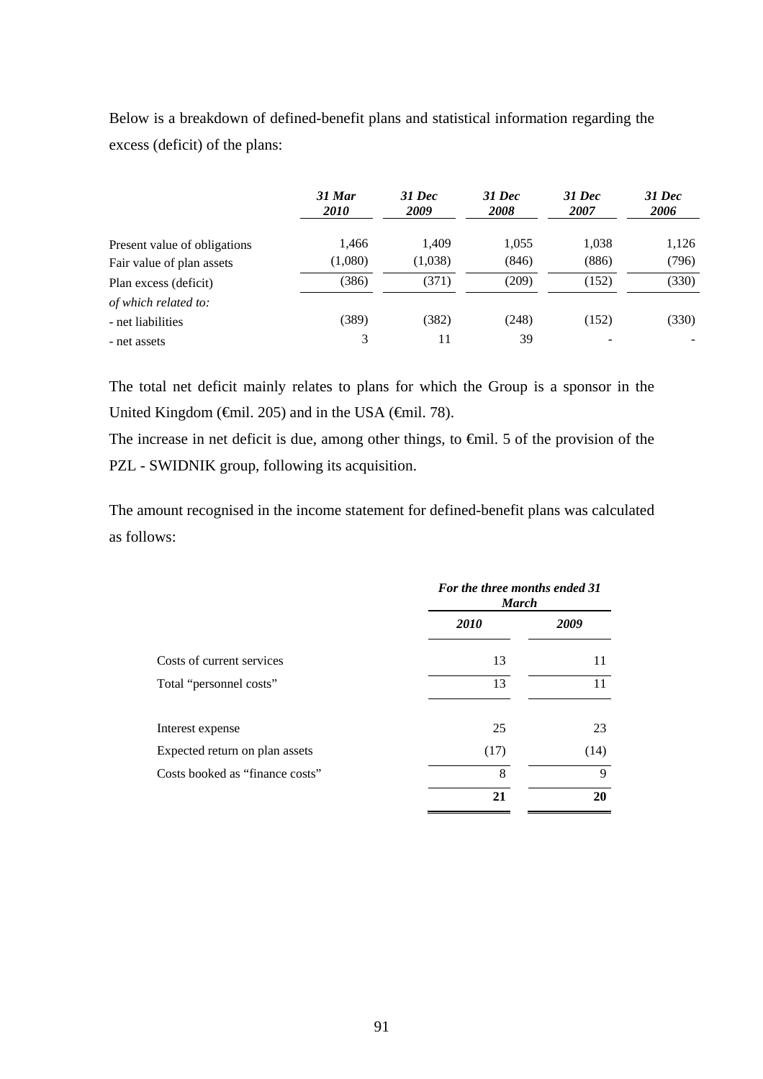Below is a breakdown of defined-benefit plans and statistical information regarding the excess (deficit) of the plans:

|                              | 31 Mar<br><i>2010</i> | 31 Dec<br>2009 | <b>31 Dec</b><br>2008 | $31$ Dec<br>2007 | <b>31 Dec</b><br>2006 |
|------------------------------|-----------------------|----------------|-----------------------|------------------|-----------------------|
| Present value of obligations | 1,466                 | 1.409          | 1,055                 | 1,038            | 1,126                 |
| Fair value of plan assets    | (1,080)               | (1,038)        | (846)                 | (886)            | (796)                 |
| Plan excess (deficit)        | (386)                 | (371)          | (209)                 | (152)            | (330)                 |
| of which related to:         |                       |                |                       |                  |                       |
| - net liabilities            | (389)                 | (382)          | (248)                 | (152)            | (330)                 |
| - net assets                 | 3                     | 11             | 39                    | ۰                |                       |

The total net deficit mainly relates to plans for which the Group is a sponsor in the United Kingdom ( $\oplus$ mil. 205) and in the USA ( $\oplus$ mil. 78).

The increase in net deficit is due, among other things, to €mil. 5 of the provision of the PZL - SWIDNIK group, following its acquisition.

The amount recognised in the income statement for defined-benefit plans was calculated as follows:

|                                 | For the three months ended 31<br><b>March</b> |      |  |
|---------------------------------|-----------------------------------------------|------|--|
|                                 | <b>2010</b>                                   | 2009 |  |
| Costs of current services       | 13                                            | 11   |  |
| Total "personnel costs"         | 13                                            | 11   |  |
| Interest expense                | 25                                            | 23   |  |
| Expected return on plan assets  | (17)                                          | (14) |  |
| Costs booked as "finance costs" | 8                                             | 9    |  |
|                                 | 21                                            | 20   |  |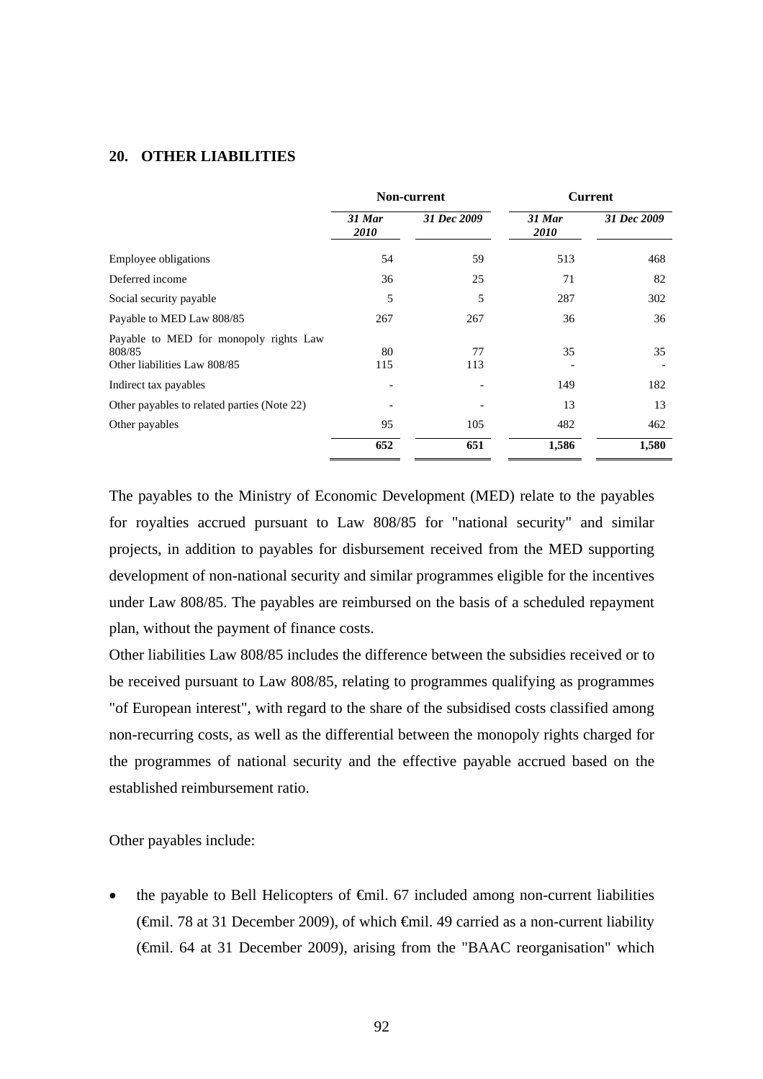#### **20. OTHER LIABILITIES**

|                                                                                  | <b>Non-current</b>    |             | <b>Current</b>        |             |
|----------------------------------------------------------------------------------|-----------------------|-------------|-----------------------|-------------|
|                                                                                  | 31 Mar<br><i>2010</i> | 31 Dec 2009 | 31 Mar<br><i>2010</i> | 31 Dec 2009 |
| <b>Employee obligations</b>                                                      | 54                    | 59          | 513                   | 468         |
| Deferred income                                                                  | 36                    | 25          | 71                    | 82          |
| Social security payable                                                          | 5                     | 5           | 287                   | 302         |
| Payable to MED Law 808/85                                                        | 267                   | 267         | 36                    | 36          |
| Payable to MED for monopoly rights Law<br>808/85<br>Other liabilities Law 808/85 | 80<br>115             | 77<br>113   | 35                    | 35          |
| Indirect tax payables                                                            |                       |             | 149                   | 182         |
| Other payables to related parties (Note 22)                                      |                       |             | 13                    | 13          |
| Other payables                                                                   | 95                    | 105         | 482                   | 462         |
|                                                                                  | 652                   | 651         | 1,586                 | 1,580       |

The payables to the Ministry of Economic Development (MED) relate to the payables for royalties accrued pursuant to Law 808/85 for "national security" and similar projects, in addition to payables for disbursement received from the MED supporting development of non-national security and similar programmes eligible for the incentives under Law 808/85. The payables are reimbursed on the basis of a scheduled repayment plan, without the payment of finance costs.

Other liabilities Law 808/85 includes the difference between the subsidies received or to be received pursuant to Law 808/85, relating to programmes qualifying as programmes "of European interest", with regard to the share of the subsidised costs classified among non-recurring costs, as well as the differential between the monopoly rights charged for the programmes of national security and the effective payable accrued based on the established reimbursement ratio.

Other payables include:

the payable to Bell Helicopters of  $\epsilon$ mil. 67 included among non-current liabilities (€mil. 78 at 31 December 2009), of which €mil. 49 carried as a non-current liability (€mil. 64 at 31 December 2009), arising from the "BAAC reorganisation" which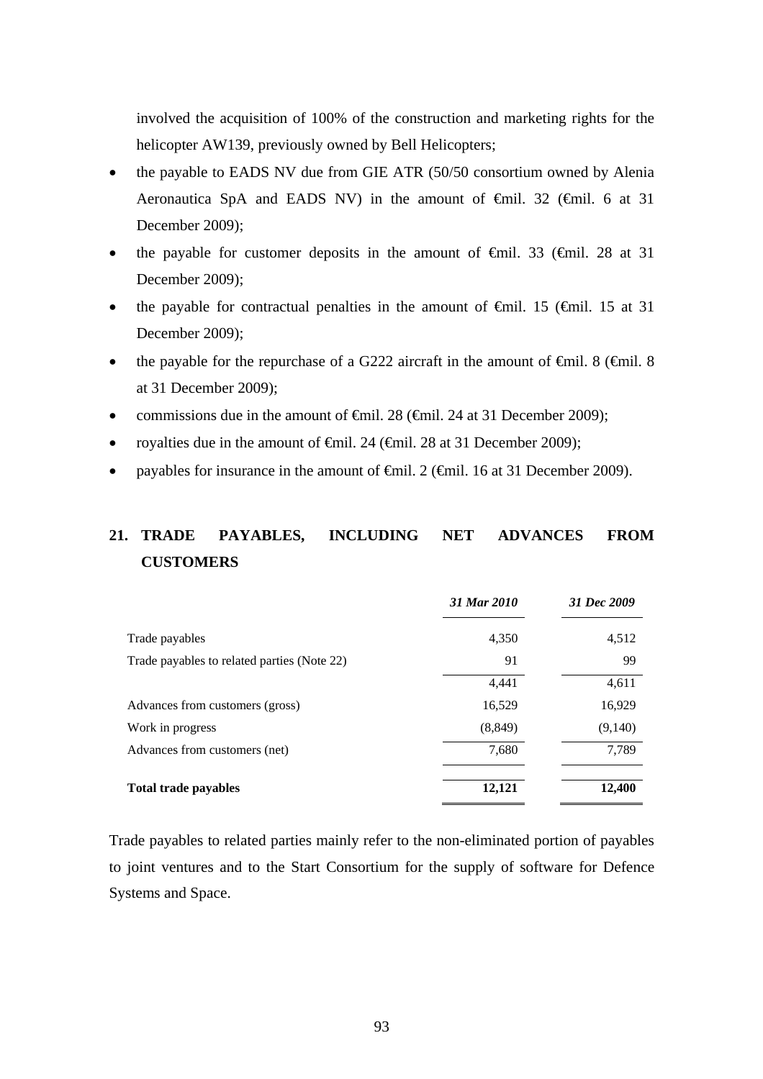involved the acquisition of 100% of the construction and marketing rights for the helicopter AW139, previously owned by Bell Helicopters;

- the payable to EADS NV due from GIE ATR (50/50 consortium owned by Alenia Aeronautica SpA and EADS NV) in the amount of €mil. 32 (€mil. 6 at 31 December 2009);
- the payable for customer deposits in the amount of  $\theta$ mil. 33 ( $\theta$ mil. 28 at 31 December 2009);
- the payable for contractual penalties in the amount of  $\theta$ mil. 15 ( $\theta$ mil. 15 at 31 December 2009);
- the payable for the repurchase of a G222 aircraft in the amount of  $\theta$ mil. 8 ( $\theta$ mil. 8 at 31 December 2009);
- commissions due in the amount of  $\theta$ mil. 28 ( $\theta$ mil. 24 at 31 December 2009);
- royalties due in the amount of  $\epsilon$ mil. 24 ( $\epsilon$ mil. 28 at 31 December 2009);
- payables for insurance in the amount of  $\epsilon$ mil. 2 ( $\epsilon$ mil. 16 at 31 December 2009).

# **21. TRADE PAYABLES, INCLUDING NET ADVANCES FROM CUSTOMERS**

|                                             | 31 Mar 2010 | 31 Dec 2009 |
|---------------------------------------------|-------------|-------------|
| Trade payables                              | 4,350       | 4,512       |
| Trade payables to related parties (Note 22) | 91          | 99          |
|                                             | 4,441       | 4,611       |
| Advances from customers (gross)             | 16,529      | 16,929      |
| Work in progress                            | (8, 849)    | (9,140)     |
| Advances from customers (net)               | 7,680       | 7,789       |
| <b>Total trade payables</b>                 | 12,121      | 12,400      |

Trade payables to related parties mainly refer to the non-eliminated portion of payables to joint ventures and to the Start Consortium for the supply of software for Defence Systems and Space.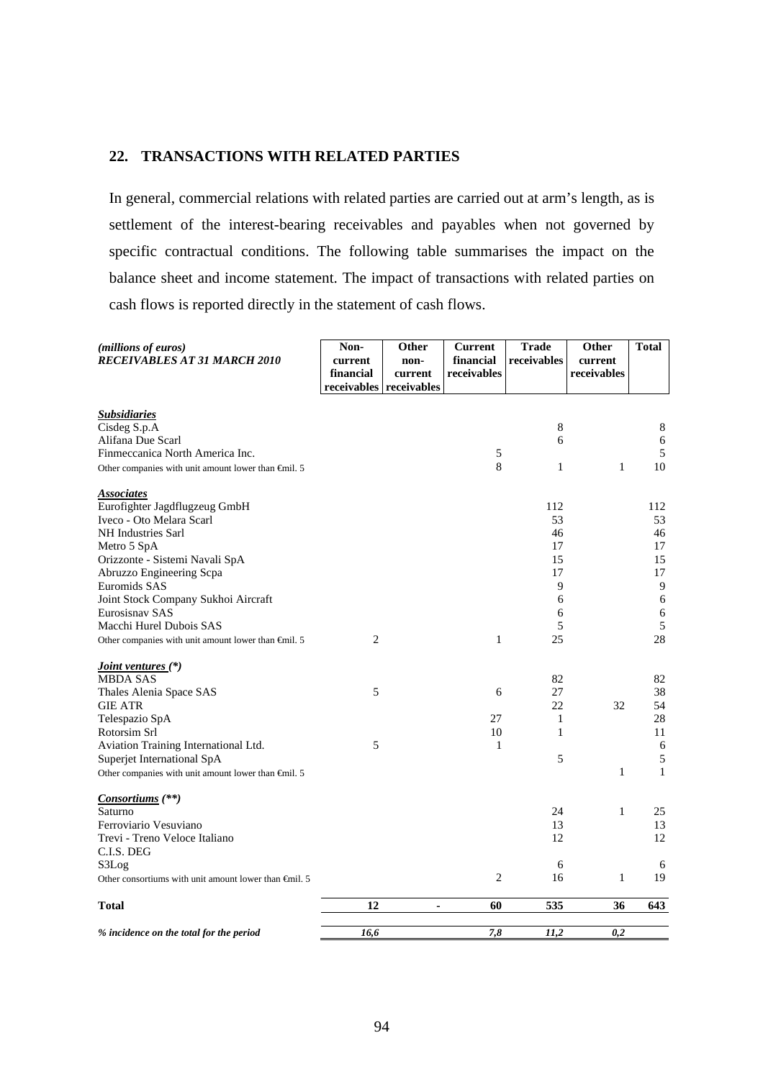## **22. TRANSACTIONS WITH RELATED PARTIES**

In general, commercial relations with related parties are carried out at arm's length, as is settlement of the interest-bearing receivables and payables when not governed by specific contractual conditions. The following table summarises the impact on the balance sheet and income statement. The impact of transactions with related parties on cash flows is reported directly in the statement of cash flows.

| (millions of euros)<br><b>RECEIVABLES AT 31 MARCH 2010</b>      | Non-<br>current<br>financial<br>receivables receivables | Other<br>non-<br>current | <b>Current</b><br>financial<br>receivables | <b>Trade</b><br>receivables | Other<br>current<br>receivables | <b>Total</b> |
|-----------------------------------------------------------------|---------------------------------------------------------|--------------------------|--------------------------------------------|-----------------------------|---------------------------------|--------------|
|                                                                 |                                                         |                          |                                            |                             |                                 |              |
| <b>Subsidiaries</b><br>Cisdeg S.p.A                             |                                                         |                          |                                            | $\,8\,$                     |                                 | 8            |
| Alifana Due Scarl                                               |                                                         |                          |                                            | 6                           |                                 | 6            |
| Finmeccanica North America Inc.                                 |                                                         |                          | 5                                          |                             |                                 | 5            |
| Other companies with unit amount lower than $\epsilon$ mil. 5   |                                                         |                          | 8                                          | $\mathbf{1}$                | $\mathbf{1}$                    | 10           |
| <b>Associates</b>                                               |                                                         |                          |                                            |                             |                                 |              |
| Eurofighter Jagdflugzeug GmbH                                   |                                                         |                          |                                            | 112                         |                                 | 112          |
| Iveco - Oto Melara Scarl                                        |                                                         |                          |                                            | 53                          |                                 | 53           |
| NH Industries Sarl                                              |                                                         |                          |                                            | 46                          |                                 | 46           |
| Metro 5 SpA                                                     |                                                         |                          |                                            | 17                          |                                 | 17           |
| Orizzonte - Sistemi Navali SpA                                  |                                                         |                          |                                            | 15                          |                                 | 15           |
| Abruzzo Engineering Scpa                                        |                                                         |                          |                                            | 17                          |                                 | 17           |
| Euromids SAS                                                    |                                                         |                          |                                            | 9                           |                                 | 9            |
| Joint Stock Company Sukhoi Aircraft                             |                                                         |                          |                                            | 6                           |                                 | 6            |
| Eurosisnav SAS                                                  |                                                         |                          |                                            | 6                           |                                 | $\sqrt{6}$   |
| Macchi Hurel Dubois SAS                                         |                                                         |                          |                                            | 5                           |                                 | 5            |
| Other companies with unit amount lower than $\epsilon$ mil. 5   | 2                                                       |                          | 1                                          | 25                          |                                 | 28           |
| Joint ventures (*)                                              |                                                         |                          |                                            |                             |                                 |              |
| <b>MBDA SAS</b>                                                 |                                                         |                          |                                            | 82                          |                                 | 82           |
| Thales Alenia Space SAS                                         | 5                                                       |                          | 6                                          | 27                          |                                 | 38           |
| <b>GIE ATR</b>                                                  |                                                         |                          |                                            | 22                          | 32                              | 54           |
| Telespazio SpA                                                  |                                                         |                          | 27                                         | 1                           |                                 | 28           |
| Rotorsim Srl                                                    |                                                         |                          | 10                                         | $\mathbf{1}$                |                                 | 11           |
| Aviation Training International Ltd.                            | 5                                                       |                          | 1                                          |                             |                                 | 6            |
| Superjet International SpA                                      |                                                         |                          |                                            | 5                           |                                 | $\sqrt{5}$   |
| Other companies with unit amount lower than $\bigoplus$ nil. 5  |                                                         |                          |                                            |                             | $\mathbf{1}$                    | $\mathbf{1}$ |
| Consortiums (**)                                                |                                                         |                          |                                            |                             |                                 |              |
| Saturno                                                         |                                                         |                          |                                            | 24                          | $\mathbf{1}$                    | 25           |
| Ferroviario Vesuviano                                           |                                                         |                          |                                            | 13                          |                                 | 13           |
| Trevi - Treno Veloce Italiano                                   |                                                         |                          |                                            | 12                          |                                 | 12           |
| C.I.S. DEG                                                      |                                                         |                          |                                            |                             |                                 |              |
| S3Log                                                           |                                                         |                          |                                            | 6                           |                                 | 6            |
| Other consortiums with unit amount lower than $\epsilon$ mil. 5 |                                                         |                          | $\overline{c}$                             | 16                          | $\mathbf{1}$                    | 19           |
| <b>Total</b>                                                    | 12                                                      | ä,                       | 60                                         | 535                         | 36                              | 643          |
| % incidence on the total for the period                         | 16.6                                                    |                          | 7,8                                        | 11,2                        | 0,2                             |              |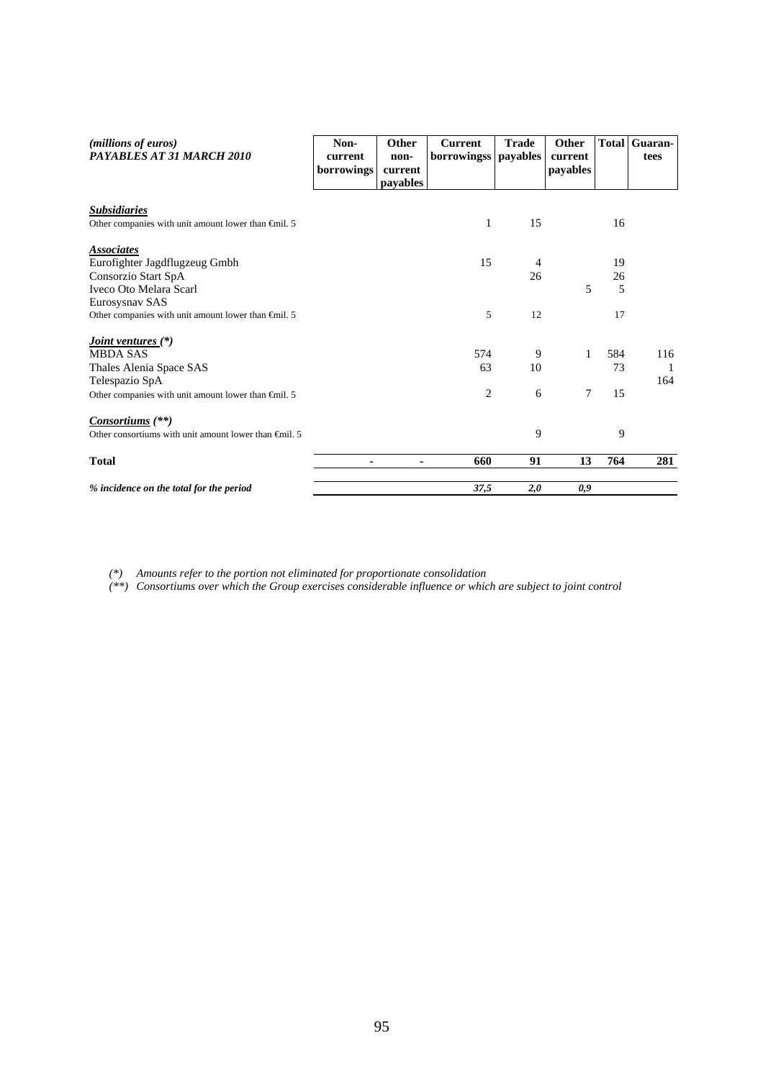| ( <i>millions of euros</i> )<br>PAYABLES AT 31 MARCH 2010       | Non-<br>current<br>borrowings | Other<br>non-<br>current<br><i>payables</i> | <b>Current</b><br>borrowingss | <b>Trade</b><br>payables | <b>Other</b><br>current<br>payables | <b>Total</b> | Guaran-<br>tees |
|-----------------------------------------------------------------|-------------------------------|---------------------------------------------|-------------------------------|--------------------------|-------------------------------------|--------------|-----------------|
| <b>Subsidiaries</b>                                             |                               |                                             |                               |                          |                                     |              |                 |
| Other companies with unit amount lower than $\epsilon$ mil. 5   |                               |                                             | 1                             | 15                       |                                     | 16           |                 |
| <i><b>Associates</b></i>                                        |                               |                                             |                               |                          |                                     |              |                 |
| Eurofighter Jagdflugzeug Gmbh                                   |                               |                                             | 15                            | 4                        |                                     | 19           |                 |
| Consorzio Start SpA                                             |                               |                                             |                               | 26                       |                                     | 26           |                 |
| Iveco Oto Melara Scarl                                          |                               |                                             |                               |                          | 5                                   | 5            |                 |
| Eurosysnav SAS                                                  |                               |                                             |                               |                          |                                     |              |                 |
| Other companies with unit amount lower than $\epsilon$ mil. 5   |                               |                                             | 5                             | 12                       |                                     | 17           |                 |
| <i><u><b>Joint ventures</b></u></i> (*)                         |                               |                                             |                               |                          |                                     |              |                 |
| <b>MBDA SAS</b>                                                 |                               |                                             | 574                           | 9                        | 1                                   | 584          | 116             |
| Thales Alenia Space SAS                                         |                               |                                             | 63                            | 10                       |                                     | 73           | $\mathbf{1}$    |
| Telespazio SpA                                                  |                               |                                             |                               |                          |                                     |              | 164             |
| Other companies with unit amount lower than $\epsilon$ mil. 5   |                               |                                             | 2                             | 6                        | 7                                   | 15           |                 |
| <i>Consortiums</i> (**)                                         |                               |                                             |                               |                          |                                     |              |                 |
| Other consortiums with unit amount lower than $\epsilon$ mil. 5 |                               |                                             |                               | 9                        |                                     | 9            |                 |
| <b>Total</b>                                                    |                               | ۰                                           | 660                           | 91                       | 13                                  | 764          | 281             |
| % incidence on the total for the period                         |                               |                                             | 37,5                          | 2,0                      | 0,9                                 |              |                 |

*(\*) Amounts refer to the portion not eliminated for proportionate consolidation* 

*(\*\*) Consortiums over which the Group exercises considerable influence or which are subject to joint control*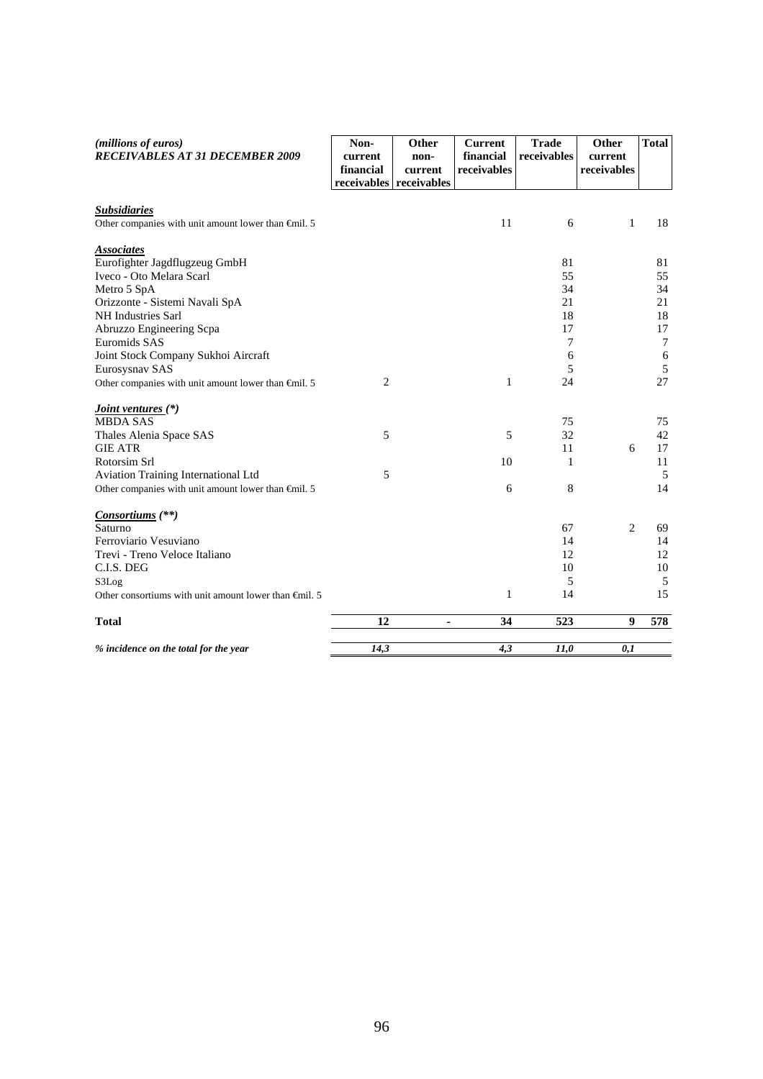| (millions of euros)<br><b>RECEIVABLES AT 31 DECEMBER 2009</b>                                                                                                                                                                                                     | Non-<br>current<br>financial<br>receivables | Other<br>non-<br>current<br>receivables | <b>Current</b><br>financial<br>receivables | <b>Trade</b><br>receivables                     | Other<br>current<br>receivables | <b>Total</b>                                         |
|-------------------------------------------------------------------------------------------------------------------------------------------------------------------------------------------------------------------------------------------------------------------|---------------------------------------------|-----------------------------------------|--------------------------------------------|-------------------------------------------------|---------------------------------|------------------------------------------------------|
| <b>Subsidiaries</b><br>Other companies with unit amount lower than $\bigoplus$ nil. 5                                                                                                                                                                             |                                             |                                         | 11                                         | 6                                               | $\mathbf{1}$                    | 18                                                   |
| <b>Associates</b><br>Eurofighter Jagdflugzeug GmbH<br>Iveco - Oto Melara Scarl<br>Metro 5 SpA<br>Orizzonte - Sistemi Navali SpA<br><b>NH</b> Industries Sarl<br>Abruzzo Engineering Scpa<br>Euromids SAS<br>Joint Stock Company Sukhoi Aircraft<br>Eurosysnav SAS |                                             |                                         |                                            | 81<br>55<br>34<br>21<br>18<br>17<br>7<br>6<br>5 |                                 | 81<br>55<br>34<br>21<br>18<br>17<br>$\tau$<br>6<br>5 |
| Other companies with unit amount lower than $\epsilon$ mil. 5                                                                                                                                                                                                     | $\mathbf{2}$                                |                                         | $\mathbf{1}$                               | 24                                              |                                 | 27                                                   |
| <i><u><b>Joint ventures (*)</b></u></i><br><b>MBDA SAS</b><br>Thales Alenia Space SAS<br><b>GIE ATR</b>                                                                                                                                                           | 5                                           |                                         | 5                                          | 75<br>32<br>11                                  | 6                               | 75<br>42<br>17                                       |
| Rotorsim Srl<br>Aviation Training International Ltd<br>Other companies with unit amount lower than $\oplus$ nil. 5                                                                                                                                                | 5                                           |                                         | 10<br>6                                    | 1<br>8                                          |                                 | 11<br>5<br>14                                        |
| <i>Consortiums</i> (**)<br>Saturno<br>Ferroviario Vesuviano<br>Trevi - Treno Veloce Italiano<br>C.I.S. DEG<br>S3Log<br>Other consortiums with unit amount lower than $\epsilon$ mil. 5                                                                            |                                             |                                         | $\mathbf{1}$                               | 67<br>14<br>12<br>10<br>5<br>14                 | 2                               | 69<br>14<br>12<br>10<br>5<br>15                      |
| <b>Total</b>                                                                                                                                                                                                                                                      | 12                                          | ۰                                       | 34                                         | 523                                             | 9                               | 578                                                  |
| % incidence on the total for the year                                                                                                                                                                                                                             | 14,3                                        |                                         | 4,3                                        | 11,0                                            | 0,1                             |                                                      |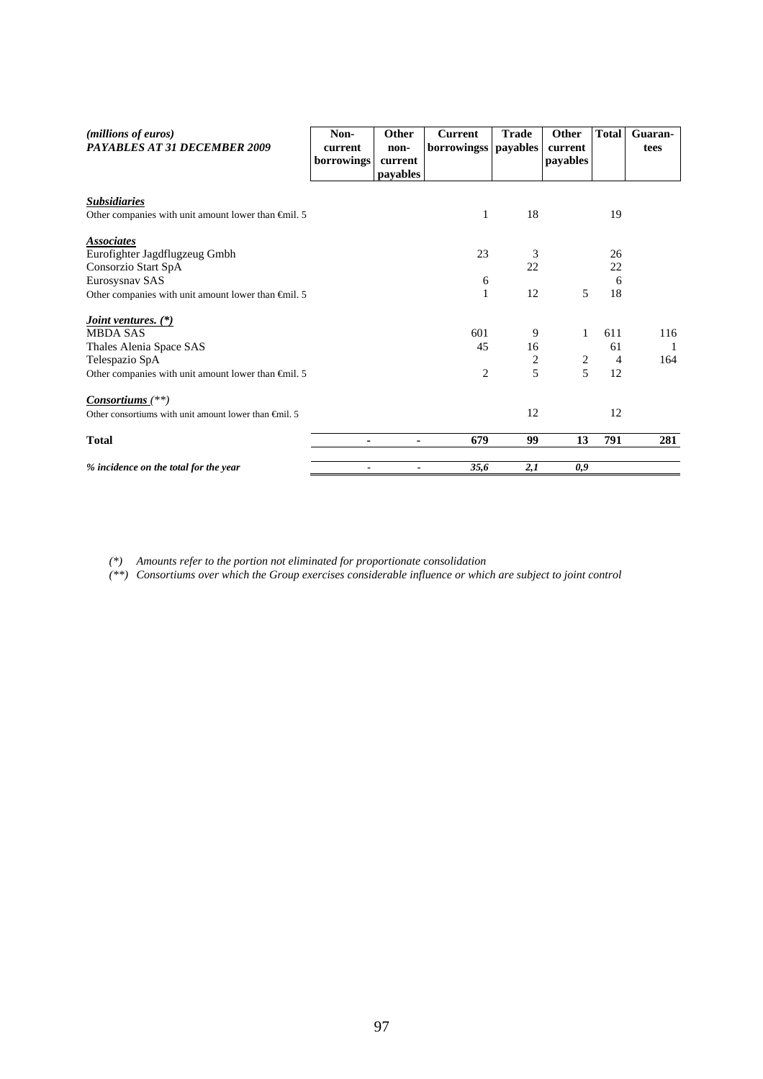| (millions of euros)<br>PAYABLES AT 31 DECEMBER 2009             | Non-<br>current<br>borrowings | Other<br>non-<br>current<br>payables | <b>Current</b><br>borrowingss   payables | <b>Trade</b>            | Other<br>current<br>payables | <b>Total</b>   | Guaran-<br>tees |
|-----------------------------------------------------------------|-------------------------------|--------------------------------------|------------------------------------------|-------------------------|------------------------------|----------------|-----------------|
| <b>Subsidiaries</b>                                             |                               |                                      |                                          |                         |                              |                |                 |
| Other companies with unit amount lower than $\epsilon$ mil. 5   |                               |                                      | 1                                        | 18                      |                              | 19             |                 |
| <b>Associates</b>                                               |                               |                                      |                                          |                         |                              |                |                 |
| Eurofighter Jagdflugzeug Gmbh                                   |                               |                                      | 23                                       | 3                       |                              | 26             |                 |
| Consorzio Start SpA                                             |                               |                                      |                                          | 22                      |                              | 22             |                 |
| Eurosysnav SAS                                                  |                               |                                      | 6                                        |                         |                              | 6              |                 |
| Other companies with unit amount lower than $\epsilon$ mil. 5   |                               |                                      | $\mathbf{1}$                             | 12                      | 5                            | 18             |                 |
| <i>Joint ventures.</i> (*)                                      |                               |                                      |                                          |                         |                              |                |                 |
| <b>MBDA SAS</b>                                                 |                               |                                      | 601                                      | 9                       | $\mathbf{1}$                 | 611            | 116             |
| Thales Alenia Space SAS                                         |                               |                                      | 45                                       | 16                      |                              | 61             | $\overline{1}$  |
| Telespazio SpA                                                  |                               |                                      |                                          | $\overline{\mathbf{c}}$ | $\overline{c}$               | $\overline{4}$ | 164             |
| Other companies with unit amount lower than $\epsilon$ mil. 5   |                               |                                      | $\overline{c}$                           | 5                       | 5                            | 12             |                 |
| $Consortiums$ <sup>(**)</sup>                                   |                               |                                      |                                          |                         |                              |                |                 |
| Other consortiums with unit amount lower than $\epsilon$ mil. 5 |                               |                                      |                                          | 12                      |                              | 12             |                 |
| <b>Total</b>                                                    | ۰                             | ۰                                    | 679                                      | 99                      | 13                           | 791            | 281             |
| % incidence on the total for the year                           |                               |                                      | 35,6                                     | 2,1                     | 0,9                          |                |                 |

*(\*) Amounts refer to the portion not eliminated for proportionate consolidation* 

*(\*\*) Consortiums over which the Group exercises considerable influence or which are subject to joint control*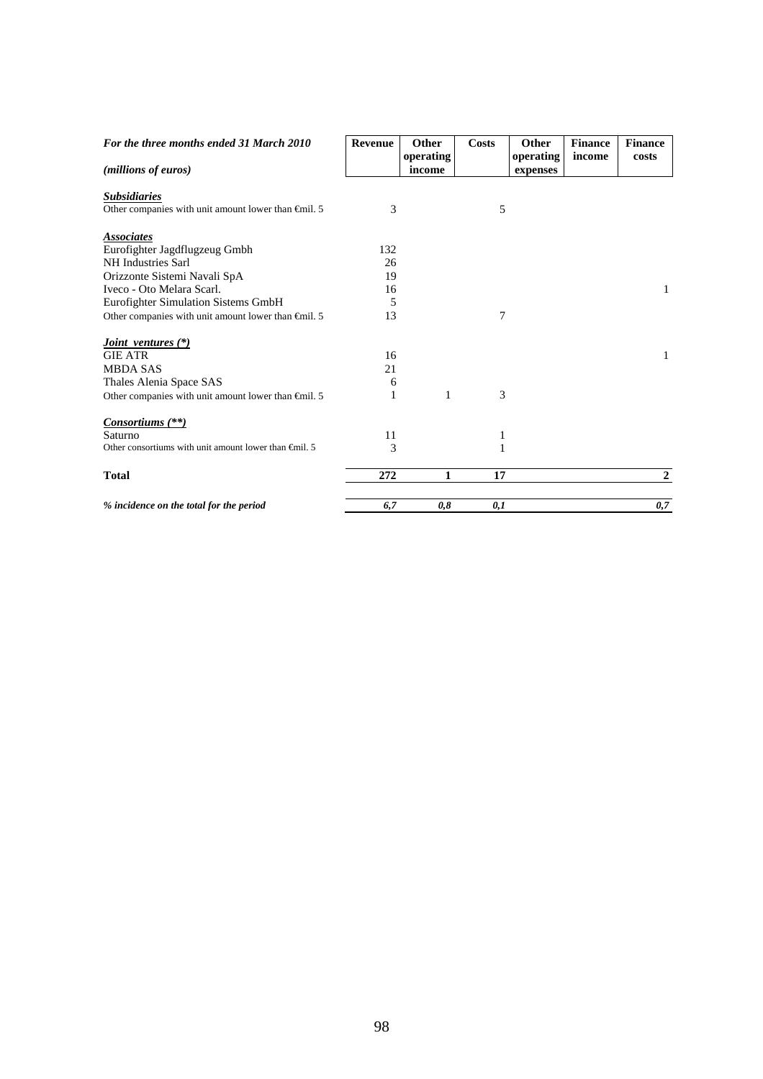| For the three months ended 31 March 2010                        | <b>Revenue</b> | <b>Other</b> | Costs          | Other     | <b>Finance</b> | <b>Finance</b> |
|-----------------------------------------------------------------|----------------|--------------|----------------|-----------|----------------|----------------|
|                                                                 |                | operating    |                | operating | income         | costs          |
| (millions of euros)                                             |                | income       |                | expenses  |                |                |
| <b>Subsidiaries</b>                                             |                |              |                |           |                |                |
| Other companies with unit amount lower than $\bigoplus$ nil. 5  | 3              |              | 5              |           |                |                |
|                                                                 |                |              |                |           |                |                |
| <b>Associates</b><br>Eurofighter Jagdflugzeug Gmbh              | 132            |              |                |           |                |                |
| NH Industries Sarl                                              | 26             |              |                |           |                |                |
| Orizzonte Sistemi Navali SpA                                    | 19             |              |                |           |                |                |
| Iveco - Oto Melara Scarl.                                       | 16             |              |                |           |                | $\mathbf{1}$   |
| Eurofighter Simulation Sistems GmbH                             | 5              |              |                |           |                |                |
| Other companies with unit amount lower than $\epsilon$ mil. 5   | 13             |              | $\overline{7}$ |           |                |                |
|                                                                 |                |              |                |           |                |                |
| <i>Joint ventures</i> (*)                                       |                |              |                |           |                |                |
| <b>GIE ATR</b>                                                  | 16             |              |                |           |                | $\mathbf{1}$   |
| <b>MBDA SAS</b>                                                 | 21             |              |                |           |                |                |
| Thales Alenia Space SAS                                         | 6              |              |                |           |                |                |
| Other companies with unit amount lower than $\oplus$ nil. 5     | 1              | 1            | 3              |           |                |                |
| <i>Consortiums</i> (**)                                         |                |              |                |           |                |                |
| Saturno                                                         | 11             |              | 1              |           |                |                |
| Other consortiums with unit amount lower than $\epsilon$ mil. 5 | 3              |              | 1              |           |                |                |
|                                                                 |                |              |                |           |                |                |
| <b>Total</b>                                                    | 272            | 1            | 17             |           |                | $\overline{2}$ |
| % incidence on the total for the period                         | 6,7            | 0,8          | 0,1            |           |                | 0,7            |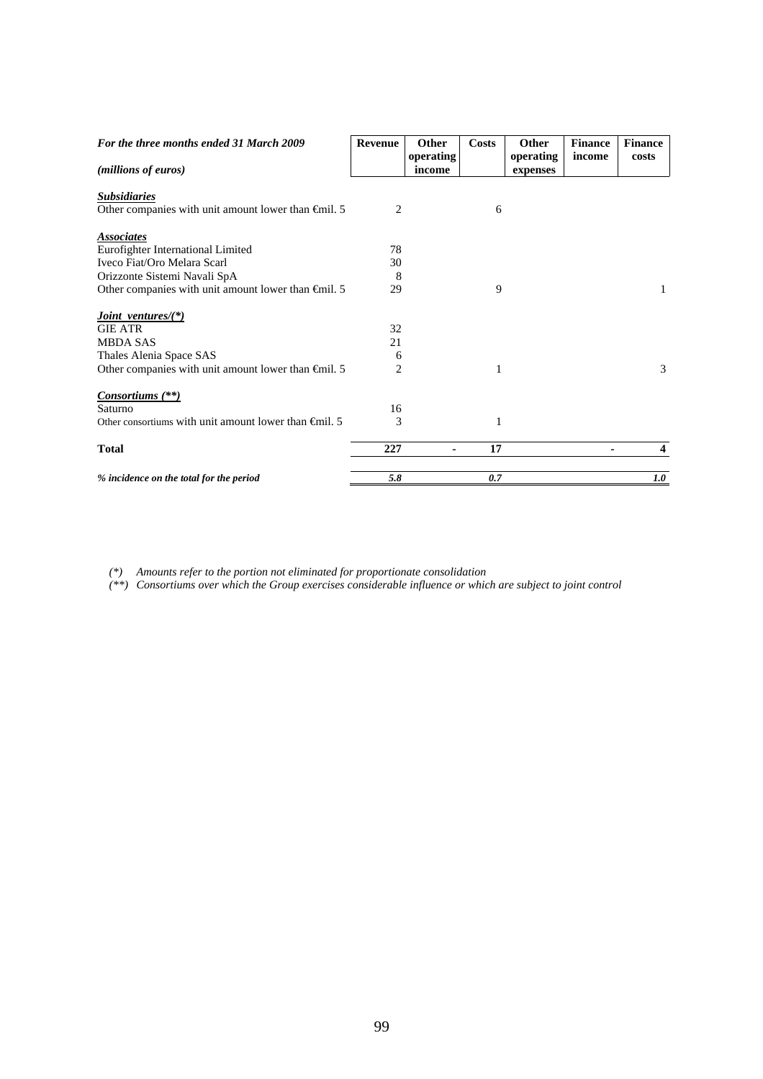| For the three months ended 31 March 2009                      | Revenue | <b>Other</b>   | <b>Costs</b> | Other     | <b>Finance</b> | <b>Finance</b> |
|---------------------------------------------------------------|---------|----------------|--------------|-----------|----------------|----------------|
|                                                               |         | operating      |              | operating | income         | costs          |
| (millions of euros)                                           |         | income         |              | expenses  |                |                |
| <b>Subsidiaries</b>                                           |         |                |              |           |                |                |
| Other companies with unit amount lower than $\epsilon$ mil. 5 | 2       |                | 6            |           |                |                |
|                                                               |         |                |              |           |                |                |
| <b>Associates</b>                                             |         |                |              |           |                |                |
| Eurofighter International Limited                             | 78      |                |              |           |                |                |
| Iveco Fiat/Oro Melara Scarl                                   | 30      |                |              |           |                |                |
| Orizzonte Sistemi Navali SpA                                  | 8       |                |              |           |                |                |
| Other companies with unit amount lower than $\epsilon$ mil. 5 | 29      |                | 9            |           |                | 1              |
| <i>Joint ventures</i> / $(*)$                                 |         |                |              |           |                |                |
| <b>GIE ATR</b>                                                | 32      |                |              |           |                |                |
| <b>MBDA SAS</b>                                               | 21      |                |              |           |                |                |
| Thales Alenia Space SAS                                       | 6       |                |              |           |                |                |
| Other companies with unit amount lower than $\epsilon$ mil. 5 | 2       |                | 1            |           |                | 3              |
| <i>Consortiums</i> (**)                                       |         |                |              |           |                |                |
| Saturno                                                       | 16      |                |              |           |                |                |
| Other consortiums with unit amount lower than $\oplus$ mil. 5 | 3       |                | 1            |           |                |                |
|                                                               | 227     |                | 17           |           |                | 4              |
| <b>Total</b>                                                  |         | $\blacksquare$ |              |           |                |                |
| % incidence on the total for the period                       | 5.8     |                | 0.7          |           |                | 1.0            |

*(\*) Amounts refer to the portion not eliminated for proportionate consolidation* 

*(\*\*) Consortiums over which the Group exercises considerable influence or which are subject to joint control*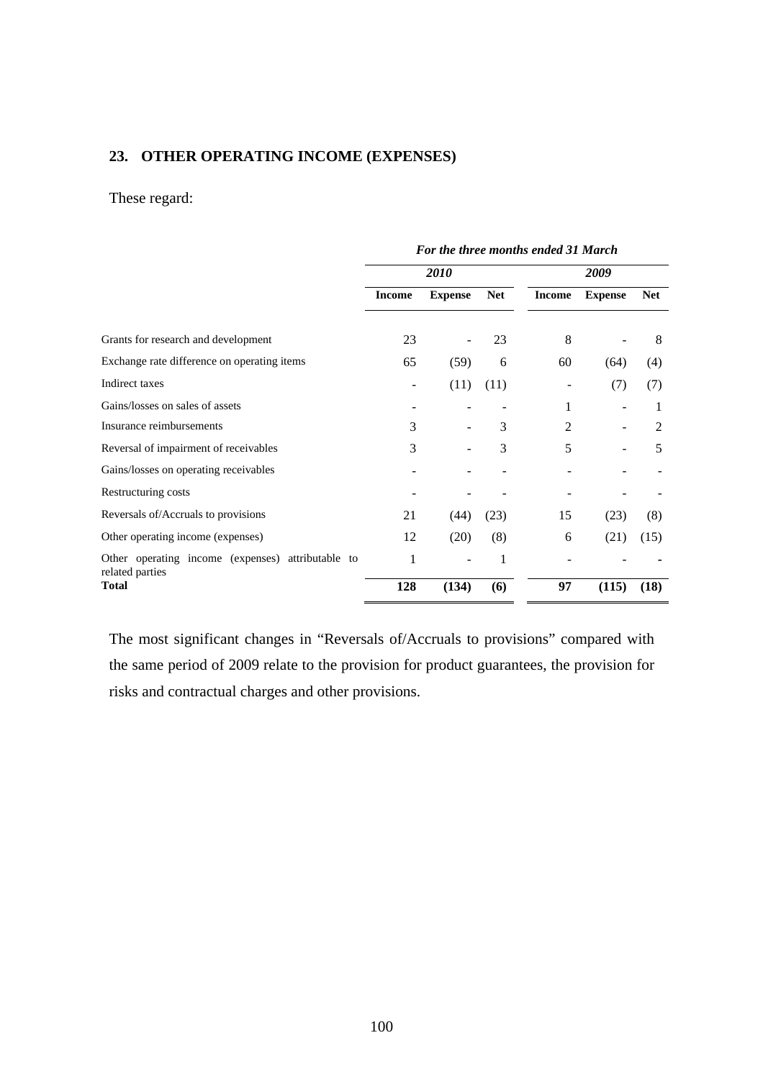## **23. OTHER OPERATING INCOME (EXPENSES)**

## These regard:

|                                                                      | For the three months ended 31 March |                |            |                |                |                |  |
|----------------------------------------------------------------------|-------------------------------------|----------------|------------|----------------|----------------|----------------|--|
|                                                                      | <i>2010</i>                         |                |            | 2009           |                |                |  |
|                                                                      | <b>Income</b>                       | <b>Expense</b> | <b>Net</b> | <b>Income</b>  | <b>Expense</b> | <b>Net</b>     |  |
| Grants for research and development                                  | 23                                  |                | 23         | 8              |                | 8              |  |
| Exchange rate difference on operating items                          | 65                                  | (59)           | 6          | 60             | (64)           | (4)            |  |
| Indirect taxes                                                       |                                     | (11)           | (11)       | -              | (7)            | (7)            |  |
| Gains/losses on sales of assets                                      |                                     |                |            | 1              |                |                |  |
| Insurance reimbursements                                             | 3                                   |                | 3          | $\overline{2}$ |                | $\overline{2}$ |  |
| Reversal of impairment of receivables                                | 3                                   |                | 3          | 5              |                | 5              |  |
| Gains/losses on operating receivables                                |                                     |                |            |                |                |                |  |
| Restructuring costs                                                  |                                     |                |            |                |                |                |  |
| Reversals of/Accruals to provisions                                  | 21                                  | (44)           | (23)       | 15             | (23)           | (8)            |  |
| Other operating income (expenses)                                    | 12                                  | (20)           | (8)        | 6              | (21)           | (15)           |  |
| Other operating income (expenses) attributable to<br>related parties | 1                                   |                | 1          |                |                |                |  |
| <b>Total</b>                                                         | 128                                 | (134)          | (6)        | 97             | (115)          | (18)           |  |

The most significant changes in "Reversals of/Accruals to provisions" compared with the same period of 2009 relate to the provision for product guarantees, the provision for risks and contractual charges and other provisions.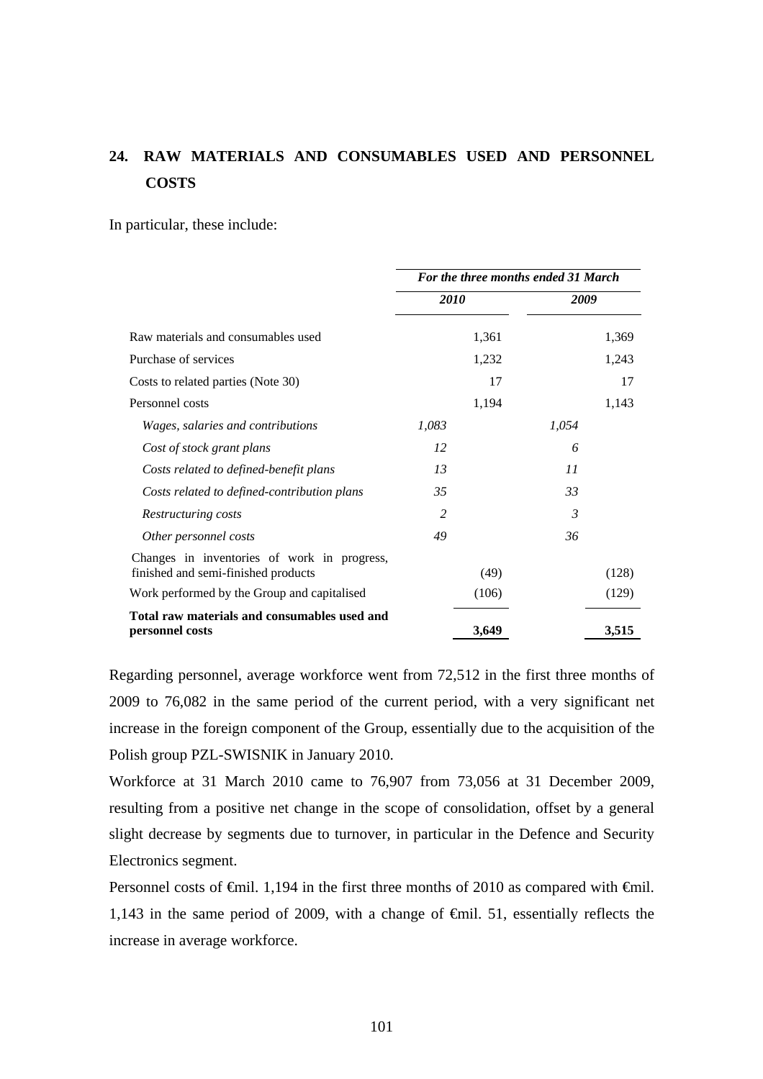# **24. RAW MATERIALS AND CONSUMABLES USED AND PERSONNEL COSTS**

In particular, these include:

|                                                                                    | For the three months ended 31 March |       |       |       |  |
|------------------------------------------------------------------------------------|-------------------------------------|-------|-------|-------|--|
|                                                                                    | 2010                                |       | 2009  |       |  |
| Raw materials and consumables used                                                 |                                     | 1,361 |       | 1,369 |  |
| Purchase of services                                                               |                                     | 1,232 |       | 1,243 |  |
| Costs to related parties (Note 30)                                                 |                                     | 17    |       | 17    |  |
| Personnel costs                                                                    |                                     | 1,194 |       | 1,143 |  |
| <i>Wages, salaries and contributions</i>                                           | 1,083                               |       | 1,054 |       |  |
| Cost of stock grant plans                                                          | 12                                  |       | 6     |       |  |
| Costs related to defined-benefit plans                                             | 13                                  |       | 11    |       |  |
| Costs related to defined-contribution plans                                        | 35                                  |       | 33    |       |  |
| Restructuring costs                                                                | 2                                   |       | 3     |       |  |
| Other personnel costs                                                              | 49                                  |       | 36    |       |  |
| Changes in inventories of work in progress,<br>finished and semi-finished products |                                     | (49)  |       | (128) |  |
| Work performed by the Group and capitalised                                        |                                     | (106) |       | (129) |  |
| Total raw materials and consumables used and<br>personnel costs                    |                                     | 3,649 |       | 3,515 |  |

Regarding personnel, average workforce went from 72,512 in the first three months of 2009 to 76,082 in the same period of the current period, with a very significant net increase in the foreign component of the Group, essentially due to the acquisition of the Polish group PZL-SWISNIK in January 2010.

Workforce at 31 March 2010 came to 76,907 from 73,056 at 31 December 2009, resulting from a positive net change in the scope of consolidation, offset by a general slight decrease by segments due to turnover, in particular in the Defence and Security Electronics segment.

Personnel costs of <del>€</del>mil. 1,194 in the first three months of 2010 as compared with <del>€</del>mil. 1,143 in the same period of 2009, with a change of €mil. 51, essentially reflects the increase in average workforce.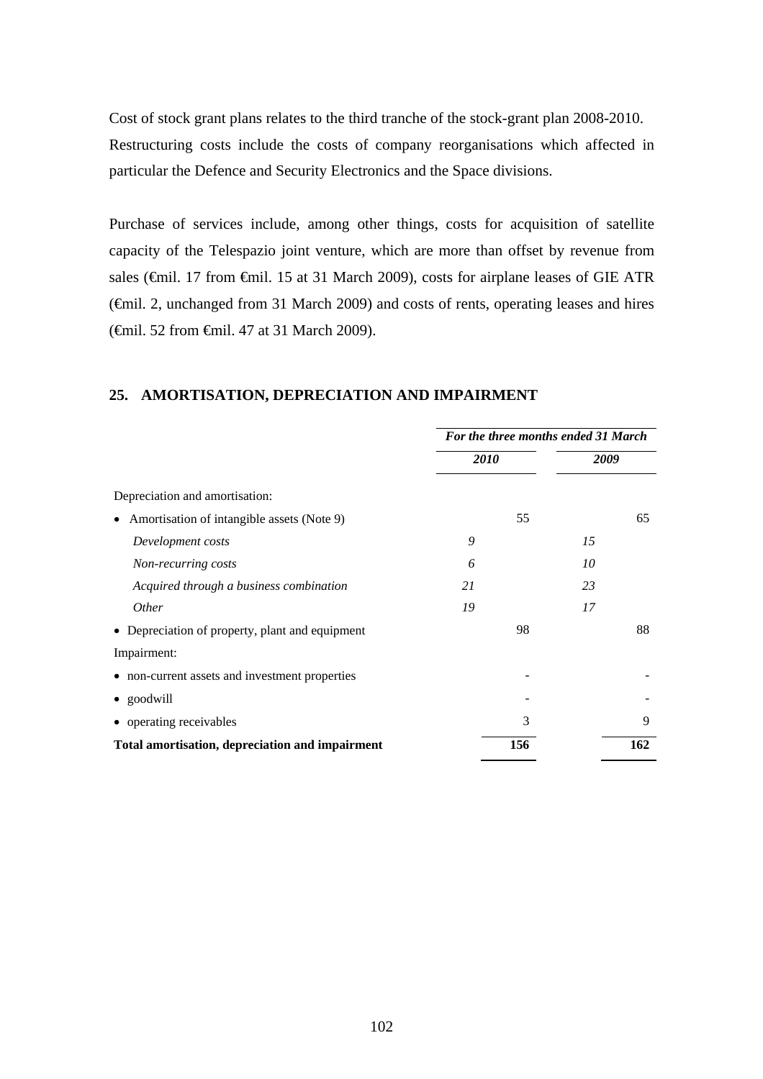Cost of stock grant plans relates to the third tranche of the stock-grant plan 2008-2010. Restructuring costs include the costs of company reorganisations which affected in particular the Defence and Security Electronics and the Space divisions.

Purchase of services include, among other things, costs for acquisition of satellite capacity of the Telespazio joint venture, which are more than offset by revenue from sales (€mil. 17 from €mil. 15 at 31 March 2009), costs for airplane leases of GIE ATR (€mil. 2, unchanged from 31 March 2009) and costs of rents, operating leases and hires (€mil. 52 from €mil. 47 at 31 March 2009).

# **25. AMORTISATION, DEPRECIATION AND IMPAIRMENT**

|                                                         | For the three months ended 31 March |     |      |     |  |
|---------------------------------------------------------|-------------------------------------|-----|------|-----|--|
|                                                         | <i>2010</i>                         |     | 2009 |     |  |
| Depreciation and amortisation:                          |                                     |     |      |     |  |
| Amortisation of intangible assets (Note 9)<br>$\bullet$ |                                     | 55  |      | 65  |  |
| Development costs                                       | 9                                   |     | 15   |     |  |
| Non-recurring costs                                     | 6                                   |     | 10   |     |  |
| Acquired through a business combination                 | 21                                  |     | 23   |     |  |
| <i>Other</i>                                            | 19                                  |     | 17   |     |  |
| • Depreciation of property, plant and equipment         |                                     | 98  |      | 88  |  |
| Impairment:                                             |                                     |     |      |     |  |
| • non-current assets and investment properties          |                                     |     |      |     |  |
| • goodwill                                              |                                     |     |      |     |  |
| • operating receivables                                 |                                     | 3   |      | 9   |  |
| Total amortisation, depreciation and impairment         |                                     | 156 |      | 162 |  |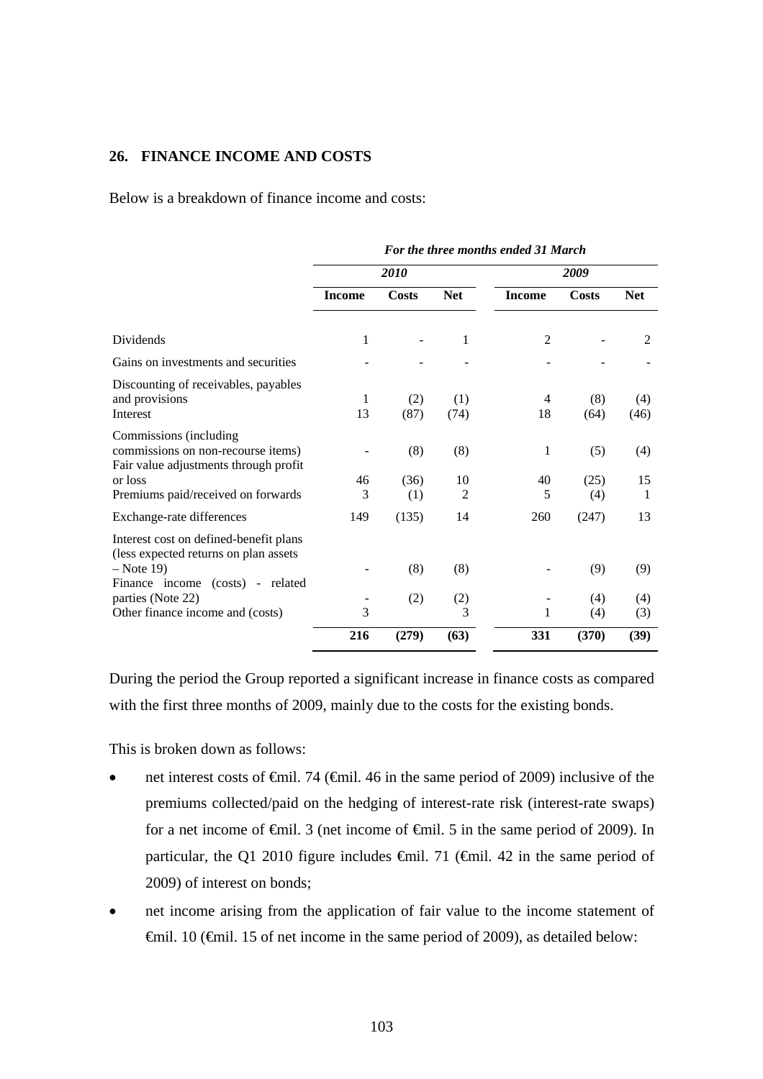# **26. FINANCE INCOME AND COSTS**

Below is a breakdown of finance income and costs:

|                                                                                                       | r or ine inree monins enueu 31 March |             |                      |                |             |             |
|-------------------------------------------------------------------------------------------------------|--------------------------------------|-------------|----------------------|----------------|-------------|-------------|
|                                                                                                       |                                      | 2010        |                      |                | 2009        |             |
|                                                                                                       | <b>Income</b>                        | Costs       | <b>Net</b>           | <b>Income</b>  | Costs       | <b>Net</b>  |
| Dividends                                                                                             | 1                                    |             | 1                    | $\overline{2}$ |             | 2           |
| Gains on investments and securities                                                                   |                                      |             |                      |                |             |             |
| Discounting of receivables, payables<br>and provisions<br>Interest                                    | 1<br>13                              | (2)<br>(87) | (1)<br>(74)          | 4<br>18        | (8)<br>(64) | (4)<br>(46) |
| Commissions (including<br>commissions on non-recourse items)<br>Fair value adjustments through profit |                                      | (8)         | (8)                  | 1              | (5)         | (4)         |
| or loss<br>Premiums paid/received on forwards                                                         | 46<br>3                              | (36)<br>(1) | 10<br>$\overline{2}$ | 40<br>5        | (25)<br>(4) | 15<br>1     |
| Exchange-rate differences                                                                             | 149                                  | (135)       | 14                   | 260            | (247)       | 13          |
| Interest cost on defined-benefit plans<br>(less expected returns on plan assets<br>$-$ Note 19)       |                                      | (8)         | (8)                  |                | (9)         | (9)         |
| Finance income (costs) - related<br>parties (Note 22)<br>Other finance income and (costs)             | 3                                    | (2)         | (2)<br>3             | 1              | (4)<br>(4)  | (4)<br>(3)  |
|                                                                                                       | 216                                  | (279)       | (63)                 | 331            | (370)       | (39)        |

*For the three months ended 31 March* 

During the period the Group reported a significant increase in finance costs as compared with the first three months of 2009, mainly due to the costs for the existing bonds.

This is broken down as follows:

- net interest costs of  $\epsilon$ mil. 74 ( $\epsilon$ mil. 46 in the same period of 2009) inclusive of the premiums collected/paid on the hedging of interest-rate risk (interest-rate swaps) for a net income of €mil. 3 (net income of €mil. 5 in the same period of 2009). In particular, the Q1 2010 figure includes  $\epsilon$ mil. 71 ( $\epsilon$ mil. 42 in the same period of 2009) of interest on bonds;
- net income arising from the application of fair value to the income statement of  $\theta$ mil. 10 ( $\theta$ mil. 15 of net income in the same period of 2009), as detailed below: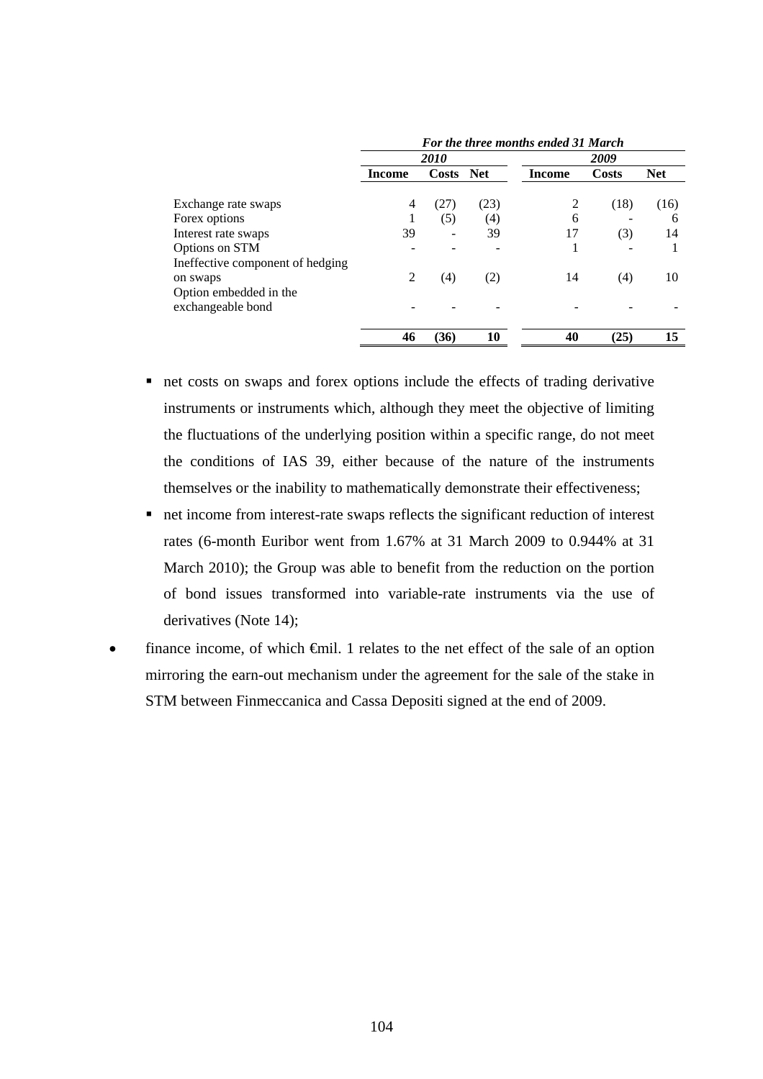|                                                    | For the three months ended 31 March |                   |      |        |       |            |  |  |
|----------------------------------------------------|-------------------------------------|-------------------|------|--------|-------|------------|--|--|
|                                                    |                                     | <i>2010</i>       |      |        | 2009  |            |  |  |
|                                                    | <b>Income</b>                       | Costs Net         |      | Income | Costs | <b>Net</b> |  |  |
| Exchange rate swaps                                | 4                                   | (27)              | (23) |        | (18)  | (16)       |  |  |
| Forex options                                      | л.                                  | (5)               | (4)  | 6      |       | 6          |  |  |
| Interest rate swaps                                | 39                                  |                   | 39   | 17     | (3)   | 14         |  |  |
| Options on STM<br>Ineffective component of hedging |                                     |                   |      | н      |       |            |  |  |
| on swaps<br>Option embedded in the                 | 2                                   | $\left( 4\right)$ | (2)  | 14     | (4)   | 10         |  |  |
| exchangeable bond                                  |                                     |                   |      |        |       |            |  |  |
|                                                    | 46                                  | (36)              | 10   | 40     | (25)  | 15         |  |  |

- net costs on swaps and forex options include the effects of trading derivative instruments or instruments which, although they meet the objective of limiting the fluctuations of the underlying position within a specific range, do not meet the conditions of IAS 39, either because of the nature of the instruments themselves or the inability to mathematically demonstrate their effectiveness;
- net income from interest-rate swaps reflects the significant reduction of interest rates (6-month Euribor went from 1.67% at 31 March 2009 to 0.944% at 31 March 2010); the Group was able to benefit from the reduction on the portion of bond issues transformed into variable-rate instruments via the use of derivatives (Note 14);
- finance income, of which  $\oplus$ mil. 1 relates to the net effect of the sale of an option mirroring the earn-out mechanism under the agreement for the sale of the stake in STM between Finmeccanica and Cassa Depositi signed at the end of 2009.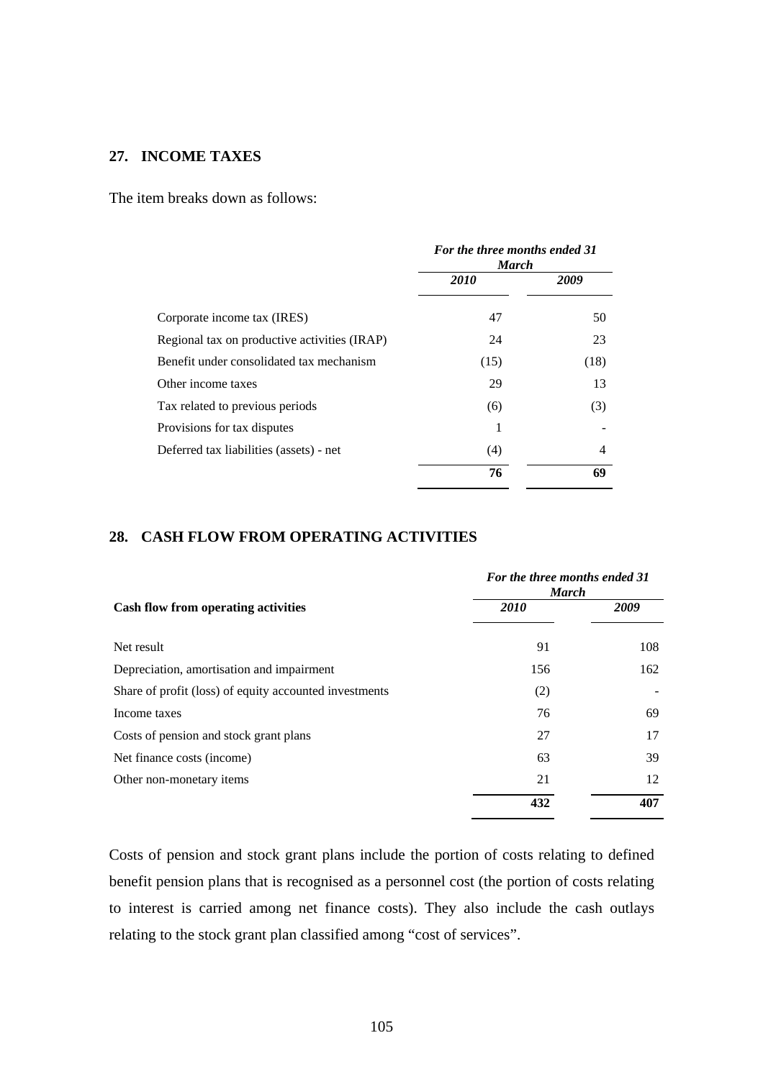# **27. INCOME TAXES**

The item breaks down as follows:

|                                              | For the three months ended 31<br><b>March</b> |      |
|----------------------------------------------|-----------------------------------------------|------|
|                                              | 2010                                          | 2009 |
| Corporate income tax (IRES)                  | 47                                            | 50   |
| Regional tax on productive activities (IRAP) | 24                                            | 23   |
| Benefit under consolidated tax mechanism     | (15)                                          | (18) |
| Other income taxes                           | 29                                            | 13   |
| Tax related to previous periods              | (6)                                           | (3)  |
| Provisions for tax disputes                  |                                               |      |
| Deferred tax liabilities (assets) - net      | (4)                                           | 4    |
|                                              | 76                                            | 69   |

# **28. CASH FLOW FROM OPERATING ACTIVITIES**

|                                                        | For the three months ended 31<br><b>March</b> |      |
|--------------------------------------------------------|-----------------------------------------------|------|
| <b>Cash flow from operating activities</b>             | <b>2010</b>                                   | 2009 |
| Net result                                             | 91                                            | 108  |
| Depreciation, amortisation and impairment              | 156                                           | 162  |
| Share of profit (loss) of equity accounted investments | (2)                                           |      |
| Income taxes                                           | 76                                            | 69   |
| Costs of pension and stock grant plans                 | 27                                            | 17   |
| Net finance costs (income)                             | 63                                            | 39   |
| Other non-monetary items                               | 21                                            | 12   |
|                                                        | 432                                           | 407  |

Costs of pension and stock grant plans include the portion of costs relating to defined benefit pension plans that is recognised as a personnel cost (the portion of costs relating to interest is carried among net finance costs). They also include the cash outlays relating to the stock grant plan classified among "cost of services".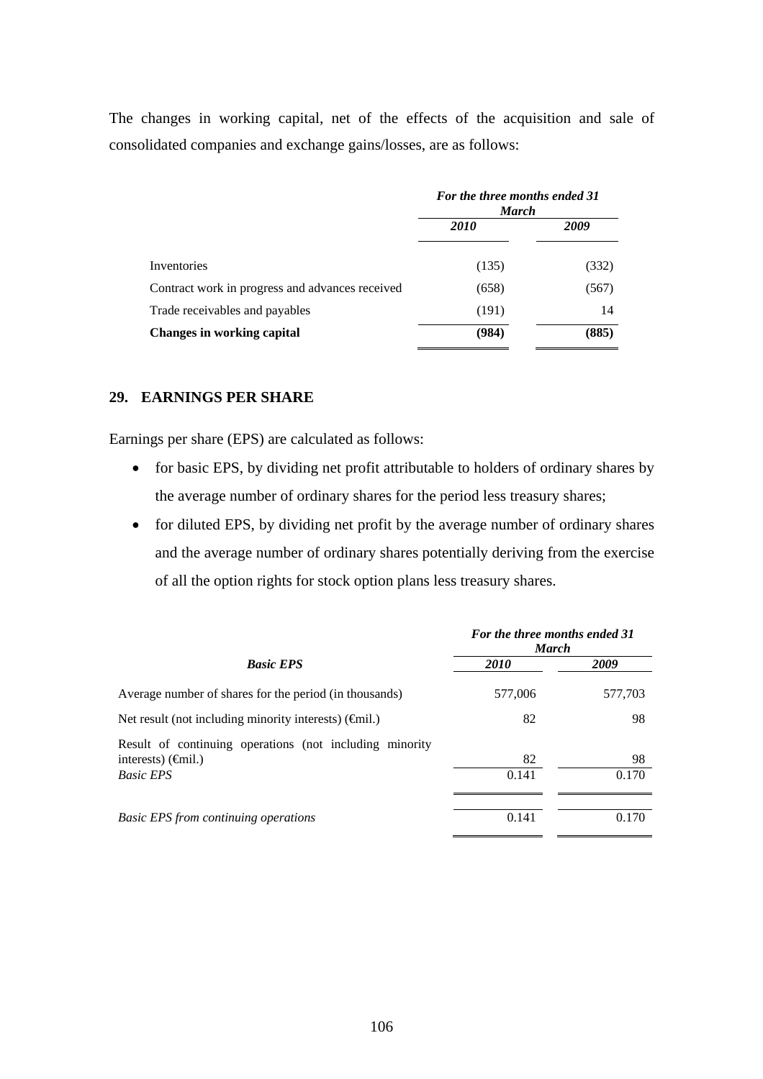The changes in working capital, net of the effects of the acquisition and sale of consolidated companies and exchange gains/losses, are as follows:

|                                                 | For the three months ended 31<br><b>March</b> |       |
|-------------------------------------------------|-----------------------------------------------|-------|
|                                                 | <i>2010</i>                                   | 2009  |
| Inventories                                     | (135)                                         | (332) |
| Contract work in progress and advances received | (658)                                         | (567) |
| Trade receivables and payables                  | (191)                                         | 14    |
| <b>Changes in working capital</b>               | (984)                                         | (885) |

## **29. EARNINGS PER SHARE**

Earnings per share (EPS) are calculated as follows:

- for basic EPS, by dividing net profit attributable to holders of ordinary shares by the average number of ordinary shares for the period less treasury shares;
- for diluted EPS, by dividing net profit by the average number of ordinary shares and the average number of ordinary shares potentially deriving from the exercise of all the option rights for stock option plans less treasury shares.

|                                                                                                         | For the three months ended 31<br><b>March</b> |         |
|---------------------------------------------------------------------------------------------------------|-----------------------------------------------|---------|
| <b>Basic EPS</b>                                                                                        | <i>2010</i>                                   | 2009    |
| Average number of shares for the period (in thousands)                                                  | 577,006                                       | 577,703 |
| Net result (not including minority interests) $(\hat{\mathbf{q}}$ mil.)                                 | 82                                            | 98      |
| Result of continuing operations (not including minority<br>interests) $(\epsilon \hat{\mathbf{m}}$ il.) | 82                                            | 98      |
| <b>Basic EPS</b>                                                                                        | 0.141                                         | 0.170   |
|                                                                                                         |                                               |         |
| <b>Basic EPS</b> from continuing operations                                                             | 0.141                                         | 0.170   |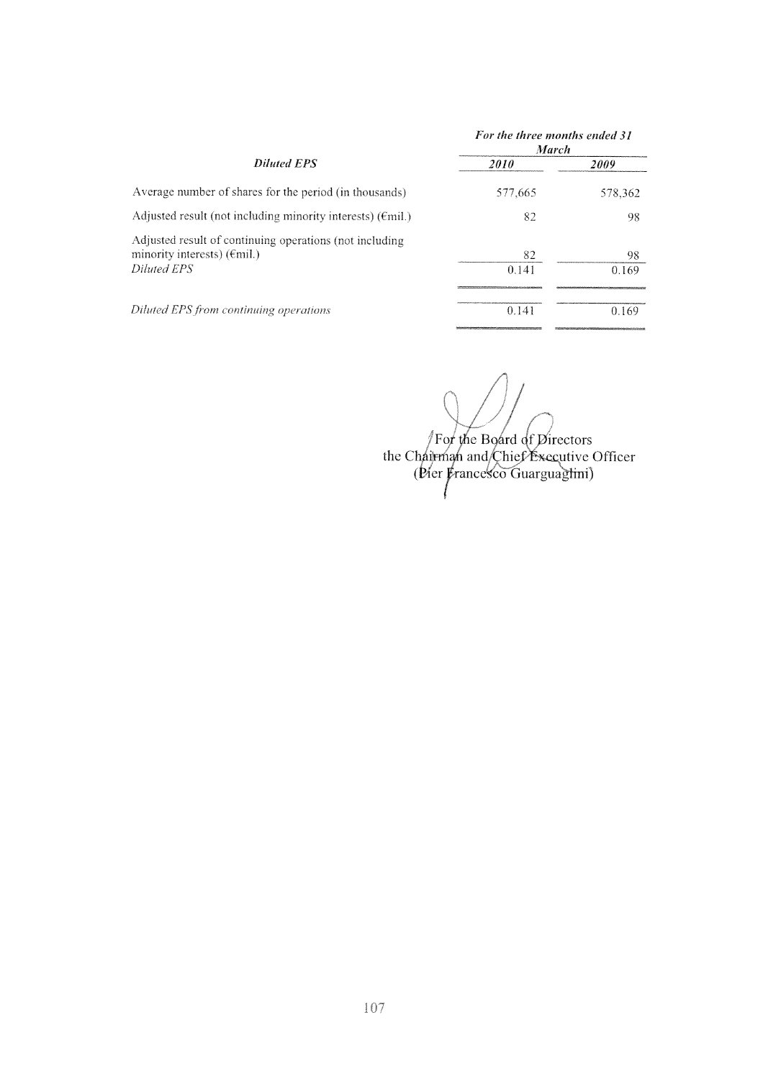|                                                                                                                        | For the three months ended 31<br><b>March</b> |             |
|------------------------------------------------------------------------------------------------------------------------|-----------------------------------------------|-------------|
| <b>Diluted EPS</b>                                                                                                     | <i>2010</i>                                   | 2009        |
| Average number of shares for the period (in thousands)                                                                 | 577,665                                       | 578,362     |
| Adjusted result (not including minority interests) $(\text{fmil.})$                                                    | 82                                            | 98          |
| Adjusted result of continuing operations (not including<br>minority interests) $(\epsilon \text{mil.})$<br>Diluted EPS | 82<br>0.141                                   | 98<br>0.169 |
| Diluted EPS from continuing operations                                                                                 | 0.141                                         | 0.169       |

For the Board of Directors<br>the Chairman and Chief Executive Officer<br>(Pier Francesco Guarguagtini)